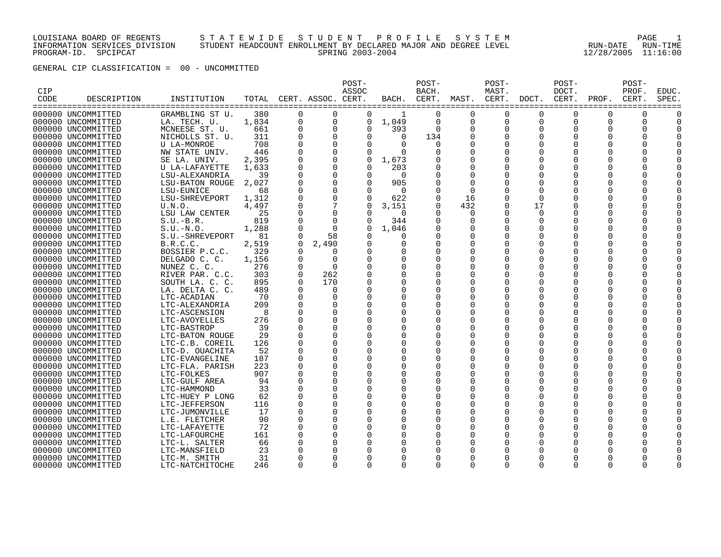## LOUISIANA BOARD OF REGENTS S T A T E W I D E S T U D E N T P R O F I L E S Y S T E M PAGE 1 INFORMATION SERVICES DIVISION STUDENT HEADCOUNT ENROLLMENT BY DECLARED MAJOR AND DEGREE LEVEL RUN-DATE RUN-TIME PROGRAM-ID. SPCIPCAT SPRING 2003-2004 12/28/2005 11:16:00

GENERAL CIP CLASSIFICATION = 00 - UNCOMMITTED

| CIP<br>CODE | DESCRIPTION                              | INSTITUTION                    | TOTAL     |             | CERT. ASSOC. CERT.   | POST-<br>ASSOC       | BACH.    | POST-<br>BACH.<br>CERT. | MAST.                | POST-<br>MAST.<br>CERT. | DOCT.                | POST-<br>DOCT.<br>CERT. | PROF.          | POST-<br>PROF.<br>CERT. | <b>EDUC</b><br>SPEC |
|-------------|------------------------------------------|--------------------------------|-----------|-------------|----------------------|----------------------|----------|-------------------------|----------------------|-------------------------|----------------------|-------------------------|----------------|-------------------------|---------------------|
|             |                                          |                                |           |             |                      |                      |          |                         |                      |                         |                      |                         | ============== |                         | :====:              |
|             | 000000 UNCOMMITTED                       | GRAMBLING ST U.                | 380       | $\Omega$    | $\Omega$             | $\Omega$             | -1       | $\Omega$                | $\Omega$             | $\Omega$                | $\Omega$             | 0                       | $\Omega$       | $\Omega$                |                     |
|             | 000000 UNCOMMITTED                       | LA. TECH. U.                   | 1,834     | 0           | $\mathbf 0$          | $\Omega$             | 1,049    | 0                       | 0                    | $\mathbf 0$             | 0                    | 0                       | 0              | 0                       |                     |
|             | 000000 UNCOMMITTED                       | MCNEESE ST. U.                 | 661       |             | $\Omega$             | $\Omega$             | 393      | $\Omega$                | 0                    | 0                       | $\Omega$             | O                       | O              | $\Omega$                |                     |
|             | 000000 UNCOMMITTED                       | NICHOLLS ST. U.                | 311       |             |                      | $\Omega$             | $\Omega$ | 134                     |                      | $\Omega$                | $\Omega$             | 0                       | 0              | <sup>0</sup>            |                     |
|             | 000000 UNCOMMITTED                       | U LA-MONROE                    | 708       |             | $\Omega$             | $\Omega$             | $\Omega$ | $\Omega$                | O                    |                         | $\Omega$             | U                       | O              |                         |                     |
|             | 000000 UNCOMMITTED                       | NW STATE UNIV.                 | 446       | $\Omega$    | $\Omega$             | 0                    | $\Omega$ | O                       | 0                    |                         | 0                    | O                       | 0              |                         |                     |
|             | 000000 UNCOMMITTED                       | SE LA. UNIV.                   | 2,395     |             | $\mathbf 0$          | 0                    | 1,673    |                         |                      |                         | O                    | 0                       | O              |                         |                     |
|             | 000000 UNCOMMITTED                       | U LA-LAFAYETTE                 | 1,633     |             | 0                    | $\Omega$             | 203      |                         |                      |                         | O                    | O                       | 0              |                         |                     |
|             | 000000 UNCOMMITTED                       | LSU-ALEXANDRIA                 | 39        |             | $\Omega$             | $\Omega$             | $\Omega$ | $\Omega$                | $\Omega$             |                         | $\Omega$             | U                       | O              |                         |                     |
|             | 000000 UNCOMMITTED                       | LSU-BATON ROUGE                | 2,027     |             |                      | $\Omega$             | 905      | $\Omega$                | $\Omega$             |                         | $\Omega$             | U                       | O              |                         |                     |
|             | 000000 UNCOMMITTED                       | LSU-EUNICE                     | 68        |             | $\Omega$             | $\Omega$             | $\Omega$ | $\Omega$                | $\Omega$             | $\Omega$                | $\Omega$             | 0                       | O              |                         |                     |
|             | 000000 UNCOMMITTED                       | LSU-SHREVEPORT                 | 1,312     |             |                      | $\Omega$             | 622      | $\Omega$                | 16                   | $\Omega$                | $\Omega$             | 0                       | O              |                         |                     |
|             | 000000 UNCOMMITTED                       | U.N.O.                         | 4,497     |             |                      | 0                    | 3,151    | 0                       | 432                  | 0                       | 17                   | O                       | 0              | $\Omega$                |                     |
|             | 000000 UNCOMMITTED                       | LSU LAW CENTER                 | 25        |             | $\mathbf 0$          | $\Omega$             | $\Omega$ | $\Omega$                | 0                    | $\Omega$                | 0                    | O                       | 0              |                         |                     |
|             | 000000 UNCOMMITTED                       | $S.U.-B.R.$                    | 819       | $\mathbf 0$ | $\mathbf 0$          | 0                    | 344      | 0                       | 0                    | $\Omega$                | 0                    | 0                       | 0              | <sup>0</sup>            |                     |
|             | 000000 UNCOMMITTED                       | $S.U.-N.O.$                    | 1,288     |             | $\Omega$             | $\Omega$             | 1,046    |                         |                      | $\Omega$                | 0                    | 0                       | 0              |                         |                     |
|             | 000000 UNCOMMITTED                       | S.U.-SHREVEPORT                | 81        | $\Omega$    | 58                   |                      | $\Omega$ |                         |                      | $\Omega$                | $\Omega$             | U                       | O              |                         |                     |
|             | 000000 UNCOMMITTED                       | B.R.C.C.                       | 2,519     | $\Omega$    | 2,490                | $\Omega$             | 0        | $\Omega$                | $\Omega$             | $\Omega$                | $\Omega$             | U                       | O              |                         |                     |
|             | 000000 UNCOMMITTED                       | BOSSIER P.C.C.                 | 329       | $\Omega$    | $\Omega$             | $\Omega$             |          | $\Omega$                |                      | <sup>0</sup>            | O                    |                         | O              |                         |                     |
|             | 000000 UNCOMMITTED                       | DELGADO C. C.                  | 1,156     | $\Omega$    | $\Omega$             | $\Omega$             |          | $\Omega$                |                      |                         | $\Omega$             | U                       | O              |                         |                     |
|             | 000000 UNCOMMITTED                       | NUNEZ C. C.                    | 276       | $\Omega$    | $\Omega$             | $\Omega$             | 0        | 0                       | 0                    |                         | O                    | O                       | O              |                         |                     |
|             | 000000 UNCOMMITTED                       | RIVER PAR. C.C.                | 303       | $\Omega$    | 262                  | 0                    |          | $\Omega$                |                      |                         | O                    | U                       | O              |                         |                     |
|             | 000000 UNCOMMITTED                       | SOUTH LA. C. C.                | 895       | $\Omega$    | 170                  | $\Omega$             |          | $\Omega$                |                      |                         | O                    | O<br>U                  | Ω              |                         |                     |
|             | 000000 UNCOMMITTED                       | LA. DELTA C. C.                | 489<br>70 | $\Omega$    | $\Omega$<br>$\Omega$ | $\Omega$<br>$\Omega$ | O        | $\Omega$<br>O           | $\Omega$<br>$\Omega$ | <sup>0</sup>            | $\Omega$<br>$\Omega$ | U                       | O<br>O         |                         |                     |
|             | 000000 UNCOMMITTED                       | LTC-ACADIAN                    | 209       | $\Omega$    | $\Omega$             | 0                    | O        | $\Omega$                | O                    | <sup>0</sup>            | O                    | U                       | 0              |                         |                     |
|             | 000000 UNCOMMITTED                       | LTC-ALEXANDRIA                 | 8         |             | $\Omega$             | $\Omega$             |          | O                       | $\Omega$             | <sup>0</sup>            | O                    | O                       | O              |                         |                     |
|             | 000000 UNCOMMITTED<br>000000 UNCOMMITTED | LTC-ASCENSION<br>LTC-AVOYELLES | 276       |             | $\Omega$             | $\Omega$             | 0        | $\Omega$                | $\Omega$             | $\Omega$                | 0                    | O                       | 0              | $\Omega$                |                     |
|             | 000000 UNCOMMITTED                       | LTC-BASTROP                    | 39        |             | $\Omega$             | $\Omega$             | $\Omega$ | $\Omega$                | $\Omega$             | $\Omega$                | 0                    | O                       | 0              |                         |                     |
|             | 000000 UNCOMMITTED                       | LTC-BATON ROUGE                | 29        |             | $\Omega$             | $\Omega$             | $\Omega$ | $\Omega$                | $\Omega$             | $\Omega$                | 0                    | O                       | 0              |                         |                     |
|             | 000000 UNCOMMITTED                       | LTC-C.B. COREIL                | 126       |             | $\Omega$             | $\Omega$             |          | $\Omega$                |                      | $\Omega$                | $\Omega$             | 0                       | 0              |                         |                     |
|             | 000000 UNCOMMITTED                       | LTC-D. OUACHITA                | 52        |             | $\Omega$             | $\Omega$             |          | 0                       | $\Omega$             | $\Omega$                | $\Omega$             | O                       | 0              |                         |                     |
|             | 000000 UNCOMMITTED                       | LTC-EVANGELINE                 | 187       |             | $\Omega$             | $\Omega$             | $\Omega$ | 0                       | $\Omega$             | $\Omega$                | 0                    | O                       | 0              |                         |                     |
|             | 000000 UNCOMMITTED                       | LTC-FLA. PARISH                | 223       |             | $\Omega$             | $\Omega$             |          | $\Omega$                |                      |                         | $\Omega$             |                         | O              |                         |                     |
|             | 000000 UNCOMMITTED                       | LTC-FOLKES                     | 907       |             | $\Omega$             | $\Omega$             |          | $\Omega$                | $\Omega$             |                         | $\Omega$             | 0                       | O              |                         |                     |
|             | 000000 UNCOMMITTED                       | LTC-GULF AREA                  | 94        |             | $\Omega$             | $\Omega$             |          | $\Omega$                | 0                    |                         | O                    | 0                       | O              |                         |                     |
|             | 000000 UNCOMMITTED                       | LTC-HAMMOND                    | 33        |             | $\Omega$             | 0                    |          | $\Omega$                |                      |                         | $\Omega$             | U                       | O              |                         |                     |
|             | 000000 UNCOMMITTED                       | LTC-HUEY P LONG                | 62        |             | $\Omega$             | $\Omega$             | O        | O                       |                      |                         | $\Omega$             | U                       | O              |                         |                     |
|             | 000000 UNCOMMITTED                       | LTC-JEFFERSON                  | 116       |             | $\Omega$             | $\Omega$             |          | $\Omega$                |                      |                         | $\Omega$             | U                       | O              |                         |                     |
|             | 000000 UNCOMMITTED                       | LTC-JUMONVILLE                 | 17        | ∩           | $\Omega$             | $\Omega$             | O        | O                       | $\Omega$             | <sup>0</sup>            | $\Omega$             | U                       | O              |                         |                     |
|             | 000000 UNCOMMITTED                       | L.E. FLETCHER                  | 90        | $\Omega$    | $\Omega$             | <sup>0</sup>         | U        | $\Omega$                | O                    | <sup>0</sup>            | O                    | U                       | 0              |                         |                     |
|             | 000000 UNCOMMITTED                       | LTC-LAFAYETTE                  | 72        | $\Omega$    | $\Omega$             | $\Omega$             |          | O                       | $\Omega$             | <sup>0</sup>            | $\Omega$             | O                       | O              |                         |                     |
|             | 000000 UNCOMMITTED                       | LTC-LAFOURCHE                  | 161       |             | $\Omega$             | 0                    | 0        | O                       | O                    | <sup>0</sup>            | O                    | O                       | O              | O                       |                     |
|             | 000000 UNCOMMITTED                       | LTC-L. SALTER                  | 66        | $\Omega$    | $\Omega$             |                      | O        | O                       |                      | O                       | O                    | O                       | 0              |                         |                     |
|             | 000000 UNCOMMITTED                       | LTC-MANSFIELD                  | 23        |             | $\Omega$             |                      |          | O                       |                      |                         | O                    | U                       | Ω              |                         |                     |
|             | 000000 UNCOMMITTED                       | LTC-M. SMITH                   | 31        |             | $\Omega$             | $\Omega$             |          | $\Omega$                | $\Omega$             |                         | $\Omega$             | 0                       | ი              |                         |                     |
|             | 000000 UNCOMMITTED                       | LTC-NATCHITOCHE                | 246       | $\Omega$    | $\Omega$             | $\Omega$             | 0        | $\Omega$                | $\Omega$             | $\Omega$                | $\Omega$             | $\Omega$                | 0              | $\Omega$                |                     |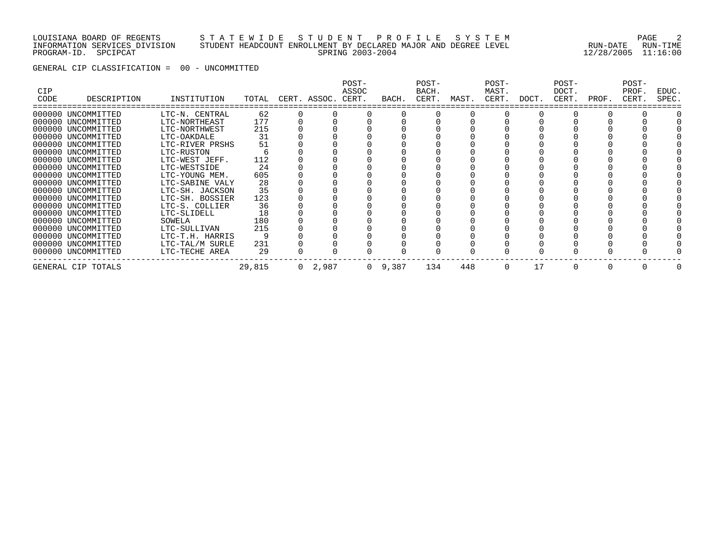## LOUISIANA BOARD OF REGENTS S T A T E W I D E S T U D E N T P R O F I L E S Y S T E M PAGE 2 INFORMATION SERVICES DIVISION STUDENT HEADCOUNT ENROLLMENT BY DECLARED MAJOR AND DEGREE LEVEL RUN-DATE RUN-TIME PROGRAM-ID. SPCIPCAT SPRING 2003-2004 12/28/2005 11:16:00

GENERAL CIP CLASSIFICATION = 00 - UNCOMMITTED

| <b>CIP</b><br>CODE | DESCRIPTION        | INSTITUTION     | TOTAL  | CERT. ASSOC.   | POST-<br>ASSOC<br>CERT. | BACH.           | POST-<br>BACH.<br>CERT. | MAST. | POST-<br>MAST.<br>CERT. | DOCT. | POST-<br>DOCT.<br>CERT. | PROF. | POST-<br>PROF.<br>CERT. | EDUC.<br>SPEC. |
|--------------------|--------------------|-----------------|--------|----------------|-------------------------|-----------------|-------------------------|-------|-------------------------|-------|-------------------------|-------|-------------------------|----------------|
|                    |                    |                 |        |                |                         |                 |                         |       |                         |       |                         |       |                         |                |
|                    | 000000 UNCOMMITTED | LTC-N. CENTRAL  | 62     |                |                         |                 |                         |       |                         |       |                         |       |                         |                |
|                    | 000000 UNCOMMITTED | LTC-NORTHEAST   | 177    |                |                         |                 |                         |       |                         |       |                         |       |                         |                |
|                    | 000000 UNCOMMITTED | LTC-NORTHWEST   | 215    |                |                         |                 |                         |       |                         |       |                         |       |                         |                |
|                    | 000000 UNCOMMITTED | LTC-OAKDALE     | 31     |                |                         |                 |                         |       |                         |       |                         |       |                         |                |
|                    | 000000 UNCOMMITTED | LTC-RIVER PRSHS | 51     |                |                         |                 |                         |       |                         |       |                         |       |                         |                |
|                    | 000000 UNCOMMITTED | LTC-RUSTON      |        |                |                         |                 |                         |       |                         |       |                         |       |                         |                |
|                    | 000000 UNCOMMITTED | LTC-WEST JEFF.  | 112    |                |                         |                 |                         |       |                         |       |                         |       |                         |                |
|                    | 000000 UNCOMMITTED | LTC-WESTSIDE    | 24     |                |                         |                 |                         |       |                         |       |                         |       |                         |                |
|                    | 000000 UNCOMMITTED | LTC-YOUNG MEM.  | 605    |                |                         |                 |                         |       |                         |       |                         |       |                         |                |
|                    | 000000 UNCOMMITTED | LTC-SABINE VALY | 28     |                |                         |                 |                         |       |                         |       |                         |       |                         |                |
|                    | 000000 UNCOMMITTED | LTC-SH. JACKSON | 35     |                |                         |                 |                         |       |                         |       |                         |       |                         |                |
|                    | 000000 UNCOMMITTED | LTC-SH. BOSSIER | 123    |                |                         |                 |                         |       |                         |       |                         |       |                         |                |
|                    | 000000 UNCOMMITTED | LTC-S. COLLIER  | 36     |                |                         |                 |                         |       |                         |       |                         |       |                         |                |
|                    | 000000 UNCOMMITTED | LTC-SLIDELL     | 18     |                |                         |                 |                         |       |                         |       |                         |       |                         |                |
|                    | 000000 UNCOMMITTED | SOWELA          | 180    |                |                         |                 |                         |       |                         |       |                         |       |                         |                |
|                    | 000000 UNCOMMITTED | LTC-SULLIVAN    | 215    |                |                         |                 |                         |       |                         |       |                         |       |                         |                |
|                    | 000000 UNCOMMITTED | LTC-T.H. HARRIS |        |                |                         |                 |                         |       |                         |       |                         |       |                         |                |
|                    | 000000 UNCOMMITTED | LTC-TAL/M SURLE | 231    |                |                         |                 |                         |       |                         |       |                         |       |                         |                |
|                    | 000000 UNCOMMITTED | LTC-TECHE AREA  | 29     |                |                         |                 |                         |       |                         |       |                         |       |                         |                |
|                    | GENERAL CIP TOTALS |                 | 29,815 | $0\quad 2,987$ |                         | $0 \quad 9,387$ | 134                     | 448   | $\Omega$                | 17    |                         |       |                         |                |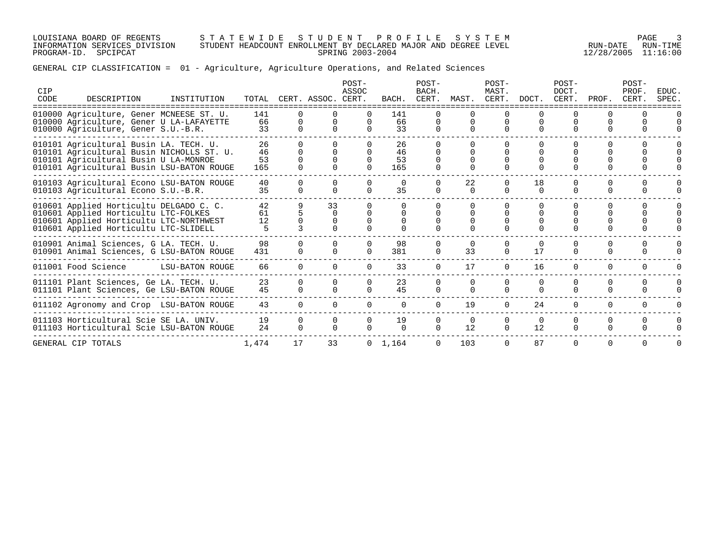LOUISIANA BOARD OF REGENTS S T A T E W I D E S T U D E N T P R O F I L E S Y S T E M PAGE 3 INFORMATION SERVICES DIVISION STUDENT HEADCOUNT ENROLLMENT BY DECLARED MAJOR AND DEGREE LEVEL RUN-DATE RUN-TIME PROGRAM-ID. SPCIPCAT SPRING 2003-2004 12/28/2005 11:16:00

GENERAL CIP CLASSIFICATION = 01 - Agriculture, Agriculture Operations, and Related Sciences

| CIP<br>CODE | DESCRIPTION                                                                                                                                                               | INSTITUTION     |                       |                    | TOTAL CERT. ASSOC. CERT. | POST-<br>ASSOC           | BACH.                 | POST-<br>BACH.<br>CERT.          | MAST.              | POST-<br>MAST.<br>CERT.  | DOCT.                | POST-<br>DOCT.<br>CERT.  | PROF.                | POST-<br>PROF.<br>CERT. | EDUC.<br>SPEC.                   |
|-------------|---------------------------------------------------------------------------------------------------------------------------------------------------------------------------|-----------------|-----------------------|--------------------|--------------------------|--------------------------|-----------------------|----------------------------------|--------------------|--------------------------|----------------------|--------------------------|----------------------|-------------------------|----------------------------------|
|             | 010000 Agriculture, Gener MCNEESE ST. U.<br>010000 Agriculture, Gener U LA-LAFAYETTE<br>010000 Agriculture, Gener S.U.-B.R.                                               |                 | 141<br>66<br>33       | <sup>n</sup>       |                          | $\cap$                   | 141<br>66<br>33       | $\Omega$<br>$\Omega$<br>$\Omega$ | $\Omega$           | $\Omega$                 | $\Omega$             | $\Omega$                 | $\cap$               |                         |                                  |
|             | 010101 Agricultural Busin LA. TECH. U.<br>010101 Agricultural Busin NICHOLLS ST. U.<br>010101 Agricultural Busin U LA-MONROE<br>010101 Agricultural Busin LSU-BATON ROUGE |                 | 26<br>46<br>53<br>165 | <sup>n</sup>       |                          | $\Omega$                 | 26<br>46<br>53<br>165 | $\Omega$<br>$\Omega$             | $\Omega$           | <sup>n</sup>             | U                    | <sup>n</sup>             |                      |                         |                                  |
|             | 010103 Agricultural Econo LSU-BATON ROUGE<br>010103 Agricultural Econo S.U.-B.R.                                                                                          |                 | 40<br>35              | $\Omega$           |                          | $\Omega$                 | $\Omega$<br>35        | $\Omega$<br>$\Omega$             | 22<br>$\cap$       | $\Omega$                 | 18<br>$\Omega$       | <sup>0</sup><br>$\Omega$ | $\Omega$             | $\Omega$                |                                  |
|             | 010601 Applied Horticultu DELGADO C. C.<br>010601 Applied Horticultu LTC-FOLKES<br>010601 Applied Horticultu LTC-NORTHWEST<br>010601 Applied Horticultu LTC-SLIDELL       |                 | 42<br>61<br>12        |                    | 33<br>$\Omega$           |                          | 0                     |                                  |                    |                          |                      |                          |                      |                         | $\Omega$<br>$\Omega$<br>$\Omega$ |
|             | 010901 Animal Sciences, G LA. TECH. U.<br>010901 Animal Sciences, G LSU-BATON ROUGE                                                                                       |                 | 98<br>431             | 0<br><sup>o</sup>  |                          | $\Omega$                 | 98<br>381             | $\Omega$<br>$\Omega$             | $\Omega$<br>33     | $\Omega$<br>$\Omega$     | $\Omega$<br>17       | $\Omega$<br>0            | 0<br>0               | $\Omega$<br>$\Omega$    | $\Omega$                         |
|             | 011001 Food Science                                                                                                                                                       | LSU-BATON ROUGE | 66                    | $\Omega$           |                          |                          | 33                    | $\Omega$                         | 17                 | $\Omega$                 | 16                   | $\Omega$                 | $\Omega$             | $\Omega$                |                                  |
|             | 011101 Plant Sciences, Ge LA. TECH. U.<br>011101 Plant Sciences, Ge LSU-BATON ROUGE                                                                                       |                 | 23<br>45              | $\cap$<br>$\Omega$ | $\cap$<br>$\cap$         | <sup>n</sup><br>$\Omega$ | 23<br>45              | $\cap$<br>$\Omega$               | $\cap$<br>$\Omega$ | $\Omega$<br>$\Omega$     | $\Omega$<br>$\Omega$ | $\Omega$<br>$\Omega$     | $\Omega$<br>$\Omega$ | $\Omega$<br>$\Omega$    | $\Omega$<br>$\Omega$             |
|             | 011102 Agronomy and Crop LSU-BATON ROUGE                                                                                                                                  |                 | 43                    | $\Omega$           | $\Omega$                 | $\cap$                   | $\cap$                | $\cap$                           | 19                 | $\Omega$                 | 24                   | $\Omega$                 | $\cap$               | $\Omega$                | $\cap$                           |
|             | 011103 Horticultural Scie SE LA. UNIV.<br>011103 Horticultural Scie LSU-BATON ROUGE                                                                                       |                 | 19<br>24              | $\Omega$<br>0      |                          |                          | 19<br>$\Omega$        | $\Omega$<br>$\Omega$             | $\Omega$<br>12     | <sup>0</sup><br>$\Omega$ | $\Omega$<br>12       | $\Omega$<br>0            | $\Omega$<br>$\Omega$ | $\Omega$<br>0           | $\Omega$                         |
|             | GENERAL CIP TOTALS                                                                                                                                                        |                 | 1,474                 | 17                 | 33                       |                          | $0 \quad 1.164$       | $\Omega$                         | 103                | $\Omega$                 | 87                   | $\Omega$                 | $\Omega$             | $\Omega$                | $\Omega$                         |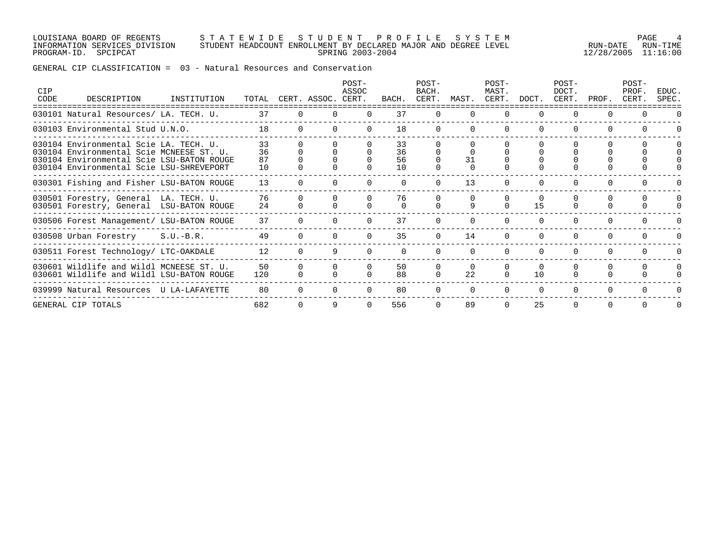### LOUISIANA BOARD OF REGENTS S T A T E W I D E S T U D E N T P R O F I L E S Y S T E M PAGE 4 INFORMATION SERVICES DIVISION STUDENT HEADCOUNT ENROLLMENT BY DECLARED MAJOR AND DEGREE LEVEL RUN-DATE RUN-TIME PROGRAM-ID. SPCIPCAT SPRING 2003-2004 12/28/2005 11:16:00

GENERAL CIP CLASSIFICATION = 03 - Natural Resources and Conservation

| <b>CIP</b><br>CODE | DESCRIPTION                                                                                                                                                                 | INSTITUTION |                      |          | TOTAL CERT. ASSOC. | POST-<br>ASSOC<br>CERT. | BACH.                | POST-<br>BACH.<br>CERT. | MAST.          | POST-<br>MAST.<br>CERT. | DOCT.          | POST-<br>DOCT.<br>CERT. | PROF.    | POST-<br>PROF.<br>CERT. | EDUC.<br>SPEC.       |
|--------------------|-----------------------------------------------------------------------------------------------------------------------------------------------------------------------------|-------------|----------------------|----------|--------------------|-------------------------|----------------------|-------------------------|----------------|-------------------------|----------------|-------------------------|----------|-------------------------|----------------------|
|                    | 030101 Natural Resources/ LA. TECH. U.                                                                                                                                      |             | 37                   |          |                    |                         | 37                   |                         |                |                         |                |                         |          |                         |                      |
|                    | 030103 Environmental Stud U.N.O.                                                                                                                                            |             | 18                   | $\Omega$ |                    | $\Omega$                | 18                   | $\Omega$                | $\Omega$       | $\Omega$                | $\Omega$       | 0                       | $\Omega$ | $\Omega$                |                      |
|                    | 030104 Environmental Scie LA. TECH. U.<br>030104 Environmental Scie MCNEESE ST. U.<br>030104 Environmental Scie LSU-BATON ROUGE<br>030104 Environmental Scie LSU-SHREVEPORT |             | 33<br>36<br>87<br>10 |          |                    |                         | 33<br>36<br>56<br>10 |                         | 31             |                         |                |                         |          |                         | $\Omega$<br>$\Omega$ |
|                    | 030301 Fishing and Fisher LSU-BATON ROUGE                                                                                                                                   |             | 13                   |          |                    |                         |                      |                         | 13             |                         |                |                         |          |                         |                      |
|                    | 030501 Forestry, General LA. TECH. U.<br>030501 Forestry, General LSU-BATON ROUGE                                                                                           |             | 76<br>24             |          |                    |                         | 76                   |                         | 9              | $\Omega$                | $\Omega$<br>15 | 0                       |          |                         | $\Omega$             |
|                    | 030506 Forest Management/ LSU-BATON ROUGE                                                                                                                                   |             | 37                   |          |                    |                         | 37                   |                         |                |                         | ∩              | 0                       |          |                         |                      |
|                    | 030508 Urban Forestry S.U.-B.R.                                                                                                                                             |             | 49                   |          |                    |                         | 35                   |                         | 14             |                         |                |                         |          |                         |                      |
|                    | 030511 Forest Technology/ LTC-OAKDALE                                                                                                                                       |             | 12                   |          |                    |                         |                      |                         |                |                         | $\Omega$       | $\Omega$                |          |                         |                      |
|                    | 030601 Wildlife and Wildl MCNEESE ST. U.<br>030601 Wildlife and Wildl LSU-BATON ROUGE                                                                                       |             | 50<br>120            |          |                    |                         | 50<br>88             |                         | $\Omega$<br>22 |                         | $\Omega$<br>10 |                         |          |                         | $\Omega$             |
|                    | 039999 Natural Resources U LA-LAFAYETTE                                                                                                                                     |             | 80                   | $\Omega$ |                    |                         | 80                   |                         | $\Omega$       |                         | $\Omega$       | $\Omega$                | $\Omega$ |                         |                      |
|                    | GENERAL CIP TOTALS                                                                                                                                                          |             | 682                  |          |                    |                         | 556                  |                         | 89             |                         | 25             | $\Omega$                |          |                         | $\Omega$             |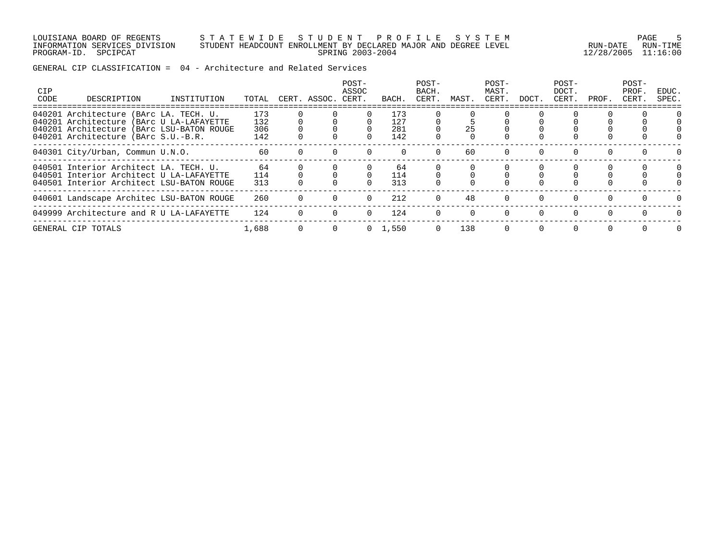LOUISIANA BOARD OF REGENTS S T A T E W I D E S T U D E N T P R O F I L E S Y S T E M PAGE 5 INFORMATION SERVICES DIVISION STUDENT HEADCOUNT ENROLLMENT BY DECLARED MAJOR AND DEGREE LEVEL RUN-DATE RUN-TIME PROGRAM-ID. SPCIPCAT SPRING 2003-2004 12/28/2005 11:16:00

GENERAL CIP CLASSIFICATION = 04 - Architecture and Related Services

| CIP<br>CODE | DESCRIPTION                                                                                                                     | INSTITUTION | TOTAL             | CERT. ASSOC. | POST-<br>ASSOC<br>CERT. | BACH.             | POST-<br>BACH.<br>CERT. | MAST. | POST-<br>MAST.<br>CERT. | DOCT.                | POST-<br>DOCT.<br>CERT. | PROF.    | POST-<br>PROF<br>CERT. | EDUC.<br>SPEC. |
|-------------|---------------------------------------------------------------------------------------------------------------------------------|-------------|-------------------|--------------|-------------------------|-------------------|-------------------------|-------|-------------------------|----------------------|-------------------------|----------|------------------------|----------------|
|             | 040201 Architecture (BArc LA. TECH. U.<br>040201 Architecture (BArc U LA-LAFAYETTE<br>040201 Architecture (BArc LSU-BATON ROUGE |             | 173<br>132<br>306 |              |                         | 173<br>127<br>281 |                         | 25    |                         |                      |                         |          |                        |                |
|             | 040201 Architecture (BArc S.U.-B.R.<br>040301 City/Urban, Commun U.N.O.                                                         |             | 142<br>60         |              |                         | 142               |                         | 60    |                         |                      |                         |          |                        |                |
|             | 040501 Interior Architect LA. TECH. U.                                                                                          |             | 64                |              |                         | 64                |                         |       |                         |                      |                         |          |                        |                |
|             | 040501 Interior Architect U LA-LAFAYETTE<br>040501 Interior Architect LSU-BATON ROUGE                                           |             | 114<br>313        |              |                         | 114<br>313        |                         |       |                         |                      |                         |          |                        |                |
|             | 040601 Landscape Architec LSU-BATON ROUGE<br>049999 Architecture and R U LA-LAFAYETTE                                           |             | 260<br>124        |              | $\Omega$<br>$\Omega$    | 212<br>124        | $\Omega$                | 48    | $\Omega$<br>$\Omega$    | $\Omega$<br>$\Omega$ |                         |          | $\cap$                 |                |
|             | GENERAL CIP TOTALS                                                                                                              |             | 1,688             |              | $\Omega$                | 1,550             | $\Omega$                | 138   | $\Omega$                | $\Omega$             | $\Omega$                | $\Omega$ | $\Omega$               | $\Omega$       |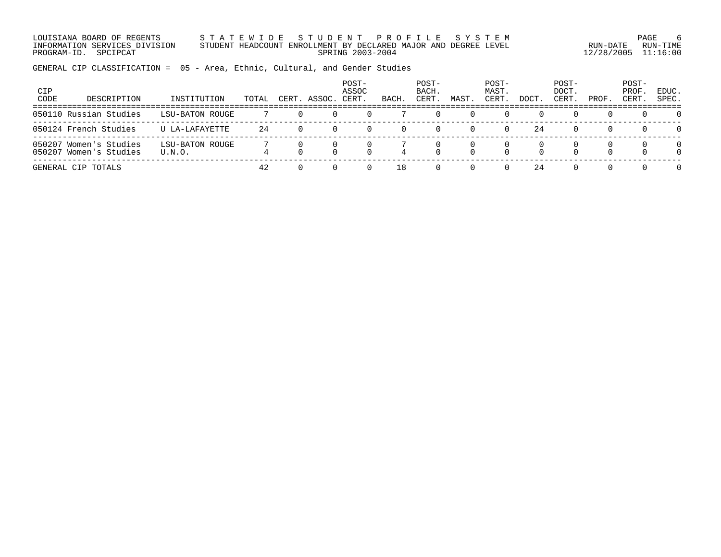LOUISIANA BOARD OF REGENTS S T A T E W I D E S T U D E N T P R O F I L E S Y S T E M PAGE 6 INFORMATION SERVICES DIVISION STUDENT HEADCOUNT ENROLLMENT BY DECLARED MAJOR AND DEGREE LEVEL RUN-DATE RUN-TIME PROGRAM-ID. SPCIPCAT SPRING 2003-2004 12/28/2005 11:16:00

GENERAL CIP CLASSIFICATION = 05 - Area, Ethnic, Cultural, and Gender Studies

| CIP<br>CODE | DESCRIPTION                                      | INSTITUTION               | TOTAL | CERT. | ASSOC. | POST-<br>ASSOC<br>CERT. | BACH | POST-<br>BACH.<br>CERT | MAST | POST-<br>MAST.<br>CERT. | DOCT. | POST-<br>DOCT.<br>CERT. | PROF.            | POST-<br>PROF.<br>CERT. | EDUC.<br>SPEC.       |
|-------------|--------------------------------------------------|---------------------------|-------|-------|--------|-------------------------|------|------------------------|------|-------------------------|-------|-------------------------|------------------|-------------------------|----------------------|
|             | 050110 Russian Studies                           | LSU-BATON ROUGE           |       |       |        |                         |      | (                      |      |                         |       | $\cup$                  |                  | 0                       | $\Omega$             |
|             | 050124 French Studies                            | U LA-LAFAYETTE            | 24    |       |        |                         |      | $\Omega$               |      | $\Omega$                | 24    | 0                       | $\left( \right)$ | $\Omega$                | $\Omega$             |
|             | 050207 Women's Studies<br>050207 Women's Studies | LSU-BATON ROUGE<br>U.N.O. |       |       |        |                         |      |                        |      |                         |       | $\Omega$                |                  |                         | $\Omega$<br>$\Omega$ |
|             | GENERAL CIP TOTALS                               |                           | 42    |       |        |                         | 18   | $\Omega$               |      |                         | 24    | 0                       |                  |                         | $\Omega$             |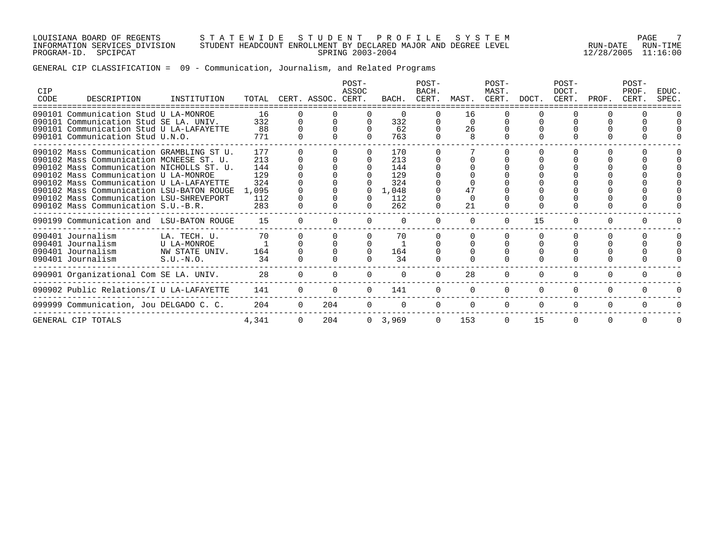LOUISIANA BOARD OF REGENTS S T A T E W I D E S T U D E N T P R O F I L E S Y S T E M PAGE 7 INFORMATION SERVICES DIVISION STUDENT HEADCOUNT ENROLLMENT BY DECLARED MAJOR AND DEGREE LEVEL RUN-DATE RUN-TIME PROGRAM-ID. SPCIPCAT SPRING 2003-2004 12/28/2005 11:16:00

# GENERAL CIP CLASSIFICATION = 09 - Communication, Journalism, and Related Programs

| <b>CIP</b><br>CODE | DESCRIPTION                               | INSTITUTION    | TOTAL |          | CERT. ASSOC. | POST-<br>ASSOC<br>CERT. | BACH.     | POST-<br>BACH.<br>CERT. | MAST.    | POST-<br>MAST.<br>CERT. | DOCT.    | POST-<br>DOCT.<br>CERT. | PROF.    | POST-<br>PROF<br>CERT. | EDUC.<br>SPEC. |
|--------------------|-------------------------------------------|----------------|-------|----------|--------------|-------------------------|-----------|-------------------------|----------|-------------------------|----------|-------------------------|----------|------------------------|----------------|
|                    | 090101 Communication Stud U LA-MONROE     |                | 16    |          |              |                         |           |                         | 16       |                         |          |                         |          |                        |                |
|                    | 090101 Communication Stud SE LA. UNIV.    |                | 332   |          |              |                         | 332       |                         | $\Omega$ |                         |          |                         |          |                        |                |
|                    | 090101 Communication Stud U LA-LAFAYETTE  |                | 88    |          |              |                         | 62        |                         | 26       |                         |          |                         |          |                        |                |
|                    | 090101 Communication Stud U.N.O.          |                | 771   |          |              |                         | 763       |                         | 8        |                         |          |                         |          |                        |                |
|                    | 090102 Mass Communication GRAMBLING ST U. |                | 177   |          |              |                         | 170       |                         |          |                         |          |                         |          |                        |                |
|                    | 090102 Mass Communication MCNEESE ST. U.  |                | 213   |          |              |                         | 213       |                         |          |                         |          |                         |          |                        |                |
|                    | 090102 Mass Communication NICHOLLS ST. U. |                | 144   |          |              |                         | 144       |                         |          |                         |          |                         |          |                        |                |
|                    | 090102 Mass Communication U LA-MONROE     |                | 129   |          |              |                         | 129       |                         |          |                         |          |                         |          |                        |                |
|                    | 090102 Mass Communication U LA-LAFAYETTE  |                | 324   |          |              |                         | 324       |                         |          |                         |          |                         |          |                        |                |
|                    | 090102 Mass Communication LSU-BATON ROUGE |                | 1,095 |          |              |                         | 1,048     |                         | 47       |                         |          |                         |          |                        |                |
|                    | 090102 Mass Communication LSU-SHREVEPORT  |                | 112   |          |              |                         | 112       |                         | $\Omega$ |                         |          |                         |          |                        |                |
|                    | 090102 Mass Communication S.U.-B.R.       |                | 283   |          |              |                         | 262       |                         | 21       |                         |          |                         |          |                        |                |
|                    | 090199 Communication and LSU-BATON ROUGE  |                | 15    |          |              |                         |           |                         |          |                         | 15       |                         |          |                        |                |
|                    | 090401 Journalism                         | LA. TECH. U.   | 70    |          |              |                         | 70        |                         |          |                         |          |                         |          |                        |                |
|                    | 090401 Journalism                         | U LA-MONROE    |       |          |              |                         |           |                         |          |                         |          |                         |          |                        |                |
|                    | 090401 Journalism                         | NW STATE UNIV. | 164   |          |              |                         | 164       |                         |          |                         |          |                         |          |                        |                |
|                    | 090401 Journalism                         | $S.U.-N.O.$    | 34    |          |              |                         | 34        |                         |          |                         |          |                         |          |                        |                |
|                    | 090901 Organizational Com SE LA. UNIV.    |                | 28    |          |              |                         |           |                         | 28       |                         |          |                         |          |                        |                |
|                    | 090902 Public Relations/I U LA-LAFAYETTE  |                | 141   |          |              |                         | 141       |                         |          |                         | $\Omega$ | $\Omega$                | $\Omega$ |                        |                |
|                    | 099999 Communication, Jou DELGADO C. C.   |                | 204   |          | 204          |                         |           |                         | $\Omega$ | $\Omega$                | $\Omega$ | $\Omega$                | $\Omega$ |                        |                |
|                    | GENERAL CIP TOTALS                        |                | 4,341 | $\Omega$ | 204          |                         | 0, 3, 969 | $\Omega$                | 153      | $\Omega$                | 15       | $\Omega$                | $\Omega$ | $\Omega$               |                |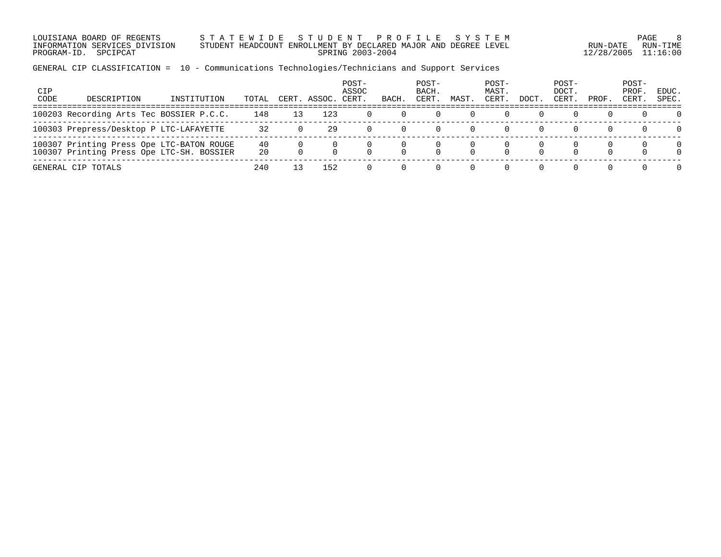LOUISIANA BOARD OF REGENTS S T A T E W I D E S T U D E N T P R O F I L E S Y S T E M PAGE 8 INFORMATION SERVICES DIVISION STUDENT HEADCOUNT ENROLLMENT BY DECLARED MAJOR AND DEGREE LEVEL RUN-DATE RUN-TIME PROGRAM-ID. SPCIPCAT SPRING 2003-2004 12/28/2005 11:16:00

GENERAL CIP CLASSIFICATION = 10 - Communications Technologies/Technicians and Support Services

| <b>CIP</b><br>CODE | DESCRIPTION                                                                     | INSTITUTION | TOTAL    | CERT | ASSOC. | POST-<br>ASSOC<br>CERT. | BACH | POST-<br>BACH.<br>CERT. | MAST | POST-<br>MAST.<br>CERT. | DOCT | POST-<br>DOCT.<br>CERT. | PROF. | POST-<br>PROF<br>CERT. | EDUC.<br>SPEC.       |
|--------------------|---------------------------------------------------------------------------------|-------------|----------|------|--------|-------------------------|------|-------------------------|------|-------------------------|------|-------------------------|-------|------------------------|----------------------|
|                    | 100203 Recording Arts Tec BOSSIER P.C.C.                                        |             | 148      |      | 123    |                         |      |                         |      |                         |      | $\left( \right)$        |       |                        | $\Omega$             |
|                    | 100303 Prepress/Desktop P LTC-LAFAYETTE                                         |             | 32       |      | 29     |                         |      |                         |      |                         |      | $\left( \right)$        |       |                        | $\Omega$             |
| 100307             | Printing Press Ope LTC-BATON ROUGE<br>100307 Printing Press Ope LTC-SH. BOSSIER |             | 40<br>20 |      |        |                         |      |                         |      |                         |      | $\cap$                  |       |                        | $\Omega$<br>$\Omega$ |
|                    | GENERAL CIP TOTALS                                                              |             | 240      |      | 152    |                         |      |                         |      |                         |      |                         |       |                        | $\Omega$             |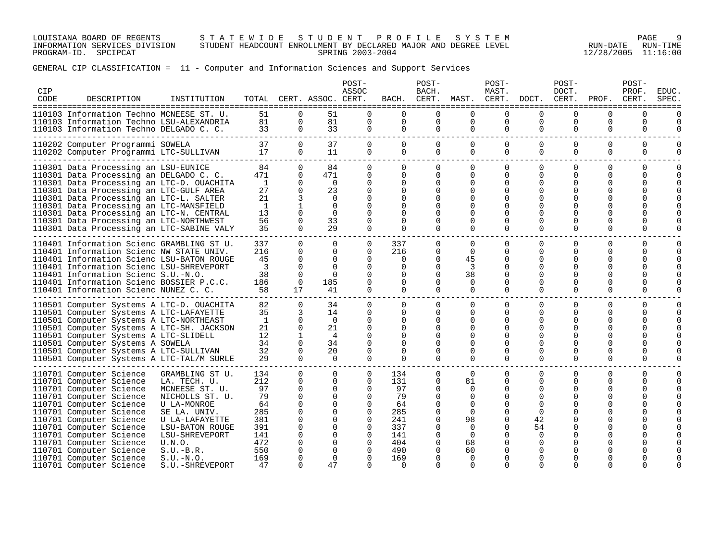LOUISIANA BOARD OF REGENTS S T A T E W I D E S T U D E N T P R O F I L E S Y S T E M PAGE 9 INFORMATION SERVICES DIVISION STUDENT HEADCOUNT ENROLLMENT BY DECLARED MAJOR AND DEGREE LEVEL RUN-DATE RUN-TIME PROGRAM-ID. SPCIPCAT SPRING 2003-2004 12/28/2005 11:16:00

# GENERAL CIP CLASSIFICATION = 11 - Computer and Information Sciences and Support Services

| <b>CIP</b><br>CODE | DESCRIPTION                                                                                                                                                                                                                                                                                                                                                                                       | INSTITUTION                                                                                                                                                                                                                  |                                                                                     |                                                                                                                       | TOTAL CERT. ASSOC. CERT.                                                                                                             | POST-<br>ASSOC                                                                                                                                           | BACH.                                                                                     | POST-<br>BACH.<br>CERT.                                                                                                                 | MAST.                                                                                                                            | POST-<br>MAST.                                                                                                 | CERT. DOCT.                                                                                                   | POST-<br>DOCT.<br>CERT.                                            | PROF.                                                                                            | POST-<br>PROF.<br>CERT.                              | EDUC.<br>SPEC                  |
|--------------------|---------------------------------------------------------------------------------------------------------------------------------------------------------------------------------------------------------------------------------------------------------------------------------------------------------------------------------------------------------------------------------------------------|------------------------------------------------------------------------------------------------------------------------------------------------------------------------------------------------------------------------------|-------------------------------------------------------------------------------------|-----------------------------------------------------------------------------------------------------------------------|--------------------------------------------------------------------------------------------------------------------------------------|----------------------------------------------------------------------------------------------------------------------------------------------------------|-------------------------------------------------------------------------------------------|-----------------------------------------------------------------------------------------------------------------------------------------|----------------------------------------------------------------------------------------------------------------------------------|----------------------------------------------------------------------------------------------------------------|---------------------------------------------------------------------------------------------------------------|--------------------------------------------------------------------|--------------------------------------------------------------------------------------------------|------------------------------------------------------|--------------------------------|
|                    | 110103 Information Techno MCNEESE ST. U.<br>110103 Information Techno LSU-ALEXANDRIA<br>110103 Information Techno DELGADO C. C.                                                                                                                                                                                                                                                                   |                                                                                                                                                                                                                              | 51<br>81<br>33                                                                      | $\Omega$<br>0<br>$\mathbf 0$                                                                                          | 51<br>81<br>33                                                                                                                       | $\Omega$<br>$\mathbf 0$<br>0                                                                                                                             | $\Omega$<br>0<br>$\mathbf 0$                                                              | $\Omega$<br>0<br>$\mathbf{0}$                                                                                                           | $\Omega$<br>0<br>$\mathbf 0$                                                                                                     | $\Omega$<br>0<br>$\mathbf 0$                                                                                   | $\Omega$<br>$\mathbf 0$<br>$\mathbf 0$                                                                        | $\Omega$<br>0<br>$\mathbf 0$                                       | 0<br>$\mathbf 0$<br>0                                                                            | ==============<br>$\Omega$<br>0<br>0                 | 0<br>0                         |
|                    | 110202 Computer Programmi SOWELA<br>110202 Computer Programmi LTC-SULLIVAN                                                                                                                                                                                                                                                                                                                        |                                                                                                                                                                                                                              | 37<br>17                                                                            | $\Omega$<br>0                                                                                                         | 37<br>11                                                                                                                             | $\Omega$<br>0                                                                                                                                            | $\Omega$<br>$\Omega$                                                                      | $\Omega$<br>$\Omega$                                                                                                                    | $\Omega$<br>0                                                                                                                    | $\mathbf 0$<br>$\mathbf 0$                                                                                     | $\Omega$<br>$\mathbf 0$                                                                                       | $\Omega$<br>$\Omega$                                               | $\Omega$<br>$\mathbf 0$                                                                          | $\Omega$<br>$\mathbf 0$                              | $\Omega$<br>0                  |
|                    | 110301 Data Processing an LSU-EUNICE<br>110301 Data Processing an DELGADO C. C.<br>110301 Data Processing an LTC-D. OUACHITA<br>110301 Data Processing an LTC-GULF AREA<br>110301 Data Processing an LTC-L. SALTER<br>110301 Data Processing an LTC-MANSFIELD<br>110301 Data Processing an LTC-N. CENTRAL<br>110301 Data Processing an LTC-NORTHWEST<br>110301 Data Processing an LTC-SABINE VALY |                                                                                                                                                                                                                              | 84<br>471<br><sup>1</sup><br>27<br>21<br>$\mathbf{1}$<br>13<br>56<br>35             | $\Omega$<br>0<br>0<br>$\Omega$<br>3<br>$\Omega$<br>$\Omega$<br>$\Omega$                                               | 84<br>471<br>$\Omega$<br>23<br>$\Omega$<br>$\Omega$<br>$\Omega$<br>33<br>29                                                          | $\Omega$<br>$\mathbf 0$<br>$\Omega$<br>$\Omega$<br>$\Omega$<br>$\Omega$<br>$\Omega$<br>$\Omega$                                                          | $\Omega$<br>$\Omega$<br>0<br>$\Omega$<br>$\Omega$<br>0<br>0<br>0<br>$\Omega$              | $\Omega$<br>$\Omega$<br>$\Omega$<br>$\Omega$<br>$\Omega$<br>U<br>$\Omega$<br>O<br>$\Omega$                                              | $\Omega$<br>$\Omega$<br>0<br>0<br>U<br>U<br>U<br>$\Omega$                                                                        | $\Omega$<br>0<br>$\Omega$<br>$\Omega$<br>O<br>∩<br>O<br>O<br>$\Omega$                                          | $\Omega$<br>$\Omega$<br>$\Omega$<br>$\Omega$<br>∩<br><sup>0</sup><br><sup>0</sup><br>$\Omega$                 | $\Omega$<br>0<br>0<br>0<br>O<br>O<br>∩<br>$\Omega$                 | 0<br>0<br>$\Omega$<br>$\Omega$<br>O<br>O<br>O<br>O<br>$\Omega$                                   | $\Omega$<br>$\Omega$<br>0<br>U<br>U<br>$\Omega$      | $\Omega$<br>$\Omega$<br>O      |
|                    | 110401 Information Scienc GRAMBLING ST U.<br>110401 Information Scienc NW STATE UNIV.<br>110401 Information Scienc LSU-BATON ROUGE<br>110401 Information Scienc LSU-SHREVEPORT<br>110401 Information Scienc S.U.-N.O.<br>110401 Information Scienc BOSSIER P.C.C.<br>110401 Information Scienc NUNEZ C. C.                                                                                        |                                                                                                                                                                                                                              | 337<br>216<br>45<br>3<br>38<br>186<br>58                                            | $\Omega$<br>$\Omega$<br>$\Omega$<br>$\Omega$<br>0<br>0<br>17                                                          | $\Omega$<br>$\Omega$<br>$\Omega$<br>$\Omega$<br>$\Omega$<br>185<br>41                                                                | $\Omega$<br>$\Omega$<br>$\Omega$<br>$\Omega$<br>$\Omega$<br>0<br>$\Omega$                                                                                | 337<br>216<br>$\Omega$<br>$\Omega$<br>0<br>0<br>$\Omega$                                  | $\Omega$<br>$\Omega$<br>$\Omega$<br>$\Omega$<br>0<br>$\Omega$<br>$\Omega$                                                               | $\Omega$<br>$\Omega$<br>45<br>3<br>38<br>$\Omega$<br>$\Omega$                                                                    | $\Omega$<br>$\Omega$<br>$\Omega$<br>$\Omega$<br>0<br>0<br>$\Omega$                                             | $\Omega$<br>$\Omega$<br>$\Omega$<br>$\Omega$<br>$\Omega$<br><sup>0</sup><br>$\Omega$                          | $\Omega$<br>$\Omega$<br>$\Omega$<br>0<br>$\Omega$<br>0<br>$\Omega$ | $\Omega$<br>$\Omega$<br>$\Omega$<br>$\Omega$<br>0<br>0<br>$\Omega$                               | $\Omega$<br>$\Omega$<br>O<br>0<br>U<br>O<br>$\Omega$ | $\Omega$<br>$\Omega$<br>O<br>0 |
|                    | 110501 Computer Systems A LTC-D. OUACHITA<br>110501 Computer Systems A LTC-LAFAYETTE<br>110501 Computer Systems A LTC-NORTHEAST<br>110501 Computer Systems A LTC-SH. JACKSON<br>110501 Computer Systems A LTC-SLIDELL<br>110501 Computer Systems A SOWELA<br>110501 Computer Systems A LTC-SULLIVAN<br>110501 Computer Systems A LTC-TAL/M SURLE                                                  |                                                                                                                                                                                                                              | 82<br>35<br><sup>1</sup><br>21<br>12<br>34<br>32<br>29                              | 0<br>3<br>$\Omega$<br>$\Omega$<br>$\Omega$<br>$\Omega$<br>0                                                           | 34<br>14<br>$\Omega$<br>21<br>4<br>34<br>20<br>$\mathbf 0$                                                                           | $\Omega$<br>0<br>$\Omega$<br>$\Omega$<br>$\Omega$<br>$\Omega$<br>$\Omega$<br>$\Omega$                                                                    | $\Omega$<br>$\Omega$<br>$\Omega$<br>$\Omega$<br>$\Omega$<br>0<br>$\Omega$<br>0            | 0<br>$\Omega$<br>$\Omega$<br>$\Omega$<br>O<br>$\Omega$<br>$\Omega$<br>0                                                                 | $\Omega$<br>$\Omega$<br>0<br>$\Omega$<br>U<br><sup>0</sup><br><sup>0</sup><br>$\Omega$                                           | 0<br>0<br>$\Omega$<br>$\Omega$<br>O<br>$\Omega$<br>$\Omega$<br>$\Omega$                                        | 0<br>0<br>$\Omega$<br>$\Omega$<br><sup>0</sup><br>$\Omega$<br>$\Omega$                                        | 0<br>0<br>O<br>$\Omega$<br>$\Omega$<br>O<br>O<br>$\Omega$          | 0<br>0<br>O<br>0<br>$\Omega$<br>O<br>$\Omega$<br>$\mathbf 0$                                     | 0<br>0<br>U<br>O<br>U<br>U<br>U<br>$\Omega$          | $\Omega$<br>$\Omega$<br>O      |
|                    | 110701 Computer Science<br>110701 Computer Science<br>110701 Computer Science<br>110701 Computer Science<br>110701 Computer Science<br>110701 Computer Science<br>110701 Computer Science<br>110701 Computer Science<br>110701 Computer Science<br>110701 Computer Science<br>110701 Computer Science<br>110701 Computer Science<br>110701 Computer Science                                       | GRAMBLING ST U.<br>LA. TECH. U.<br>MCNEESE ST. U.<br>NICHOLLS ST. U.<br>U LA-MONROE<br>SE LA. UNIV.<br>U LA-LAFAYETTE<br><b>LSU-BATON ROUGE</b><br>LSU-SHREVEPORT<br>U.N.O.<br>$S.U.-B.R.$<br>$S.U.-N.O.$<br>S.U.-SHREVEPORT | 134<br>212<br>97<br>79<br>64<br>285<br>381<br>391<br>141<br>472<br>550<br>169<br>47 | $\Omega$<br>$\Omega$<br>$\Omega$<br>0<br>$\Omega$<br>$\Omega$<br>$\Omega$<br>$\Omega$<br>0<br>0<br>0<br>0<br>$\Omega$ | $\Omega$<br>$\Omega$<br>$\Omega$<br>$\Omega$<br>$\Omega$<br>$\Omega$<br>$\Omega$<br>$\Omega$<br>$\Omega$<br>0<br>0<br>$\Omega$<br>47 | $\Omega$<br>$\Omega$<br>$\Omega$<br>$\Omega$<br>$\Omega$<br>$\Omega$<br>$\Omega$<br>$\Omega$<br>$\Omega$<br>$\Omega$<br>$\Omega$<br>$\Omega$<br>$\Omega$ | 134<br>131<br>97<br>79<br>64<br>285<br>241<br>337<br>141<br>404<br>490<br>169<br>$\Omega$ | $\Omega$<br>$\Omega$<br>$\Omega$<br>$\Omega$<br>$\Omega$<br>$\Omega$<br>$\Omega$<br>$\Omega$<br>$\Omega$<br>0<br>0<br>0<br><sup>n</sup> | $\Omega$<br>81<br>$\Omega$<br>$\Omega$<br>$\Omega$<br>$\Omega$<br>98<br>$\Omega$<br>$\Omega$<br>68<br>60<br>$\Omega$<br>$\Omega$ | $\Omega$<br>0<br>$\Omega$<br>$\Omega$<br>∩<br>O<br>$\Omega$<br>$\Omega$<br>$\Omega$<br>0<br>O<br>O<br>$\Omega$ | $\Omega$<br>$\Omega$<br>$\Omega$<br>$\Omega$<br>$\Omega$<br>$\Omega$<br>42<br>54<br>$\Omega$<br>O<br>$\Omega$ | $\Omega$<br>0<br>0<br>O<br>∩<br>O<br>O<br>O<br>$\Omega$            | $\Omega$<br>0<br>O<br>0<br>O<br>O<br>O<br>$\Omega$<br>$\Omega$<br>$\Omega$<br>O<br>O<br>$\Omega$ | $\Omega$<br>0<br>U<br>U                              | $\Omega$<br>$\Omega$           |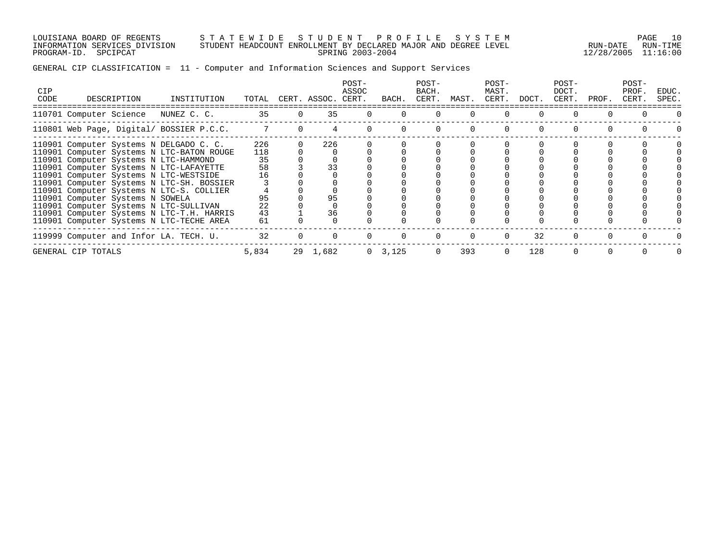LOUISIANA BOARD OF REGENTS S T A T E W I D E S T U D E N T P R O F I L E S Y S T E M PAGE 10 INFORMATION SERVICES DIVISION STUDENT HEADCOUNT ENROLLMENT BY DECLARED MAJOR AND DEGREE LEVEL RUN-DATE RUN-TIME PROGRAM-ID. SPCIPCAT SPRING 2003-2004 12/28/2005 11:16:00

# GENERAL CIP CLASSIFICATION = 11 - Computer and Information Sciences and Support Services

| <b>CIP</b><br>CODE | DESCRIPTION                                                                                                            | INSTITUTION | TOTAL      | CERT. ASSOC. CERT. | POST-<br>ASSOC | BACH.     | POST-<br>BACH.<br>CERT. | MAST. | POST-<br>MAST.<br>CERT. | DOCT. | POST-<br>DOCT.<br>CERT. | PROF. | POST-<br>PROF.<br>CERT. | EDUC.<br>SPEC. |
|--------------------|------------------------------------------------------------------------------------------------------------------------|-------------|------------|--------------------|----------------|-----------|-------------------------|-------|-------------------------|-------|-------------------------|-------|-------------------------|----------------|
|                    | 110701 Computer Science                                                                                                | NUNEZ C. C. | 35         | 35                 |                |           |                         |       |                         |       |                         |       |                         |                |
|                    | 110801 Web Page, Digital/ BOSSIER P.C.C.                                                                               |             | 7          |                    |                |           |                         |       |                         |       |                         |       |                         |                |
|                    | 110901 Computer Systems N DELGADO C. C.<br>110901 Computer Systems N LTC-BATON ROUGE                                   |             | 226<br>118 | 226                |                |           |                         |       |                         |       |                         |       |                         |                |
|                    | 110901 Computer Systems N LTC-HAMMOND<br>110901 Computer Systems N LTC-LAFAYETTE                                       |             | 35<br>58   | 33                 |                |           |                         |       |                         |       |                         |       |                         |                |
|                    | 110901 Computer Systems N LTC-WESTSIDE<br>110901 Computer Systems N LTC-SH. BOSSIER                                    |             | 16         |                    |                |           |                         |       |                         |       |                         |       |                         |                |
|                    | 110901 Computer Systems N LTC-S. COLLIER<br>110901 Computer Systems N SOWELA<br>110901 Computer Systems N LTC-SULLIVAN |             | 95<br>22   | 95                 |                |           |                         |       |                         |       |                         |       |                         |                |
|                    | 110901 Computer Systems N LTC-T.H. HARRIS<br>110901 Computer Systems N LTC-TECHE AREA                                  |             | 43<br>61   | 36                 |                |           |                         |       |                         |       |                         |       |                         |                |
|                    | 119999 Computer and Infor LA. TECH. U.                                                                                 |             | 32         |                    |                |           |                         |       |                         | 32    |                         |       |                         |                |
|                    | GENERAL CIP TOTALS                                                                                                     |             | 5,834      | 29 1,682           |                | 0, 3, 125 |                         | 393   |                         | 128   |                         |       |                         |                |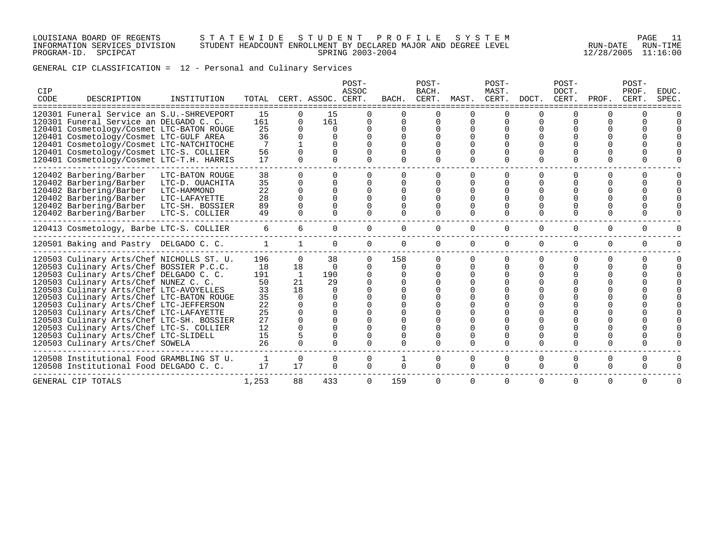#### LOUISIANA BOARD OF REGENTS S T A T E W I D E S T U D E N T P R O F I L E S Y S T E M PAGE 11 INFORMATION SERVICES DIVISION STUDENT HEADCOUNT ENROLLMENT BY DECLARED MAJOR AND DEGREE LEVEL RUN-DATE RUN-TIME PROGRAM-ID. SPCIPCAT SPRING 2003-2004 12/28/2005 11:16:00

GENERAL CIP CLASSIFICATION = 12 - Personal and Culinary Services

| CIP<br>CODE | DESCRIPTION                               | INSTITUTION     | TOTAL |              | CERT. ASSOC. CERT. | POST-<br>ASSOC | BACH.    | POST-<br>BACH.<br>CERT. |              | POST-<br>MAST.<br>MAST. CERT. | DOCT.    | POST-<br>DOCT.<br>CERT. | PROF.    | POST-<br>PROF.<br>CERT. | <b>EDUC</b><br>SPEC. |
|-------------|-------------------------------------------|-----------------|-------|--------------|--------------------|----------------|----------|-------------------------|--------------|-------------------------------|----------|-------------------------|----------|-------------------------|----------------------|
|             |                                           |                 |       |              |                    |                |          |                         |              |                               |          |                         |          |                         |                      |
|             | 120301 Funeral Service an S.U.-SHREVEPORT |                 | 15    | 0            | 15                 |                |          | $\Omega$                |              |                               |          |                         |          |                         |                      |
|             | 120301 Funeral Service an DELGADO C. C.   |                 | 161   | $\Omega$     | 161                |                |          |                         |              |                               |          |                         |          |                         |                      |
|             | 120401 Cosmetology/Cosmet LTC-BATON ROUGE |                 | 25    | 0            | $\Omega$           |                | $\Omega$ |                         |              |                               |          |                         |          |                         |                      |
|             | 120401 Cosmetology/Cosmet LTC-GULF AREA   |                 | 36    | 0            | $\Omega$           |                |          |                         |              |                               |          |                         |          |                         |                      |
|             | 120401 Cosmetology/Cosmet LTC-NATCHITOCHE |                 | 7     |              |                    |                |          |                         |              |                               |          |                         |          |                         |                      |
|             | 120401 Cosmetology/Cosmet LTC-S. COLLIER  |                 | 56    |              |                    |                |          |                         |              |                               |          |                         |          |                         |                      |
|             | 120401 Cosmetology/Cosmet LTC-T.H. HARRIS |                 | 17    | $\Omega$     | $\Omega$           |                | 0        | 0                       | $\Omega$     | $\Omega$                      |          | O                       | O        |                         |                      |
|             | 120402 Barbering/Barber                   | LTC-BATON ROUGE | 38    | $\Omega$     | $\Omega$           |                |          |                         |              | $\Omega$                      |          | ∩                       | 0        | U                       |                      |
|             | 120402 Barbering/Barber                   | LTC-D. OUACHITA | 35    | 0            | $\Omega$           |                |          |                         |              |                               |          |                         |          |                         |                      |
|             | 120402 Barbering/Barber                   | LTC-HAMMOND     | 22    | $\Omega$     | $\Omega$           |                |          |                         |              |                               |          | $\Omega$                |          |                         |                      |
|             | 120402 Barbering/Barber                   | LTC-LAFAYETTE   | 28    |              |                    |                |          |                         |              |                               |          |                         |          |                         |                      |
|             | 120402 Barbering/Barber                   | LTC-SH. BOSSIER | 89    |              |                    |                |          |                         | $\Omega$     | $\Omega$                      |          |                         |          |                         |                      |
|             | 120402 Barbering/Barber                   | LTC-S. COLLIER  | 49    | $\Omega$     | <sup>n</sup>       |                | 0        | 0                       | $\Omega$     | $\Omega$                      | ∩        | ∩                       | $\Omega$ |                         |                      |
|             | 120413 Cosmetology, Barbe LTC-S. COLLIER  |                 | 6     | 6            | 0                  | 0              | $\Omega$ | 0                       | $\Omega$     | 0                             | $\Omega$ | $\Omega$                | $\Omega$ | $\Omega$                | O                    |
|             | 120501 Baking and Pastry DELGADO C. C.    |                 | 1     |              | 0                  | $\Omega$       | $\Omega$ | 0                       | $\mathbf 0$  | $\mathbf 0$                   | $\Omega$ | $\Omega$                | $\Omega$ | $\mathbf 0$             | 0                    |
|             | 120503 Culinary Arts/Chef NICHOLLS ST. U. |                 | 196   | $\Omega$     | 38                 | $\Omega$       | 158      |                         |              | $\Omega$                      |          | $\Omega$                | $\Omega$ | O                       | U                    |
|             | 120503 Culinary Arts/Chef BOSSIER P.C.C.  |                 | 18    | 18           | $\Omega$           |                | $\Omega$ |                         | 0            | U                             |          | ∩                       | O        |                         |                      |
|             | 120503 Culinary Arts/Chef DELGADO C. C.   |                 | 191   | 1            | 190                |                |          |                         |              |                               |          |                         |          |                         |                      |
|             | 120503 Culinary Arts/Chef NUNEZ C. C.     |                 | 50    | 21           | 29                 |                |          |                         |              |                               |          |                         |          |                         |                      |
|             | 120503 Culinary Arts/Chef LTC-AVOYELLES   |                 | 33    | 18           | $\Omega$           |                |          |                         |              |                               |          |                         |          |                         |                      |
|             | 120503 Culinary Arts/Chef LTC-BATON ROUGE |                 | 35    | $\Omega$     |                    |                |          |                         |              |                               |          |                         |          |                         |                      |
|             | 120503 Culinary Arts/Chef LTC-JEFFERSON   |                 | 22    |              |                    |                |          |                         |              |                               |          |                         |          |                         |                      |
|             | 120503 Culinary Arts/Chef LTC-LAFAYETTE   |                 | 25    |              |                    |                |          |                         |              |                               |          |                         |          |                         |                      |
|             | 120503 Culinary Arts/Chef LTC-SH. BOSSIER |                 | 27    |              |                    |                |          |                         |              |                               |          |                         |          |                         |                      |
|             | 120503 Culinary Arts/Chef LTC-S. COLLIER  |                 | 12    |              |                    |                |          |                         |              |                               |          |                         |          |                         |                      |
|             | 120503 Culinary Arts/Chef LTC-SLIDELL     |                 | 15    |              |                    |                |          |                         |              |                               |          |                         |          |                         |                      |
|             | 120503 Culinary Arts/Chef SOWELA          |                 | 26    | <sup>n</sup> | $\cap$             |                |          |                         | <sup>n</sup> | <sup>n</sup>                  |          | ∩                       |          |                         |                      |
|             | 120508 Institutional Food GRAMBLING ST U. |                 | 1     | $\mathbf 0$  | 0                  | $\Omega$       |          | $\Omega$                | $\Omega$     | 0                             | $\Omega$ | $\Omega$                | 0        | $\Omega$                |                      |
|             | 120508 Institutional Food DELGADO C. C.   |                 | 17    | 17           | $\Omega$           | $\Omega$       | $\Omega$ | $\Omega$                | $\Omega$     | $\Omega$                      | $\Omega$ | $\Omega$                | $\Omega$ | $\Omega$                | 0                    |
|             | GENERAL CIP TOTALS                        |                 | 1,253 | 88           | 433                | $\Omega$       | 159      | 0                       | $\Omega$     | $\Omega$                      | $\Omega$ | $\Omega$                | $\Omega$ | $\Omega$                | 0                    |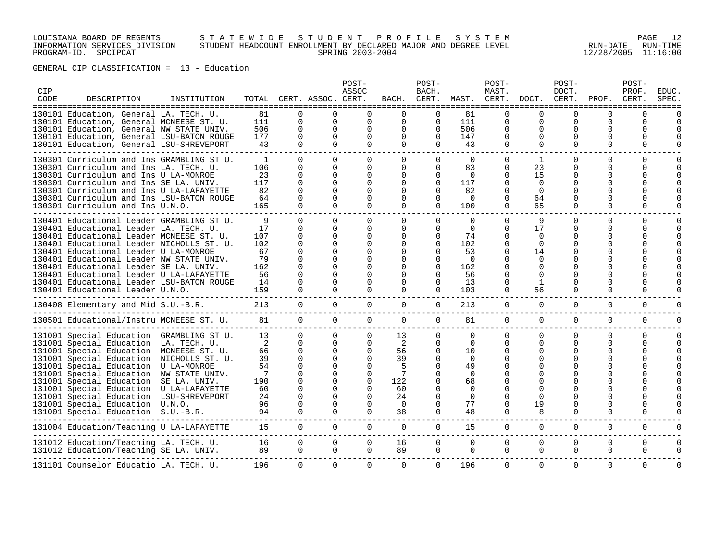### LOUISIANA BOARD OF REGENTS S T A T E W I D E S T U D E N T P R O F I L E S Y S T E M PAGE 12 INFORMATION SERVICES DIVISION STUDENT HEADCOUNT ENROLLMENT BY DECLARED MAJOR AND DEGREE LEVEL RUN-DATE RUN-TIME PROGRAM-ID. SPCIPCAT SPRING 2003-2004 12/28/2005 11:16:00

| CIP<br>CODE | DESCRIPTION                                                                                                                                                                                                                                                                                                                                                                                                                              | INSTITUTION                                     |                                                               |                                                                                        | TOTAL CERT. ASSOC. CERT.                                                                                                          | POST-<br>ASSOC                               | BACH.                                                              | POST-<br>BACH.<br>CERT.                               | MAST.                                                                                       | POST-<br>MAST.<br>CERT.                                                                           | DOCT.                                                             | POST-<br>DOCT.<br>CERT.                  | PROF.                                             | POST-<br>PROF.<br>CERT. | <b>EDUC</b><br>SPEC |
|-------------|------------------------------------------------------------------------------------------------------------------------------------------------------------------------------------------------------------------------------------------------------------------------------------------------------------------------------------------------------------------------------------------------------------------------------------------|-------------------------------------------------|---------------------------------------------------------------|----------------------------------------------------------------------------------------|-----------------------------------------------------------------------------------------------------------------------------------|----------------------------------------------|--------------------------------------------------------------------|-------------------------------------------------------|---------------------------------------------------------------------------------------------|---------------------------------------------------------------------------------------------------|-------------------------------------------------------------------|------------------------------------------|---------------------------------------------------|-------------------------|---------------------|
|             | =====================================<br>130101 Education. General LA. TECH. U.<br>130101 Education, General MCNEESE ST. U.<br>130101 Education, General NW STATE UNIV.<br>130101 Education, General LSU-BATON ROUGE<br>130101 Education, General LSU-SHREVEPORT                                                                                                                                                                         |                                                 | 81<br>111<br>506<br>177<br>43                                 | $\Omega$<br>$\mathbf 0$<br>$\mathbf 0$<br>$\Omega$<br>$\Omega$                         | O<br>0<br>0<br>$\Omega$<br>$\Omega$                                                                                               | $\Omega$<br>$\Omega$<br>$\Omega$<br>$\Omega$ | $\Omega$<br>$\Omega$<br>0<br>$\Omega$                              | <sup>0</sup><br>$\Omega$<br>$\Omega$<br>$\Omega$<br>0 | =============<br>81<br>111<br>506<br>147<br>43                                              | $\Omega$<br>$\mathbf 0$<br>0<br>0<br>$\Omega$                                                     | $\Omega$<br>$\Omega$<br>O<br>$\Omega$                             | $\Omega$<br>$\Omega$<br>O<br>$\Omega$    | $\Omega$<br>$\Omega$<br>$\Omega$<br>O<br>$\Omega$ | O<br>0<br>O<br>Ω<br>0   |                     |
|             | 130301 Curriculum and Ins GRAMBLING ST U.<br>130301 Curriculum and Ins LA. TECH. U.<br>130301 Curriculum and Ins U LA-MONROE<br>130301 Curriculum and Ins SE LA. UNIV.<br>130301 Curriculum and Ins U LA-LAFAYETTE<br>130301 Curriculum and Ins LSU-BATON ROUGE<br>130301 Curriculum and Ins U.N.O.                                                                                                                                      |                                                 | $\mathbf{1}$<br>106<br>23<br>117<br>82<br>64<br>165           | $\Omega$<br>$\Omega$<br>0<br>$\Omega$<br>U<br>O<br>$\Omega$                            | $\Omega$<br>$\Omega$<br>$\Omega$<br>$\Omega$<br>$\Omega$<br>$\Omega$<br>$\Omega$                                                  | 0<br>0<br>∩                                  | 0<br>0<br><sup>0</sup><br><sup>0</sup><br><sup>0</sup><br>$\Omega$ | 0<br>$\Omega$<br>0<br>$\Omega$<br>0<br>$\Omega$<br>0  | $\Omega$<br>83<br>$\Omega$<br>117<br>82<br>$\Omega$<br>100                                  | $\Omega$<br>$\Omega$<br>$\Omega$<br><sup>0</sup><br>∩<br>$\Omega$<br>$\Omega$                     | 1<br>23<br>15<br>$\Omega$<br>$\Omega$<br>64<br>65                 | 0<br>0<br>∩<br>$\Omega$                  | $\Omega$<br>O<br>O<br>$\Omega$                    | 0<br>U<br>U<br>0        | O<br>O              |
|             | 130401 Educational Leader GRAMBLING ST U.<br>130401 Educational Leader LA. TECH. U.<br>130401 Educational Leader MCNEESE ST. U.<br>130401 Educational Leader NICHOLLS ST. U.<br>130401 Educational Leader U LA-MONROE<br>130401 Educational Leader NW STATE UNIV.<br>130401 Educational Leader SE LA. UNIV.<br>130401 Educational Leader U LA-LAFAYETTE<br>130401 Educational Leader LSU-BATON ROUGE<br>130401 Educational Leader U.N.O. |                                                 | 9<br>17<br>107<br>102<br>67<br>79<br>162<br>56<br>14<br>159   | $\Omega$<br>$\Omega$<br>0<br>$\Omega$<br>O<br>O<br>O<br>O<br>O<br>U                    | $\Omega$<br>$\Omega$<br>$\Omega$<br>$\Omega$<br>U<br>U<br>U                                                                       | $\Omega$<br>0<br>∩                           | 0<br>0<br>O<br><sup>0</sup>                                        | 0<br>0<br>0<br>$\Omega$<br>0<br>0<br>0<br>$\Omega$    | $\Omega$<br>$\Omega$<br>74<br>102<br>53<br>$\Omega$<br>162<br>56<br>13<br>103               | $\Omega$<br>$\Omega$<br><sup>0</sup><br>$\Omega$<br><sup>0</sup><br><sup>0</sup><br>0<br>$\Omega$ | 9<br>17<br>$\Omega$<br>$\Omega$<br>14<br>$\Omega$<br>∩<br>1<br>56 | $\Omega$<br>$\Omega$<br>∩<br>∩<br>0<br>0 | $\Omega$<br>O<br>O<br>O                           | 0<br>0<br>U             | O<br>U              |
|             | 130408 Elementary and Mid S.U.-B.R.                                                                                                                                                                                                                                                                                                                                                                                                      |                                                 | 213                                                           | $\Omega$                                                                               | $\Omega$                                                                                                                          | $\Omega$                                     | $\Omega$                                                           | $\Omega$                                              | 213                                                                                         | $\Omega$                                                                                          | $\Omega$                                                          | $\Omega$                                 | $\Omega$                                          | $\Omega$                | U                   |
|             | 130501 Educational/Instru MCNEESE ST. U.                                                                                                                                                                                                                                                                                                                                                                                                 |                                                 | 81                                                            | $\Omega$                                                                               | $\Omega$                                                                                                                          | $\Omega$                                     | $\Omega$                                                           | 0                                                     | 81                                                                                          | $\Omega$                                                                                          | $\Omega$                                                          | $\Omega$                                 | $\Omega$                                          | $\Omega$                | O                   |
|             | 131001 Special Education GRAMBLING ST U.<br>131001 Special Education LA. TECH. U.<br>131001 Special Education<br>131001 Special Education NICHOLLS ST. U.<br>131001 Special Education<br>131001 Special Education NW STATE UNIV.<br>131001 Special Education SE LA. UNIV.<br>131001 Special Education U LA-LAFAYETTE<br>131001 Special Education<br>131001 Special Education U.N.O.<br>131001 Special Education S.U.-B.R.                | MCNEESE ST. U.<br>U LA-MONROE<br>LSU-SHREVEPORT | 13<br>2<br>66<br>39<br>54<br>7<br>190<br>60<br>24<br>96<br>94 | $\Omega$<br>0<br>0<br>$\Omega$<br>$\Omega$<br>$\Omega$<br>O<br>O<br>$\Omega$<br>O<br>0 | $\Omega$<br>0<br>$\Omega$<br>$\Omega$<br>$\Omega$<br>$\Omega$<br><sup>0</sup><br><sup>0</sup><br>$\Omega$<br>$\Omega$<br>$\Omega$ | $\Omega$<br>0<br>$\Omega$                    | 13<br>2<br>56<br>39<br>122<br>60<br>24<br>$\Omega$<br>38           | 0<br>0<br>0<br>0<br>0<br><sup>0</sup><br>0            | $\Omega$<br>0<br>10<br>$\Omega$<br>49<br>$\Omega$<br>68<br>$\Omega$<br>$\Omega$<br>77<br>48 | $\Omega$<br>$\Omega$<br>O<br>O<br>0<br>0                                                          | $\Omega$<br>O<br>$\cap$<br>19<br>8                                | O<br>0<br>O<br>$\Omega$                  | 0<br>$\Omega$<br>0<br>0                           | 0<br>0<br>0             | 0<br>$\Omega$       |
|             | 131004 Education/Teaching U LA-LAFAYETTE                                                                                                                                                                                                                                                                                                                                                                                                 |                                                 | 15                                                            | $\mathbf 0$                                                                            | $\mathbf 0$                                                                                                                       | $\mathbf 0$                                  | 0                                                                  | 0                                                     | 15                                                                                          | $\mathbf 0$                                                                                       | $\mathbf 0$                                                       | $\mathbf 0$                              | $\mathbf 0$                                       | 0                       | 0                   |
|             | 131012 Education/Teaching LA. TECH. U.<br>131012 Education/Teaching SE LA. UNIV.                                                                                                                                                                                                                                                                                                                                                         |                                                 | 16<br>89                                                      | $\mathbf 0$<br>0                                                                       | 0<br>$\Omega$                                                                                                                     | $\mathbf 0$<br>$\Omega$                      | 16<br>89                                                           | 0<br>0                                                | $\mathbf 0$<br>0                                                                            | 0<br>$\mathbf 0$                                                                                  | $\mathbf 0$<br>0                                                  | 0<br>$\mathbf 0$                         | 0<br>$\mathbf 0$                                  | 0<br>0                  | 0<br>0              |
|             | 131101 Counselor Educatio LA. TECH. U.                                                                                                                                                                                                                                                                                                                                                                                                   |                                                 | 196                                                           | $\Omega$                                                                               | $\Omega$                                                                                                                          | $\Omega$                                     | $\Omega$                                                           | $\Omega$                                              | 196                                                                                         | $\Omega$                                                                                          | $\Omega$                                                          | $\Omega$                                 | $\Omega$                                          | $\Omega$                | $\Omega$            |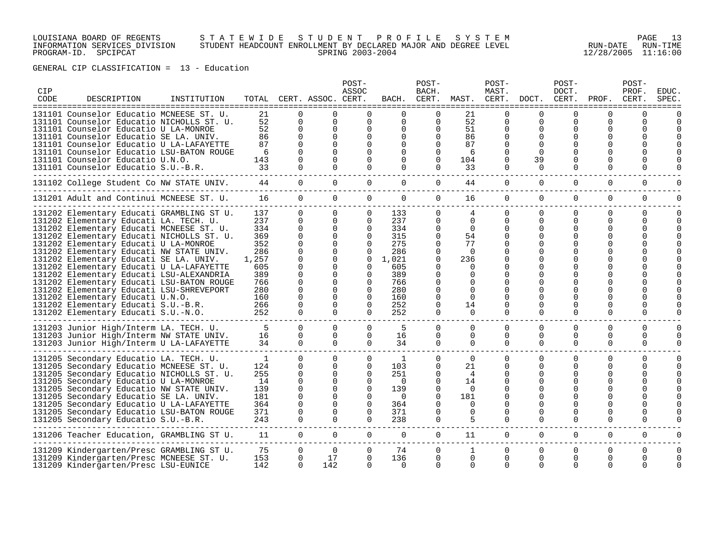### LOUISIANA BOARD OF REGENTS S T A T E W I D E S T U D E N T P R O F I L E S Y S T E M PAGE 13 INFORMATION SERVICES DIVISION STUDENT HEADCOUNT ENROLLMENT BY DECLARED MAJOR AND DEGREE LEVEL RUN-DATE RUN-TIME PROGRAM-ID. SPCIPCAT SPRING 2003-2004 12/28/2005 11:16:00

| CIP<br>CODE | DESCRIPTION                                                                                                                                                                                                                                                                                                                                                                                                                                                                                                                                                                                                    | INSTITUTION |                                                                                                  |                                                                                                                    | TOTAL CERT. ASSOC. CERT.                                                                                                                                 | POST-<br>ASSOC                                                                                                               | BACH.                                                                                            | POST-<br>BACH.<br>CERT.                                                                                                    |                                                                                                                | POST-<br>MAST.<br>MAST. CERT.                                        | DOCT.                                                                   | POST-<br>DOCT.<br>CERT.        | PROF.                                            | POST-<br>PROF.<br>CERT.                      | EDUC.<br><b>SPEC</b> |
|-------------|----------------------------------------------------------------------------------------------------------------------------------------------------------------------------------------------------------------------------------------------------------------------------------------------------------------------------------------------------------------------------------------------------------------------------------------------------------------------------------------------------------------------------------------------------------------------------------------------------------------|-------------|--------------------------------------------------------------------------------------------------|--------------------------------------------------------------------------------------------------------------------|----------------------------------------------------------------------------------------------------------------------------------------------------------|------------------------------------------------------------------------------------------------------------------------------|--------------------------------------------------------------------------------------------------|----------------------------------------------------------------------------------------------------------------------------|----------------------------------------------------------------------------------------------------------------|----------------------------------------------------------------------|-------------------------------------------------------------------------|--------------------------------|--------------------------------------------------|----------------------------------------------|----------------------|
|             | ===============<br>------------<br>131101 Counselor Educatio MCNEESE ST. U.<br>131101 Counselor Educatio NICHOLLS ST. U.<br>131101 Counselor Educatio U LA-MONROE<br>131101 Counselor Educatio SE LA. UNIV.<br>131101 Counselor Educatio U LA-LAFAYETTE<br>131101 Counselor Educatio LSU-BATON ROUGE<br>131101 Counselor Educatio U.N.O.<br>131101 Counselor Educatio S.U.-B.R.                                                                                                                                                                                                                                |             | 21<br>52<br>52<br>86<br>87<br>6<br>143<br>33                                                     | $\Omega$<br>$\Omega$<br>$\Omega$<br>$\Omega$                                                                       | $\Omega$<br>$\Omega$<br>$\Omega$<br>$\Omega$                                                                                                             | $\Omega$<br>$\Omega$<br>$\Omega$<br>U                                                                                        | =====================================<br>0<br>0<br>0<br>0                                        | 0<br>0<br>$\Omega$<br>$\Omega$<br>$\Omega$<br>$\Omega$<br>$\Omega$                                                         | -------------<br>21<br>52<br>51<br>86<br>87<br>6<br>104<br>33                                                  | $\Omega$<br>$\Omega$<br>$\Omega$<br>$\Omega$<br>$\Omega$<br>$\Omega$ | --------------<br>∩<br>$\Omega$<br>$\Omega$<br>∩<br>$\Omega$<br>39<br>0 | O<br>0<br>U<br>O               | U<br>0<br>O<br>0<br>0<br>O                       | $\Omega$<br>0                                |                      |
|             | 131102 College Student Co NW STATE UNIV.                                                                                                                                                                                                                                                                                                                                                                                                                                                                                                                                                                       |             | 44                                                                                               | $\mathbf 0$                                                                                                        | 0                                                                                                                                                        | 0                                                                                                                            | 0                                                                                                | 0                                                                                                                          | 44                                                                                                             | $\mathbf 0$                                                          | 0                                                                       | 0                              | $\mathbf 0$                                      | 0                                            |                      |
|             | 131201 Adult and Continui MCNEESE ST. U.                                                                                                                                                                                                                                                                                                                                                                                                                                                                                                                                                                       |             | 16                                                                                               | $\mathbf 0$                                                                                                        | $\Omega$                                                                                                                                                 | $\overline{0}$                                                                                                               | 0                                                                                                | 0                                                                                                                          | 16                                                                                                             | 0                                                                    | $\mathbf 0$                                                             | 0                              | $\mathbf 0$                                      | $\mathbf 0$                                  |                      |
|             | 131202 Elementary Educati GRAMBLING ST U.<br>131202 Elementary Educati LA. TECH. U.<br>131202 Elementary Educati MCNEESE ST. U.<br>131202 Elementary Educati NICHOLLS ST. U.<br>131202 Elementary Educati U LA-MONROE<br>131202 Elementary Educati NW STATE UNIV.<br>131202 Elementary Educati SE LA. UNIV.<br>131202 Elementary Educati U LA-LAFAYETTE<br>131202 Elementary Educati LSU-ALEXANDRIA<br>131202 Elementary Educati LSU-BATON ROUGE<br>131202 Elementary Educati LSU-SHREVEPORT<br>131202 Elementary Educati U.N.O.<br>131202 Elementary Educati S.U.-B.R.<br>131202 Elementary Educati S.U.-N.O. |             | 137<br>237<br>334<br>369<br>352<br>286<br>1,257<br>605<br>389<br>766<br>280<br>160<br>266<br>252 | $\Omega$<br>$\Omega$<br>$\Omega$<br>$\Omega$<br>$\Omega$<br>$\Omega$<br>$\Omega$<br>$\Omega$<br>∩<br>0<br>$\Omega$ | $\Omega$<br>$\Omega$<br>$\Omega$<br>$\Omega$<br>$\Omega$<br>$\Omega$<br>$\Omega$<br>$\Omega$<br>$\Omega$<br>$\Omega$<br>$\Omega$<br>$\Omega$<br>$\Omega$ | 0<br>$\Omega$<br>$\Omega$<br>$\Omega$<br>$\Omega$<br>$\Omega$<br>$\Omega$<br>0<br>0<br>0<br>$\Omega$<br>$\Omega$<br>$\Omega$ | 133<br>237<br>334<br>315<br>275<br>286<br>1,021<br>605<br>389<br>766<br>280<br>160<br>252<br>252 | 0<br>$\Omega$<br>$\Omega$<br>$\Omega$<br>$\Omega$<br>0<br>$\Omega$<br>0<br>$\Omega$<br>0<br>0<br>O<br>$\Omega$<br>$\Omega$ | 4<br>$\Omega$<br>$\Omega$<br>54<br>77<br>$\Omega$<br>236<br>$\Omega$<br>$\Omega$<br>$\Omega$<br>14<br>$\Omega$ | $\Omega$<br>$\Omega$<br>$\Omega$<br>U<br>$\Omega$                    | $\Omega$<br>$\Omega$<br>$\Omega$<br>$\Omega$                            | $\Omega$<br>$\Omega$<br>U<br>O | $\Omega$<br>$\Omega$<br>0<br>U<br>O<br>O         | $\Omega$<br>$\Omega$                         |                      |
|             | 131203 Junior High/Interm LA. TECH. U.<br>131203 Junior High/Interm NW STATE UNIV.<br>131203 Junior High/Interm U LA-LAFAYETTE                                                                                                                                                                                                                                                                                                                                                                                                                                                                                 |             | 5<br>16<br>34                                                                                    | $\Omega$<br>0<br>$\Omega$                                                                                          | $\Omega$<br>0<br>$\Omega$                                                                                                                                | $\Omega$<br>0<br>$\Omega$                                                                                                    | 5<br>16<br>34                                                                                    | $\Omega$<br>0<br>$\Omega$                                                                                                  | $\mathbf 0$<br>0<br>0                                                                                          | $\Omega$<br>0<br>$\Omega$                                            | $\Omega$<br>0<br>$\Omega$                                               | $\Omega$<br>0<br>$\Omega$      | $\Omega$<br>0<br>0                               | $\Omega$<br>0<br>0                           | $\Omega$             |
|             | 131205 Secondary Educatio LA. TECH. U.<br>131205 Secondary Educatio MCNEESE ST. U.<br>131205 Secondary Educatio NICHOLLS ST. U.<br>131205 Secondary Educatio U LA-MONROE<br>131205 Secondary Educatio NW STATE UNIV.<br>131205 Secondary Educatio SE LA. UNIV.<br>131205 Secondary Educatio U LA-LAFAYETTE<br>131205 Secondary Educatio LSU-BATON ROUGE<br>131205 Secondary Educatio S.U.-B.R.                                                                                                                                                                                                                 |             | 1<br>124<br>255<br>14<br>139<br>181<br>364<br>371<br>243                                         | $\Omega$<br>$\Omega$<br>$\Omega$<br>$\Omega$<br>$\Omega$<br>$\Omega$<br>$\Omega$<br>$\Omega$                       | $\Omega$<br>$\Omega$<br>$\Omega$<br>$\Omega$<br>$\Omega$<br>$\Omega$<br>$\Omega$<br>$\Omega$                                                             | $\Omega$<br>$\Omega$<br>$\Omega$<br>0<br>$\Omega$<br>0<br>0<br>$\Omega$<br>$\Omega$                                          | -1<br>103<br>251<br>$\Omega$<br>139<br>$\Omega$<br>364<br>371<br>238                             | 0<br>$\Omega$<br>$\Omega$<br>$\Omega$<br>$\Omega$<br>$\Omega$<br>$\Omega$<br>$\Omega$<br>$\Omega$                          | $\Omega$<br>21<br>4<br>14<br>$\Omega$<br>181<br>$\Omega$<br>$\Omega$<br>5                                      | $\Omega$<br>$\Omega$<br>O<br><sup>0</sup><br>$\Omega$                | $\Omega$<br>∩<br>O<br>$\Omega$                                          | $\Omega$<br>U<br>U<br>0        | $\Omega$<br>0<br>U<br>0<br>U<br>O<br>U<br>O<br>0 | $\Omega$<br>$\Omega$<br>$\Omega$<br>$\Omega$ | $\Omega$             |
|             | 131206 Teacher Education, GRAMBLING ST U.                                                                                                                                                                                                                                                                                                                                                                                                                                                                                                                                                                      |             | 11                                                                                               | $\Omega$                                                                                                           | $\Omega$                                                                                                                                                 | $\Omega$                                                                                                                     | $\Omega$                                                                                         | $\Omega$                                                                                                                   | 11                                                                                                             | $\Omega$                                                             | $\Omega$                                                                | $\Omega$                       | $\Omega$                                         | $\Omega$                                     | U                    |
|             | 131209 Kindergarten/Presc GRAMBLING ST U.<br>131209 Kindergarten/Presc MCNEESE ST. U.<br>131209 Kindergarten/Presc LSU-EUNICE                                                                                                                                                                                                                                                                                                                                                                                                                                                                                  |             | 75<br>153<br>142                                                                                 | $\Omega$<br>$\Omega$<br>$\Omega$                                                                                   | $\Omega$<br>17<br>142                                                                                                                                    | 0<br>$\Omega$                                                                                                                | 74<br>136<br>$\Omega$                                                                            | 0<br>$\Omega$<br>$\Omega$                                                                                                  | 1<br>$\Omega$<br>$\Omega$                                                                                      | 0<br>$\Omega$<br>$\Omega$                                            | 0<br>0<br>$\Omega$                                                      | 0<br>$\Omega$<br>0             | 0<br>0<br>0                                      | 0<br>$\Omega$<br>$\Omega$                    | U                    |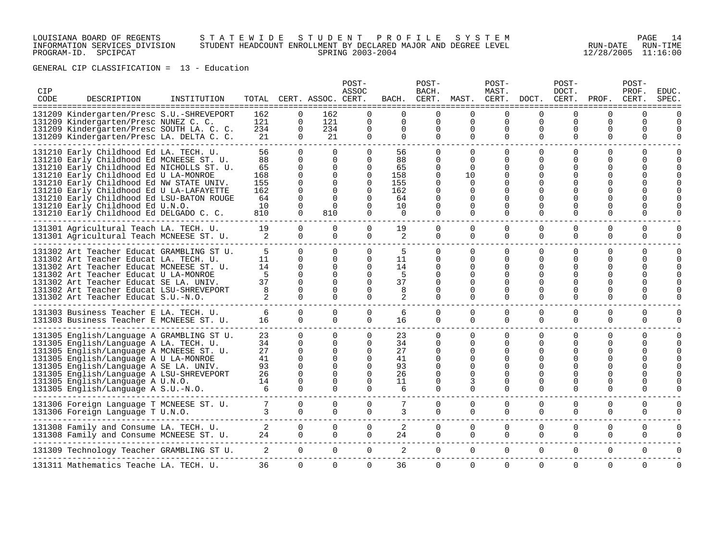### LOUISIANA BOARD OF REGENTS S T A T E W I D E S T U D E N T P R O F I L E S Y S T E M PAGE 14 INFORMATION SERVICES DIVISION STUDENT HEADCOUNT ENROLLMENT BY DECLARED MAJOR AND DEGREE LEVEL RUN-DATE RUN-TIME PROGRAM-ID. SPCIPCAT SPRING 2003-2004 12/28/2005 11:16:00

| CIP<br>CODE | DESCRIPTION                                                                                                                                                                                                                                                                                                                                                                                  | INSTITUTION |                                                        |                                                                                                       | TOTAL CERT. ASSOC. CERT.                                                              | POST-<br>ASSOC                                                                        | BACH.                                                           | POST-<br>BACH.<br>CERT.                                                             | MAST. CERT.                                                                                        | POST-<br>MAST.                                                                        | DOCT.                                                              | POST-<br>DOCT.<br>CERT.                                     | PROF.                          | POST-<br>PROF.<br>CERT.                                        | EDUC<br>SPEC                                    |
|-------------|----------------------------------------------------------------------------------------------------------------------------------------------------------------------------------------------------------------------------------------------------------------------------------------------------------------------------------------------------------------------------------------------|-------------|--------------------------------------------------------|-------------------------------------------------------------------------------------------------------|---------------------------------------------------------------------------------------|---------------------------------------------------------------------------------------|-----------------------------------------------------------------|-------------------------------------------------------------------------------------|----------------------------------------------------------------------------------------------------|---------------------------------------------------------------------------------------|--------------------------------------------------------------------|-------------------------------------------------------------|--------------------------------|----------------------------------------------------------------|-------------------------------------------------|
|             | 131209 Kindergarten/Presc S.U.-SHREVEPORT<br>131209 Kindergarten/Presc NUNEZ C. C.<br>131209 Kindergarten/Presc SOUTH LA. C. C.<br>131209 Kindergarten/Presc LA. DELTA C. C.                                                                                                                                                                                                                 |             | 162<br>121<br>234<br>21                                | $\Omega$<br>0<br>0<br>$\Omega$                                                                        | 162<br>121<br>234<br>21                                                               | 0<br>0<br>$\Omega$                                                                    | ======================<br>$\Omega$<br>$\Omega$<br>0<br>$\Omega$ | 0<br>0<br>0<br>$\Omega$                                                             | ===============<br>$\Omega$<br>$\mathbf 0$<br>0<br>$\Omega$                                        | $\Omega$<br>0<br>0<br>$\Omega$                                                        | eeeeee<br>$\Omega$<br>0<br>0<br>$\Omega$                           | ======<br>$\Omega$<br>$\mathbf 0$<br>0<br>$\Omega$          | 0<br>$\Omega$<br>0<br>$\Omega$ | $\Omega$<br>$\Omega$<br>0<br>$\Omega$                          | :=====<br>$\Omega$<br>$\Omega$<br>$\Omega$      |
|             | 131210 Early Childhood Ed LA. TECH. U.<br>131210 Early Childhood Ed MCNEESE ST. U.<br>131210 Early Childhood Ed NICHOLLS ST. U.<br>131210 Early Childhood Ed U LA-MONROE<br>131210 Early Childhood Ed NW STATE UNIV.<br>131210 Early Childhood Ed U LA-LAFAYETTE<br>131210 Early Childhood Ed LSU-BATON ROUGE<br>131210 Early Childhood Ed U.N.O.<br>131210 Early Childhood Ed DELGADO C. C. |             | 56<br>88<br>65<br>168<br>155<br>162<br>64<br>10<br>810 | $\mathbf{0}$<br>$\Omega$<br>0<br>$\Omega$<br>$\Omega$<br>$\Omega$<br>$\Omega$<br>$\Omega$<br>$\Omega$ | $\Omega$<br>$\Omega$<br>0<br>$\Omega$<br>0<br>$\Omega$<br>$\Omega$<br>$\Omega$<br>810 | $\Omega$<br>$\Omega$<br>0<br>$\Omega$<br>$\Omega$<br>$\Omega$<br>$\Omega$<br>$\Omega$ | 56<br>88<br>65<br>158<br>155<br>162<br>64<br>10<br>$\Omega$     | 0<br>$\Omega$<br>$\Omega$<br>$\Omega$<br>0<br>0<br>$\Omega$<br>$\Omega$<br>$\Omega$ | $\Omega$<br>$\Omega$<br>$\Omega$<br>10<br>$\Omega$<br>$\Omega$<br>$\Omega$<br>$\Omega$<br>$\Omega$ | 0<br>$\Omega$<br>0<br>$\Omega$<br>0<br>$\Omega$<br>$\Omega$<br>$\Omega$               | $\Omega$<br>0<br>0<br>$\Omega$<br>$\Omega$<br>$\Omega$<br>$\Omega$ | 0<br>0<br>0<br>$\Omega$<br>0<br>$\Omega$<br>$\Omega$        | 0<br>U<br>0                    | $\Omega$<br>0<br><sup>0</sup><br>U<br>0                        | $\Omega$<br>$\Omega$<br>$\Omega$                |
|             | 131301 Agricultural Teach LA. TECH. U.<br>131301 Agricultural Teach MCNEESE ST. U.                                                                                                                                                                                                                                                                                                           |             | 19<br>2                                                | $\Omega$<br>$\Omega$                                                                                  | $\Omega$<br>$\Omega$                                                                  | $\Omega$<br>$\Omega$                                                                  | 19<br>2                                                         | $\Omega$<br>$\Omega$                                                                | $\Omega$<br>$\Omega$                                                                               | $\Omega$<br>$\Omega$                                                                  | $\Omega$<br>$\Omega$                                               | $\Omega$<br>$\Omega$                                        | $\Omega$<br>0                  | $\Omega$<br>$\mathbf 0$                                        | $\Omega$<br>$\Omega$                            |
|             | 131302 Art Teacher Educat GRAMBLING ST U.<br>131302 Art Teacher Educat LA. TECH. U.<br>131302 Art Teacher Educat MCNEESE ST. U.<br>131302 Art Teacher Educat U LA-MONROE<br>131302 Art Teacher Educat SE LA. UNIV.<br>131302 Art Teacher Educat LSU-SHREVEPORT<br>131302 Art Teacher Educat S.U.-N.O.                                                                                        |             | 5<br>11<br>14<br>5<br>37<br>8<br>2                     | $\Omega$<br>$\Omega$<br>$\Omega$<br>$\Omega$<br>$\Omega$<br>$\Omega$<br>$\Omega$                      | $\Omega$<br>$\Omega$<br>$\Omega$<br>$\Omega$<br>$\Omega$<br>$\Omega$<br>$\Omega$      | $\Omega$<br>0<br>$\Omega$<br><sup>0</sup><br>0<br>0<br>$\Omega$                       | 5<br>11<br>14<br>5<br>37<br>8<br>2                              | 0<br>0<br>0<br>0<br>0<br>0                                                          | $\Omega$<br>$\Omega$<br>0<br>$\Omega$<br>0<br>O<br>0                                               | 0<br>$\Omega$<br>$\Omega$<br>$\Omega$<br>$\Omega$<br>0<br>0                           | 0<br>$\Omega$<br>0<br>0<br>0<br>$\Omega$<br>0                      | 0<br>U<br>O<br>U<br>O<br>0<br>0                             | 0<br>U<br>0                    | 0<br>$\Omega$<br>U<br>U<br>U<br>U<br>0                         | $\mathbf 0$<br>$\Omega$<br>$\Omega$<br>$\Omega$ |
|             | 131303 Business Teacher E LA. TECH. U.<br>131303 Business Teacher E MCNEESE ST. U.                                                                                                                                                                                                                                                                                                           |             | 6<br>16                                                | $\Omega$<br>$\Omega$                                                                                  | $\Omega$<br>$\Omega$                                                                  | $\Omega$<br>$\Omega$                                                                  | 6<br>16                                                         | $\Omega$<br>0                                                                       | $\mathbf 0$<br>$\Omega$                                                                            | $\mathbf 0$<br>$\Omega$                                                               | $\mathbf 0$<br>$\Omega$                                            | $\mathbf 0$<br>$\Omega$                                     | 0<br>0                         | $\mathbf 0$<br>$\mathbf 0$                                     | $\mathbf 0$<br>$\mathbf 0$                      |
|             | 131305 English/Language A GRAMBLING ST U.<br>131305 English/Language A LA. TECH. U.<br>131305 English/Language A MCNEESE ST. U.<br>131305 English/Language A U LA-MONROE<br>131305 English/Language A SE LA. UNIV.<br>131305 English/Language A LSU-SHREVEPORT<br>131305 English/Language A U.N.O.<br>131305 English/Language A S.U.-N.O.                                                    |             | 23<br>34<br>27<br>41<br>93<br>26<br>14<br>6            | $\Omega$<br>0<br>$\Omega$<br>$\Omega$<br>$\Omega$<br>$\Omega$<br>$\Omega$<br>$\Omega$                 | $\Omega$<br>0<br>$\Omega$<br>0<br>$\Omega$<br>$\Omega$<br>$\Omega$<br>$\Omega$        | 0<br>$\Omega$<br>$\Omega$<br>$\Omega$<br>$\Omega$<br>0<br>$\Omega$                    | 23<br>34<br>27<br>41<br>93<br>26<br>11<br>6                     | 0<br>0<br>0<br>0<br>0<br>0<br>0<br>0                                                | $\Omega$<br>$\Omega$<br>$\Omega$<br>$\Omega$<br>$\Omega$<br>$\Omega$<br>3<br>$\Omega$              | $\Omega$<br>$\Omega$<br>$\Omega$<br>$\Omega$<br>$\Omega$<br>$\Omega$<br>0<br>$\Omega$ | 0<br>$\Omega$<br>0<br>$\Omega$<br>∩<br>0<br>$\Omega$               | $\Omega$<br>$\Omega$<br>O<br>$\Omega$<br>O<br>$\Omega$<br>O | $\Omega$<br>O<br>U<br>U        | $\Omega$<br>$\Omega$<br><sup>0</sup><br>U<br><sup>0</sup><br>0 | $\mathbf 0$<br>0<br>$\Omega$<br>$\Omega$        |
|             | 131306 Foreign Language T MCNEESE ST. U.<br>131306 Foreign Language T U.N.O.                                                                                                                                                                                                                                                                                                                 |             | 7<br>3                                                 | $\Omega$<br>$\Omega$                                                                                  | $\Omega$<br>$\overline{0}$                                                            | $\Omega$<br>$\Omega$                                                                  | 3                                                               | $\Omega$<br>0                                                                       | $\Omega$<br>$\mathbf{0}$                                                                           | $\Omega$<br>0                                                                         | $\Omega$<br>$\Omega$                                               | $\Omega$<br>0                                               | $\Omega$<br>0                  | $\Omega$<br>0                                                  | $\Omega$<br>$\Omega$                            |
|             | 131308 Family and Consume LA. TECH. U.<br>131308 Family and Consume MCNEESE ST. U.                                                                                                                                                                                                                                                                                                           |             | 2<br>24                                                | $\Omega$<br>$\Omega$                                                                                  | $\Omega$<br>$\Omega$                                                                  | $\Omega$<br>$\Omega$                                                                  | 2<br>24                                                         | $\Omega$<br>0                                                                       | $\mathbf 0$<br>$\Omega$                                                                            | $\mathbf 0$<br>$\Omega$                                                               | $\Omega$<br>$\Omega$                                               | $\Omega$<br>$\Omega$                                        | 0<br>$\Omega$                  | $\Omega$<br>$\Omega$                                           | $\Omega$<br>$\Omega$                            |
|             | 131309 Technology Teacher GRAMBLING ST U.                                                                                                                                                                                                                                                                                                                                                    |             | 2                                                      | $\overline{0}$                                                                                        | $\mathbf{0}$                                                                          | $\mathbf 0$                                                                           | 2                                                               | 0                                                                                   | $\mathbf 0$                                                                                        | 0                                                                                     | $\mathbf 0$                                                        | $\mathbf 0$                                                 | 0                              | $\mathbf 0$                                                    | $\Omega$                                        |
|             | 131311 Mathematics Teache LA. TECH. U.                                                                                                                                                                                                                                                                                                                                                       |             | 36                                                     | 0                                                                                                     | 0                                                                                     | $\Omega$                                                                              | 36                                                              | 0                                                                                   | 0                                                                                                  | 0                                                                                     | 0                                                                  | $\mathbf 0$                                                 | 0                              | $\Omega$                                                       | $\Omega$                                        |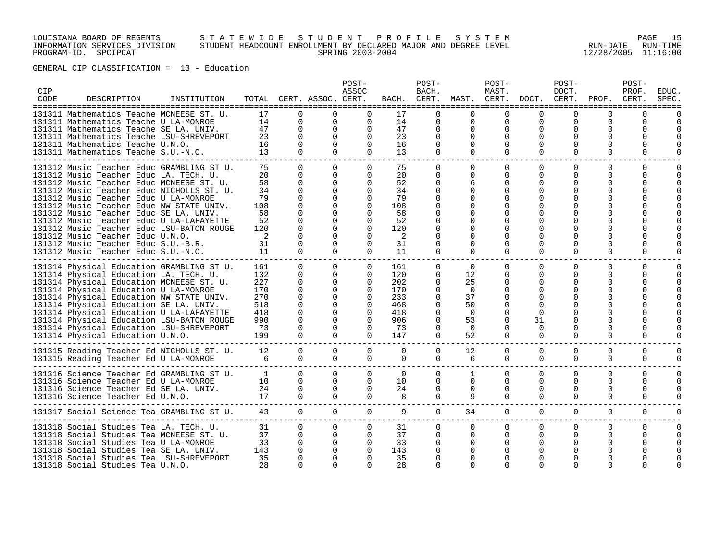### LOUISIANA BOARD OF REGENTS S T A T E W I D E S T U D E N T P R O F I L E S Y S T E M PAGE 15 INFORMATION SERVICES DIVISION STUDENT HEADCOUNT ENROLLMENT BY DECLARED MAJOR AND DEGREE LEVEL RUN-DATE RUN-TIME PROGRAM-ID. SPCIPCAT SPRING 2003-2004 12/28/2005 11:16:00

| <b>CIP</b><br>CODE | DESCRIPTION                                                                                                                                                                                                                                                                                                                                                                                                                                                                                                            | INSTITUTION |                                                                       |                                                                                                                                              | TOTAL CERT. ASSOC. CERT.                                    | POST-<br>ASSOC                                                                                                       | BACH.                                                                 | POST-<br>BACH.<br>CERT.                                   | MAST. CERT.                                                                      | POST-<br>MAST.                                                                            | DOCT.                                                   | POST-<br>DOCT.<br>CERT.                               | PROF.                                                                | POST-<br>PROF.<br>CERT. | <b>EDUC</b><br>SPEC       |
|--------------------|------------------------------------------------------------------------------------------------------------------------------------------------------------------------------------------------------------------------------------------------------------------------------------------------------------------------------------------------------------------------------------------------------------------------------------------------------------------------------------------------------------------------|-------------|-----------------------------------------------------------------------|----------------------------------------------------------------------------------------------------------------------------------------------|-------------------------------------------------------------|----------------------------------------------------------------------------------------------------------------------|-----------------------------------------------------------------------|-----------------------------------------------------------|----------------------------------------------------------------------------------|-------------------------------------------------------------------------------------------|---------------------------------------------------------|-------------------------------------------------------|----------------------------------------------------------------------|-------------------------|---------------------------|
|                    | 131311 Mathematics Teache MCNEESE ST. U.<br>131311 Mathematics Teache U LA-MONROE<br>131311 Mathematics Teache SE LA. UNIV.<br>131311 Mathematics Teache LSU-SHREVEPORT<br>131311 Mathematics Teache U.N.O.<br>131311 Mathematics Teache S.U.-N.O.                                                                                                                                                                                                                                                                     |             | 17<br>14<br>47<br>23<br>16<br>13                                      | 0<br>$\Omega$<br>$\mathbf 0$<br>$\Omega$<br>$\mathbf 0$<br>$\Omega$                                                                          | $\mathbf 0$<br>$\Omega$<br>$\Omega$<br>$\Omega$<br>$\Omega$ | $\Omega$<br>$\Omega$<br>$\Omega$<br>$\Omega$<br>$\Omega$<br>$\Omega$                                                 | 17<br>14<br>47<br>23<br>16<br>13                                      | 0<br>0<br>0<br>0<br>$\Omega$                              | U<br>$\mathbf 0$<br>0<br>$\Omega$<br>$\Omega$<br>$\Omega$                        | $\Omega$<br>0<br>0<br>$\Omega$<br>$\Omega$<br>$\Omega$                                    | $\Omega$<br>$\Omega$<br>$\Omega$                        | 0<br>$\Omega$<br>$\Omega$<br>$\Omega$                 | U<br>0<br>0<br><sup>0</sup><br>0                                     | U<br>0<br>0<br>0        |                           |
|                    | 131312 Music Teacher Educ GRAMBLING ST U.<br>131312 Music Teacher Educ LA. TECH. U.<br>131312 Music Teacher Educ MCNEESE ST. U.<br>131312 Music Teacher Educ NICHOLLS ST. U.<br>131312 Music Teacher Educ U LA-MONROE<br>131312 Music Teacher Educ NW STATE UNIV.<br>131312 Music Teacher Educ SE LA. UNIV.<br>131312 Music Teacher Educ U LA-LAFAYETTE<br>131312 Music Teacher Educ LSU-BATON ROUGE<br>131312 Music Teacher Educ U.N.O.<br>131312 Music Teacher Educ S.U.-B.R.<br>131312 Music Teacher Educ S.U.-N.O. |             | 75<br>20<br>58<br>34<br>79<br>108<br>58<br>52<br>120<br>2<br>31<br>11 | $\Omega$<br>$\Omega$<br>$\Omega$<br>$\Omega$<br>$\Omega$<br>$\Omega$<br>$\Omega$<br>$\Omega$<br>$\Omega$<br>$\Omega$<br>$\Omega$<br>$\Omega$ | $\Omega$<br>$\Omega$<br>$\Omega$<br>0<br>∩<br>$\Omega$      | $\Omega$<br>$\Omega$<br>$\Omega$<br>$\Omega$<br>$\Omega$<br>$\Omega$<br>$\Omega$<br>$\Omega$<br>$\Omega$<br>$\Omega$ | 75<br>20<br>52<br>34<br>79<br>108<br>58<br>52<br>120<br>2<br>31<br>11 | $\Omega$<br>0<br>0<br>$\Omega$<br>0<br>0                  | $\Omega$<br>$\Omega$<br>6<br>∩<br>O<br>O<br>$\Omega$                             | $\Omega$<br>$\Omega$<br>$\Omega$<br>$\Omega$<br>$\Omega$<br>$\Omega$                      | $\Omega$<br>O<br>∩<br>$\Omega$                          | $\Omega$<br>0<br><sup>0</sup><br>$\Omega$<br>$\Omega$ | $\Omega$<br><sup>0</sup><br><sup>0</sup><br><sup>0</sup><br>$\Omega$ | $\Omega$<br>0<br>U<br>0 | O                         |
|                    | 131314 Physical Education GRAMBLING ST U.<br>131314 Physical Education LA. TECH. U.<br>131314 Physical Education MCNEESE ST. U.<br>131314 Physical Education U LA-MONROE<br>131314 Physical Education NW STATE UNIV.<br>131314 Physical Education SE LA. UNIV.<br>131314 Physical Education U LA-LAFAYETTE<br>131314 Physical Education LSU-BATON ROUGE<br>131314 Physical Education LSU-SHREVEPORT<br>131314 Physical Education U.N.O.                                                                                |             | 161<br>132<br>227<br>170<br>270<br>518<br>418<br>990<br>73<br>199     | $\Omega$<br>$\Omega$<br>0<br>$\Omega$<br>$\Omega$<br>$\Omega$<br>$\Omega$<br>$\Omega$<br>$\Omega$<br>$\cap$                                  | $\Omega$<br>$\Omega$<br>$\Omega$<br>$\Omega$<br>$\cap$      | $\mathbf{0}$<br>$\Omega$<br>$\mathbf 0$<br>$\Omega$<br>$\Omega$<br>$\Omega$<br>$\Omega$<br>$\Omega$<br>$\Omega$      | 161<br>120<br>202<br>170<br>233<br>468<br>418<br>906<br>73<br>147     | $\Omega$<br>$\Omega$<br>0<br>0<br>0<br>0<br>0<br>$\Omega$ | $\Omega$<br>12<br>25<br>$\Omega$<br>37<br>50<br>$\Omega$<br>53<br>$\Omega$<br>52 | $\mathbf{0}$<br>$\Omega$<br>0<br>$\Omega$<br>$\Omega$<br>$\Omega$<br>$\Omega$<br>$\Omega$ | $\Omega$<br>∩<br>$\Omega$<br>31<br>$\Omega$<br>$\Omega$ | $\Omega$<br>0<br>O<br>O<br>∩                          | $\mathbf 0$<br>$\Omega$<br>0<br>$\Omega$                             | $\Omega$<br>0<br>U      | 0                         |
|                    | 131315 Reading Teacher Ed NICHOLLS ST. U.<br>131315 Reading Teacher Ed U LA-MONROE                                                                                                                                                                                                                                                                                                                                                                                                                                     |             | 12<br>6                                                               | $\Omega$<br>$\Omega$                                                                                                                         | $\Omega$<br>$\Omega$                                        | $\Omega$<br>$\Omega$                                                                                                 | $\Omega$<br>$\Omega$                                                  | 0<br>0                                                    | 12<br>6                                                                          | $\Omega$<br>$\Omega$                                                                      | $\Omega$<br>$\Omega$                                    | $\Omega$<br>$\Omega$                                  | $\Omega$<br>$\Omega$                                                 | $\Omega$<br>0           | $\Omega$<br>$\Omega$      |
|                    | 131316 Science Teacher Ed GRAMBLING ST U.<br>131316 Science Teacher Ed U LA-MONROE<br>131316 Science Teacher Ed SE LA. UNIV.<br>131316 Science Teacher Ed U.N.O.                                                                                                                                                                                                                                                                                                                                                       |             | <sup>1</sup><br>10<br>24<br>17                                        | $\Omega$<br>0<br>$\mathbf 0$<br>$\Omega$                                                                                                     | $\Omega$<br>$\Omega$<br>$\mathbf 0$<br>$\Omega$             | $\Omega$<br>$\mathbf 0$<br>$\Omega$<br>$\Omega$                                                                      | $\Omega$<br>10<br>24<br>$\mathsf{R}$                                  | 0<br>0<br>0<br>$\Omega$                                   | 1<br>0<br>$\mathbf 0$<br>9                                                       | $\mathbf 0$<br>0<br>0<br>$\Omega$                                                         | $\Omega$<br>$\Omega$<br>$\Omega$<br>$\Omega$            | $\Omega$<br>0<br>0<br>$\Omega$                        | $\Omega$<br>0<br>0<br>$\Omega$                                       | 0<br>0<br>0<br>$\Omega$ | $\Omega$<br>$\Omega$<br>0 |
|                    | 131317 Social Science Tea GRAMBLING ST U.                                                                                                                                                                                                                                                                                                                                                                                                                                                                              |             | 43                                                                    | $\Omega$                                                                                                                                     | $\Omega$                                                    | $\Omega$                                                                                                             | 9                                                                     | $\overline{0}$                                            | 34                                                                               | $\overline{0}$                                                                            | $\Omega$                                                | $\Omega$                                              | $\Omega$                                                             | $\Omega$                | $\Omega$                  |
|                    | 131318 Social Studies Tea LA. TECH. U.<br>131318 Social Studies Tea MCNEESE ST. U.<br>131318 Social Studies Tea U LA-MONROE<br>131318 Social Studies Tea SE LA. UNIV.<br>131318 Social Studies Tea LSU-SHREVEPORT<br>131318 Social Studies Tea U.N.O.                                                                                                                                                                                                                                                                  |             | 31<br>37<br>33<br>143<br>35<br>28                                     | $\Omega$<br>0<br>0<br>$\Omega$<br>$\Omega$                                                                                                   | $\Omega$<br>$\Omega$                                        | $\mathbf 0$<br>$\Omega$<br>0<br>$\Omega$                                                                             | 31<br>37<br>33<br>143<br>35<br>28                                     | $\Omega$<br>0                                             | $\mathbf{0}$<br>$\Omega$                                                         | 0<br>0                                                                                    | 0<br>O                                                  | 0<br><sup>0</sup>                                     | 0<br><sup>0</sup>                                                    | 0<br>0                  | $\Omega$                  |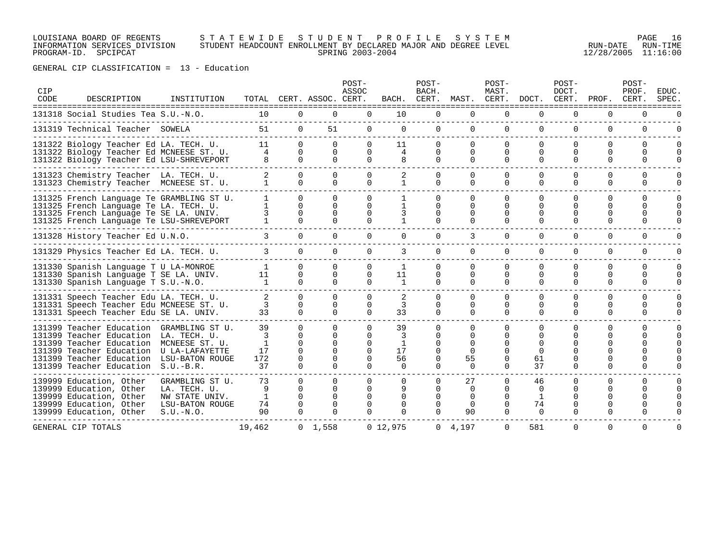### LOUISIANA BOARD OF REGENTS S T A T E W I D E S T U D E N T P R O F I L E S Y S T E M PAGE 16 INFORMATION SERVICES DIVISION STUDENT HEADCOUNT ENROLLMENT BY DECLARED MAJOR AND DEGREE LEVEL RUN-DATE RUN-TIME PROGRAM-ID. SPCIPCAT SPRING 2003-2004 12/28/2005 11:16:00

| CIP<br>CODE | DESCRIPTION                                                                                                                                                                                                   | INSTITUTION                                                                                | TOTAL                              |                                                 | CERT. ASSOC. CERT.                                           | POST-<br>ASSOC            | BACH.                           | POST-<br>BACH.<br>CERT.              | MAST.                                                   | POST-<br>MAST.<br>CERT.                                              | DOCT.                                 | POST-<br>DOCT.<br>CERT.      | PROF.                                        | POST-<br>PROF.<br>CERT.   | EDUC.<br>SPEC             |
|-------------|---------------------------------------------------------------------------------------------------------------------------------------------------------------------------------------------------------------|--------------------------------------------------------------------------------------------|------------------------------------|-------------------------------------------------|--------------------------------------------------------------|---------------------------|---------------------------------|--------------------------------------|---------------------------------------------------------|----------------------------------------------------------------------|---------------------------------------|------------------------------|----------------------------------------------|---------------------------|---------------------------|
|             | 131318 Social Studies Tea S.U.-N.O.                                                                                                                                                                           |                                                                                            | 10                                 | 0                                               | 0                                                            | $\mathbf 0$               | 10                              | 0                                    | 0                                                       | 0                                                                    | 0                                     | 0                            | 0                                            | 0                         |                           |
|             | 131319 Technical Teacher SOWELA                                                                                                                                                                               |                                                                                            | 51                                 | $\mathbf{0}$                                    | 51                                                           | $\mathbf 0$               | 0                               | $\mathbf{0}$                         | $\Omega$                                                | $\mathbf 0$                                                          | $\Omega$                              | $\Omega$                     | 0                                            | 0                         |                           |
|             | 131322 Biology Teacher Ed LA. TECH. U.<br>131322 Biology Teacher Ed MCNEESE ST. U.<br>131322 Biology Teacher Ed LSU-SHREVEPORT                                                                                |                                                                                            | 11<br>4<br>8                       | $\Omega$<br>0<br>$\Omega$                       | $\Omega$<br>0<br>$\Omega$                                    | $\Omega$<br>0<br>$\Omega$ | 11<br>4                         | $\Omega$<br>$\Omega$<br>0            | $\Omega$<br>$\Omega$<br>$\Omega$                        | $\Omega$<br>$\Omega$<br>$\Omega$                                     | $\Omega$<br>$\Omega$<br>$\Omega$      | $\Omega$<br>$\Omega$<br>0    | 0<br>$\Omega$<br>$\Omega$                    | $\Omega$<br>0<br>$\Omega$ | $\Omega$<br>0<br>$\Omega$ |
|             | 131323 Chemistry Teacher LA. TECH. U.<br>131323 Chemistry Teacher MCNEESE ST. U.                                                                                                                              |                                                                                            | $\mathbf{1}$                       | $\Omega$<br>$\Omega$                            | $\Omega$<br>$\Omega$                                         |                           |                                 | 0<br>$\Omega$                        | 0<br>$\Omega$                                           | $\Omega$<br>$\Omega$                                                 | $\Omega$                              | O<br>$\Omega$                | 0<br>$\Omega$                                | U<br>$\Omega$             | $\Omega$<br>O             |
|             | 131325 French Language Te GRAMBLING ST U.<br>131325 French Language Te LA. TECH. U.<br>131325 French Language Te SE LA. UNIV.<br>131325 French Language Te LSU-SHREVEPORT                                     |                                                                                            | $\mathbf{1}$<br>$\mathbf{1}$<br>3  | $\Omega$<br>$\Omega$<br>$\Omega$                | $\cap$<br>$\Omega$<br>0                                      |                           |                                 |                                      | $\Omega$<br>$\Omega$                                    | $\Omega$<br>$\Omega$<br>$\Omega$                                     | $\Omega$<br>$\Omega$                  | ∩<br>0<br>∩                  | $\Omega$<br>$\Omega$<br>$\Omega$<br>$\Omega$ | $\Omega$<br>0<br>U<br>0   | $\Omega$<br>$\Omega$      |
|             | 131328 History Teacher Ed U.N.O.                                                                                                                                                                              |                                                                                            | 3.                                 | 0                                               | 0                                                            |                           | $\Omega$                        | 0                                    | 3                                                       | 0                                                                    | $\Omega$                              | 0                            | $\Omega$                                     | 0                         |                           |
|             | 131329 Physics Teacher Ed LA. TECH. U.                                                                                                                                                                        |                                                                                            | 3                                  | $\Omega$                                        | $\Omega$                                                     | $\Omega$                  | 3                               | $\Omega$                             | $\Omega$                                                | $\Omega$                                                             | $\Omega$                              | $\Omega$                     | $\Omega$                                     | $\Omega$                  | O                         |
|             | 131330 Spanish Language T U LA-MONROE<br>131330 Spanish Language T SE LA. UNIV.<br>131330 Spanish Language T S.U.-N.O.                                                                                        |                                                                                            | $\mathbf{1}$<br>11<br>$\mathbf{1}$ | $\Omega$<br>0<br>$\Omega$                       | $\Omega$<br>0<br>$\Omega$                                    | $\Omega$<br>$\Omega$      | $\mathbf{1}$<br>11<br>1         | $\Omega$<br>0<br>0                   | $\Omega$<br>0<br>$\Omega$                               | $\Omega$<br>0<br>$\Omega$                                            | $\Omega$<br>$\Omega$<br>$\Omega$      | $\Omega$<br>0<br>$\Omega$    | $\Omega$<br>0<br>$\Omega$                    | 0<br>0<br>$\Omega$        | $\Omega$<br>0<br>O        |
|             | 131331 Speech Teacher Edu LA. TECH. U.<br>131331 Speech Teacher Edu MCNEESE ST. U.<br>131331 Speech Teacher Edu SE LA. UNIV.                                                                                  |                                                                                            | 3<br>33                            | 0<br>$\Omega$<br>$\Omega$                       | $\Omega$<br>$\Omega$<br>$\Omega$                             | $\Omega$                  | 3<br>33                         | <sup>0</sup><br>$\Omega$<br>$\Omega$ | $\Omega$<br>$\Omega$<br>$\Omega$                        | $\Omega$<br>$\Omega$<br>$\Omega$                                     | $\Omega$<br>$\Omega$<br>$\Omega$      | O<br>0<br>0                  | 0<br>0<br>$\Omega$                           | 0<br>U<br>0               | <sup>0</sup>              |
|             | 131399 Teacher Education<br>131399 Teacher Education<br>131399 Teacher Education<br>131399 Teacher Education U LA-LAFAYETTE<br>131399 Teacher Education LSU-BATON ROUGE<br>131399 Teacher Education S.U.-B.R. | GRAMBLING ST U.<br>LA. TECH. U.<br>MCNEESE ST. U.                                          | 39<br>3<br>1<br>17<br>172<br>37    | 0<br>O<br>$\Omega$<br>$\Omega$<br>O<br>$\Omega$ | $\Omega$<br>$\Omega$<br>$\Omega$<br><sup>n</sup><br>$\Omega$ |                           | 39<br>3<br>17<br>56<br>$\Omega$ | 0<br>$\Omega$                        | $\Omega$<br>O<br>$\Omega$<br>$\Omega$<br>55<br>$\Omega$ | <sup>n</sup><br><sup>0</sup><br><sup>n</sup><br>$\Omega$<br>$\Omega$ | $\Omega$<br>61<br>37                  | ∩<br>$\Omega$<br>$\Omega$    | U<br>$\Omega$                                | U<br>0                    |                           |
|             | 139999 Education, Other<br>139999 Education, Other<br>139999 Education, Other<br>139999 Education, Other<br>139999 Education, Other                                                                           | GRAMBLING ST U.<br>LA. TECH. U.<br>NW STATE UNIV.<br><b>LSU-BATON ROUGE</b><br>$S.U.-N.O.$ | 73<br>9<br>1<br>74<br>90           | $\Omega$<br>0<br>U<br>0<br>$\Omega$             | $\Omega$<br>$\Omega$<br>U<br>$\Omega$<br>$\Omega$            | 0                         | 0<br><sup>0</sup>               | 0<br><sup>0</sup>                    | 27<br>$\Omega$<br>$\Omega$<br>$\Omega$<br>90            | $\Omega$<br>$\Omega$<br>$\Omega$<br>0<br>$\Omega$                    | 46<br>$\Omega$<br>1<br>74<br>$\Omega$ | 0<br>∩<br>O<br>0<br>$\Omega$ | $\Omega$<br>U<br>O<br>$\Omega$               | $\Omega$<br>U             |                           |
|             | GENERAL CIP TOTALS                                                                                                                                                                                            |                                                                                            | 19,462                             |                                                 | $0 \quad 1.558$                                              |                           | 0, 12, 975                      |                                      | $0 \quad 4.197$                                         | $\Omega$                                                             | 581                                   | $\Omega$                     | $\Omega$                                     | $\Omega$                  | U                         |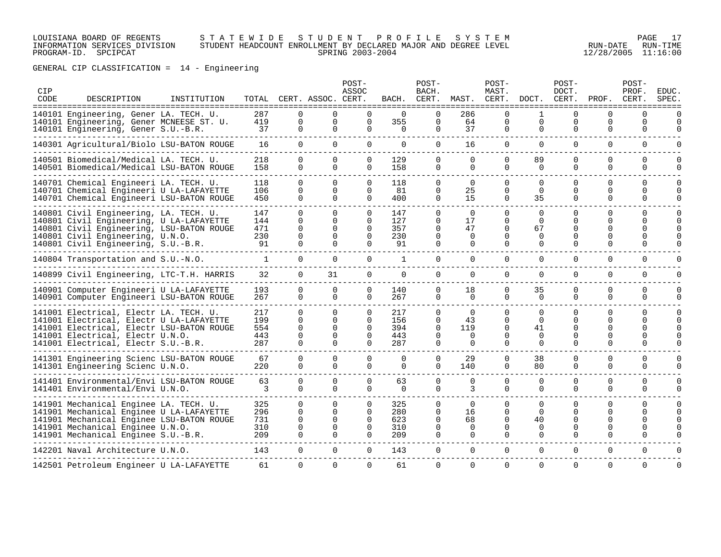### LOUISIANA BOARD OF REGENTS S T A T E W I D E S T U D E N T P R O F I L E S Y S T E M PAGE 17 INFORMATION SERVICES DIVISION STUDENT HEADCOUNT ENROLLMENT BY DECLARED MAJOR AND DEGREE LEVEL RUN-DATE RUN-TIME PROGRAM-ID. SPCIPCAT SPRING 2003-2004 12/28/2005 11:16:00

GENERAL CIP CLASSIFICATION = 14 - Engineering

| CIP<br>CODE | DESCRIPTION<br>=====================================                                                                                                                                                       | INSTITUTION |                                 |                                                          | TOTAL CERT. ASSOC. CERT.                                 | POST-<br>ASSOC                                           | BACH.                           | POST-<br>BACH.<br>CERT.                           | MAST.<br>=============                        | POST-<br>MAST.<br>CERT.                                  | DOCT.<br>=======                                       | POST-<br>DOCT.<br>CERT.<br>======                 | PROF.                        | POST-<br>PROF.<br>CERT.<br>==============      | EDUC<br>SPEC<br>======                                   |
|-------------|------------------------------------------------------------------------------------------------------------------------------------------------------------------------------------------------------------|-------------|---------------------------------|----------------------------------------------------------|----------------------------------------------------------|----------------------------------------------------------|---------------------------------|---------------------------------------------------|-----------------------------------------------|----------------------------------------------------------|--------------------------------------------------------|---------------------------------------------------|------------------------------|------------------------------------------------|----------------------------------------------------------|
|             | 140101 Engineering, Gener LA. TECH. U.<br>140101 Engineering, Gener MCNEESE ST. U.<br>140101 Engineering, Gener S.U.-B.R.                                                                                  |             | 287<br>419<br>37                | <sup>0</sup><br>0<br>$\mathbf{0}$                        | 0<br>0<br>0                                              | $\Omega$<br>0                                            | $\Omega$<br>355<br>0            | $\Omega$<br>$\Omega$<br>0                         | 286<br>64<br>37                               | $\Omega$<br>$\Omega$<br>0                                | $\Omega$<br>$\mathbf 0$                                | $\Omega$<br>$\Omega$<br>0                         | 0<br>$\Omega$<br>0           | $\Omega$<br>$\mathbf 0$<br>0                   | <sup>n</sup><br>$\Omega$<br>$\Omega$                     |
|             | 140301 Agricultural/Biolo LSU-BATON ROUGE                                                                                                                                                                  |             | 16                              | $\Omega$                                                 | $\Omega$                                                 | $\Omega$                                                 | $\Omega$                        | $\Omega$                                          | 16                                            | $\Omega$                                                 | $\Omega$                                               | $\Omega$                                          | 0                            | 0                                              | $\Omega$                                                 |
|             | 140501 Biomedical/Medical LA. TECH. U.<br>140501 Biomedical/Medical LSU-BATON ROUGE                                                                                                                        |             | 218<br>158                      | 0<br>$\Omega$                                            | $\Omega$<br>$\Omega$                                     | $\Omega$<br>$\Omega$                                     | 129<br>158                      | 0<br>$\Omega$                                     | $\Omega$<br>$\Omega$                          | $\Omega$<br>$\Omega$                                     | 89<br>$\Omega$                                         | $\Omega$<br>$\Omega$                              | 0<br>0                       | $\Omega$<br>$\Omega$                           | $\Omega$<br>$\Omega$                                     |
|             | 140701 Chemical Engineeri LA. TECH. U.<br>140701 Chemical Engineeri U LA-LAFAYETTE<br>140701 Chemical Engineeri LSU-BATON ROUGE                                                                            |             | 118<br>106<br>450               | $\Omega$<br>$\Omega$<br>$\Omega$                         | $\Omega$<br>$\Omega$<br>$\Omega$                         | $\Omega$<br>$\Omega$<br>$\Omega$                         | 118<br>81<br>400                | $\Omega$<br>0<br>0                                | $\Omega$<br>25<br>15                          | $\Omega$<br>$\Omega$<br>$\Omega$                         | $\Omega$<br>$\Omega$<br>35                             | $\Omega$<br>$\Omega$<br>$\Omega$                  | 0<br>0<br>$\Omega$           | $\Omega$<br>$\Omega$<br>0                      | $\Omega$<br>$\Omega$<br>$\Omega$                         |
|             | 140801 Civil Engineering, LA. TECH. U.<br>140801 Civil Engineering, U LA-LAFAYETTE<br>140801 Civil Engineering, LSU-BATON ROUGE<br>140801 Civil Engineering, U.N.O.<br>140801 Civil Engineering, S.U.-B.R. |             | 147<br>144<br>471<br>230<br>91  | $\Omega$<br>$\Omega$<br>$\Omega$<br>$\Omega$<br>$\Omega$ | $\Omega$<br>$\Omega$<br>$\Omega$<br>$\Omega$<br>$\Omega$ | $\Omega$<br>$\Omega$<br>$\Omega$<br>$\Omega$<br>$\Omega$ | 147<br>127<br>357<br>230<br>91  | $\Omega$<br>0<br>$\Omega$<br>$\Omega$<br>$\Omega$ | $\Omega$<br>17<br>47<br>0<br>$\Omega$         | $\Omega$<br>$\Omega$<br>$\Omega$<br>$\Omega$<br>$\Omega$ | $\Omega$<br>$\Omega$<br>67<br>0<br>$\Omega$            | $\Omega$<br>U<br>$\Omega$<br>0<br>$\Omega$        | U<br>0<br>U<br>O<br>$\Omega$ | $\Omega$<br>$\Omega$<br>0<br><sup>0</sup><br>0 | $\Omega$<br>$\Omega$<br>$\Omega$<br>$\Omega$             |
|             | 140804 Transportation and S.U.-N.O.                                                                                                                                                                        |             | $\mathbf{1}$                    | $\mathbf{0}$                                             | $\mathbf{0}$                                             | $\mathbf{0}$                                             | 1                               | 0                                                 | $\Omega$                                      | $\Omega$                                                 | $\Omega$                                               | $\Omega$                                          | $\Omega$                     | $\mathbf 0$                                    | $\Omega$                                                 |
|             | 140899 Civil Engineering, LTC-T.H. HARRIS                                                                                                                                                                  |             | 32                              | $\overline{0}$                                           | 31                                                       | 0                                                        | 0                               | 0                                                 | 0                                             | 0                                                        | 0                                                      | 0                                                 | $\Omega$                     | $\mathbf 0$                                    | $\Omega$                                                 |
|             | 140901 Computer Engineeri U LA-LAFAYETTE<br>140901 Computer Engineeri LSU-BATON ROUGE                                                                                                                      |             | 193<br>267                      | 0<br>$\Omega$                                            | $\Omega$<br>$\Omega$                                     | $\Omega$                                                 | 140<br>267                      | $\Omega$<br>0                                     | 18<br>$\Omega$                                | $\Omega$<br>$\Omega$                                     | 35<br>$\Omega$                                         | $\Omega$<br>0                                     | $\Omega$<br>$\Omega$         | $\Omega$<br>$\Omega$                           | $\Omega$<br>$\Omega$                                     |
|             | 141001 Electrical, Electr LA. TECH. U.<br>141001 Electrical, Electr U LA-LAFAYETTE<br>141001 Electrical, Electr LSU-BATON ROUGE<br>141001 Electrical, Electr U.N.O.<br>141001 Electrical, Electr S.U.-B.R. |             | 217<br>199<br>554<br>443<br>287 | $\Omega$<br>$\Omega$<br>$\Omega$<br>$\Omega$<br>$\Omega$ | $\Omega$<br>$\Omega$<br>$\Omega$<br>$\Omega$<br>$\Omega$ | $\Omega$<br>$\Omega$<br>$\Omega$<br>$\Omega$<br>$\Omega$ | 217<br>156<br>394<br>443<br>287 | $\Omega$<br>0<br>$\Omega$<br>0<br>0               | $\Omega$<br>43<br>119<br>$\Omega$<br>$\Omega$ | $\Omega$<br>$\Omega$<br>$\Omega$<br>$\Omega$<br>$\Omega$ | $\Omega$<br>$\Omega$<br>41<br>$\Omega$<br>$\Omega$     | $\Omega$<br>$\Omega$<br>O<br>$\Omega$<br>$\Omega$ | $\Omega$<br>0<br>U<br>U<br>U | $\Omega$<br>$\Omega$<br>U<br><sup>0</sup><br>0 | $\Omega$<br>$\Omega$<br>$\Omega$<br>$\Omega$<br>$\Omega$ |
|             | 141301 Engineering Scienc LSU-BATON ROUGE<br>141301 Engineering Scienc U.N.O.                                                                                                                              |             | 67<br>220                       | $\Omega$<br>$\Omega$                                     | $\Omega$<br>$\Omega$                                     | $\Omega$<br>$\Omega$                                     | $\Omega$<br>$\Omega$            | $\Omega$<br>$\Omega$                              | 29<br>140                                     | $\Omega$<br>$\Omega$                                     | 38<br>80                                               | $\Omega$<br>$\Omega$                              | $\Omega$<br>$\Omega$         | $\Omega$<br>$\Omega$                           | $\mathbf 0$<br>$\Omega$                                  |
|             | 141401 Environmental/Envi LSU-BATON ROUGE<br>141401 Environmental/Envi U.N.O.                                                                                                                              |             | 63<br>3                         | $\Omega$<br>$\Omega$                                     | $\Omega$<br>$\cap$                                       | $\Omega$<br>$\Omega$                                     | 63<br>$\Omega$                  | $\Omega$<br>0                                     | $\Omega$<br>3                                 | $\Omega$<br>$\Omega$                                     | $\Omega$<br>$\Omega$                                   | $\Omega$<br>$\Omega$                              | $\Omega$<br>$\Omega$         | $\Omega$<br>$\Omega$                           | $\Omega$<br>$\Omega$                                     |
|             | 141901 Mechanical Enginee LA. TECH. U.<br>141901 Mechanical Enginee U LA-LAFAYETTE<br>141901 Mechanical Enginee LSU-BATON ROUGE<br>141901 Mechanical Enginee U.N.O.<br>141901 Mechanical Enginee S.U.-B.R. |             | 325<br>296<br>731<br>310<br>209 | $\Omega$<br>$\Omega$<br>$\Omega$<br>$\Omega$<br>$\Omega$ | $\Omega$<br>$\Omega$<br>$\Omega$<br>$\Omega$<br>$\Omega$ | $\Omega$<br>$\Omega$<br>$\Omega$<br>$\Omega$             | 325<br>280<br>623<br>310<br>209 | 0<br>0<br>0<br>$\Omega$<br>0                      | $\Omega$<br>16<br>68<br>$\Omega$<br>$\Omega$  | $\Omega$<br>$\Omega$<br>$\Omega$<br>$\Omega$<br>$\Omega$ | <sup>0</sup><br>$\Omega$<br>40<br>$\Omega$<br>$\Omega$ | $\Omega$<br>U<br>U<br>$\Omega$<br>$\Omega$        | 0<br>U<br>U<br>0             | $\Omega$<br>U<br>U<br><sup>0</sup><br>$\Omega$ | $\Omega$<br>$\Omega$<br>$\Omega$<br>$\Omega$<br>$\Omega$ |
|             | 142201 Naval Architecture U.N.O.                                                                                                                                                                           |             | 143                             | $\Omega$                                                 | $\Omega$                                                 | $\Omega$                                                 | 143                             | $\Omega$                                          | $\Omega$                                      | $\Omega$                                                 | $\Omega$                                               | 0                                                 | 0                            | $\mathbf 0$                                    | $\Omega$                                                 |
|             | 142501 Petroleum Engineer U LA-LAFAYETTE                                                                                                                                                                   |             | 61                              | $\Omega$                                                 | $\Omega$                                                 | $\Omega$                                                 | 61                              | $\Omega$                                          | $\Omega$                                      | $\Omega$                                                 | $\Omega$                                               | $\Omega$                                          | $\Omega$                     | $\Omega$                                       | $\Omega$                                                 |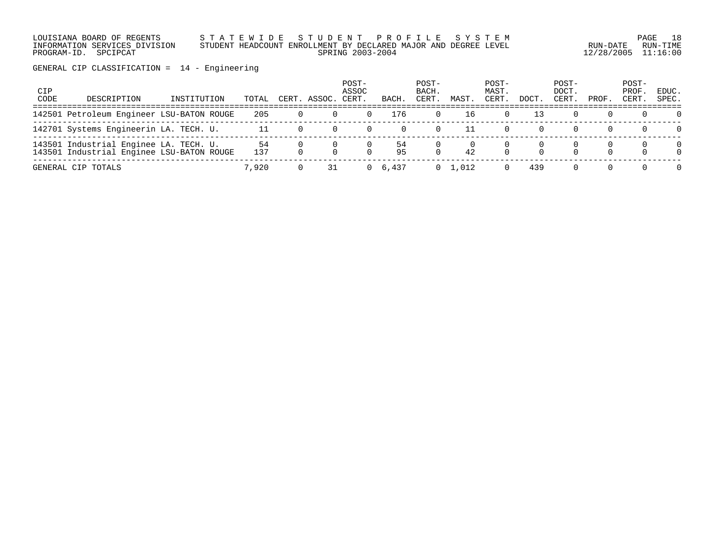LOUISIANA BOARD OF REGENTS S T A T E W I D E S T U D E N T P R O F I L E S Y S T E M PAGE 18 INFORMATION SERVICES DIVISION STUDENT HEADCOUNT ENROLLMENT BY DECLARED MAJOR AND DEGREE LEVEL RUN-DATE RUN-TIME PROGRAM-ID. SPCIPCAT SPRING 2003-2004 12/28/2005 11:16:00

GENERAL CIP CLASSIFICATION = 14 - Engineering

| CIP<br>CODE | DESCRIPTION                                                                         | INSTITUTION | TOTAL      | CERT. ASSOC. | POST-<br>ASSOC<br>CERT | BACH     | POST-<br>BACH.<br>CERT. | MAST            | POST-<br>MAST.<br>CERT. | DOCT. | POST-<br>DOCT.<br>CERT. | PROF.    | POST-<br>PROF.<br>CERT | EDUC.<br>SPEC.       |
|-------------|-------------------------------------------------------------------------------------|-------------|------------|--------------|------------------------|----------|-------------------------|-----------------|-------------------------|-------|-------------------------|----------|------------------------|----------------------|
|             | 142501 Petroleum Engineer LSU-BATON ROUGE                                           |             | 205        |              |                        | 176      |                         | 16              |                         |       |                         | 0        | $\Omega$               | $\Omega$             |
|             | 142701 Systems Engineerin LA. TECH. U.                                              |             | 11         | $\Omega$     |                        | $\Omega$ |                         |                 |                         |       |                         | $\Omega$ | $\Omega$               | $\Omega$             |
|             | 143501 Industrial Enginee LA. TECH. U.<br>143501 Industrial Enginee LSU-BATON ROUGE |             | -54<br>137 |              | $\cap$                 | 54<br>95 | $\Omega$                | 42              |                         |       | $\Omega$                |          |                        | $\Omega$<br>$\Omega$ |
|             | GENERAL CIP TOTALS                                                                  |             | 7,920      | 31           |                        | 6,437    |                         | $0 \quad 1.012$ |                         | 439   |                         |          |                        | $\Omega$             |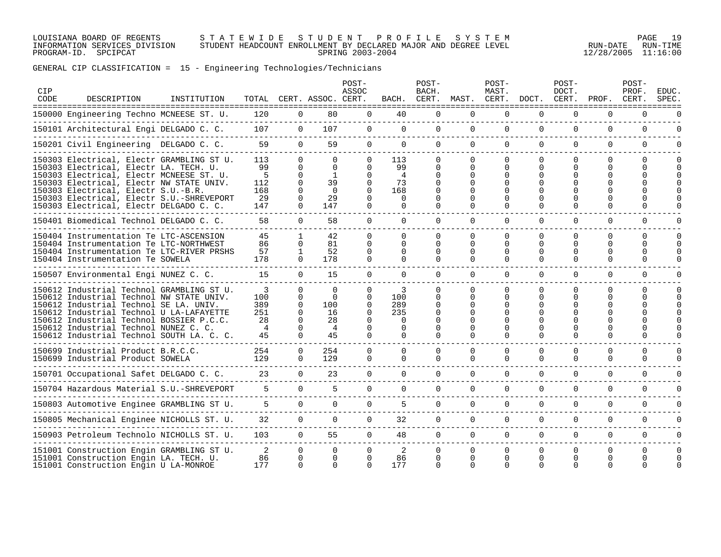### LOUISIANA BOARD OF REGENTS S T A T E W I D E S T U D E N T P R O F I L E S Y S T E M PAGE 19 INFORMATION SERVICES DIVISION STUDENT HEADCOUNT ENROLLMENT BY DECLARED MAJOR AND DEGREE LEVEL RUN-DATE RUN-TIME PROGRAM-ID. SPCIPCAT SPRING 2003-2004 12/28/2005 11:16:00

# GENERAL CIP CLASSIFICATION = 15 - Engineering Technologies/Technicians

| CIP<br>CODE | DESCRIPTION                                                                                                                                                                                                                                                                                                   | INSTITUTION |                                                      |                                                                                  | TOTAL CERT. ASSOC. CERT.                           | POST-<br>ASSOC                                                                   |                                                                  | POST-<br>BACH.                      | BACH. CERT. MAST. CERT. DOCT. CERT.                                              | POST-<br>MAST.                           |                                                                      | POST-<br>DOCT.                             | PROF. CERT.                                  | POST-<br>PROF.                 | <b>EDUC</b><br><b>SPEC</b> |
|-------------|---------------------------------------------------------------------------------------------------------------------------------------------------------------------------------------------------------------------------------------------------------------------------------------------------------------|-------------|------------------------------------------------------|----------------------------------------------------------------------------------|----------------------------------------------------|----------------------------------------------------------------------------------|------------------------------------------------------------------|-------------------------------------|----------------------------------------------------------------------------------|------------------------------------------|----------------------------------------------------------------------|--------------------------------------------|----------------------------------------------|--------------------------------|----------------------------|
|             | --------------------------------<br>150000 Engineering Techno MCNEESE ST. U.                                                                                                                                                                                                                                  |             | 120                                                  | $\overline{0}$                                                                   | 80                                                 | $\mathbf 0$                                                                      | 40                                                               | $\Omega$                            | $\Omega$                                                                         | $\Omega$                                 | $\Omega$                                                             | $\Omega$                                   | $\Omega$                                     | $\Omega$                       |                            |
|             | 150101 Architectural Engi DELGADO C. C.                                                                                                                                                                                                                                                                       |             | 107                                                  | $\mathbf{0}$                                                                     | 107                                                | $\overline{0}$                                                                   | $\overline{0}$                                                   | $\overline{0}$                      | $\overline{0}$                                                                   | $\mathbf 0$                              | $\overline{0}$                                                       | 0                                          | $\mathbf 0$                                  | $\mathbf 0$                    | $\mathbf 0$                |
|             | 150201 Civil Engineering DELGADO C. C.                                                                                                                                                                                                                                                                        |             | 59                                                   | $\Omega$                                                                         | 59                                                 | $\overline{0}$                                                                   | $\Omega$                                                         | $\Omega$                            | $\Omega$                                                                         | $\Omega$                                 | $\Omega$                                                             | $\Omega$                                   | $\Omega$                                     | $\Omega$                       | O                          |
|             | 150303 Electrical, Electr GRAMBLING ST U.<br>150303 Electrical, Electr LA. TECH. U.<br>150303 Electrical, Electr MCNEESE ST. U.<br>150303 Electrical, Electr NW STATE UNIV.<br>150303 Electrical, Electr S.U.-B.R.<br>150303 Electrical, Electr S.U.-SHREVEPORT<br>150303 Electrical, Electr DELGADO C. C.    |             | 113<br>99<br>5<br>112<br>168<br>29<br>147            | $\Omega$<br>$\Omega$<br>$\Omega$<br>$\Omega$<br>$\Omega$<br>$\Omega$<br>$\Omega$ | 0<br>$\Omega$<br>1<br>39<br>$\Omega$<br>29<br>147  | $\Omega$<br>$\Omega$<br>$\Omega$<br>$\Omega$<br>$\Omega$<br>$\Omega$<br>$\Omega$ | 113<br>99<br>$\overline{4}$<br>73<br>168<br>$\Omega$<br>$\Omega$ | 0<br>0<br>0<br>$\Omega$<br>$\Omega$ | $\Omega$<br>$\Omega$<br>$\Omega$<br>$\Omega$<br>$\Omega$<br>$\Omega$<br>$\Omega$ | 0<br>0<br>0<br>$\Omega$<br>U<br>$\Omega$ | $\Omega$<br>$\Omega$<br>$\Omega$                                     | $\Omega$<br>$\Omega$                       | 0<br>∩<br>$\Omega$                           | $\Omega$<br>U<br>$\Omega$      | 0                          |
|             | 150401 Biomedical Technol DELGADO C. C.                                                                                                                                                                                                                                                                       |             | 58                                                   | $\Omega$                                                                         | 58                                                 | $\Omega$                                                                         | $\Omega$                                                         | $\Omega$                            | $\Omega$                                                                         | $\Omega$                                 | $\Omega$                                                             | $\Omega$                                   | $\Omega$                                     | $\Omega$                       | O                          |
|             | 150404 Instrumentation Te LTC-ASCENSION<br>150404 Instrumentation Te LTC-NORTHWEST<br>150404 Instrumentation Te LTC-RIVER PRSHS<br>150404 Instrumentation Te SOWELA                                                                                                                                           |             | 45<br>86<br>57<br>178                                | $\mathbf{1}$<br>$\Omega$<br>$\mathbf{1}$<br>$\Omega$                             | 42<br>81<br>52<br>178                              | $\Omega$<br>$\Omega$<br>$\Omega$<br>$\Omega$                                     | $\Omega$<br>$\cap$<br>$\Omega$<br>$\Omega$                       | $\Omega$<br>$\cap$<br>$\Omega$<br>0 | $\Omega$<br>$\Omega$<br>$\Omega$<br>$\Omega$                                     | $\Omega$<br>0<br>0<br>$\Omega$           | $\Omega$<br>$\Omega$<br>0<br>$\Omega$                                | $\Omega$<br>$\cap$<br>$\Omega$<br>$\Omega$ | $\Omega$<br>$\Omega$<br>$\Omega$<br>$\Omega$ | $\Omega$<br>$\Omega$<br>O<br>U | 0<br>0                     |
|             | 150507 Environmental Engi NUNEZ C. C.                                                                                                                                                                                                                                                                         |             | 15                                                   | $\Omega$                                                                         | 15                                                 | $\Omega$                                                                         | $\Omega$                                                         | $\Omega$                            | $\Omega$                                                                         | $\Omega$                                 | $\Omega$                                                             | $\Omega$                                   | $\Omega$                                     | $\Omega$                       | $\Omega$                   |
|             | 150612 Industrial Technol GRAMBLING ST U.<br>150612 Industrial Technol NW STATE UNIV.<br>150612 Industrial Technol SE LA. UNIV.<br>150612 Industrial Technol U LA-LAFAYETTE<br>150612 Industrial Technol BOSSIER P.C.C.<br>150612 Industrial Technol NUNEZ C. C.<br>150612 Industrial Technol SOUTH LA. C. C. |             | 3<br>100<br>389<br>251<br>28<br>$\overline{4}$<br>45 | $\Omega$<br>$\Omega$<br>$\Omega$<br>$\Omega$<br>$\Omega$<br>$\Omega$<br>$\Omega$ | $\Omega$<br>$\Omega$<br>100<br>16<br>28<br>4<br>45 | $\Omega$<br>$\Omega$<br>$\Omega$<br>$\Omega$<br>$\Omega$<br>$\Omega$             | 3<br>100<br>289<br>235<br>$\Omega$<br>$\Omega$<br>$\Omega$       | $\cap$<br>0<br>0<br>0<br>$\Omega$   | $\Omega$<br>$\Omega$<br>$\Omega$<br>$\Omega$<br>$\Omega$<br>$\Omega$             | <sup>n</sup><br>0<br>0<br>U<br>O         | $\Omega$<br>$\Omega$<br>$\Omega$<br>$\Omega$<br>$\Omega$<br>$\Omega$ | $\cap$<br>U<br>$\Omega$                    | 0<br>∩<br>$\Omega$<br>$\Omega$               | $\Omega$<br>U<br>$\Omega$      |                            |
|             | 150699 Industrial Product B.R.C.C.<br>150699 Industrial Product SOWELA                                                                                                                                                                                                                                        |             | 254<br>129                                           | $\mathbf 0$<br>$\Omega$                                                          | 254<br>129                                         | $\Omega$<br>$\Omega$                                                             | $\Omega$<br>$\Omega$                                             | $\Omega$<br>$\Omega$                | $\Omega$<br>$\Omega$                                                             | $\Omega$<br>$\Omega$                     | $\mathbf 0$<br>$\Omega$                                              | $\Omega$<br>$\Omega$                       | $\Omega$<br>$\Omega$                         | $\mathbf 0$<br>$\Omega$        | 0                          |
|             | 150701 Occupational Safet DELGADO C. C.                                                                                                                                                                                                                                                                       |             | 23                                                   | $\Omega$                                                                         | 23                                                 | $\Omega$                                                                         | $\Omega$                                                         | $\Omega$                            | $\Omega$                                                                         | $\Omega$                                 | $\Omega$                                                             | $\Omega$                                   | $\Omega$                                     | $\Omega$                       | $\Omega$                   |
|             | 150704 Hazardous Material S.U.-SHREVEPORT                                                                                                                                                                                                                                                                     |             | 5                                                    | $\Omega$                                                                         | 5                                                  | $\Omega$                                                                         | $\Omega$                                                         | $\Omega$                            | $\Omega$                                                                         | $\Omega$                                 | $\Omega$                                                             | $\Omega$                                   | 0                                            | $\Omega$                       | $\Omega$                   |
|             | 150803 Automotive Enginee GRAMBLING ST U.                                                                                                                                                                                                                                                                     |             | 5                                                    | $\Omega$                                                                         | $\Omega$                                           | $\Omega$                                                                         | 5                                                                | $\Omega$                            | $\Omega$                                                                         | $\Omega$                                 | $\Omega$                                                             | $\Omega$                                   | 0                                            | $\Omega$                       | $\Omega$                   |
|             | 150805 Mechanical Enginee NICHOLLS ST. U.                                                                                                                                                                                                                                                                     |             | 32                                                   | $\Omega$                                                                         | $\Omega$                                           | $\Omega$                                                                         | 32                                                               | $\Omega$                            | $\Omega$                                                                         | $\Omega$                                 | $\Omega$                                                             | $\Omega$                                   | $\Omega$                                     | $\Omega$                       | $\Omega$                   |
|             | 150903 Petroleum Technolo NICHOLLS ST. U.                                                                                                                                                                                                                                                                     |             | 103                                                  | $\Omega$                                                                         | 55                                                 | $\Omega$                                                                         | 48                                                               | $\Omega$                            | $\Omega$                                                                         | $\Omega$                                 | $\Omega$                                                             | $\Omega$                                   | $\Omega$                                     | $\Omega$                       | 0                          |
|             | 151001 Construction Engin GRAMBLING ST U.<br>151001 Construction Engin LA. TECH. U.<br>151001 Construction Engin U LA-MONROE                                                                                                                                                                                  |             | 2<br>86<br>177                                       | $\overline{0}$<br>$\Omega$<br>$\Omega$                                           | $\Omega$<br>$\Omega$<br>$\Omega$                   | $\Omega$<br>$\Omega$<br>$\Omega$                                                 | 2<br>86<br>177                                                   | $\Omega$<br>$\Omega$<br>$\Omega$    | $\Omega$<br>$\Omega$<br>$\Omega$                                                 | $\Omega$<br>0<br>$\Omega$                | $\Omega$<br>$\Omega$<br>$\cap$                                       | $\Omega$<br>$\Omega$                       | $\Omega$<br>0<br>∩                           | $\Omega$<br>U                  | 0<br>0                     |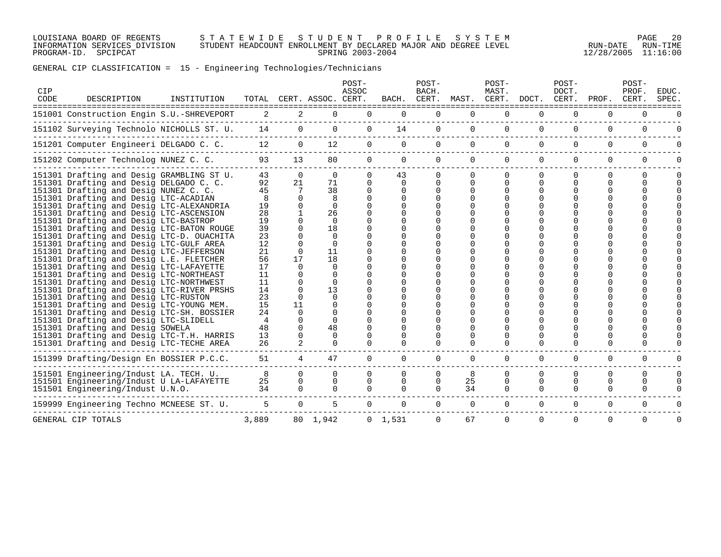LOUISIANA BOARD OF REGENTS S T A T E W I D E S T U D E N T P R O F I L E S Y S T E M PAGE 20 INFORMATION SERVICES DIVISION STUDENT HEADCOUNT ENROLLMENT BY DECLARED MAJOR AND DEGREE LEVEL RUN-DATE RUN-TIME PROGRAM-ID. SPCIPCAT SPRING 2003-2004 12/28/2005 11:16:00

# GENERAL CIP CLASSIFICATION = 15 - Engineering Technologies/Technicians

| CIP<br>CODE | DESCRIPTION                                                                                                                                                                                                                                                                                                                                                                                                                                                                                                                                                                                                                                                                                                                                                                                                                                                                               | INSTITUTION |                                                                                                                    |                                                                                                                  | TOTAL CERT. ASSOC. CERT.                                                                                                                                                        | POST-<br>ASSOC                   |                                  | POST-<br>BACH.<br>BACH. CERT. |                               | POST-<br>MAST.                | MAST. CERT. DOCT. CERT.   | POST-<br>DOCT.                   | PROF.              | POST-<br>PROF.<br>CERT.          | EDUC.<br>SPEC. |
|-------------|-------------------------------------------------------------------------------------------------------------------------------------------------------------------------------------------------------------------------------------------------------------------------------------------------------------------------------------------------------------------------------------------------------------------------------------------------------------------------------------------------------------------------------------------------------------------------------------------------------------------------------------------------------------------------------------------------------------------------------------------------------------------------------------------------------------------------------------------------------------------------------------------|-------------|--------------------------------------------------------------------------------------------------------------------|------------------------------------------------------------------------------------------------------------------|---------------------------------------------------------------------------------------------------------------------------------------------------------------------------------|----------------------------------|----------------------------------|-------------------------------|-------------------------------|-------------------------------|---------------------------|----------------------------------|--------------------|----------------------------------|----------------|
|             | 151001 Construction Engin S.U.-SHREVEPORT                                                                                                                                                                                                                                                                                                                                                                                                                                                                                                                                                                                                                                                                                                                                                                                                                                                 |             | 2                                                                                                                  | 2                                                                                                                | 0                                                                                                                                                                               | 0                                | $\mathbf 0$                      | 0                             | 0                             | 0                             | 0                         | 0                                | 0                  | 0                                |                |
|             | 151102 Surveying Technolo NICHOLLS ST. U.                                                                                                                                                                                                                                                                                                                                                                                                                                                                                                                                                                                                                                                                                                                                                                                                                                                 |             | 14                                                                                                                 | $\overline{0}$                                                                                                   | $\overline{0}$                                                                                                                                                                  | $\overline{0}$                   | 14                               | $\overline{0}$                | $\overline{0}$                | $\overline{0}$                | $\Omega$                  | $\Omega$                         | $\Omega$           | $\mathbf 0$                      | $\Omega$       |
|             | 151201 Computer Engineeri DELGADO C. C.                                                                                                                                                                                                                                                                                                                                                                                                                                                                                                                                                                                                                                                                                                                                                                                                                                                   |             | 12                                                                                                                 | $\overline{0}$                                                                                                   | 12                                                                                                                                                                              | $\overline{0}$                   | $\Omega$                         | $\Omega$                      | $\Omega$                      | $\Omega$                      | $\Omega$                  | $\Omega$                         | $\Omega$           | $\Omega$                         | O              |
|             | 151202 Computer Technolog NUNEZ C. C.                                                                                                                                                                                                                                                                                                                                                                                                                                                                                                                                                                                                                                                                                                                                                                                                                                                     |             | 93                                                                                                                 | 13                                                                                                               | 80                                                                                                                                                                              | $\overline{0}$                   | $\overline{0}$                   | $\overline{0}$                | $\overline{0}$                | $\overline{0}$                | $\overline{0}$            | $\mathbf{0}$                     | $\mathbf 0$        | 0                                | $\Omega$       |
|             | 151301 Drafting and Desig GRAMBLING ST U.<br>151301 Drafting and Desig DELGADO C. C.<br>151301 Drafting and Desig NUNEZ C. C.<br>151301 Drafting and Desig LTC-ACADIAN<br>151301 Drafting and Desig LTC-ALEXANDRIA<br>151301 Drafting and Desig LTC-ASCENSION<br>151301 Drafting and Desig LTC-BASTROP<br>151301 Drafting and Desig LTC-BATON ROUGE<br>151301 Drafting and Desig LTC-D. OUACHITA<br>151301 Drafting and Desig LTC-GULF AREA<br>151301 Drafting and Desig LTC-JEFFERSON<br>151301 Drafting and Desig L.E. FLETCHER<br>151301 Drafting and Desig LTC-LAFAYETTE<br>151301 Drafting and Desig LTC-NORTHEAST<br>151301 Drafting and Desig LTC-NORTHWEST<br>151301 Drafting and Desig LTC-RIVER PRSHS<br>151301 Drafting and Desig LTC-RUSTON<br>151301 Drafting and Desig LTC-YOUNG MEM.<br>151301 Drafting and Desig LTC-SH. BOSSIER<br>151301 Drafting and Desig LTC-SLIDELL |             | 43<br>92<br>45<br>8<br>19<br>28<br>19<br>39<br>23<br>12<br>21<br>56<br>17<br>11<br>11<br>14<br>23<br>15<br>24<br>4 | $\Omega$<br>21<br>7<br>0<br>$\Omega$<br>$\Omega$<br>17<br><sup>n</sup><br>$\Omega$<br>$\Omega$<br>11<br>$\Omega$ | $\Omega$<br>71<br>38<br>8<br>$\Omega$<br>26<br>$\Omega$<br>18<br>$\Omega$<br>$\Omega$<br>11<br>18<br>$\Omega$<br>$\Omega$<br>13<br>$\Omega$<br>$\Omega$<br>$\Omega$<br>$\Omega$ | $\Omega$<br>$\Omega$<br>$\cap$   | 43<br>$\Omega$<br>$\Omega$       | 0<br>$\Omega$<br>0            | $\Omega$<br>0<br><sup>n</sup> | 0<br>$\Omega$<br><sup>n</sup> | $\Omega$<br>$\Omega$<br>∩ | $\Omega$<br>0<br>∩               | 0<br>0             | $\Omega$                         | O              |
|             | 151301 Drafting and Desig SOWELA<br>151301 Drafting and Desig LTC-T.H. HARRIS<br>151301 Drafting and Desig LTC-TECHE AREA                                                                                                                                                                                                                                                                                                                                                                                                                                                                                                                                                                                                                                                                                                                                                                 |             | 48<br>13<br>26                                                                                                     | $\Omega$<br>$\Omega$<br>$\mathcal{L}$                                                                            | 48<br>$\Omega$<br>$\Omega$                                                                                                                                                      |                                  |                                  | $\Omega$                      | $\Omega$                      | $\Omega$<br>$\Omega$          | $\cap$                    | O<br>∩                           | 0<br>O             | U                                |                |
|             | 151399 Drafting/Design En BOSSIER P.C.C.                                                                                                                                                                                                                                                                                                                                                                                                                                                                                                                                                                                                                                                                                                                                                                                                                                                  |             | 51                                                                                                                 | 4                                                                                                                | 47                                                                                                                                                                              | $\Omega$                         | $\Omega$                         | $\Omega$                      | $\Omega$                      | $\Omega$                      | $\Omega$                  | $\Omega$                         | $\Omega$           | $\Omega$                         | O              |
|             | 151501 Engineering/Indust LA. TECH. U.<br>151501 Engineering/Indust U LA-LAFAYETTE<br>151501 Engineering/Indust U.N.O.                                                                                                                                                                                                                                                                                                                                                                                                                                                                                                                                                                                                                                                                                                                                                                    |             | 8<br>25<br>34                                                                                                      | $\Omega$<br>0<br>$\Omega$                                                                                        | $\Omega$<br>0<br>$\Omega$                                                                                                                                                       | $\Omega$<br>$\Omega$<br>$\Omega$ | $\Omega$<br>$\Omega$<br>$\Omega$ | 0<br>$\Omega$<br>$\cap$       | 8<br>25<br>34                 | $\Omega$<br>0<br>$\Omega$     | 0<br>$\Omega$<br>$\Omega$ | $\Omega$<br>$\Omega$<br>$\Omega$ | 0<br>0<br>$\Omega$ | $\Omega$<br>$\Omega$<br>$\Omega$ | $\Omega$<br>0  |
|             | 159999 Engineering Techno MCNEESE ST. U.                                                                                                                                                                                                                                                                                                                                                                                                                                                                                                                                                                                                                                                                                                                                                                                                                                                  |             | 5                                                                                                                  | $\overline{0}$                                                                                                   | 5                                                                                                                                                                               | $\mathbf{0}$                     | $\overline{0}$                   | $\overline{0}$                | $\mathbf{0}$                  | $\overline{0}$                | $\Omega$                  | $\Omega$                         | 0                  | $\Omega$                         | 0              |
|             | GENERAL CIP TOTALS                                                                                                                                                                                                                                                                                                                                                                                                                                                                                                                                                                                                                                                                                                                                                                                                                                                                        |             | 3,889                                                                                                              |                                                                                                                  | 80 1,942                                                                                                                                                                        |                                  | $0 \quad 1,531$                  | $\Omega$                      | 67                            | $\Omega$                      | $\Omega$                  | $\Omega$                         | $\Omega$           | $\Omega$                         | $\Omega$       |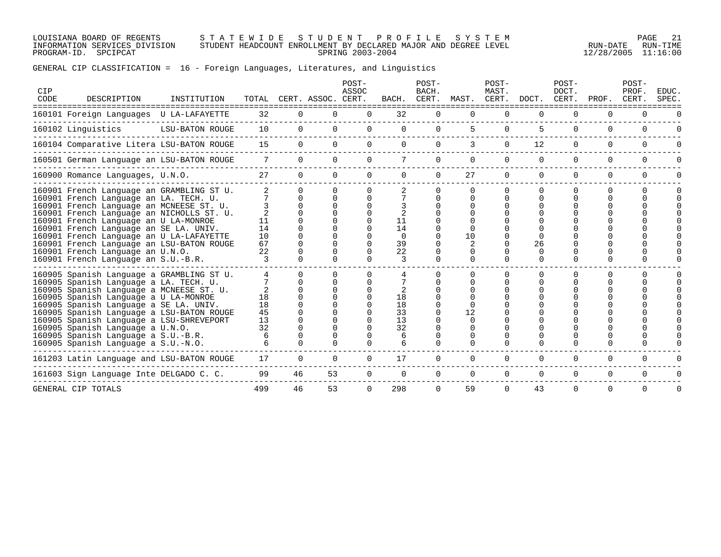LOUISIANA BOARD OF REGENTS S T A T E W I D E S T U D E N T P R O F I L E S Y S T E M PAGE 21 INFORMATION SERVICES DIVISION STUDENT HEADCOUNT ENROLLMENT BY DECLARED MAJOR AND DEGREE LEVEL RUN-DATE RUN-TIME PROGRAM-ID. SPCIPCAT SPRING 2003-2004 12/28/2005 11:16:00

# GENERAL CIP CLASSIFICATION = 16 - Foreign Languages, Literatures, and Linguistics

| CIP<br>CODE | DESCRIPTION                                                                                                                                                                                                                                                                                                                                                                                                                   | INSTITUTION     |                            |              | TOTAL CERT. ASSOC. CERT. | POST-<br>ASSOC |                                      | POST-<br>BACH. |          | POST-<br>MAST. | BACH. CERT. MAST. CERT. DOCT. CERT. PROF. | POST-<br>DOCT. |          | POST-<br>PROF.<br>CERT. | EDUC.<br>SPEC. |
|-------------|-------------------------------------------------------------------------------------------------------------------------------------------------------------------------------------------------------------------------------------------------------------------------------------------------------------------------------------------------------------------------------------------------------------------------------|-----------------|----------------------------|--------------|--------------------------|----------------|--------------------------------------|----------------|----------|----------------|-------------------------------------------|----------------|----------|-------------------------|----------------|
|             | 160101 Foreign Languages U LA-LAFAYETTE                                                                                                                                                                                                                                                                                                                                                                                       |                 | 32                         | 0            | 0                        | $\Omega$       | 32                                   | 0              |          | $\Omega$       |                                           |                | $\Omega$ |                         |                |
|             | 160102 Linquistics                                                                                                                                                                                                                                                                                                                                                                                                            | LSU-BATON ROUGE | 10                         | $\Omega$     | $\Omega$                 | 0              | $\Omega$                             | 0              | 5.       | $\Omega$       | 5                                         | $\Omega$       | $\Omega$ | $\Omega$                |                |
|             | 160104 Comparative Litera LSU-BATON ROUGE                                                                                                                                                                                                                                                                                                                                                                                     |                 | 15                         | 0            | 0                        | 0              | $\Omega$                             | 0              |          | $\Omega$       | 12                                        | 0              | $\Omega$ | $\Omega$                |                |
|             | 160501 German Language an LSU-BATON ROUGE                                                                                                                                                                                                                                                                                                                                                                                     |                 | 7                          | $\Omega$     | $\Omega$                 | $\Omega$       |                                      |                |          | 0              |                                           | $\Omega$       | $\Omega$ |                         |                |
|             | 160900 Romance Languages, U.N.O.                                                                                                                                                                                                                                                                                                                                                                                              |                 | 27                         | $\Omega$     | $\Omega$                 | $\Omega$       | $\Omega$                             | $\Omega$       | 27       | $\Omega$       | $\Omega$                                  | $\Omega$       | $\Omega$ | $\Omega$                |                |
|             | 160901 French Language an GRAMBLING ST U.<br>160901 French Language an LA. TECH. U.<br>160901 French Language an MCNEESE ST. U.<br>160901 French Language an NICHOLLS ST. U.                                                                                                                                                                                                                                                  |                 | 11                         | <sup>n</sup> |                          | 0              | 11                                   |                |          |                |                                           |                |          |                         |                |
|             | 160901 French Language an U LA-MONROE<br>160901 French Language an SE LA. UNIV.<br>160901 French Language an U LA-LAFAYETTE<br>160901 French Language an LSU-BATON ROUGE<br>160901 French Language an U.N.O.<br>160901 French Language an S.U.-B.R.                                                                                                                                                                           |                 | 14<br>10<br>67<br>22<br>3  |              | U<br>U                   | 0<br>0         | 14<br>$\Omega$<br>39<br>22<br>3      |                | 10<br>0  | $\Omega$       | 26<br>$\cap$<br>$\Omega$                  | ∩              | ∩        |                         |                |
|             | 160905 Spanish Language a GRAMBLING ST U.<br>160905 Spanish Language a LA. TECH. U.<br>160905 Spanish Language a MCNEESE ST. U.<br>160905 Spanish Language a U LA-MONROE<br>160905 Spanish Language a SE LA. UNIV.<br>160905 Spanish Language a LSU-BATON ROUGE<br>160905 Spanish Language a LSU-SHREVEPORT<br>160905 Spanish Language a U.N.O.<br>160905 Spanish Language a S.U.-B.R.<br>160905 Spanish Language a S.U.-N.O. |                 | 18<br>18<br>45<br>13<br>32 | U<br>∩       |                          | U              | 2<br>18<br>18<br>33<br>13<br>32<br>6 |                | 12       |                |                                           |                | ∩        |                         |                |
|             | 161203 Latin Language and LSU-BATON ROUGE                                                                                                                                                                                                                                                                                                                                                                                     |                 | 17                         | 0            | 0                        | 0              | 17                                   |                |          | 0              | 0                                         | 0              | $\Omega$ | $\Omega$                |                |
|             | 161603 Sign Language Inte DELGADO C. C.                                                                                                                                                                                                                                                                                                                                                                                       |                 | 99                         | 46           | 53                       | 0              | $\Omega$                             | $\Omega$       | $\Omega$ | $\Omega$       | $\Omega$                                  | 0              | $\Omega$ | $\Omega$                |                |
|             | GENERAL CIP TOTALS                                                                                                                                                                                                                                                                                                                                                                                                            |                 | 499                        | 46           | 53                       | $\Omega$       | 298                                  | $\Omega$       | 59       | $\Omega$       | 43                                        | $\Omega$       | $\Omega$ | $\Omega$                |                |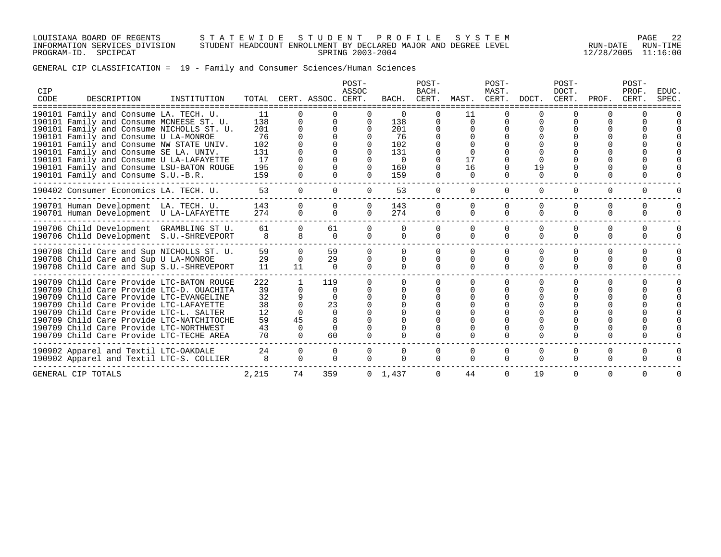LOUISIANA BOARD OF REGENTS S T A T E W I D E S T U D E N T P R O F I L E S Y S T E M PAGE 22 INFORMATION SERVICES DIVISION STUDENT HEADCOUNT ENROLLMENT BY DECLARED MAJOR AND DEGREE LEVEL RUN-DATE RUN-TIME PROGRAM-ID. SPCIPCAT SPRING 2003-2004 12/28/2005 11:16:00

# GENERAL CIP CLASSIFICATION = 19 - Family and Consumer Sciences/Human Sciences

| CIP<br>CODE | DESCRIPTION                                                                                                                                                                                                                                                                                                                                                                                    | INSTITUTION |                                                          |                                                                                     | TOTAL CERT. ASSOC. CERT.                            | POST-<br>ASSOC                                                                           |                                                                      | POST-<br>BACH.<br>BACH. CERT. | MAST.                                  | POST-<br>MAST.<br>CERT.        | DOCT.                          | POST-<br>DOCT.<br>CERT.          | PROF.                     | POST-<br>PROF.<br>CERT.  | EDUC.<br>SPEC. |
|-------------|------------------------------------------------------------------------------------------------------------------------------------------------------------------------------------------------------------------------------------------------------------------------------------------------------------------------------------------------------------------------------------------------|-------------|----------------------------------------------------------|-------------------------------------------------------------------------------------|-----------------------------------------------------|------------------------------------------------------------------------------------------|----------------------------------------------------------------------|-------------------------------|----------------------------------------|--------------------------------|--------------------------------|----------------------------------|---------------------------|--------------------------|----------------|
|             | 190101 Family and Consume LA. TECH. U.<br>190101 Family and Consume MCNEESE ST. U.<br>190101 Family and Consume NICHOLLS ST. U.<br>190101 Family and Consume U LA-MONROE<br>190101 Family and Consume NW STATE UNIV.<br>190101 Family and Consume SE LA. UNIV.<br>190101 Family and Consume U LA-LAFAYETTE<br>190101 Family and Consume LSU-BATON ROUGE<br>190101 Family and Consume S.U.-B.R. |             | 11<br>138<br>201<br>76<br>102<br>131<br>17<br>195<br>159 | $\Omega$<br>$\Omega$<br>$\mathbf 0$<br>$\Omega$<br>$\Omega$                         | $\Omega$                                            | $\Omega$<br>$\Omega$<br>$\Omega$<br>$\Omega$<br>$\cap$<br>$\cap$<br>$\Omega$<br>$\Omega$ | $\Omega$<br>138<br>201<br>76<br>102<br>131<br>$\Omega$<br>160<br>159 |                               | 11<br>$\Omega$<br>17<br>16<br>$\Omega$ | $\Omega$<br>$\Omega$           | 19<br>$\Omega$                 | $\Omega$<br>$\Omega$             |                           |                          |                |
|             | 190402 Consumer Economics LA. TECH. U.                                                                                                                                                                                                                                                                                                                                                         |             | 53                                                       | $\overline{0}$                                                                      | $\Omega$                                            | $\Omega$                                                                                 | 53                                                                   | $\Omega$                      | $\Omega$                               | $\Omega$                       | $\Omega$                       | $\mathbf 0$                      | $\Omega$                  | $\mathbf 0$              |                |
|             | 190701 Human Development LA. TECH. U.<br>190701 Human Development U LA-LAFAYETTE                                                                                                                                                                                                                                                                                                               |             | 143<br>274                                               | $\Omega$<br>$\mathbf 0$                                                             | $\Omega$<br>$\Omega$                                | $\Omega$<br>$\Omega$                                                                     | 143<br>274                                                           | 0<br>$\mathbf 0$              | $\Omega$<br>$\Omega$                   | $\Omega$<br>$\Omega$           | $\Omega$<br>$\Omega$           | $\Omega$<br>$\Omega$             | $\Omega$<br>$\Omega$      | $\Omega$<br>$\Omega$     |                |
|             | 190706 Child Development GRAMBLING ST U.<br>190706 Child Development S.U.-SHREVEPORT                                                                                                                                                                                                                                                                                                           |             | 61<br>8                                                  | $\Omega$<br>8                                                                       | 61<br>$\Omega$                                      | $\Omega$<br>$\cap$                                                                       | 0<br>$\Omega$                                                        | $\cap$                        | 0<br>$\Omega$                          | $\Omega$<br>$\Omega$           | $\Omega$                       | $\Omega$<br>$\Omega$             | $\Omega$<br>$\Omega$      | <sup>0</sup><br>$\Omega$ |                |
|             | 190708 Child Care and Sup NICHOLLS ST. U.<br>190708 Child Care and Sup U LA-MONROE<br>190708 Child Care and Sup S.U.-SHREVEPORT                                                                                                                                                                                                                                                                |             | 59<br>29<br>11                                           | $\Omega$<br>$\Omega$<br>11                                                          | 59<br>29<br>$\Omega$                                | $\Omega$<br>$\Omega$<br>$\Omega$                                                         | 0<br>0<br>$\cap$                                                     |                               | 0<br>$\Omega$                          | $\Omega$<br>$\Omega$<br>$\cap$ | $\Omega$<br>$\Omega$<br>$\cap$ | $\Omega$<br>$\Omega$<br>$\Omega$ | $\Omega$<br>∩<br>$\Omega$ | $\Omega$<br>$\Omega$     |                |
|             | 190709 Child Care Provide LTC-BATON ROUGE<br>190709 Child Care Provide LTC-D. OUACHITA<br>190709 Child Care Provide LTC-EVANGELINE<br>190709 Child Care Provide LTC-LAFAYETTE<br>190709 Child Care Provide LTC-L. SALTER<br>190709 Child Care Provide LTC-NATCHITOCHE<br>190709 Child Care Provide LTC-NORTHWEST<br>190709 Child Care Provide LTC-TECHE AREA                                   |             | 222<br>39<br>32<br>38<br>12<br>59<br>43<br>70            | $\mathbf{1}$<br>$\Omega$<br>9<br>$\Omega$<br>$\Omega$<br>45<br>$\Omega$<br>$\Omega$ | 119<br>$\Omega$<br>$\Omega$<br>23<br>$\Omega$<br>60 | U<br>∩<br>$\cap$<br>0                                                                    | $\cap$                                                               |                               | $\Omega$                               | $\Omega$                       | $\Omega$                       | $\Omega$                         | ∩                         | $\Omega$                 |                |
|             | 190902 Apparel and Textil LTC-OAKDALE<br>190902 Apparel and Textil LTC-S. COLLIER                                                                                                                                                                                                                                                                                                              |             | 24<br>8                                                  | 0<br>$\Omega$                                                                       | 0<br>$\Omega$                                       | 0<br>$\Omega$                                                                            | $\Omega$<br>$\cap$                                                   | 0                             | 0<br>$\Omega$                          | 0<br>$\Omega$                  | 0<br>$\Omega$                  | $\mathbf 0$<br>$\Omega$          | $\Omega$<br>$\Omega$      | $\mathbf 0$<br>0         |                |
|             | GENERAL CIP TOTALS                                                                                                                                                                                                                                                                                                                                                                             |             | 2,215                                                    | 74                                                                                  | 359                                                 |                                                                                          | $0 \quad 1,437$                                                      | $\Omega$                      | 44                                     | $\Omega$                       | 19                             | $\Omega$                         | $\Omega$                  | $\Omega$                 |                |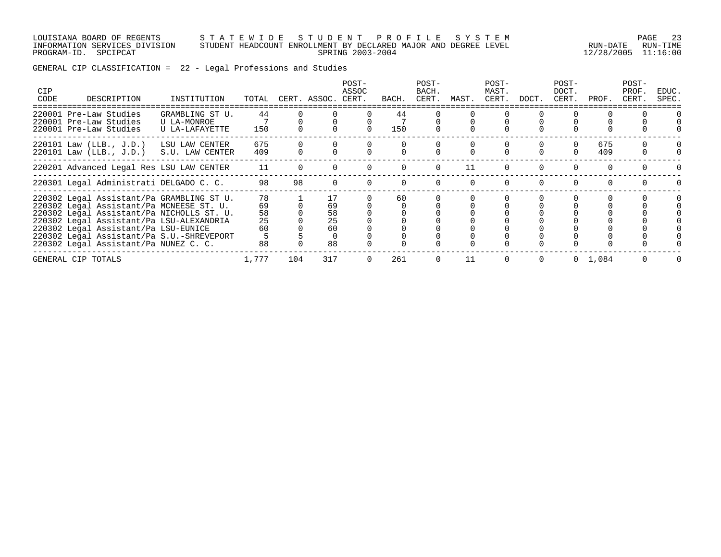#### LOUISIANA BOARD OF REGENTS S T A T E W I D E S T U D E N T P R O F I L E S Y S T E M PAGE 23 INFORMATION SERVICES DIVISION STUDENT HEADCOUNT ENROLLMENT BY DECLARED MAJOR AND DEGREE LEVEL RUN-DATE RUN-TIME PROGRAM-ID. SPCIPCAT SPRING 2003-2004 12/28/2005 11:16:00

GENERAL CIP CLASSIFICATION = 22 - Legal Professions and Studies

| <b>CIP</b><br>CODE | DESCRIPTION                                                                                                                                                                                                                                                                                                  | INSTITUTION                                      | TOTAL                            |     | CERT. ASSOC. CERT.               | $POST-$<br>ASSOC | BACH.     | POST-<br>BACH.<br>CERT. | MAST. | POST-<br>MAST.<br>CERT. | DOCT. | POST-<br>DOCT.<br>CERT. | PROF.           | POST-<br>PROF.<br>CERT. | EDUC.<br>SPEC. |
|--------------------|--------------------------------------------------------------------------------------------------------------------------------------------------------------------------------------------------------------------------------------------------------------------------------------------------------------|--------------------------------------------------|----------------------------------|-----|----------------------------------|------------------|-----------|-------------------------|-------|-------------------------|-------|-------------------------|-----------------|-------------------------|----------------|
|                    | 220001 Pre-Law Studies<br>220001 Pre-Law Studies<br>220001 Pre-Law Studies                                                                                                                                                                                                                                   | GRAMBLING ST U.<br>U LA-MONROE<br>U LA-LAFAYETTE | 44<br>150                        |     |                                  |                  | 44<br>150 |                         |       |                         |       |                         |                 |                         |                |
|                    | $220101$ Law (LLB., J.D.)<br>$220101$ Law (LLB., J.D.)                                                                                                                                                                                                                                                       | LSU LAW CENTER<br>S.U. LAW CENTER                | 675<br>409                       |     |                                  |                  |           |                         |       |                         |       |                         | 675<br>409      |                         |                |
|                    | 220201 Advanced Legal Res LSU LAW CENTER                                                                                                                                                                                                                                                                     |                                                  | 11                               |     |                                  |                  |           |                         | 11    |                         |       |                         |                 |                         |                |
|                    | 220301 Legal Administrati DELGADO C. C.                                                                                                                                                                                                                                                                      |                                                  | 98                               | 98  |                                  |                  |           |                         |       |                         |       |                         |                 |                         |                |
|                    | 220302 Legal Assistant/Pa GRAMBLING ST U.<br>220302 Legal Assistant/Pa MCNEESE ST. U.<br>220302 Legal Assistant/Pa NICHOLLS ST. U.<br>220302 Legal Assistant/Pa LSU-ALEXANDRIA<br>220302 Legal Assistant/Pa LSU-EUNICE<br>220302 Legal Assistant/Pa S.U.-SHREVEPORT<br>220302 Legal Assistant/Pa NUNEZ C. C. |                                                  | 78<br>69<br>58<br>25<br>60<br>88 |     | 17<br>69<br>58<br>25<br>60<br>88 |                  | 60        |                         |       |                         |       |                         |                 |                         |                |
|                    | GENERAL CIP TOTALS                                                                                                                                                                                                                                                                                           |                                                  | 1,777                            | 104 | 317                              | $\Omega$         | 261       |                         | 11    |                         |       |                         | $0 \quad 1,084$ |                         |                |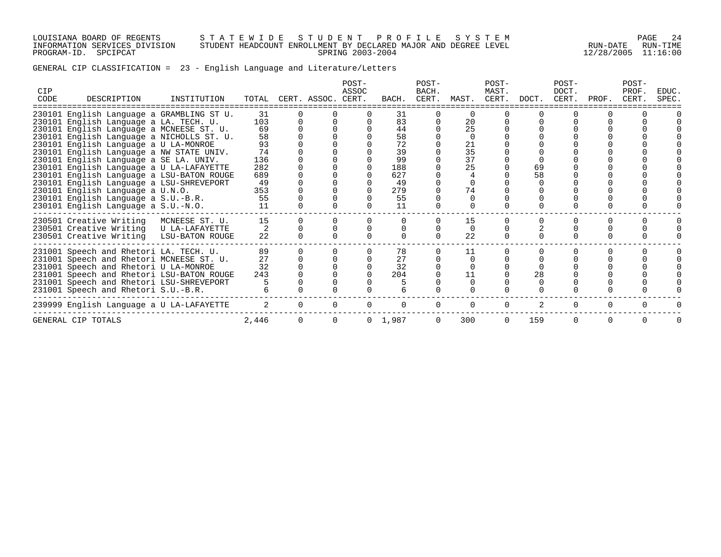LOUISIANA BOARD OF REGENTS S T A T E W I D E S T U D E N T P R O F I L E S Y S T E M PAGE 24 INFORMATION SERVICES DIVISION STUDENT HEADCOUNT ENROLLMENT BY DECLARED MAJOR AND DEGREE LEVEL RUN-DATE RUN-TIME PROGRAM-ID. SPCIPCAT SPRING 2003-2004 12/28/2005 11:16:00

|  |  |  |  |  |  |  |  |  | GENERAL CIP CLASSIFICATION = 23 - English Language and Literature/Letters |
|--|--|--|--|--|--|--|--|--|---------------------------------------------------------------------------|
|--|--|--|--|--|--|--|--|--|---------------------------------------------------------------------------|

| <b>CIP</b><br>CODE | DESCRIPTION                               | INSTITUTION    |                |          | TOTAL CERT. ASSOC. CERT. | POST-<br>ASSOC | BACH.           | POST-<br>BACH.<br>CERT. | MAST.    | POST-<br>MAST.<br>CERT. | DOCT. | POST-<br>DOCT.<br>CERT. | PROF.    | POST-<br>PROF.<br>CERT. | EDUC.<br><b>SPEC</b> |
|--------------------|-------------------------------------------|----------------|----------------|----------|--------------------------|----------------|-----------------|-------------------------|----------|-------------------------|-------|-------------------------|----------|-------------------------|----------------------|
|                    | 230101 English Language a GRAMBLING ST U. |                | 31             |          |                          |                | 31              |                         | $\Omega$ |                         |       |                         |          |                         |                      |
|                    | 230101 English Language a LA. TECH. U.    |                | 103            |          |                          |                | 83              |                         | 20       |                         |       |                         |          |                         |                      |
|                    | 230101 English Language a MCNEESE ST. U.  |                | 69             |          |                          |                | 44              |                         | 25       |                         |       |                         |          |                         |                      |
|                    | 230101 English Language a NICHOLLS ST. U. |                | 58             |          |                          |                | 58              |                         | $\cap$   |                         |       |                         |          |                         |                      |
|                    | 230101 English Language a U LA-MONROE     |                | 93             |          |                          |                | 72              |                         | 21       |                         |       |                         |          |                         |                      |
|                    | 230101 English Language a NW STATE UNIV.  |                | 74             |          |                          |                | 39              |                         | 35       |                         |       |                         |          |                         |                      |
|                    | 230101 English Language a SE LA. UNIV.    |                | 136            |          |                          |                | 99              |                         | 37       |                         |       |                         |          |                         |                      |
|                    | 230101 English Language a U LA-LAFAYETTE  |                | 282            |          |                          |                | 188             |                         | 25       |                         | 69    |                         |          |                         |                      |
|                    | 230101 English Language a LSU-BATON ROUGE |                | 689            |          |                          |                | 627             |                         |          |                         | 58    |                         |          |                         |                      |
|                    | 230101 English Language a LSU-SHREVEPORT  |                | 49             |          |                          |                | 49              |                         |          |                         |       |                         |          |                         |                      |
|                    | 230101 English Language a U.N.O.          |                | 353            |          |                          |                | 279             |                         | 74       |                         |       |                         |          |                         |                      |
|                    | 230101 English Language a S.U.-B.R.       |                | 55<br>11       |          |                          |                | 55<br>11        |                         |          |                         |       |                         |          |                         |                      |
|                    | 230101 English Language a S.U.-N.O.       |                |                |          |                          |                |                 |                         |          |                         |       |                         |          |                         |                      |
|                    | 230501 Creative Writing                   | MCNEESE ST. U. | 15             |          |                          |                |                 |                         | 15       |                         |       |                         |          |                         |                      |
|                    | 230501 Creative Writing U LA-LAFAYETTE    |                |                |          |                          |                |                 |                         | $\Omega$ |                         |       |                         |          |                         |                      |
|                    | 230501 Creative Writing LSU-BATON ROUGE   |                | 22             |          |                          |                |                 |                         | 22       |                         |       |                         |          |                         |                      |
|                    | 231001 Speech and Rhetori LA. TECH. U.    |                | 89             |          |                          |                | 78              |                         | 11       |                         |       |                         |          |                         |                      |
|                    | 231001 Speech and Rhetori MCNEESE ST. U.  |                | 27             |          |                          |                | 27              |                         |          |                         |       |                         |          |                         |                      |
|                    | 231001 Speech and Rhetori U LA-MONROE     |                | 32             |          |                          |                | 32              |                         |          |                         |       |                         |          |                         |                      |
|                    | 231001 Speech and Rhetori LSU-BATON ROUGE |                | 243            |          |                          |                | 204             |                         | 11       |                         | 28    |                         |          |                         |                      |
|                    | 231001 Speech and Rhetori LSU-SHREVEPORT  |                |                |          |                          |                |                 |                         |          |                         |       |                         |          |                         |                      |
|                    | 231001 Speech and Rhetori S.U.-B.R.       |                |                |          |                          |                |                 |                         |          |                         |       |                         |          |                         |                      |
|                    | 239999 English Language a U LA-LAFAYETTE  |                | $\overline{2}$ | $\Omega$ | 0                        |                |                 |                         | $\Omega$ | $\Omega$                |       | $\Omega$                | $\Omega$ |                         |                      |
|                    | GENERAL CIP TOTALS                        |                | 2,446          |          | $\Omega$                 |                | $0 \quad 1,987$ |                         | 300      |                         | 159   |                         |          |                         |                      |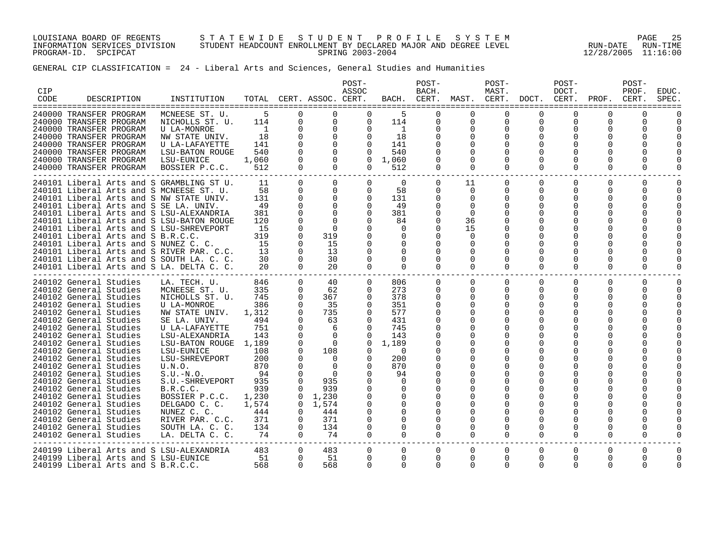LOUISIANA BOARD OF REGENTS S T A T E W I D E S T U D E N T P R O F I L E S Y S T E M PAGE 25 INFORMATION SERVICES DIVISION STUDENT HEADCOUNT ENROLLMENT BY DECLARED MAJOR AND DEGREE LEVEL RUN-DATE RUN-TIME PROGRAM-ID. SPCIPCAT SPRING 2003-2004 12/28/2005 11:16:00

GENERAL CIP CLASSIFICATION = 24 - Liberal Arts and Sciences, General Studies and Humanities

| CIP<br>CODE | DESCRIPTION                                                                                                                                                                                                                                                                                                                                                                                                                                                                                                                                                    | INSTITUTION                                                                                                                                                                                                                                                                                                                                                        |                                                                                                                                              |                                                                                                                                                                                                                                  | TOTAL CERT. ASSOC. CERT.                                                                                                                                                                        | POST-<br>ASSOC                                                                                                                               | BACH.                                                                                                                                                                                         | POST-<br>BACH.<br>CERT.                                                                                                                                             | MAST. CERT.                                                                                                                                                                                                                           | POST-<br>MAST.                                                                                                                                                                           | DOCT.                                                         | POST-<br>DOCT.<br>CERT.                                                        | PROF.                                                                                                                                        | POST-<br>PROF.<br>CERT.           | <b>EDUC</b><br>SPEC  |
|-------------|----------------------------------------------------------------------------------------------------------------------------------------------------------------------------------------------------------------------------------------------------------------------------------------------------------------------------------------------------------------------------------------------------------------------------------------------------------------------------------------------------------------------------------------------------------------|--------------------------------------------------------------------------------------------------------------------------------------------------------------------------------------------------------------------------------------------------------------------------------------------------------------------------------------------------------------------|----------------------------------------------------------------------------------------------------------------------------------------------|----------------------------------------------------------------------------------------------------------------------------------------------------------------------------------------------------------------------------------|-------------------------------------------------------------------------------------------------------------------------------------------------------------------------------------------------|----------------------------------------------------------------------------------------------------------------------------------------------|-----------------------------------------------------------------------------------------------------------------------------------------------------------------------------------------------|---------------------------------------------------------------------------------------------------------------------------------------------------------------------|---------------------------------------------------------------------------------------------------------------------------------------------------------------------------------------------------------------------------------------|------------------------------------------------------------------------------------------------------------------------------------------------------------------------------------------|---------------------------------------------------------------|--------------------------------------------------------------------------------|----------------------------------------------------------------------------------------------------------------------------------------------|-----------------------------------|----------------------|
|             | 240000 TRANSFER PROGRAM<br>240000 TRANSFER PROGRAM<br>240000 TRANSFER PROGRAM<br>240000 TRANSFER PROGRAM<br>240000 TRANSFER PROGRAM<br>240000 TRANSFER PROGRAM<br>240000 TRANSFER PROGRAM<br>240000 TRANSFER PROGRAM                                                                                                                                                                                                                                                                                                                                           | MCNEESE ST. U.<br>NICHOLLS ST. U.<br>U LA-MONROE<br>NW STATE UNIV.<br>U LA-LAFAYETTE<br>LSU-BATON ROUGE<br>LSU-EUNICE<br>BOSSIER P.C.C.                                                                                                                                                                                                                            | 5<br>114<br>$\overline{1}$<br>18<br>141<br>540<br>1,060<br>512                                                                               | 0<br>$\mathbf 0$<br>$\mathbf 0$<br>$\mathbf 0$<br>$\Omega$<br>$\Omega$<br>$\Omega$<br>$\Omega$                                                                                                                                   | $\Omega$<br>$\mathbf 0$<br>$\mathbf 0$<br>$\mathbf 0$<br>$\Omega$<br>$\Omega$<br>$\Omega$<br>$\Omega$                                                                                           | $\Omega$<br>$\Omega$<br>$\Omega$<br>$\Omega$<br>$\Omega$<br>$\Omega$<br>$\Omega$<br>$\Omega$                                                 | 5<br>114<br>$\mathbf{1}$<br>18<br>141<br>540<br>1,060<br>512                                                                                                                                  | $\Omega$<br>0<br>$\mathbf 0$<br>0<br>$\Omega$<br>$\Omega$<br>0                                                                                                      | $\Omega$<br>0<br>$\mathbf 0$<br>0<br>$\Omega$<br>$\Omega$<br>$\Omega$                                                                                                                                                                 | $\Omega$<br>$\mathbf 0$<br>$\mathbf 0$<br>0<br>$\Omega$<br>$\Omega$                                                                                                                      | ∩<br>$\mathbf 0$<br>$\mathbf 0$<br>0<br>$\Omega$              | $\Omega$<br>$\Omega$<br>$\Omega$<br>0<br>0<br>$\Omega$                         | $\Omega$<br>0<br>0<br>0<br>$\Omega$<br>$\Omega$<br>0                                                                                         | U<br>0<br>0<br>U<br>0             |                      |
|             | 240101 Liberal Arts and S GRAMBLING ST U.<br>240101 Liberal Arts and S MCNEESE ST. U.<br>240101 Liberal Arts and S NW STATE UNIV.<br>240101 Liberal Arts and S SE LA. UNIV.<br>240101 Liberal Arts and S LSU-ALEXANDRIA<br>240101 Liberal Arts and S LSU-BATON ROUGE<br>240101 Liberal Arts and S LSU-SHREVEPORT<br>240101 Liberal Arts and S B.R.C.C.<br>240101 Liberal Arts and S NUNEZ C. C.<br>240101 Liberal Arts and S RIVER PAR. C.C.<br>240101 Liberal Arts and S SOUTH LA. C. C.<br>240101 Liberal Arts and S LA. DELTA C. C.                         |                                                                                                                                                                                                                                                                                                                                                                    | 11<br>58<br>131<br>49<br>381<br>120<br>15<br>319<br>15<br>13<br>30<br>20                                                                     | $\Omega$<br>$\mathbf 0$<br>$\mathbf 0$<br>$\Omega$<br>$\Omega$<br>$\Omega$<br>$\Omega$<br>$\Omega$<br>$\Omega$<br>$\Omega$<br>$\Omega$<br>$\Omega$                                                                               | $\Omega$<br>$\mathbf 0$<br>$\overline{0}$<br>$\Omega$<br>$\Omega$<br>$\Omega$<br>$\Omega$<br>319<br>15<br>13<br>30<br>20                                                                        | $\Omega$<br>$\Omega$<br>$\mathbf 0$<br>$\Omega$<br>$\Omega$<br>$\cap$<br>$\Omega$<br>$\Omega$<br>$\Omega$                                    | $\overline{0}$<br>58<br>131<br>49<br>381<br>84<br>$\Omega$<br>$\Omega$<br>$\Omega$<br>$\Omega$<br>$\Omega$<br>$\Omega$                                                                        | $\overline{0}$<br>0<br>0<br>$\Omega$<br>$\Omega$<br>0<br>0<br>$\Omega$<br>0<br>$\Omega$<br>$\Omega$<br>$\Omega$                                                     | 11<br>$\Omega$<br>0<br>$\Omega$<br>$\Omega$<br>36<br>15<br>$\Omega$<br>$\Omega$<br>$\Omega$<br>$\Omega$<br>$\Omega$                                                                                                                   | $\mathbf 0$<br>$\mathbf{0}$<br>$\mathbf 0$<br>$\Omega$<br>$\Omega$<br>$\Omega$<br>$\Omega$<br>$\Omega$<br>$\Omega$<br>0<br>$\Omega$                                                      | $\Omega$<br>$\Omega$<br>0<br>$\Omega$<br>$\Omega$<br>$\Omega$ | $\Omega$<br>$\Omega$<br>0<br>$\Omega$<br>∩<br>$\Omega$<br>$\Omega$<br>$\Omega$ | $\Omega$<br>0<br>0<br>$\Omega$<br>$\Omega$<br>0<br>$\Omega$<br>0<br>$\Omega$<br>0<br>$\Omega$                                                | $\Omega$<br>0<br>0<br>O<br>U<br>0 | $\Omega$<br>$\Omega$ |
|             | 240102 General Studies<br>240102 General Studies<br>240102 General Studies<br>240102 General Studies<br>240102 General Studies<br>240102 General Studies<br>240102 General Studies<br>240102 General Studies<br>240102 General Studies<br>240102 General Studies<br>240102 General Studies<br>240102 General Studies<br>240102 General Studies<br>240102 General Studies<br>240102 General Studies<br>240102 General Studies<br>240102 General Studies<br>240102 General Studies<br>240102 General Studies<br>240102 General Studies<br>240102 General Studies | LA. TECH. U.<br>MCNEESE ST. U.<br>NICHOLLS ST. U.<br>U LA-MONROE<br>NW STATE UNIV.<br>SE LA. UNIV.<br>U LA-LAFAYETTE<br>LSU-ALEXANDRIA<br>LSU-BATON ROUGE 1,189<br>LSU-EUNICE<br>LSU-SHREVEPORT<br>U.N.O.<br>$S.U.-N.O.$<br>S.U.-SHREVEPORT<br>B.R.C.C.<br>BOSSIER P.C.C.<br>DELGADO C. C.<br>NUNEZ C. C.<br>RIVER PAR. C.C.<br>SOUTH LA. C. C.<br>LA. DELTA C. C. | 846<br>335<br>745<br>386<br>1,312<br>494<br>751<br>143<br>108<br>200<br>870<br>94<br>935<br>939<br>1,230<br>1,574<br>444<br>371<br>134<br>74 | $\Omega$<br>$\Omega$<br>$\Omega$<br>$\Omega$<br>$\Omega$<br>$\Omega$<br>$\Omega$<br>$\Omega$<br>$\Omega$<br>$\Omega$<br>$\Omega$<br>$\Omega$<br>$\Omega$<br>$\Omega$<br>$\Omega$<br>$\Omega$<br>$\Omega$<br>$\Omega$<br>$\Omega$ | 40<br>62<br>367<br>35<br>735<br>63<br>6<br>$\Omega$<br>$\overline{0}$<br>108<br>$\Omega$<br>$\Omega$<br>$\Omega$<br>935<br>939<br>$0 \quad 1,230$<br>$0 \quad 1.574$<br>444<br>371<br>134<br>74 | $\Omega$<br>$\Omega$<br>$\Omega$<br>$\Omega$<br>$\Omega$<br>$\Omega$<br>$\Omega$<br>$\Omega$<br>$\Omega$<br>$\Omega$<br>$\Omega$<br>$\Omega$ | 806<br>273<br>378<br>351<br>577<br>431<br>745<br>143<br>1,189<br>$\Omega$<br>200<br>870<br>94<br>$\Omega$<br>$\Omega$<br>$\Omega$<br>$\Omega$<br>$\Omega$<br>$\Omega$<br>$\Omega$<br>$\Omega$ | $\Omega$<br>$\Omega$<br>0<br>$\Omega$<br>$\Omega$<br>$\Omega$<br>$\Omega$<br>$\Omega$<br>0<br>0<br>0<br>$\Omega$<br>$\Omega$<br>$\Omega$<br>0<br>0<br>$\Omega$<br>0 | $\Omega$<br>$\Omega$<br>$\Omega$<br>$\Omega$<br>$\Omega$<br>$\Omega$<br>0<br>$\Omega$<br>$\Omega$<br>$\Omega$<br>$\Omega$<br>$\Omega$<br>$\Omega$<br>$\Omega$<br>$\Omega$<br>$\Omega$<br>$\Omega$<br>$\Omega$<br>$\Omega$<br>$\Omega$ | $\mathbf 0$<br>$\Omega$<br>$\Omega$<br>$\Omega$<br>$\Omega$<br>$\Omega$<br>0<br>$\Omega$<br>$\Omega$<br>$\Omega$<br>$\Omega$<br>$\Omega$<br>$\Omega$<br>$\Omega$<br>$\Omega$<br>$\Omega$ | $\Omega$<br>$\Omega$<br>$\Omega$<br>O<br>O<br>$\Omega$        | $\Omega$<br>$\Omega$<br>$\Omega$<br>0<br>0<br>∩<br>0<br>∩<br>0<br>0            | $\Omega$<br>$\Omega$<br>0<br>0<br>0<br>$\Omega$<br>O<br>$\Omega$<br>O<br>$\Omega$<br>0<br>0<br>0<br>0<br>$\Omega$<br>O<br>O<br>0<br>$\Omega$ | $\Omega$<br>0<br>0<br>U           | $\Omega$<br>$\Omega$ |
|             | 240199 Liberal Arts and S LSU-ALEXANDRIA<br>240199 Liberal Arts and S LSU-EUNICE<br>$240199$ Liberal Arts and S B.R.C.C.                                                                                                                                                                                                                                                                                                                                                                                                                                       |                                                                                                                                                                                                                                                                                                                                                                    | 483<br>51<br>568                                                                                                                             | $\mathbf{0}$<br>$\Omega$<br>$\Omega$                                                                                                                                                                                             | 483<br>51<br>568                                                                                                                                                                                | $\Omega$<br>0                                                                                                                                | $\Omega$<br>$\Omega$<br>0                                                                                                                                                                     | $\Omega$<br>0<br>0                                                                                                                                                  | $\Omega$<br>$\Omega$<br>$\Omega$                                                                                                                                                                                                      | $\Omega$<br>$\Omega$<br>$\Omega$                                                                                                                                                         | $\Omega$<br>$\Omega$<br>$\Omega$                              | $\Omega$<br>$\Omega$<br>$\Omega$                                               | 0<br>$\Omega$<br>$\Omega$                                                                                                                    | 0<br>0                            | 0<br>$\Omega$        |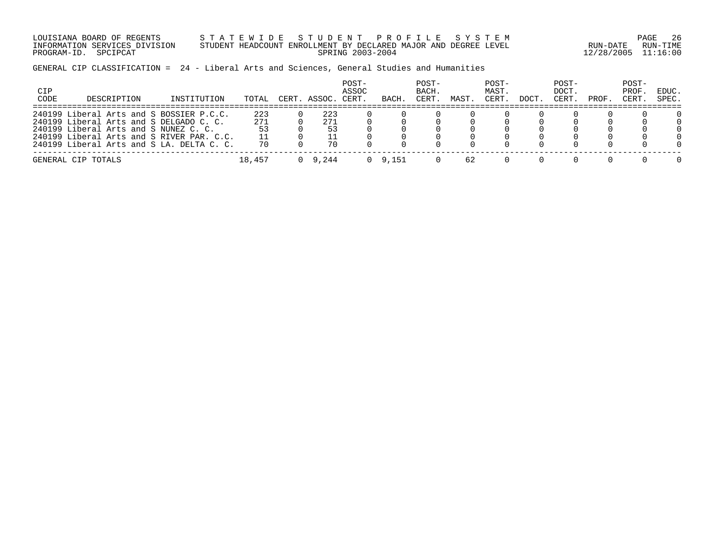LOUISIANA BOARD OF REGENTS S T A T E W I D E S T U D E N T P R O F I L E S Y S T E M PAGE 26 INFORMATION SERVICES DIVISION STUDENT HEADCOUNT ENROLLMENT BY DECLARED MAJOR AND DEGREE LEVEL RUN-DATE RUN-TIME PROGRAM-ID. SPCIPCAT SPRING 2003-2004 12/28/2005 11:16:00

GENERAL CIP CLASSIFICATION = 24 - Liberal Arts and Sciences, General Studies and Humanities

| CIP<br>CODE | DESCRIPTION                               | INSTITUTION | TOTAL  | CERT. ASSOC. | POST-<br>ASSOC<br>CERT. | BACH. | POST-<br>BACH.<br>CERT. | MAST | POST-<br>MAST.<br>CERT. | DOCT. | POST-<br>DOCT.<br>CERT. | PROF. | POST-<br>PROF<br>CERT. | EDUC.<br>SPEC. |
|-------------|-------------------------------------------|-------------|--------|--------------|-------------------------|-------|-------------------------|------|-------------------------|-------|-------------------------|-------|------------------------|----------------|
|             | 240199 Liberal Arts and S BOSSIER P.C.C.  |             | 223    | 223          |                         |       |                         |      |                         |       |                         |       |                        | 0              |
|             | 240199 Liberal Arts and S DELGADO C. C.   |             | 271    | 271          |                         |       |                         |      |                         |       |                         |       |                        | $\Omega$       |
|             | 240199 Liberal Arts and S NUNEZ C. C.     |             | 53     | 53           |                         |       |                         |      |                         |       |                         |       |                        | $\Omega$       |
|             | 240199 Liberal Arts and S RIVER PAR. C.C. |             |        |              |                         |       |                         |      |                         |       |                         |       |                        | $\cap$         |
|             | 240199 Liberal Arts and S LA. DELTA C. C. |             | 70     | 70           |                         |       |                         |      |                         |       |                         |       |                        | $\cap$         |
|             | GENERAL CIP TOTALS                        |             | 18,457 | 9.244        |                         | 9.151 |                         | 62   |                         |       |                         |       |                        | $\cap$         |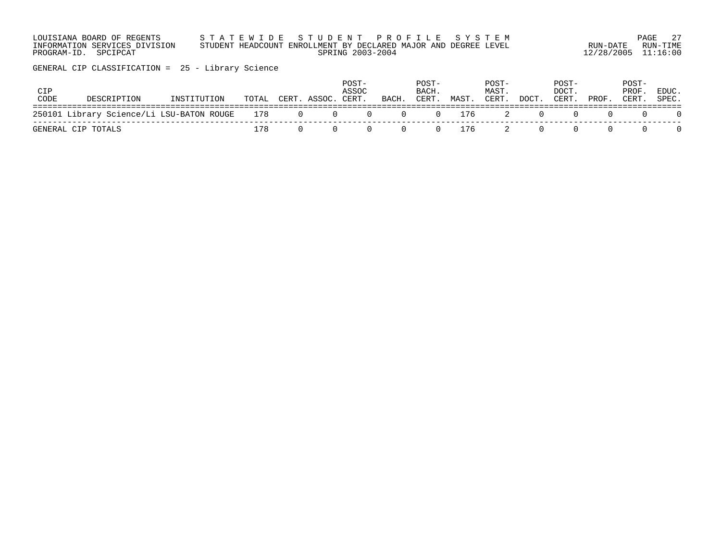| LOUISIANA BOARD OF REGENTS    | STATEWIDE STUDENT PROFILE SYSTEM                                |                     | PAGE 27  |
|-------------------------------|-----------------------------------------------------------------|---------------------|----------|
| INFORMATION SERVICES DIVISION | STUDENT HEADCOUNT ENROLLMENT BY DECLARED MAJOR AND DEGREE LEVEL | RUN-DATE            | RUN-TIMF |
| PROGRAM-ID. SPCIPCAT          | SPRING 2003-2004                                                | 12/28/2005 11:16:00 |          |

GENERAL CIP CLASSIFICATION = 25 - Library Science

| CIP<br>CODE | DESCRIPTION                                       | INSTITUTION | TOTAL | CERT. ASSOC. CERT. | POST-<br>ASSOC | BACH.                            | POST-<br>BACH.<br>CERT. | MAST. | POST-<br>MAST.<br>CERT. | DOCT. | POST-<br>DOCT.<br>CERT. | PROF. | POST-<br>PROF.<br>CERT. | EDUC.<br>SPEC. |
|-------------|---------------------------------------------------|-------------|-------|--------------------|----------------|----------------------------------|-------------------------|-------|-------------------------|-------|-------------------------|-------|-------------------------|----------------|
|             | 250101 Library Science/Li LSU-BATON ROUGE 178 0 0 |             |       |                    |                | $0 \qquad 0 \qquad 0 \qquad 176$ |                         |       |                         | - 0   |                         |       |                         |                |
|             | GENERAL CIP TOTALS                                |             | 178   |                    |                |                                  | $\Omega$ and $\Omega$   | 0 176 |                         | - 0   |                         |       |                         |                |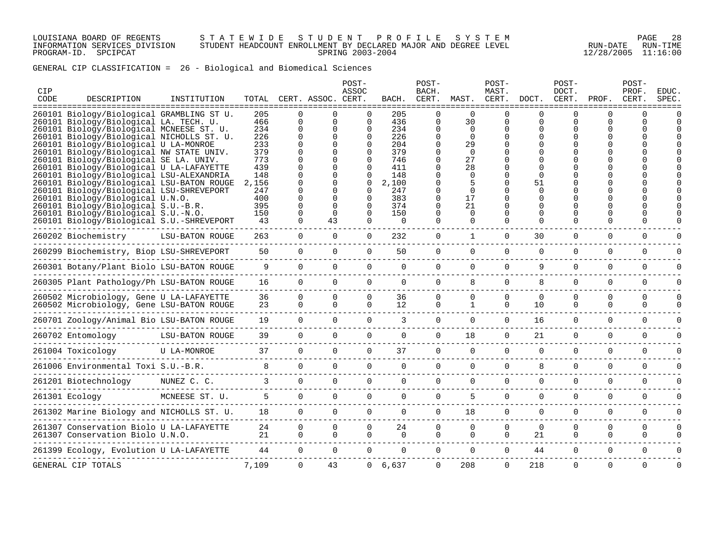### LOUISIANA BOARD OF REGENTS S T A T E W I D E S T U D E N T P R O F I L E S Y S T E M PAGE 28 INFORMATION SERVICES DIVISION STUDENT HEADCOUNT ENROLLMENT BY DECLARED MAJOR AND DEGREE LEVEL RUN-DATE RUN-TIME PROGRAM-ID. SPCIPCAT SPRING 2003-2004 12/28/2005 11:16:00

GENERAL CIP CLASSIFICATION = 26 - Biological and Biomedical Sciences

| CIP<br>CODE | DESCRIPTION                                                                                          | INSTITUTION            | TOTAL          |               | CERT. ASSOC. CERT. | POST-<br>ASSOC       | BACH.      | POST-<br>BACH.<br>CERT. | MAST.                | POST-<br>MAST.<br>CERT. | DOCT.         | POST-<br>DOCT.<br>CERT. | PROF.    | POST-<br>PROF.<br>CERT. | <b>EDUC</b><br>SPEC |
|-------------|------------------------------------------------------------------------------------------------------|------------------------|----------------|---------------|--------------------|----------------------|------------|-------------------------|----------------------|-------------------------|---------------|-------------------------|----------|-------------------------|---------------------|
|             | =============<br>260101 Biology/Biological GRAMBLING ST U.<br>260101 Biology/Biological LA. TECH. U. |                        | 205<br>466     | $\Omega$<br>0 |                    | ∩<br>$\Omega$        | 205<br>436 | <sup>n</sup><br>0       | $\Omega$<br>30       |                         | ∩<br>$\Omega$ | ∩<br>U                  | ∩        |                         |                     |
|             | 260101 Biology/Biological MCNEESE ST. U.                                                             |                        | 234<br>226     | 0<br>$\Omega$ |                    | $\Omega$<br>$\Omega$ | 234<br>226 | $\Omega$                | $\Omega$<br>$\Omega$ |                         |               |                         |          |                         |                     |
|             | 260101 Biology/Biological NICHOLLS ST. U.<br>260101 Biology/Biological U LA-MONROE                   |                        | 233            |               |                    |                      | 204        | $\Omega$                | 29                   |                         |               |                         |          |                         |                     |
|             | 260101 Biology/Biological NW STATE UNIV.                                                             |                        | 379            |               |                    |                      | 379        |                         | $\Omega$             |                         |               |                         |          |                         |                     |
|             | 260101 Biology/Biological SE LA. UNIV.                                                               |                        | 773            |               |                    |                      | 746        |                         | 27                   |                         |               |                         |          |                         |                     |
|             | 260101 Biology/Biological U LA-LAFAYETTE                                                             |                        | 439            |               |                    |                      | 411        |                         | 28                   |                         |               |                         |          |                         |                     |
|             | 260101 Biology/Biological LSU-ALEXANDRIA                                                             |                        | 148            |               |                    |                      | 148        |                         | $\Omega$             |                         |               |                         |          |                         |                     |
|             | 260101 Biology/Biological LSU-BATON ROUGE                                                            |                        | 2,156          |               |                    | ∩                    | 2,100      |                         |                      |                         | 51            |                         |          |                         |                     |
|             | 260101 Biology/Biological LSU-SHREVEPORT                                                             |                        | 247            |               |                    |                      | 247        |                         | $\Omega$             |                         |               |                         |          |                         |                     |
|             | 260101 Biology/Biological U.N.O.                                                                     |                        | 400            |               |                    |                      | 383        |                         | 17                   |                         |               |                         |          |                         |                     |
|             | 260101 Biology/Biological S.U.-B.R.                                                                  |                        | 395            |               |                    | 0                    | 374        | $\Omega$                | 21                   |                         |               |                         |          |                         |                     |
|             | 260101 Biology/Biological S.U.-N.O.                                                                  |                        | 150            | $\Omega$      | $\Omega$           | $\Omega$             | 150        | $\Omega$                | $\Omega$             |                         | $\Omega$      |                         |          |                         |                     |
|             | 260101 Biology/Biological S.U.-SHREVEPORT                                                            |                        | 43             |               | 43                 | $\Omega$             | $\Omega$   | $\cap$                  | $\Omega$             |                         | ∩             | ∩                       |          |                         |                     |
|             | 260202 Biochemistry                                                                                  | <b>LSU-BATON ROUGE</b> | 263            | $\Omega$      | $\Omega$           | $\Omega$             | 232        | $\Omega$                | $\mathbf{1}$         | $\Omega$                | 30            | 0                       | $\Omega$ | $\Omega$                |                     |
|             | 260299 Biochemistry, Biop LSU-SHREVEPORT                                                             |                        | 50             | $\Omega$      | $\Omega$           | $\Omega$             | 50         | $\Omega$                | $\Omega$             | $\Omega$                | $\Omega$      | $\Omega$                | $\Omega$ | $\Omega$                |                     |
|             | 260301 Botany/Plant Biolo LSU-BATON ROUGE                                                            |                        | 9              | $\Omega$      | $\Omega$           | $\Omega$             | $\Omega$   | $\Omega$                | $\Omega$             | $\Omega$                | 9             | $\Omega$                | $\Omega$ | $\Omega$                |                     |
|             | 260305 Plant Pathology/Ph LSU-BATON ROUGE                                                            |                        | 16             | $\Omega$      | $\Omega$           | $\Omega$             | $\Omega$   | $\Omega$                | 8                    | $\Omega$                | 8             | $\Omega$                | $\Omega$ | $\Omega$                |                     |
|             | 260502 Microbiology, Gene U LA-LAFAYETTE                                                             |                        | 36             | $\Omega$      | $\Omega$           | $\Omega$             | 36         | $\Omega$                | $\Omega$             | $\Omega$                | $\Omega$      | $\Omega$                | $\Omega$ | $\Omega$                |                     |
|             | 260502 Microbiology, Gene LSU-BATON ROUGE                                                            |                        | 23             | $\Omega$      | $\Omega$           | $\Omega$             | 12         | $\Omega$                | $\mathbf{1}$         | $\Omega$                | 10            | $\Omega$                | $\Omega$ | $\Omega$                |                     |
|             |                                                                                                      |                        |                |               |                    |                      |            |                         |                      |                         |               |                         |          |                         |                     |
|             | 260701 Zoology/Animal Bio LSU-BATON ROUGE                                                            |                        | 19             | $\cap$        | $\Omega$           | $\cap$               | 3          | $\Omega$                | $\cap$               | $\cap$                  | 16            | $\Omega$                | $\Omega$ | $\Omega$                |                     |
|             | 260702 Entomology                                                                                    | <b>LSU-BATON ROUGE</b> | 39             | $\Omega$      | $\Omega$           | $\Omega$             | $\Omega$   | $\Omega$                | 18                   | $\Omega$                | 21            | $\Omega$                | $\Omega$ | $\Omega$                |                     |
|             | 261004 Toxicology                                                                                    | <b>U LA-MONROE</b><br> | 37             | $\Omega$      | $\Omega$           | $\Omega$             | 37         | $\cap$                  | $\Omega$             | $\Omega$                | $\Omega$      | $\Omega$                | $\Omega$ | $\Omega$                |                     |
|             | 261006 Environmental Toxi S.U.-B.R.                                                                  |                        | 8              | $\Omega$      | $\Omega$           | $\Omega$             | $\Omega$   | $\Omega$                | $\Omega$             | $\Omega$                | 8             | $\Omega$                | $\Omega$ | $\Omega$                |                     |
|             | 261201 Biotechnology<br>-----------------                                                            | NUNEZ C. C.            | $\overline{3}$ | $\Omega$      | $\Omega$           | $\Omega$             | $\Omega$   | $\Omega$                | $\Omega$             | $\Omega$                | $\Omega$      | $\Omega$                | $\Omega$ | $\Omega$                |                     |
|             | 261301 Ecology                                                                                       | MCNEESE ST. U.         | 5 <sup>5</sup> | $\Omega$      | $\Omega$           | $\Omega$             | $\Omega$   | $\Omega$                | 5                    | $\Omega$                | $\Omega$      | $\Omega$                | $\Omega$ | $\Omega$                |                     |
|             | 261302 Marine Biology and NICHOLLS ST. U.                                                            |                        | 18             | $\Omega$      | $\Omega$           | $\Omega$             | $\Omega$   | $\Omega$                | 18                   | $\Omega$                | $\Omega$      | $\Omega$                | $\Omega$ | $\Omega$                |                     |
|             | 261307 Conservation Biolo U LA-LAFAYETTE                                                             |                        | 24             | $\Omega$      | $\Omega$           | $\Omega$             | 24         | $\Omega$                | $\Omega$             | $\Omega$                | $\Omega$      | $\Omega$                | $\Omega$ | $\mathbf 0$             |                     |
|             | 261307 Conservation Biolo U.N.O.                                                                     |                        | 21             | $\Omega$      | $\Omega$           | $\Omega$             | $\Omega$   | $\Omega$                | $\Omega$             | $\Omega$                | 21            | $\Omega$                | $\Omega$ | $\Omega$                |                     |
|             |                                                                                                      |                        |                |               |                    |                      |            |                         |                      |                         |               |                         |          |                         |                     |
|             | 261399 Ecology, Evolution U LA-LAFAYETTE                                                             |                        | 44             | $\Omega$      | $\Omega$           | $\Omega$             | $\Omega$   | $\Omega$                | $\Omega$             | $\Omega$                | 44            | $\Omega$                | $\Omega$ | $\Omega$                |                     |
|             | GENERAL CIP TOTALS                                                                                   |                        | 7,109          | $\Omega$      | 43                 |                      | 0, 6, 637  | $\Omega$                | 208                  | $\Omega$                | 218           | $\Omega$                | $\Omega$ | $\Omega$                |                     |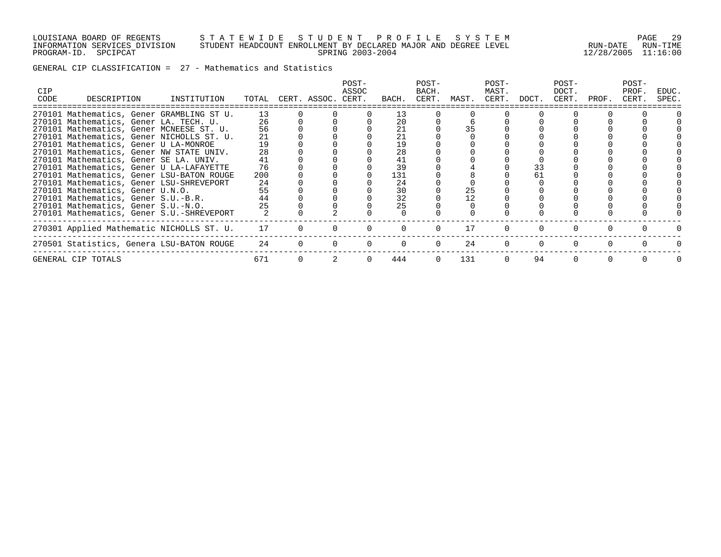### LOUISIANA BOARD OF REGENTS S T A T E W I D E S T U D E N T P R O F I L E S Y S T E M PAGE 29 INFORMATION SERVICES DIVISION STUDENT HEADCOUNT ENROLLMENT BY DECLARED MAJOR AND DEGREE LEVEL RUN-DATE RUN-TIME PROGRAM-ID. SPCIPCAT SPRING 2003-2004 12/28/2005 11:16:00

GENERAL CIP CLASSIFICATION = 27 - Mathematics and Statistics

| <b>CIP</b><br>CODE | DESCRIPTION                            | INSTITUTION                               |     | TOTAL CERT. ASSOC. CERT. | POST-<br>ASSOC | BACH. | POST-<br>BACH.<br>CERT. | MAST. | POST-<br>MAST.<br>CERT. | DOCT. | POST-<br>DOCT.<br>CERT. | PROF. | POST-<br>PROF.<br>CERT. | EDUC.<br>SPEC. |
|--------------------|----------------------------------------|-------------------------------------------|-----|--------------------------|----------------|-------|-------------------------|-------|-------------------------|-------|-------------------------|-------|-------------------------|----------------|
|                    |                                        | 270101 Mathematics, Gener GRAMBLING ST U. | 13  |                          |                | 13    |                         |       |                         |       |                         |       |                         |                |
|                    | 270101 Mathematics, Gener LA. TECH. U. |                                           | 26  |                          |                | 20    |                         |       |                         |       |                         |       |                         |                |
|                    |                                        | 270101 Mathematics, Gener MCNEESE ST. U.  | 56  |                          |                | 21    |                         |       |                         |       |                         |       |                         |                |
|                    |                                        | 270101 Mathematics, Gener NICHOLLS ST. U. | 21  |                          |                | 21    |                         |       |                         |       |                         |       |                         |                |
|                    | 270101 Mathematics, Gener U LA-MONROE  |                                           | 19  |                          |                | 19    |                         |       |                         |       |                         |       |                         |                |
|                    |                                        | 270101 Mathematics, Gener NW STATE UNIV.  | 28  |                          |                | 28    |                         |       |                         |       |                         |       |                         |                |
|                    | 270101 Mathematics, Gener SE LA. UNIV. |                                           | 41  |                          |                | 41    |                         |       |                         |       |                         |       |                         |                |
|                    |                                        | 270101 Mathematics, Gener U LA-LAFAYETTE  | 76  |                          |                | 39    |                         |       |                         | 33    |                         |       |                         |                |
|                    |                                        | 270101 Mathematics, Gener LSU-BATON ROUGE | 200 |                          |                | 131   |                         |       |                         | 61    |                         |       |                         |                |
|                    |                                        | 270101 Mathematics, Gener LSU-SHREVEPORT  | 24  |                          |                | 24    |                         |       |                         |       |                         |       |                         |                |
|                    | 270101 Mathematics, Gener U.N.O.       |                                           | 55  |                          |                | 30    |                         | 25    |                         |       |                         |       |                         |                |
|                    | 270101 Mathematics, Gener S.U.-B.R.    |                                           | 44  |                          |                | 32    |                         |       |                         |       |                         |       |                         |                |
|                    | 270101 Mathematics, Gener S.U.-N.O.    |                                           | 25  |                          |                | 25    |                         |       |                         |       |                         |       |                         |                |
|                    |                                        | 270101 Mathematics, Gener S.U.-SHREVEPORT |     |                          |                |       |                         |       |                         |       |                         |       |                         |                |
|                    |                                        | 270301 Applied Mathematic NICHOLLS ST. U. | 17  |                          |                |       |                         | 17    |                         |       |                         |       |                         |                |
|                    |                                        | 270501 Statistics, Genera LSU-BATON ROUGE | 24  |                          |                |       |                         | 24    |                         |       |                         |       |                         |                |
|                    | GENERAL CIP TOTALS                     |                                           | 671 |                          |                | 444   |                         | 131   |                         | 94    |                         |       |                         |                |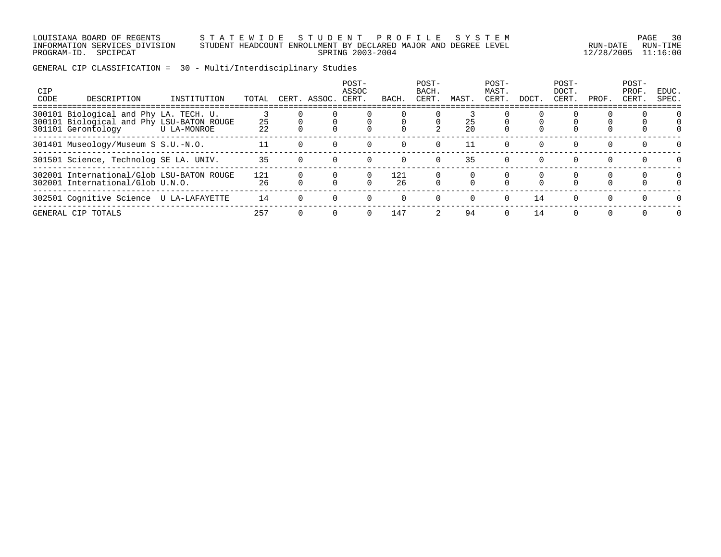### LOUISIANA BOARD OF REGENTS S T A T E W I D E S T U D E N T P R O F I L E S Y S T E M PAGE 30 INFORMATION SERVICES DIVISION STUDENT HEADCOUNT ENROLLMENT BY DECLARED MAJOR AND DEGREE LEVEL RUN-DATE RUN-TIME PROGRAM-ID. SPCIPCAT SPRING 2003-2004 12/28/2005 11:16:00

GENERAL CIP CLASSIFICATION = 30 - Multi/Interdisciplinary Studies

| <b>CIP</b><br>CODE | DESCRIPTION                                                                                               | INSTITUTION    | TOTAL     | CERT.    | ASSOC. | POST-<br>ASSOC<br>CERT. | BACH      | POST-<br>BACH.<br>CERT. | MAST.    | POST-<br>MAST.<br>CERT. | DOCT. | POST-<br>DOCT.<br>CERT. | PROF.    | POST-<br>PROF.<br>CERT. | EDUC.<br>SPEC. |
|--------------------|-----------------------------------------------------------------------------------------------------------|----------------|-----------|----------|--------|-------------------------|-----------|-------------------------|----------|-------------------------|-------|-------------------------|----------|-------------------------|----------------|
|                    | 300101 Biological and Phy LA. TECH. U.<br>300101 Biological and Phy LSU-BATON ROUGE<br>301101 Gerontology | U LA-MONROE    | 25<br>22  |          |        |                         |           |                         | 25<br>20 |                         |       |                         |          |                         |                |
|                    | 301401 Museology/Museum S S.U.-N.O.                                                                       |                |           |          |        |                         |           |                         | 11       |                         |       | $\Omega$                | $\Omega$ |                         | $\cap$         |
|                    | 301501 Science, Technolog SE LA. UNIV.                                                                    |                | 35        |          |        |                         |           | $\Omega$                | 35       | $\Omega$                |       | $\Omega$                | $\Omega$ |                         |                |
|                    | 302001 International/Glob LSU-BATON ROUGE<br>302001 International/Glob U.N.O.                             |                | 121<br>26 |          |        |                         | 121<br>26 |                         |          |                         |       | 0                       | 0        | 0                       | $\Omega$       |
|                    | 302501 Cognitive Science                                                                                  | U LA-LAFAYETTE | 14        |          |        |                         | $\Omega$  | $\Omega$                | $\Omega$ | $\Omega$                | 14    | $\Omega$                | $\Omega$ | $\Omega$                | $\Omega$       |
|                    | GENERAL CIP TOTALS                                                                                        |                | 257       | $\Omega$ |        |                         | 147       |                         | 94       | $\Omega$                | 14    | $\Omega$                | $\Omega$ | $\Omega$                | $\Omega$       |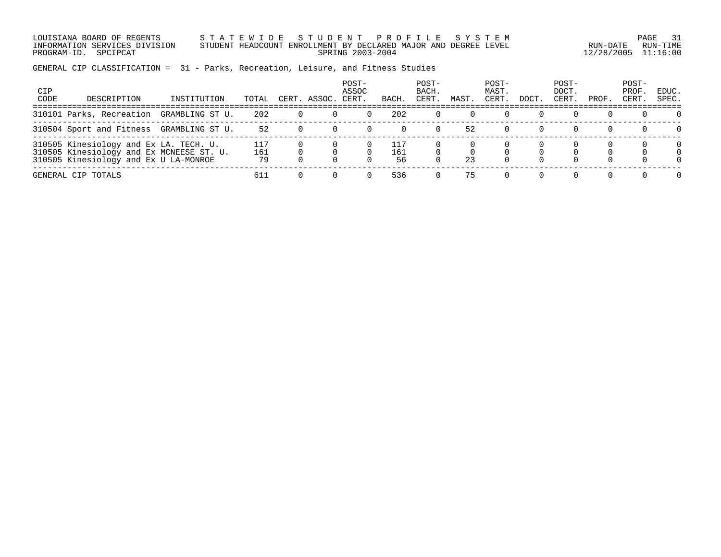LOUISIANA BOARD OF REGENTS S T A T E W I D E S T U D E N T P R O F I L E S Y S T E M PAGE 31 INFORMATION SERVICES DIVISION STUDENT HEADCOUNT ENROLLMENT BY DECLARED MAJOR AND DEGREE LEVEL RUN-DATE RUN-TIME PROGRAM-ID. SPCIPCAT SPRING 2003-2004 12/28/2005 11:16:00

# GENERAL CIP CLASSIFICATION = 31 - Parks, Recreation, Leisure, and Fitness Studies

| CIP<br>CODE | DESCRIPTION                                                                                                                 | INSTITUTION     | TOTAL            | CERT | ASSOC. | POST-<br>ASSOC<br>CERT. | BACH             | POST-<br>BACH.<br>CERT. | MAST | POST-<br>MAST.<br>CERT | <b>DOCT</b> | POST-<br>DOCT.<br>CERT. | PROF. | POST-<br>PROF.<br>CERT. | EDUC.<br>SPEC. |
|-------------|-----------------------------------------------------------------------------------------------------------------------------|-----------------|------------------|------|--------|-------------------------|------------------|-------------------------|------|------------------------|-------------|-------------------------|-------|-------------------------|----------------|
|             | 310101 Parks, Recreation                                                                                                    | GRAMBLING ST U. | 202              |      |        |                         | 202              |                         |      |                        |             |                         |       |                         |                |
|             | 310504 Sport and Fitness                                                                                                    | GRAMBLING ST U. | 52               |      |        |                         |                  |                         | 52   |                        |             |                         |       |                         |                |
|             | 310505 Kinesiology and Ex LA. TECH. U.<br>310505 Kinesiology and Ex MCNEESE ST. U.<br>310505 Kinesiology and Ex U LA-MONROE |                 | 117<br>161<br>79 |      |        |                         | 117<br>161<br>56 |                         | 23   |                        |             |                         |       |                         |                |
|             | GENERAL CIP TOTALS                                                                                                          |                 | 611              |      |        |                         | 536              |                         | 75   |                        |             |                         |       |                         |                |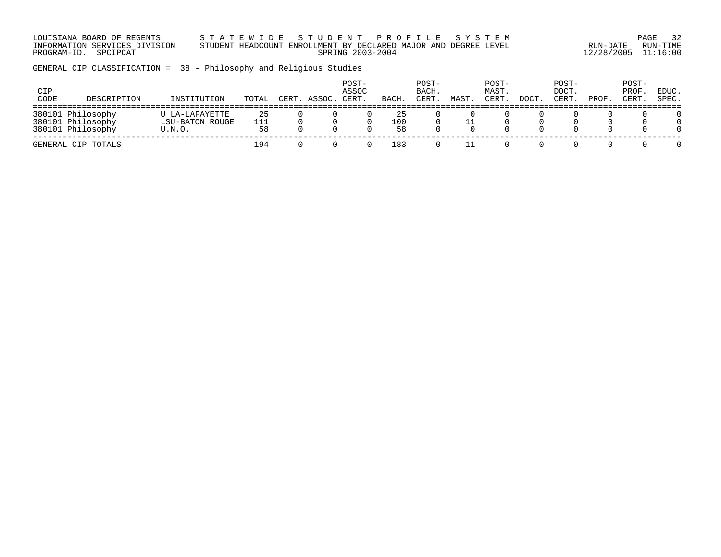LOUISIANA BOARD OF REGENTS S T A T E W I D E S T U D E N T P R O F I L E S Y S T E M PAGE 32 INFORMATION SERVICES DIVISION STUDENT HEADCOUNT ENROLLMENT BY DECLARED MAJOR AND DEGREE LEVEL RUN-DATE RUN-TIME PROGRAM-ID. SPCIPCAT SPRING 2003-2004 12/28/2005 11:16:00

GENERAL CIP CLASSIFICATION = 38 - Philosophy and Religious Studies

| CIP<br>CODE | DESCRIPTION                                                 | INSTITUTION                                 | TOTAL           | CERT. | ASSOC | POST-<br>ASSOC<br>CERT | BACH            | POST-<br>BACH.<br>CERT | MAST | POST-<br>MAST.<br><b>CERT</b> | DOCT | POST-<br>DOCT.<br>CERT | PROF | POST-<br>PROF.<br><b>CERT</b> | EDUC.<br>SPEC.            |
|-------------|-------------------------------------------------------------|---------------------------------------------|-----------------|-------|-------|------------------------|-----------------|------------------------|------|-------------------------------|------|------------------------|------|-------------------------------|---------------------------|
|             | 380101 Philosophy<br>380101 Philosophy<br>380101 Philosophy | U LA-LAFAYETTE<br>LSU-BATON ROUGE<br>U.N.O. | 25<br>111<br>58 |       |       |                        | 25<br>100<br>58 |                        |      |                               |      |                        |      |                               | 0<br>$\Omega$<br>$\Omega$ |
|             | GENERAL CIP TOTALS                                          |                                             | 194             |       |       |                        | 183             |                        |      |                               |      |                        |      |                               |                           |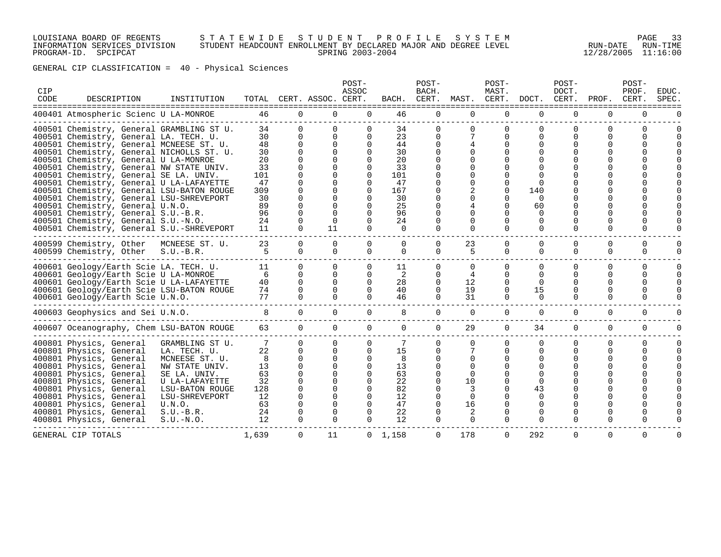## LOUISIANA BOARD OF REGENTS S T A T E W I D E S T U D E N T P R O F I L E S Y S T E M PAGE 33 INFORMATION SERVICES DIVISION STUDENT HEADCOUNT ENROLLMENT BY DECLARED MAJOR AND DEGREE LEVEL RUN-DATE RUN-TIME PROGRAM-ID. SPCIPCAT SPRING 2003-2004 12/28/2005 11:16:00

GENERAL CIP CLASSIFICATION = 40 - Physical Sciences

| CIP<br>CODE | DESCRIPTION                               | INSTITUTION     | TOTAL    |             | CERT. ASSOC. CERT. | POST-<br>ASSOC | BACH.           | POST-<br>BACH.<br>CERT. | MAST.       | POST-<br>MAST.<br>CERT. | DOCT.         | POST-<br>DOCT.<br>CERT.<br>============== | PROF.<br>==============  | POST-<br>PROF.<br>CERT. | <b>EDUC</b><br>SPEC |
|-------------|-------------------------------------------|-----------------|----------|-------------|--------------------|----------------|-----------------|-------------------------|-------------|-------------------------|---------------|-------------------------------------------|--------------------------|-------------------------|---------------------|
|             | 400401 Atmospheric Scienc U LA-MONROE     |                 | 46       | $\Omega$    | $\Omega$           | $\Omega$       | 46              | 0                       | $\Omega$    | $\Omega$                | $\Omega$      | 0                                         | 0                        | $\Omega$                |                     |
|             | 400501 Chemistry, General GRAMBLING ST U. |                 | 34<br>30 | $\Omega$    | $\Omega$           | 0<br>$\Omega$  | 34<br>23        | $\Omega$<br>$\Omega$    |             | $\Omega$<br>$\Omega$    | $\Omega$<br>O | <sup>0</sup><br><sup>0</sup>              | $\Omega$<br><sup>n</sup> |                         |                     |
|             | 400501 Chemistry, General LA. TECH. U.    |                 | 48       | ∩           |                    |                |                 | $\Omega$                |             |                         | O             |                                           |                          |                         |                     |
|             | 400501 Chemistry, General MCNEESE ST. U.  |                 | 30       |             | 0                  | 0<br>$\Omega$  | 44<br>30        |                         |             |                         |               |                                           |                          |                         |                     |
|             | 400501 Chemistry, General NICHOLLS ST. U. |                 |          |             |                    |                |                 |                         |             |                         |               |                                           |                          |                         |                     |
|             | 400501 Chemistry, General U LA-MONROE     |                 | 20<br>33 |             |                    | $\Omega$<br>0  | 20<br>33        |                         |             |                         |               |                                           |                          |                         |                     |
|             | 400501 Chemistry, General NW STATE UNIV.  |                 |          |             |                    |                |                 |                         |             |                         |               |                                           |                          |                         |                     |
|             | 400501 Chemistry, General SE LA. UNIV.    |                 | 101      |             |                    | $\Omega$       | 101             |                         |             |                         |               |                                           |                          |                         |                     |
|             | 400501 Chemistry, General U LA-LAFAYETTE  |                 | 47       |             |                    | $\Omega$       | 47              |                         |             | $\Omega$                | $\Omega$      |                                           |                          |                         |                     |
|             | 400501 Chemistry, General LSU-BATON ROUGE |                 | 309      |             |                    | $\Omega$       | 167             |                         |             |                         | 140           |                                           |                          |                         |                     |
|             | 400501 Chemistry, General LSU-SHREVEPORT  |                 | 30       |             |                    | $\Omega$       | 30              | O                       |             |                         | $\Omega$      |                                           |                          |                         |                     |
|             | 400501 Chemistry, General U.N.O.          |                 | 89       |             |                    | <sup>0</sup>   | 25              |                         |             | ∩                       | 60            |                                           |                          |                         |                     |
|             | 400501 Chemistry, General S.U.-B.R.       |                 | 96       |             | $\Omega$           | $\Omega$       | 96              | <sup>0</sup>            |             | $\Omega$                | $\Omega$      | U                                         |                          |                         |                     |
|             | 400501 Chemistry, General S.U.-N.O.       |                 | 24       |             | $\Omega$           | $\Omega$       | 24              | $\Omega$                | $\Omega$    | $\Omega$                | $\Omega$      | <sup>0</sup>                              |                          |                         |                     |
|             | 400501 Chemistry, General S.U.-SHREVEPORT |                 | 11       |             | 11                 | $\Omega$       | $\Omega$        | $\Omega$                | $\Omega$    | $\Omega$                | $\Omega$      | $\Omega$                                  | $\Omega$                 |                         |                     |
|             | 400599 Chemistry, Other                   | MCNEESE ST. U.  | 23       |             |                    | $\Omega$       | 0               | $\Omega$                | 23          | $\Omega$                | $\Omega$      | $\Omega$                                  | $\Omega$                 | $\Omega$                |                     |
|             | 400599 Chemistry, Other                   | $S.U.-B.R.$     | 5        | $\Omega$    | 0                  | 0              | 0               | 0                       | 5           | 0                       | 0             | $\mathbf 0$                               | 0                        | 0                       |                     |
|             |                                           |                 |          |             |                    |                |                 |                         |             |                         |               |                                           |                          |                         |                     |
|             | 400601 Geology/Earth Scie LA. TECH. U.    |                 | 11       | $\Omega$    | $\Omega$           | 0              | 11              | $\Omega$                | $\Omega$    | $\Omega$                | 0             | $\Omega$                                  | 0                        | $\Omega$                |                     |
|             | 400601 Geology/Earth Scie U LA-MONROE     |                 | 6        | $\Omega$    | $\Omega$           | 0              | 2               | 0                       | 4           | $\Omega$                | $\Omega$      | 0                                         | 0                        |                         |                     |
|             | 400601 Geology/Earth Scie U LA-LAFAYETTE  |                 | 40       | $\cap$      | $\Omega$           | $\Omega$       | 28              | $\Omega$                | 12          | $\Omega$                | $\Omega$      | U                                         | <sup>n</sup>             |                         |                     |
|             | 400601 Geology/Earth Scie LSU-BATON ROUGE |                 | 74       | $\Omega$    | $\Omega$           | $\Omega$       | 40              | 0                       | 19          | 0                       | 15            | 0                                         | O                        |                         |                     |
|             | 400601 Geology/Earth Scie U.N.O.          |                 | 77       |             |                    | $\Omega$       | 46              | $\Omega$                | 31          | $\Omega$                | 0             | 0                                         | 0                        |                         |                     |
|             |                                           |                 |          |             |                    |                |                 |                         |             |                         |               |                                           |                          |                         |                     |
|             | 400603 Geophysics and Sei U.N.O.          |                 | 8        | $\mathbf 0$ | 0                  | 0              | 8               | 0                       | $\mathbf 0$ | $\mathbf 0$             | $\mathbf 0$   | $\mathbf 0$                               | $\mathbf 0$              | 0                       |                     |
|             | 400607 Oceanography, Chem LSU-BATON ROUGE |                 | 63       | $\mathbf 0$ | $\mathbf 0$        | 0              | $\mathbf 0$     | $\mathbf 0$             | 29          | $\mathbf 0$             | 34            | $\mathbf 0$                               | $\mathbf 0$              | 0                       |                     |
|             | 400801 Physics, General                   | GRAMBLING ST U. |          | $\Omega$    | $\Omega$           | $\Omega$       |                 | $\Omega$                | $\Omega$    | $\Omega$                | $\Omega$      | $\Omega$                                  | $\Omega$                 | $\Omega$                |                     |
|             | 400801 Physics, General                   | LA. TECH. U     | 22       | $\Omega$    | $\Omega$           | $\Omega$       | 15              | $\Omega$                |             | $\Omega$                | $\Omega$      | 0                                         | 0                        |                         |                     |
|             | 400801 Physics, General                   | MCNEESE ST. U.  | 8        | $\Omega$    | $\Omega$           | 0              | 8               |                         |             | <sup>0</sup>            | O             | <sup>0</sup>                              |                          |                         |                     |
|             | 400801 Physics, General                   | NW STATE UNIV.  | 13       | $\Omega$    |                    | $\Omega$       | 13              |                         |             |                         |               |                                           |                          |                         |                     |
|             | 400801 Physics, General                   | SE LA. UNIV.    | 63       |             |                    | $\Omega$       | 63              |                         |             |                         |               |                                           |                          |                         |                     |
|             | 400801 Physics, General                   | U LA-LAFAYETTE  | 32       |             |                    | 0              | 22              | 0                       | 10          |                         | $\Omega$      |                                           |                          |                         |                     |
|             | 400801 Physics, General                   | LSU-BATON ROUGE | 128      |             |                    | <sup>0</sup>   | 82              | O                       |             |                         | 43            |                                           |                          |                         |                     |
|             | 400801 Physics, General                   | LSU-SHREVEPORT  | 12       |             | $\Omega$           | O              | 12              | O                       | $\Omega$    |                         | $\Omega$      |                                           |                          |                         |                     |
|             | 400801 Physics, General                   | U.N.O.          | 63       |             |                    | <sup>0</sup>   | 47              | $\Omega$                | 16          |                         | $\Omega$      |                                           |                          |                         |                     |
|             | 400801 Physics, General                   | $S.U.-B.R.$     | 24       |             |                    | U              | 22              | $\Omega$                | 2           | ∩                       | O             | <sup>n</sup>                              |                          |                         |                     |
|             | 400801 Physics, General                   | $S.U.-N.O.$     | 12       | $\Omega$    |                    | $\Omega$       | 12              | $\Omega$                | $\Omega$    | $\Omega$                | $\Omega$      | <sup>0</sup>                              |                          |                         |                     |
|             |                                           |                 |          |             |                    |                |                 |                         |             |                         |               |                                           |                          |                         |                     |
|             | GENERAL CIP TOTALS                        |                 | 1,639    | $\Omega$    | 11                 |                | $0 \quad 1.158$ | $\Omega$                | 178         | $\Omega$                | 292           | $\Omega$                                  | $\Omega$                 | $\Omega$                |                     |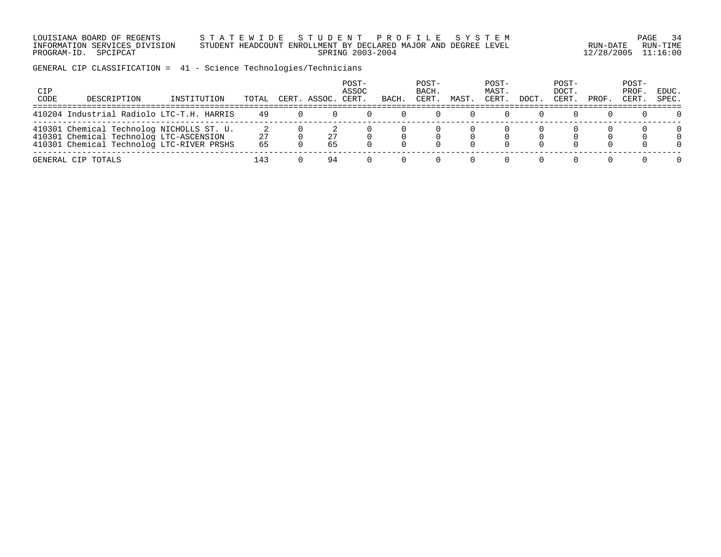LOUISIANA BOARD OF REGENTS S T A T E W I D E S T U D E N T P R O F I L E S Y S T E M PAGE 34 INFORMATION SERVICES DIVISION STUDENT HEADCOUNT ENROLLMENT BY DECLARED MAJOR AND DEGREE LEVEL RUN-DATE RUN-TIME PROGRAM-ID. SPCIPCAT SPRING 2003-2004 12/28/2005 11:16:00

GENERAL CIP CLASSIFICATION = 41 - Science Technologies/Technicians

| CIP<br>CODE | DESCRIPTION                                                                                                                       | INSTITUTION | TOTAL    | CERT. | ASSOC.   | POST-<br>ASSOC<br>CERT | BACH | POST-<br>BACH.<br>CERT | MAST | POST-<br>MAST.<br>CERT | DOCT | POST-<br>DOCT.<br>CERT | PROF | POST-<br>PROF<br>CERT | EDUC.<br>SPEC. |
|-------------|-----------------------------------------------------------------------------------------------------------------------------------|-------------|----------|-------|----------|------------------------|------|------------------------|------|------------------------|------|------------------------|------|-----------------------|----------------|
|             | 410204 Industrial Radiolo LTC-T.H. HARRIS                                                                                         |             | 49       |       |          |                        |      |                        |      |                        |      |                        |      |                       |                |
|             | 410301 Chemical Technolog NICHOLLS ST. U.<br>410301 Chemical Technolog LTC-ASCENSION<br>410301 Chemical Technolog LTC-RIVER PRSHS |             | 27<br>65 |       | 27<br>65 |                        |      |                        |      |                        |      |                        |      |                       | $\Omega$       |
|             | GENERAL CIP TOTALS                                                                                                                |             | 143      |       | 94       |                        |      |                        |      |                        |      |                        |      |                       | <sup>n</sup>   |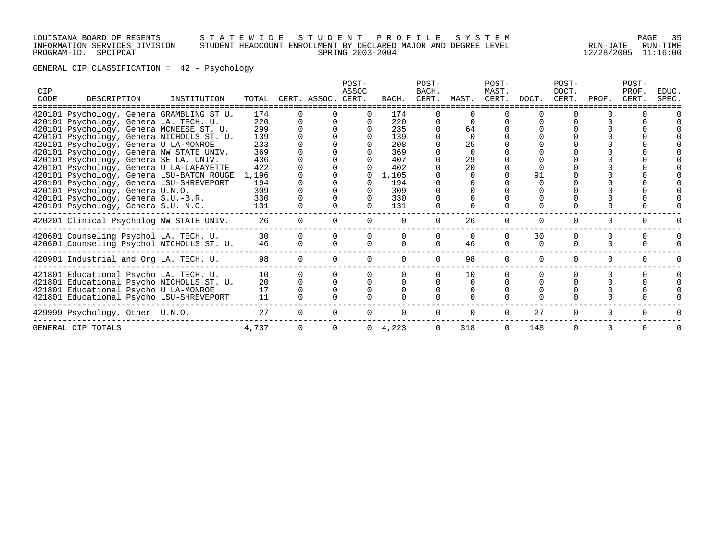## LOUISIANA BOARD OF REGENTS S T A T E W I D E S T U D E N T P R O F I L E S Y S T E M PAGE 35 INFORMATION SERVICES DIVISION STUDENT HEADCOUNT ENROLLMENT BY DECLARED MAJOR AND DEGREE LEVEL RUN-DATE RUN-TIME PROGRAM-ID. SPCIPCAT SPRING 2003-2004 12/28/2005 11:16:00

GENERAL CIP CLASSIFICATION = 42 - Psychology

| <b>CIP</b><br>CODE | DESCRIPTION                                                                | INSTITUTION |            |          | TOTAL CERT. ASSOC. CERT. | POST-<br>ASSOC | BACH.           | POST-<br>BACH.<br>CERT. | MAST.    | POST-<br>MAST.<br>CERT. | DOCT.    | POST-<br>DOCT.<br>CERT. | PROF.    | POST-<br>PROF.<br>CERT. | EDUC.<br>SPEC. |
|--------------------|----------------------------------------------------------------------------|-------------|------------|----------|--------------------------|----------------|-----------------|-------------------------|----------|-------------------------|----------|-------------------------|----------|-------------------------|----------------|
|                    | 420101 Psychology, Genera GRAMBLING ST U.                                  |             | 174        |          |                          |                | 174             |                         |          |                         |          |                         |          |                         |                |
|                    | 420101 Psychology, Genera LA. TECH. U.                                     |             | 220        |          |                          |                | 220             |                         |          |                         |          |                         |          |                         |                |
|                    | 420101 Psychology, Genera MCNEESE ST. U.                                   |             | 299        |          |                          |                | 235             |                         | 64       |                         |          |                         |          |                         |                |
|                    | 420101 Psychology, Genera NICHOLLS ST. U.                                  |             | 139        |          |                          |                | 139             |                         | $\Omega$ |                         |          |                         |          |                         |                |
|                    | 420101 Psychology, Genera U LA-MONROE                                      |             | 233        |          |                          |                | 208             |                         | 25       |                         |          |                         |          |                         |                |
|                    | 420101 Psychology, Genera NW STATE UNIV.                                   |             | 369        |          |                          |                | 369             |                         | $\Omega$ |                         |          |                         |          |                         |                |
|                    | 420101 Psychology, Genera SE LA. UNIV.                                     |             | 436        |          |                          |                | 407             |                         | 29       |                         |          |                         |          |                         |                |
|                    | 420101 Psychology, Genera U LA-LAFAYETTE                                   |             | 422        |          |                          |                | 402             |                         | 20       |                         |          |                         |          |                         |                |
|                    | 420101 Psychology, Genera LSU-BATON ROUGE                                  |             | 1,196      |          |                          |                | 1,105           |                         |          |                         | 91       |                         |          |                         |                |
|                    | 420101 Psychology, Genera LSU-SHREVEPORT                                   |             | 194        |          |                          |                | 194             |                         |          |                         |          |                         |          |                         |                |
|                    | 420101 Psychology, Genera U.N.O.                                           |             | 309<br>330 |          |                          |                | 309<br>330      |                         |          |                         |          |                         |          |                         |                |
|                    | 420101 Psychology, Genera S.U.-B.R.<br>420101 Psychology, Genera S.U.-N.O. |             | 131        |          |                          |                | 131             |                         |          |                         |          |                         |          |                         |                |
|                    |                                                                            |             |            |          |                          |                |                 |                         |          |                         |          |                         |          |                         |                |
|                    | 420201 Clinical Psycholog NW STATE UNIV.                                   |             | 26         |          |                          |                |                 |                         | 26       |                         | $\Omega$ |                         |          |                         |                |
|                    | 420601 Counseling Psychol LA. TECH. U.                                     |             | 30         |          |                          |                |                 |                         | $\Omega$ |                         | 30       | $\Omega$                | 0        | $\Omega$                |                |
|                    | 420601 Counseling Psychol NICHOLLS ST. U.                                  |             | 46         | $\Omega$ |                          |                |                 | $\cap$                  | 46       |                         | $\Omega$ | U                       |          |                         |                |
|                    |                                                                            |             |            |          |                          |                |                 |                         |          |                         |          |                         |          |                         |                |
|                    | 420901 Industrial and Org LA. TECH. U.                                     |             | 98         | $\Omega$ |                          | $\Omega$       | $\Omega$        | $\Omega$                | 98       | $\Omega$                | $\Omega$ | 0                       | $\Omega$ | $\Omega$                |                |
|                    | 421801 Educational Psycho LA. TECH. U.                                     |             | 10         |          |                          |                |                 |                         | 10       |                         |          |                         |          |                         |                |
|                    | 421801 Educational Psycho NICHOLLS ST. U.                                  |             | 20         |          |                          |                |                 |                         | $\Omega$ |                         |          |                         |          |                         |                |
|                    | 421801 Educational Psycho U LA-MONROE                                      |             | 17         |          |                          |                |                 |                         | $\Omega$ |                         |          |                         |          |                         |                |
|                    | 421801 Educational Psycho LSU-SHREVEPORT                                   |             | 11         |          |                          |                |                 |                         |          |                         |          |                         |          |                         |                |
|                    | 429999 Psychology, Other U.N.O.                                            |             | 27         | $\Omega$ |                          |                | $\Omega$        |                         | $\Omega$ | $\Omega$                | 27       | $\Omega$                | $\Omega$ | $\Omega$                |                |
|                    | GENERAL CIP TOTALS                                                         |             | 4,737      |          |                          |                | $0 \quad 4,223$ |                         | 318      | $\Omega$                | 148      | $\Omega$                | $\Omega$ | $\Omega$                |                |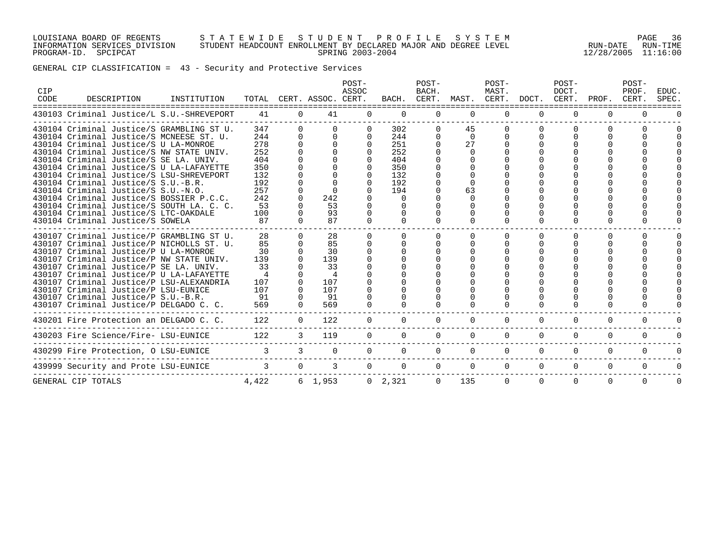#### LOUISIANA BOARD OF REGENTS S T A T E W I D E S T U D E N T P R O F I L E S Y S T E M PAGE 36 INFORMATION SERVICES DIVISION STUDENT HEADCOUNT ENROLLMENT BY DECLARED MAJOR AND DEGREE LEVEL RUN-DATE RUN-TIME PROGRAM-ID. SPCIPCAT SPRING 2003-2004 12/28/2005 11:16:00

GENERAL CIP CLASSIFICATION = 43 - Security and Protective Services

| CIP<br>CODE | DESCRIPTION                                                                                                                                                                                                                                                                                                                                                                                                                                                                         | INSTITUTION |                                                                          |                                                                    | TOTAL CERT. ASSOC. CERT.                                    | POST-<br>ASSOC                 |                                                                         | POST-<br>BACH.<br>BACH. CERT. MAST. CERT. DOCT. CERT. |                                                                    | POST-<br>MAST. |          | POST-<br>DOCT. | PROF.    | POST-<br>PROF.<br>CERT. | EDUC.<br>SPEC. |
|-------------|-------------------------------------------------------------------------------------------------------------------------------------------------------------------------------------------------------------------------------------------------------------------------------------------------------------------------------------------------------------------------------------------------------------------------------------------------------------------------------------|-------------|--------------------------------------------------------------------------|--------------------------------------------------------------------|-------------------------------------------------------------|--------------------------------|-------------------------------------------------------------------------|-------------------------------------------------------|--------------------------------------------------------------------|----------------|----------|----------------|----------|-------------------------|----------------|
|             | 430103 Criminal Justice/L S.U.-SHREVEPORT                                                                                                                                                                                                                                                                                                                                                                                                                                           |             | 41                                                                       | $\Omega$                                                           | 41                                                          | $\Omega$                       | $\Omega$                                                                | 0                                                     | $\Omega$                                                           | $\Omega$       | $\Omega$ | $\Omega$       | $\Omega$ |                         |                |
|             | 430104 Criminal Justice/S GRAMBLING ST U.<br>430104 Criminal Justice/S MCNEESE ST. U.<br>430104 Criminal Justice/S U LA-MONROE<br>430104 Criminal Justice/S NW STATE UNIV.<br>430104 Criminal Justice/S SE LA. UNIV.<br>430104 Criminal Justice/S U LA-LAFAYETTE<br>430104 Criminal Justice/S LSU-SHREVEPORT<br>430104 Criminal Justice/S S.U.-B.R.<br>430104 Criminal Justice/S S.U.-N.O.<br>430104 Criminal Justice/S BOSSIER P.C.C.<br>430104 Criminal Justice/S SOUTH LA. C. C. |             | 347<br>244<br>278<br>252<br>404<br>350<br>132<br>192<br>257<br>242<br>53 | 0<br>0<br>$\Omega$<br>0                                            | $\Omega$<br>$\Omega$<br>$\Omega$<br>242<br>53               | $\Omega$<br>$\Omega$<br>$\cap$ | 302<br>244<br>251<br>252<br>404<br>350<br>132<br>192<br>194<br>$\Omega$ | 0                                                     | 45<br>$\Omega$<br>27<br>$\Omega$<br><sup>n</sup><br>63<br>$\Omega$ |                |          |                | 0        |                         |                |
|             | 430104 Criminal Justice/S LTC-OAKDALE<br>430104 Criminal Justice/S SOWELA                                                                                                                                                                                                                                                                                                                                                                                                           |             | 100<br>87                                                                | <sup>n</sup>                                                       | 93<br>87                                                    | <sup>n</sup>                   | $\Omega$                                                                |                                                       | $\Omega$<br>$\Omega$                                               | ∩              | $\Omega$ |                |          |                         |                |
|             | 430107 Criminal Justice/P GRAMBLING ST U.<br>430107 Criminal Justice/P NICHOLLS ST. U.<br>430107 Criminal Justice/P U LA-MONROE<br>430107 Criminal Justice/P NW STATE UNIV.<br>430107 Criminal Justice/P SE LA. UNIV.<br>430107 Criminal Justice/P U LA-LAFAYETTE<br>430107 Criminal Justice/P LSU-ALEXANDRIA<br>430107 Criminal Justice/P LSU-EUNICE<br>430107 Criminal Justice/P S.U.-B.R.<br>430107 Criminal Justice/P DELGADO C. C.                                             |             | 28<br>85<br>30<br>139<br>33<br>$\overline{4}$<br>107<br>107<br>91<br>569 | $\Omega$<br>$\Omega$<br>$\Omega$<br>$\Omega$<br>$\Omega$<br>$\cap$ | 28<br>85<br>30<br>139<br>33<br>4<br>107<br>107<br>91<br>569 |                                | $\Omega$                                                                | <sup>n</sup>                                          | $\Omega$                                                           |                |          |                |          |                         |                |
|             | 430201 Fire Protection an DELGADO C. C.                                                                                                                                                                                                                                                                                                                                                                                                                                             |             | 122                                                                      | $\Omega$                                                           | 122                                                         | $\Omega$                       | $\Omega$                                                                | $\Omega$                                              | $\Omega$                                                           | $\Omega$       | $\Omega$ | $\Omega$       | $\Omega$ | $\Omega$                |                |
|             | 430203 Fire Science/Fire- LSU-EUNICE                                                                                                                                                                                                                                                                                                                                                                                                                                                |             | 122                                                                      | $\mathcal{E}$                                                      | 119                                                         | $\Omega$                       | $\Omega$                                                                | $\Omega$                                              | $\Omega$                                                           | $\Omega$       | $\Omega$ | $\Omega$       | $\Omega$ | $\Omega$                |                |
|             | 430299 Fire Protection, O LSU-EUNICE                                                                                                                                                                                                                                                                                                                                                                                                                                                |             |                                                                          | 3                                                                  | $\Omega$                                                    |                                | $\Omega$                                                                | 0                                                     | $\Omega$                                                           | $\Omega$       | $\Omega$ | $\Omega$       | $\Omega$ | $\Omega$                |                |
|             | 439999 Security and Prote LSU-EUNICE                                                                                                                                                                                                                                                                                                                                                                                                                                                |             | $\mathcal{R}$                                                            | $\Omega$                                                           | 3                                                           | $\Omega$                       | $\Omega$                                                                | $\Omega$                                              | $\Omega$                                                           | $\Omega$       | $\Omega$ | $\Omega$       | $\Omega$ | $\Omega$                |                |
|             | GENERAL CIP TOTALS                                                                                                                                                                                                                                                                                                                                                                                                                                                                  |             | 4,422                                                                    |                                                                    | 6, 1, 953                                                   |                                | $0 \quad 2.321$                                                         | $\Omega$                                              | 135                                                                | $\Omega$       | $\Omega$ | $\Omega$       | $\Omega$ | $\Omega$                | $\Omega$       |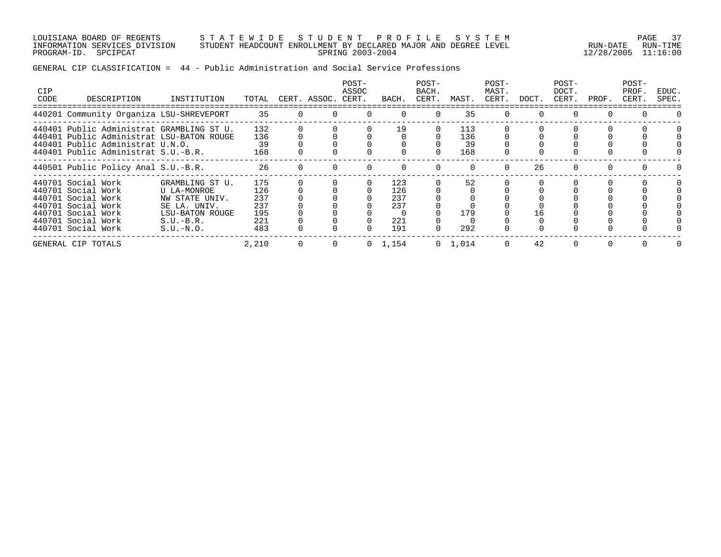LOUISIANA BOARD OF REGENTS S T A T E W I D E S T U D E N T P R O F I L E S Y S T E M PAGE 37 INFORMATION SERVICES DIVISION STUDENT HEADCOUNT ENROLLMENT BY DECLARED MAJOR AND DEGREE LEVEL RUN-DATE RUN-TIME PROGRAM-ID. SPCIPCAT SPRING 2003-2004 12/28/2005 11:16:00

## GENERAL CIP CLASSIFICATION = 44 - Public Administration and Social Service Professions

| <b>CIP</b><br>CODE | DESCRIPTION                                                                                                                                                       | INSTITUTION                                                                                                       | TOTAL                                         | CERT. ASSOC. | POST-<br>ASSOC<br>CERT. | BACH                                   | POST-<br>BACH.<br>CERT. | MAST.                   | POST-<br>MAST.<br>CERT. | DOCT. | POST-<br>DOCT.<br>CERT. | PROF. | POST-<br>PROF.<br>CERT. | EDUC.<br>SPEC. |
|--------------------|-------------------------------------------------------------------------------------------------------------------------------------------------------------------|-------------------------------------------------------------------------------------------------------------------|-----------------------------------------------|--------------|-------------------------|----------------------------------------|-------------------------|-------------------------|-------------------------|-------|-------------------------|-------|-------------------------|----------------|
|                    | 440201 Community Organiza LSU-SHREVEPORT                                                                                                                          |                                                                                                                   | 35                                            |              |                         | $\Omega$                               |                         | 35                      |                         |       | 0                       |       |                         |                |
|                    | 440401 Public Administrat GRAMBLING ST U.<br>440401 Public Administrat LSU-BATON ROUGE<br>440401 Public Administrat U.N.O.<br>440401 Public Administrat S.U.-B.R. |                                                                                                                   | 132<br>136<br>39<br>168                       |              |                         | 19                                     |                         | 113<br>136<br>39<br>168 |                         |       |                         |       |                         |                |
|                    | 440501 Public Policy Anal S.U.-B.R.                                                                                                                               |                                                                                                                   | 26                                            |              |                         |                                        |                         |                         |                         | 26    |                         |       |                         |                |
|                    | 440701 Social Work<br>440701 Social Work<br>440701 Social Work<br>440701 Social Work<br>440701 Social Work<br>440701 Social Work<br>440701 Social Work            | GRAMBLING ST U.<br>U LA-MONROE<br>NW STATE UNIV.<br>SE LA. UNIV.<br>LSU-BATON ROUGE<br>$S.U.-B.R.$<br>$S.U.-N.O.$ | 175<br>126<br>237<br>237<br>195<br>221<br>483 |              |                         | 123<br>126<br>237<br>237<br>221<br>191 |                         | 52<br>179<br>292        |                         | 16    |                         |       |                         |                |
|                    | GENERAL CIP TOTALS                                                                                                                                                |                                                                                                                   | 2,210                                         | $\Omega$     |                         | $0 \quad 1,154$                        |                         | $0 \quad 1,014$         |                         | 42    | 0                       |       |                         |                |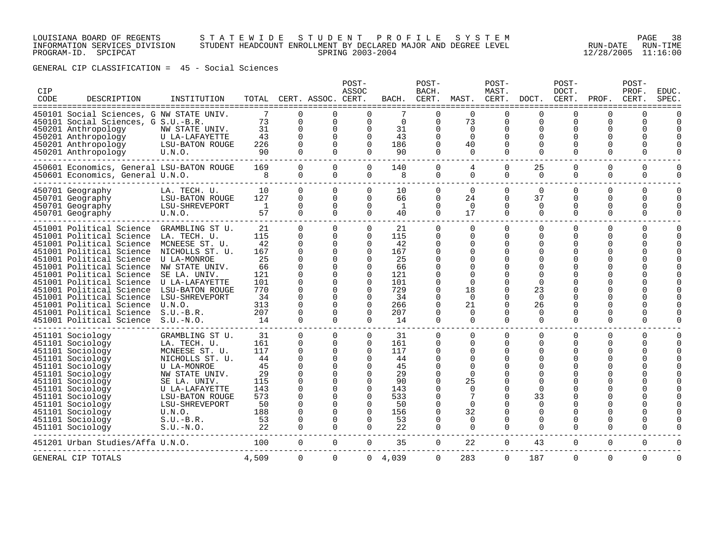## LOUISIANA BOARD OF REGENTS S T A T E W I D E S T U D E N T P R O F I L E S Y S T E M PAGE 38 INFORMATION SERVICES DIVISION STUDENT HEADCOUNT ENROLLMENT BY DECLARED MAJOR AND DEGREE LEVEL RUN-DATE RUN-TIME PROGRAM-ID. SPCIPCAT SPRING 2003-2004 12/28/2005 11:16:00

GENERAL CIP CLASSIFICATION = 45 - Social Sciences

| CIP<br>CODE | DESCRIPTION                                                                                                                                                                                                                                                                                                                                                              | INSTITUTION                                                                                                                                                                                                                       | TOTAL                                                                             |                                                                                  | CERT. ASSOC. CERT.                                                                                                                               | POST-<br>ASSOC                                                                                                                                           | BACH.                                                                             | POST-<br>BACH.<br>CERT.                                                                                                          | MAST.                                                                                                              | POST-<br>MAST.<br>CERT.                                                                         | DOCT.                                                                                                                | POST-<br>DOCT.<br>CERT.<br>==============            | PROF.                                                                    | POST-<br>PROF<br>CERT.<br>====================                        | EDUC.<br>SPEC                                |
|-------------|--------------------------------------------------------------------------------------------------------------------------------------------------------------------------------------------------------------------------------------------------------------------------------------------------------------------------------------------------------------------------|-----------------------------------------------------------------------------------------------------------------------------------------------------------------------------------------------------------------------------------|-----------------------------------------------------------------------------------|----------------------------------------------------------------------------------|--------------------------------------------------------------------------------------------------------------------------------------------------|----------------------------------------------------------------------------------------------------------------------------------------------------------|-----------------------------------------------------------------------------------|----------------------------------------------------------------------------------------------------------------------------------|--------------------------------------------------------------------------------------------------------------------|-------------------------------------------------------------------------------------------------|----------------------------------------------------------------------------------------------------------------------|------------------------------------------------------|--------------------------------------------------------------------------|-----------------------------------------------------------------------|----------------------------------------------|
|             | 450101 Social Sciences, G NW STATE UNIV.<br>450101 Social Sciences, G S.U.-B.R.<br>450201 Anthropology<br>450201 Anthropology<br>450201 Anthropology<br>450201 Anthropology                                                                                                                                                                                              | NW STATE UNIV.<br>U LA-LAFAYETTE<br>LSU-BATON ROUGE<br>U.N.O.                                                                                                                                                                     | 7<br>73<br>31<br>43<br>226<br>90                                                  | $\Omega$<br>$\Omega$<br>$\Omega$<br>$\Omega$<br>$\Omega$<br>$\cap$               | $\Omega$<br>$\Omega$<br>$\Omega$<br>$\Omega$<br>$\Omega$<br>$\Omega$                                                                             | $\Omega$<br>$\Omega$<br>$\Omega$<br>$\Omega$<br>$\Omega$<br>$\cap$                                                                                       | $\Omega$<br>31<br>43<br>186<br>90                                                 | ∩<br>$\Omega$<br>$\Omega$<br>$\Omega$<br>$\Omega$<br>$\Omega$                                                                    | $\Omega$<br>73<br>$\Omega$<br>$\Omega$<br>40<br>$\Omega$                                                           | $\cap$<br>$\Omega$<br>$\Omega$<br>$\cap$<br>$\Omega$<br>$\Omega$                                | ∩<br>$\Omega$<br>$\Omega$<br>∩<br>$\Omega$<br>$\Omega$                                                               | U<br>$\Omega$<br>0<br>U<br>O<br>$\Omega$             | U<br>$\Omega$<br>0<br>U<br>O<br>$\Omega$                                 | $\Omega$<br>$\Omega$<br>$\Omega$<br>$\Omega$<br>$\Omega$<br>$\Omega$  |                                              |
|             | 450601 Economics, General LSU-BATON ROUGE<br>450601 Economics, General U.N.O.                                                                                                                                                                                                                                                                                            |                                                                                                                                                                                                                                   | 169<br>8                                                                          | $\Omega$<br>$\mathbf 0$                                                          | $\Omega$<br>$\Omega$                                                                                                                             | $\Omega$<br>0                                                                                                                                            | 140<br>8                                                                          | $\Omega$<br>0                                                                                                                    | 4<br>$\Omega$                                                                                                      | $\Omega$<br>$\Omega$                                                                            | 25<br>$\Omega$                                                                                                       | $\Omega$<br>$\Omega$                                 | $\Omega$<br>$\Omega$                                                     | $\Omega$<br>$\mathbf 0$                                               | <sup>n</sup>                                 |
|             | 450701 Geography<br>450701 Geography<br>450701 Geography<br>450701 Geography                                                                                                                                                                                                                                                                                             | LA. TECH. U.<br>LSU-BATON ROUGE<br>LSU-SHREVEPORT<br>U.N.O.                                                                                                                                                                       | 10<br>127<br>$\overline{1}$<br>57                                                 | $\Omega$<br>$\Omega$<br>$\Omega$<br>$\Omega$                                     | $\Omega$<br>$\Omega$<br>$\Omega$<br>$\Omega$                                                                                                     | $\Omega$<br>$\Omega$<br>$\Omega$<br>$\Omega$                                                                                                             | 10<br>66<br>1<br>40                                                               | $\Omega$<br>$\Omega$<br>$\Omega$<br>$\Omega$                                                                                     | $\Omega$<br>24<br>$\Omega$<br>17                                                                                   | $\Omega$<br>$\Omega$<br>$\Omega$<br>$\Omega$                                                    | $\Omega$<br>37<br>$\Omega$<br>$\Omega$                                                                               | $\Omega$<br>$\Omega$<br>$\Omega$<br>$\Omega$         | $\Omega$<br>0<br>$\Omega$<br>$\Omega$                                    | $\Omega$<br>$\Omega$<br>$\Omega$<br>0                                 | $\Omega$<br>$\Omega$<br>$\Omega$<br>$\Omega$ |
|             | 451001 Political Science<br>451001 Political Science<br>451001 Political Science<br>451001 Political Science<br>451001 Political Science<br>451001 Political Science<br>451001 Political Science<br>451001 Political Science<br>451001 Political Science<br>451001 Political Science<br>451001 Political Science<br>451001 Political Science<br>451001 Political Science | GRAMBLING ST U.<br>LA. TECH. U<br>MCNEESE ST. U.<br>NICHOLLS ST. U.<br><b>U LA-MONROE</b><br>NW STATE UNIV.<br>SE LA. UNIV.<br>U LA-LAFAYETTE<br><b>LSU-BATON ROUGE</b><br>LSU-SHREVEPORT<br>U.N.O.<br>$S.U.-B.R.$<br>$S.U.-N.O.$ | 21<br>115<br>42<br>167<br>25<br>66<br>121<br>101<br>770<br>34<br>313<br>207<br>14 | $\Omega$<br>$\Omega$<br>$\Omega$<br>$\Omega$<br>$\Omega$<br>$\Omega$<br>$\Omega$ | $\Omega$<br>$\Omega$<br>$\Omega$<br>$\Omega$<br>$\Omega$<br>$\Omega$<br>$\Omega$<br>$\Omega$<br>$\Omega$<br>$\Omega$<br>$\Omega$<br>$\Omega$     | $\Omega$<br>$\Omega$<br>$\Omega$<br>$\Omega$<br>$\Omega$<br>$\Omega$<br>$\Omega$<br>$\Omega$<br>$\Omega$<br>$\Omega$<br>$\Omega$<br>$\Omega$<br>$\Omega$ | 21<br>115<br>42<br>167<br>25<br>66<br>121<br>101<br>729<br>34<br>266<br>207<br>14 | $\Omega$<br>$\Omega$<br>O<br>$\Omega$<br>∩<br>∩<br>$\Omega$<br>$\Omega$<br>$\Omega$<br>0<br>$\Omega$<br>$\Omega$                 | $\Omega$<br>$\Omega$<br>$\Omega$<br>$\Omega$<br>∩<br>∩<br>$\Omega$<br>18<br>$\Omega$<br>21<br>$\Omega$<br>$\Omega$ | $\Omega$<br>$\Omega$<br>$\Omega$<br>O<br>$\Omega$<br>$\cap$<br>$\Omega$<br>$\Omega$<br>$\Omega$ | 0<br>$\Omega$<br>O<br>$\Omega$<br>∩<br>O<br>∩<br>$\Omega$<br>23<br>$\Omega$<br>26<br>$\Omega$<br>$\Omega$            | $\Omega$<br>$\Omega$<br>U<br>O<br>O<br>U<br>$\Omega$ | 0<br>$\Omega$<br>$\Omega$<br>O<br>U<br>∩<br>O<br>O<br>O<br>O<br>$\Omega$ | $\mathbf 0$<br>$\Omega$<br>$\Omega$<br>O<br>$\Omega$<br>U<br>$\Omega$ | <sup>n</sup><br><sup>n</sup>                 |
|             | 451101 Sociology<br>451101 Sociology<br>451101 Sociology<br>451101 Sociology<br>451101 Sociology<br>451101 Sociology<br>451101 Sociology<br>451101 Sociology<br>451101 Sociology<br>451101 Sociology<br>451101 Sociology<br>451101 Sociology<br>451101 Sociology                                                                                                         | GRAMBLING ST U.<br>LA. TECH. U<br>MCNEESE ST. U.<br>NICHOLLS ST. U.<br>U LA-MONROE<br>NW STATE UNIV.<br>SE LA. UNIV.<br>U LA-LAFAYETTE<br>LSU-BATON ROUGE<br>LSU-SHREVEPORT<br>U.N.O.<br>$S.U.-B.R.$<br>$S.U.-N.O.$               | 31<br>161<br>117<br>44<br>45<br>29<br>115<br>143<br>573<br>50<br>188<br>53<br>22  | $\Omega$<br>$\Omega$<br>∩<br>$\Omega$<br>0                                       | $\Omega$<br>$\Omega$<br>$\Omega$<br>$\Omega$<br>$\Omega$<br><sup>0</sup><br>$\Omega$<br>$\Omega$<br>$\Omega$<br>$\Omega$<br>$\Omega$<br>$\Omega$ | 0<br>$\Omega$<br>$\Omega$<br>$\Omega$<br>$\Omega$<br>0<br>$\Omega$<br>$\Omega$<br>$\Omega$<br>$\Omega$<br>$\Omega$<br>$\Omega$<br>0                      | 31<br>161<br>117<br>44<br>45<br>29<br>90<br>143<br>533<br>50<br>156<br>53<br>22   | $\Omega$<br>$\Omega$<br>$\Omega$<br>$\Omega$<br>$\Omega$<br>O<br>$\Omega$<br>O<br>$\Omega$<br>$\Omega$<br>0<br><sup>0</sup><br>0 | $\Omega$<br>$\Omega$<br>$\Omega$<br>$\Omega$<br>∩<br>$\Omega$<br>25<br>$\Omega$<br>7<br>$\Omega$<br>32<br>0<br>0   | $\Omega$<br>$\Omega$<br>O<br>$\Omega$<br>$\Omega$<br>∩<br>$\mathbf 0$                           | $\Omega$<br>$\Omega$<br>$\Omega$<br>$\Omega$<br>O<br>$\Omega$<br>$\Omega$<br>33<br>$\Omega$<br>0<br>0<br>$\mathbf 0$ | $\Omega$<br>O<br>0<br>U<br>$\Omega$                  | 0<br>$\Omega$<br>O<br>O<br>∩<br>N<br>U<br>U<br>O<br>U<br>$\Omega$        | $\Omega$<br>$\Omega$<br>$\Omega$<br>O<br>$\Omega$<br>0                |                                              |
|             | 451201 Urban Studies/Affa U.N.O.                                                                                                                                                                                                                                                                                                                                         |                                                                                                                                                                                                                                   | 100                                                                               | $\mathbf 0$                                                                      | 0                                                                                                                                                | $\mathbf 0$                                                                                                                                              | 35                                                                                | 0                                                                                                                                | 22                                                                                                                 | 0                                                                                               | 43                                                                                                                   | 0                                                    | $\mathbf 0$                                                              | 0                                                                     |                                              |
|             | GENERAL CIP TOTALS                                                                                                                                                                                                                                                                                                                                                       |                                                                                                                                                                                                                                   | 4,509                                                                             | $\Omega$                                                                         | $\Omega$                                                                                                                                         | $\overline{0}$                                                                                                                                           | 4,039                                                                             | $\Omega$                                                                                                                         | 283                                                                                                                | $\Omega$                                                                                        | 187                                                                                                                  | $\Omega$                                             | $\Omega$                                                                 | $\Omega$                                                              | $\Omega$                                     |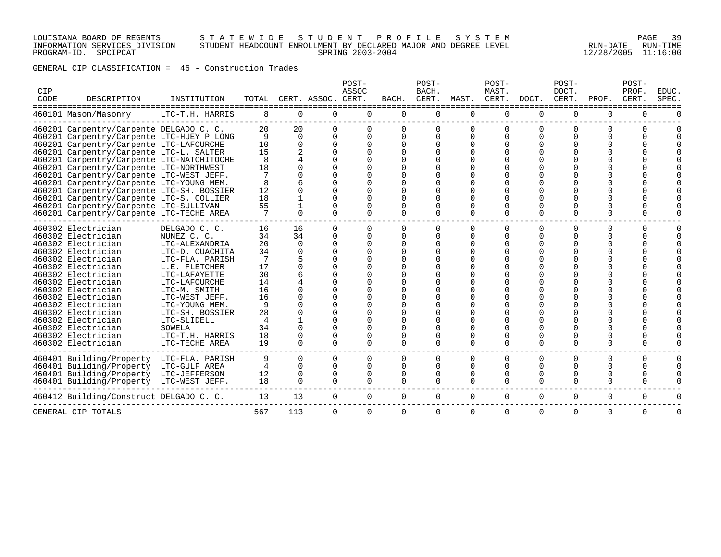## LOUISIANA BOARD OF REGENTS S T A T E W I D E S T U D E N T P R O F I L E S Y S T E M PAGE 39 INFORMATION SERVICES DIVISION STUDENT HEADCOUNT ENROLLMENT BY DECLARED MAJOR AND DEGREE LEVEL RUN-DATE RUN-TIME PROGRAM-ID. SPCIPCAT SPRING 2003-2004 12/28/2005 11:16:00

GENERAL CIP CLASSIFICATION = 46 - Construction Trades

| CIP<br>CODE | DESCRIPTION                               | INSTITUTION     | TOTAL |             | CERT. ASSOC. CERT. | POST-<br>ASSOC | BACH.    | POST-<br>BACH.<br>CERT. | MAST.       | POST-<br>MAST.<br>CERT. | DOCT.       | POST-<br>DOCT.<br>CERT. | PROF.    | POST-<br>PROF.<br>CERT. | EDUC.<br>SPEC. |
|-------------|-------------------------------------------|-----------------|-------|-------------|--------------------|----------------|----------|-------------------------|-------------|-------------------------|-------------|-------------------------|----------|-------------------------|----------------|
|             | 460101 Mason/Masonry                      | LTC-T.H. HARRIS | 8     | $\mathbf 0$ | 0                  | 0              | 0        | 0                       | $\mathbf 0$ | $\mathbf 0$             | $\mathbf 0$ | 0                       | 0        | =========<br>0          |                |
|             | 460201 Carpentry/Carpente DELGADO C. C.   |                 | 20    | 20          | $\Omega$           | $\Omega$       | 0        | $\Omega$                | $\Omega$    | $\cap$                  | $\Omega$    | $\Omega$                | $\Omega$ | $\Omega$                |                |
|             | 460201 Carpentry/Carpente LTC-HUEY P LONG |                 | 9     | $\Omega$    | 0                  | 0              | 0        | 0                       | 0           | <sup>0</sup>            | O           |                         | O        | $\Omega$                |                |
|             | 460201 Carpentry/Carpente LTC-LAFOURCHE   |                 | 10    | $\Omega$    | $\Omega$           | $\Omega$       | $\Omega$ | $\Omega$                | $\Omega$    |                         | $\Omega$    |                         | U        |                         |                |
|             | 460201 Carpentry/Carpente LTC-L. SALTER   |                 | 15    |             |                    |                |          |                         |             |                         |             |                         |          |                         |                |
|             | 460201 Carpentry/Carpente LTC-NATCHITOCHE |                 | 8     |             |                    |                |          |                         |             |                         |             |                         |          |                         |                |
|             | 460201 Carpentry/Carpente LTC-NORTHWEST   |                 | 18    |             |                    |                |          |                         |             |                         |             |                         |          |                         |                |
|             | 460201 Carpentry/Carpente LTC-WEST JEFF.  |                 |       |             |                    |                |          |                         |             |                         |             |                         |          |                         |                |
|             | 460201 Carpentry/Carpente LTC-YOUNG MEM.  |                 | 8     |             |                    |                |          |                         |             |                         |             |                         |          |                         |                |
|             | 460201 Carpentry/Carpente LTC-SH. BOSSIER |                 | 12    |             |                    |                |          |                         |             |                         |             |                         |          |                         |                |
|             | 460201 Carpentry/Carpente LTC-S. COLLIER  |                 | 18    |             |                    |                |          |                         |             |                         |             |                         |          |                         |                |
|             | 460201 Carpentry/Carpente LTC-SULLIVAN    |                 | 55    |             |                    |                |          |                         |             |                         |             |                         |          |                         |                |
|             | 460201 Carpentry/Carpente LTC-TECHE AREA  |                 |       |             | $\Omega$           | $\Omega$       | 0        | $\Omega$                | $\Omega$    | $\Omega$                | $\Omega$    | 0                       | $\Omega$ | $\Omega$                |                |
|             | 460302 Electrician                        | DELGADO C. C.   | 16    | 16          | $\Omega$           | $\Omega$       | 0        | $\Omega$                | $\Omega$    | $\Omega$                | $\Omega$    | 0                       | $\Omega$ | $\Omega$                |                |
|             | 460302 Electrician                        | NUNEZ C. C.     | 34    | 34          | $\Omega$           | 0              | 0        | $\Omega$                | $\Omega$    | $\Omega$                | $\Omega$    | U                       | 0        | $\Omega$                |                |
|             | 460302 Electrician                        | LTC-ALEXANDRIA  | 20    | $\Omega$    | $\Omega$           | <sup>n</sup>   | O        | <sup>0</sup>            | ∩           |                         | $\Omega$    |                         | U        | U                       |                |
|             | 460302 Electrician                        | LTC-D. OUACHITA | 34    |             |                    |                |          |                         |             |                         |             |                         |          |                         |                |
|             | 460302 Electrician                        | LTC-FLA. PARISH | 7     |             |                    |                |          |                         |             |                         |             |                         |          |                         |                |
|             | 460302 Electrician                        | L.E. FLETCHER   | 17    |             |                    |                |          |                         |             |                         |             |                         |          |                         |                |
|             | 460302 Electrician                        | LTC-LAFAYETTE   | 30    |             |                    |                |          |                         |             |                         |             |                         |          |                         |                |
|             | 460302 Electrician                        | LTC-LAFOURCHE   | 14    |             |                    |                |          |                         |             |                         |             |                         |          |                         |                |
|             | 460302 Electrician                        | LTC-M. SMITH    | 16    |             |                    |                |          |                         |             |                         |             |                         |          |                         |                |
|             | 460302 Electrician                        | LTC-WEST JEFF.  | 16    |             |                    |                |          |                         |             |                         |             |                         |          |                         |                |
|             | 460302 Electrician                        | LTC-YOUNG MEM.  | 9     |             |                    |                |          |                         |             |                         |             |                         |          |                         |                |
|             | 460302 Electrician                        | LTC-SH. BOSSIER | 28    |             |                    |                |          |                         |             |                         |             |                         |          |                         |                |
|             | 460302 Electrician                        | LTC-SLIDELL     | 4     |             |                    |                |          |                         |             |                         |             |                         |          |                         |                |
|             | 460302 Electrician                        | SOWELA          | 34    |             |                    |                |          |                         |             |                         |             |                         |          |                         |                |
|             | 460302 Electrician                        | LTC-T.H. HARRIS | 18    |             |                    | $\Omega$       |          | O                       | O           |                         | $\Omega$    |                         | O        |                         |                |
|             | 460302 Electrician                        | LTC-TECHE AREA  | 19    | 0           | $\Omega$           | 0              | 0        | $\Omega$                | $\Omega$    | $\Omega$                | $\Omega$    | U                       | O        | $\Omega$                |                |
|             | 460401 Building/Property                  | LTC-FLA. PARISH | 9     | $\Omega$    | $\Omega$           | $\Omega$       | $\Omega$ | $\Omega$                | $\Omega$    | $\Omega$                | $\Omega$    | $\Omega$                | $\Omega$ | 0                       | $\Omega$       |
|             | 460401 Building/Property                  | LTC-GULF AREA   | 4     | $\Omega$    | $\Omega$           | $\Omega$       | 0        | $\Omega$                | $\Omega$    | $\Omega$                | $\Omega$    | 0                       | 0        | $\Omega$                | $\Omega$       |
|             | 460401 Building/Property                  | LTC-JEFFERSON   | 12    |             |                    | $\Omega$       | O        | $\Omega$                | $\Omega$    |                         | 0           | O                       | O        | $\Omega$                |                |
|             | 460401 Building/Property LTC-WEST JEFF.   |                 | 18    | $\Omega$    | $\Omega$           | $\Omega$       | $\Omega$ | $\Omega$                | $\Omega$    | $\Omega$                | $\Omega$    | $\Omega$                | $\Omega$ | $\Omega$                |                |
|             | 460412 Building/Construct DELGADO C. C.   |                 | 13    | 13          | 0                  | $\Omega$       | 0        | $\Omega$                | $\Omega$    | $\Omega$                | $\Omega$    | $\Omega$                | $\Omega$ | $\Omega$                |                |
|             | GENERAL CIP TOTALS                        |                 | 567   | 113         | $\Omega$           | $\Omega$       | 0        | 0                       | 0           | 0                       | 0           | 0                       | 0        | 0                       | <sup>n</sup>   |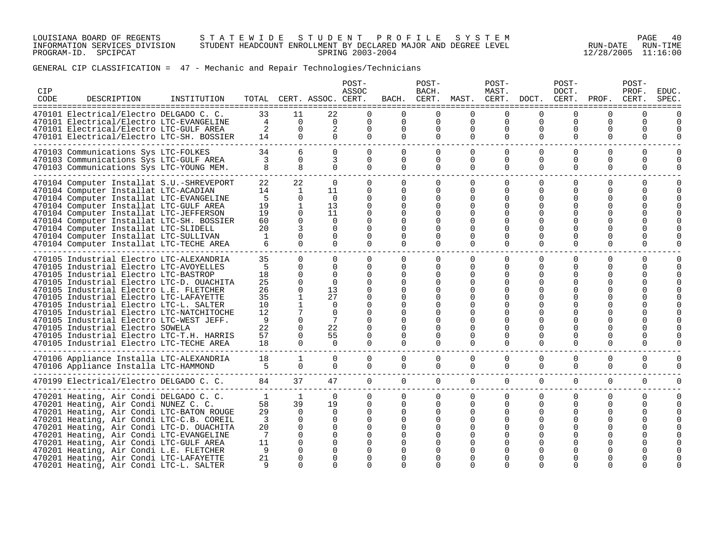LOUISIANA BOARD OF REGENTS S T A T E W I D E S T U D E N T P R O F I L E S Y S T E M PAGE 40 INFORMATION SERVICES DIVISION STUDENT HEADCOUNT ENROLLMENT BY DECLARED MAJOR AND DEGREE LEVEL RUN-DATE RUN-TIME PROGRAM-ID. SPCIPCAT SPRING 2003-2004 12/28/2005 11:16:00

# GENERAL CIP CLASSIFICATION = 47 - Mechanic and Repair Technologies/Technicians

| CIP<br>CODE | DESCRIPTION                                                                                                                   | INSTITUTION |                      |                             | TOTAL CERT. ASSOC. CERT.   | POST-<br>ASSOC                   | BACH.                            | POST-<br>BACH.<br>CERT. | MAST. CERT.          | POST-<br>MAST.       | DOCT. CERT.                | POST-<br>DOCT.       | PROF.                | POST-<br>PROF.<br>CERT. | <b>EDUC</b><br>SPEC  |
|-------------|-------------------------------------------------------------------------------------------------------------------------------|-------------|----------------------|-----------------------------|----------------------------|----------------------------------|----------------------------------|-------------------------|----------------------|----------------------|----------------------------|----------------------|----------------------|-------------------------|----------------------|
|             | 470101 Electrical/Electro DELGADO C. C.<br>470101 Electrical/Electro LTC-EVANGELINE                                           |             | 33<br>$\overline{4}$ | 11<br>$\Omega$              | 22<br>$\Omega$             | $\Omega$<br>$\Omega$             | $\Omega$<br>$\Omega$             | $\Omega$<br>$\Omega$    | $\Omega$<br>$\Omega$ | $\Omega$<br>0        | $\Omega$<br>$\Omega$       | $\Omega$<br>$\Omega$ | $\Omega$<br>$\Omega$ | $\Omega$<br>$\Omega$    | ======<br>$\Omega$   |
|             | 470101 Electrical/Electro LTC-GULF AREA<br>470101 Electrical/Electro LTC-SH. BOSSIER                                          |             | 2<br>14              | $\Omega$<br>$\Omega$        | 2<br>$\Omega$              | $\Omega$<br>$\Omega$             | $\Omega$<br>$\Omega$             | $\Omega$<br>$\Omega$    | $\Omega$<br>$\Omega$ | $\Omega$<br>$\Omega$ | $\Omega$<br>$\Omega$       | $\Omega$<br>$\Omega$ | $\Omega$<br>$\Omega$ | $\Omega$<br>$\Omega$    | U<br>$\Omega$        |
|             | 470103 Communications Sys LTC-FOLKES<br>470103 Communications Sys LTC-GULF AREA                                               |             | 34<br>3              | 6<br>$\Omega$               | $\Omega$<br>3              | $\Omega$<br>$\Omega$             | $\Omega$<br>$\Omega$             | $\Omega$<br>$\Omega$    | $\Omega$<br>$\Omega$ | $\Omega$<br>$\Omega$ | $\Omega$<br>$\Omega$       | $\Omega$<br>$\Omega$ | $\Omega$<br>$\Omega$ | $\Omega$<br>$\Omega$    | $\Omega$<br>$\Omega$ |
|             | 470103 Communications Sys LTC-YOUNG MEM.                                                                                      |             | 8                    | 8                           | $\Omega$                   | $\Omega$                         | $\Omega$                         | $\Omega$                | $\Omega$             | $\Omega$             | $\Omega$                   | $\Omega$             | $\Omega$             | $\Omega$                | $\Omega$             |
|             | 470104 Computer Installat S.U.-SHREVEPORT<br>470104 Computer Installat LTC-ACADIAN                                            |             | 22<br>14             | 22<br>1                     | $\Omega$<br>11             | $\Omega$<br>$\Omega$             | $\Omega$<br>$\Omega$             | $\Omega$<br>0           | $\Omega$<br>0        | 0<br>$\Omega$        | 0<br>$\Omega$              | 0<br>0               | $\Omega$<br>O        | $\Omega$<br>U           | $\Omega$<br>$\Omega$ |
|             | 470104 Computer Installat LTC-EVANGELINE<br>470104 Computer Installat LTC-GULF AREA                                           |             | 5<br>19<br>19        | $\Omega$<br>1<br>$\Omega$   | $\overline{0}$<br>13<br>11 | $\Omega$<br>$\Omega$<br>$\Omega$ | $\Omega$<br>$\Omega$<br>$\Omega$ | 0<br><sup>n</sup><br>U  | 0<br><sup>n</sup>    | 0                    |                            | O                    | O                    |                         |                      |
|             | 470104 Computer Installat LTC-JEFFERSON<br>470104 Computer Installat LTC-SH. BOSSIER<br>470104 Computer Installat LTC-SLIDELL |             | 60<br>20             | $\Omega$                    | $\Omega$<br>$\Omega$       | $\Omega$<br>$\Omega$             |                                  |                         |                      | ∩                    | ∩                          | ∩                    |                      |                         |                      |
|             | 470104 Computer Installat LTC-SULLIVAN<br>470104 Computer Installat LTC-TECHE AREA                                            |             | $\mathbf{1}$         | $\Omega$<br>$\Omega$        | $\Omega$<br>$\Omega$       | 0<br>$\Omega$                    | $\Omega$                         | U<br>$\Omega$           | 0<br>$\Omega$        | O<br>$\Omega$        | ∩<br>$\Omega$              | O<br>$\Omega$        | O<br>$\Omega$        | O                       |                      |
|             | 470105 Industrial Electro LTC-ALEXANDRIA<br>470105 Industrial Electro LTC-AVOYELLES                                           |             | 35<br>5              | $\Omega$<br>$\Omega$        | $\Omega$<br>$\Omega$       | $\Omega$<br>$\Omega$             | $\Omega$<br>$\Omega$             | $\Omega$<br>0           | $\Omega$<br>0        | $\Omega$<br>$\Omega$ | $\Omega$<br>$\Omega$       | $\Omega$<br>0        | $\Omega$<br>O        | $\Omega$<br>U           | O                    |
|             | 470105 Industrial Electro LTC-BASTROP<br>470105 Industrial Electro LTC-D. OUACHITA                                            |             | 18<br>25             | $\Omega$<br>$\Omega$        | $\Omega$<br>$\Omega$       | $\Omega$<br>$\Omega$             | $\Omega$<br>$\Omega$             | 0<br>O                  |                      | 0<br>0               | O<br>O                     | O<br>O               | O<br>O               |                         |                      |
|             | 470105 Industrial Electro L.E. FLETCHER<br>470105 Industrial Electro LTC-LAFAYETTE                                            |             | 26<br>35             | $\Omega$<br>-1              | 13<br>27                   | $\Omega$<br>0                    |                                  |                         |                      | O                    |                            |                      |                      |                         |                      |
|             | 470105 Industrial Electro LTC-L. SALTER<br>470105 Industrial Electro LTC-NATCHITOCHE                                          |             | 10<br>12             |                             | $\Omega$<br>$\Omega$       | $\Omega$<br>$\Omega$             |                                  |                         |                      | n                    |                            |                      |                      |                         |                      |
|             | 470105 Industrial Electro LTC-WEST JEFF.                                                                                      |             | 9                    | $\Omega$                    | 7                          | $\Omega$                         |                                  |                         |                      |                      |                            |                      |                      |                         |                      |
|             | 470105 Industrial Electro SOWELA<br>470105 Industrial Electro LTC-T.H. HARRIS                                                 |             | 22<br>57             | $\Omega$<br>0               | 22<br>55                   | $\Omega$<br>0                    | $\Omega$                         | U<br>U                  | n                    | n<br>O               | $\Omega$                   | O                    | O                    |                         |                      |
|             | 470105 Industrial Electro LTC-TECHE AREA                                                                                      |             | 18                   | $\Omega$                    | $\Omega$                   | $\Omega$                         | $\Omega$                         | 0                       | 0                    | 0                    | $\Omega$                   | $\Omega$             | $\Omega$             | O                       |                      |
|             | 470106 Appliance Installa LTC-ALEXANDRIA<br>470106 Appliance Installa LTC-HAMMOND                                             |             | 18<br>5              | $\mathbf{1}$<br>$\mathbf 0$ | 0<br>$\overline{0}$        | $\mathbf{0}$<br>$\mathbf{0}$     | 0<br>$\overline{0}$              | 0<br>0                  | 0<br>0               | 0<br>$\overline{0}$  | $\mathbf 0$<br>$\mathbf 0$ | 0<br>0               | 0<br>0               | 0<br>0                  | 0<br>O               |
|             | 470199 Electrical/Electro DELGADO C. C.                                                                                       |             | 84                   | 37                          | 47                         | $\overline{0}$                   | $\overline{0}$                   | $\overline{0}$          | $\overline{0}$       | $\overline{0}$       | $\overline{0}$             | $\overline{0}$       | $\mathbf 0$          | $\mathbf 0$             | 0                    |
|             | 470201 Heating, Air Condi DELGADO C. C.                                                                                       |             | $\mathbf{1}$         | $\mathbf{1}$                | $\Omega$                   | $\Omega$                         | $\Omega$                         | $\Omega$                | $\Omega$             | 0                    | 0                          | 0                    | 0                    | $\Omega$                | $\Omega$             |
|             | 470201 Heating, Air Condi NUNEZ C. C.                                                                                         |             | 58                   | 39<br>$\Omega$              | 19<br>$\Omega$             | 0<br>$\Omega$                    | $\Omega$<br>$\Omega$             | $\Omega$<br>$\Omega$    | $\Omega$<br>$\Omega$ | 0<br>$\Omega$        | 0                          | 0                    | 0                    | $\Omega$                | $\Omega$             |
|             | 470201 Heating, Air Condi LTC-BATON ROUGE<br>470201 Heating, Air Condi LTC-C.B. COREIL                                        |             | 29<br>3              | $\Omega$                    | $\Omega$                   | $\Omega$                         | $\Omega$                         |                         |                      |                      |                            | 0                    |                      |                         |                      |
|             | 470201 Heating, Air Condi LTC-D. OUACHITA                                                                                     |             | 20                   | $\Omega$                    | $\Omega$                   | $\Omega$                         |                                  |                         |                      |                      |                            |                      |                      |                         |                      |
|             | 470201 Heating, Air Condi LTC-EVANGELINE                                                                                      |             | 7                    | $\Omega$                    | $\Omega$                   | $\Omega$                         |                                  |                         |                      |                      |                            |                      |                      |                         |                      |
|             | 470201 Heating, Air Condi LTC-GULF AREA                                                                                       |             | 11<br>9              | $\Omega$<br>$\Omega$        | $\Omega$<br>$\Omega$       | 0                                |                                  |                         |                      |                      |                            |                      |                      |                         |                      |
|             | 470201 Heating, Air Condi L.E. FLETCHER<br>470201 Heating, Air Condi LTC-LAFAYETTE                                            |             | 21                   | $\Omega$                    | $\Omega$                   | $\Omega$                         |                                  |                         |                      |                      |                            |                      |                      |                         |                      |
|             | 470201 Heating, Air Condi LTC-L. SALTER                                                                                       |             | q                    | $\Omega$                    | $\Omega$                   | $\cap$                           | $\Omega$                         | ∩                       |                      | $\Omega$             | $\Omega$                   | ∩                    | ∩                    |                         |                      |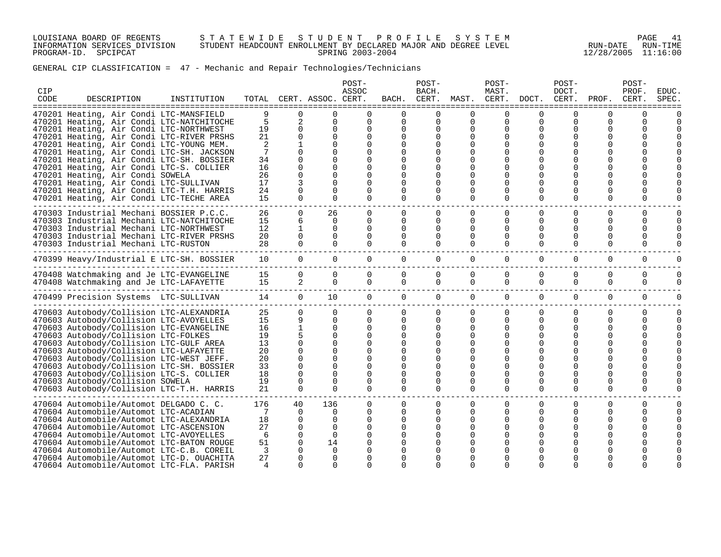LOUISIANA BOARD OF REGENTS S T A T E W I D E S T U D E N T P R O F I L E S Y S T E M PAGE 41 INFORMATION SERVICES DIVISION STUDENT HEADCOUNT ENROLLMENT BY DECLARED MAJOR AND DEGREE LEVEL RUN-DATE RUN-TIME PROGRAM-ID. SPCIPCAT SPRING 2003-2004 12/28/2005 11:16:00

# GENERAL CIP CLASSIFICATION = 47 - Mechanic and Repair Technologies/Technicians

| CIP<br>CODE | DESCRIPTION                                                                                                                                                                                                        | INSTITUTION |                            |                                       | TOTAL CERT. ASSOC. CERT.                                 | POST-<br>ASSOC                                           | BACH.                                        | POST-<br>BACH.<br>CERT.                      | MAST.                                 | POST-<br>MAST.<br>CERT.                                  | DOCT.                                                 | POST-<br>DOCT.<br>CERT.               | PROF.                                             | POST-<br>PROF.<br>CERT.                      | <b>EDUC</b><br>SPEC |
|-------------|--------------------------------------------------------------------------------------------------------------------------------------------------------------------------------------------------------------------|-------------|----------------------------|---------------------------------------|----------------------------------------------------------|----------------------------------------------------------|----------------------------------------------|----------------------------------------------|---------------------------------------|----------------------------------------------------------|-------------------------------------------------------|---------------------------------------|---------------------------------------------------|----------------------------------------------|---------------------|
|             | 470201 Heating, Air Condi LTC-MANSFIELD<br>470201 Heating, Air Condi LTC-NATCHITOCHE<br>470201 Heating, Air Condi LTC-NORTHWEST<br>470201 Heating, Air Condi LTC-RIVER PRSHS                                       |             | 9<br>5<br>19<br>21         | 0<br>2<br>$\mathbf 0$<br>$\Omega$     | O<br>$\Omega$<br>$\Omega$<br>$\Omega$                    | $\Omega$<br>$\Omega$<br>$\Omega$<br>$\Omega$             | $\Omega$<br>$\Omega$<br>$\Omega$<br>$\Omega$ | $\Omega$<br>$\Omega$<br>$\Omega$             | $\Omega$<br>$\Omega$<br>$\Omega$      | $\Omega$<br>$\mathbf 0$<br>0<br>$\Omega$                 | $\Omega$<br>$\mathbf 0$<br>0                          | $\Omega$<br>$\mathbf 0$<br>0          | $\Omega$<br>$\Omega$<br>$\Omega$                  | <sup>0</sup><br>$\Omega$<br><sup>0</sup>     |                     |
|             | 470201 Heating, Air Condi LTC-YOUNG MEM.<br>470201 Heating, Air Condi LTC-SH. JACKSON<br>470201 Heating, Air Condi LTC-SH. BOSSIER                                                                                 |             | 2<br>7<br>34               | $\Omega$<br>$\Omega$                  | $\Omega$<br>$\Omega$<br>$\Omega$                         | $\Omega$                                                 |                                              |                                              |                                       | $\Omega$<br>$\Omega$                                     | $\Omega$                                              | O                                     |                                                   |                                              |                     |
|             | 470201 Heating, Air Condi LTC-S. COLLIER<br>470201 Heating, Air Condi SOWELA<br>470201 Heating, Air Condi LTC-SULLIVAN<br>470201 Heating, Air Condi LTC-T.H. HARRIS                                                |             | 16<br>26<br>17<br>24       | 0<br>$\Omega$<br>3<br>0               | $\Omega$<br>$\Omega$<br>$\Omega$<br>$\Omega$             |                                                          | $\Omega$                                     | O                                            |                                       | $\Omega$<br>$\Omega$                                     | 0<br>$\Omega$                                         |                                       | O                                                 |                                              |                     |
|             | 470201 Heating, Air Condi LTC-TECHE AREA<br>470303 Industrial Mechani BOSSIER P.C.C.<br>470303 Industrial Mechani LTC-NATCHITOCHE                                                                                  |             | 15<br>26<br>15             | $\Omega$<br>$\Omega$<br>6             | $\Omega$<br>26<br>$\Omega$                               | $\Omega$<br>$\Omega$<br>$\Omega$                         | $\Omega$<br>$\Omega$<br>0                    | 0<br>$\Omega$<br>0                           | $\Omega$<br>$\Omega$<br>0             | $\Omega$<br>$\Omega$<br>$\Omega$                         | 0<br>$\Omega$<br>$\Omega$                             | $\Omega$<br>$\Omega$<br>$\Omega$      | $\Omega$<br>$\Omega$<br><sup>0</sup>              | 0<br>$\Omega$<br>U                           | 0<br>0              |
|             | 470303 Industrial Mechani LTC-NORTHWEST<br>470303 Industrial Mechani LTC-RIVER PRSHS<br>470303 Industrial Mechani LTC-RUSTON                                                                                       |             | 12<br>20<br>28             | 1<br>$\Omega$<br>$\Omega$             | $\Omega$<br>$\Omega$<br>$\Omega$                         | $\Omega$<br>$\Omega$<br>$\Omega$                         | $\Omega$<br>$\Omega$<br>$\Omega$             | $\Omega$<br>$\Omega$<br>$\Omega$             | 0<br>0<br>$\Omega$                    | $\Omega$<br>$\Omega$<br>$\Omega$                         | $\Omega$<br>$\Omega$<br>$\Omega$                      | $\Omega$<br>$\Omega$<br>$\Omega$      | O<br>O<br>$\Omega$                                | <sup>0</sup><br><sup>0</sup><br><sup>0</sup> | O                   |
|             | 470399 Heavy/Industrial E LTC-SH. BOSSIER                                                                                                                                                                          |             | 10                         | 0                                     | $\overline{0}$                                           | $\overline{0}$                                           | $\Omega$                                     | $\mathbf{0}$                                 | $\Omega$                              | 0                                                        | $\mathbf{0}$                                          | $\Omega$                              | 0                                                 | 0                                            | 0                   |
|             | 470408 Watchmaking and Je LTC-EVANGELINE<br>470408 Watchmaking and Je LTC-LAFAYETTE                                                                                                                                |             | 15<br>15                   | 0<br>2                                | 0<br>$\Omega$                                            | $\Omega$<br>$\Omega$                                     | $\Omega$<br>0                                | 0<br>$\Omega$                                | $\Omega$<br>$\Omega$                  | 0<br>$\Omega$                                            | 0<br>$\Omega$                                         | $\Omega$<br>$\Omega$                  | 0<br>$\Omega$                                     | <sup>0</sup><br>$\Omega$                     | O<br>U              |
|             | -------------------------------<br>470499 Precision Systems LTC-SULLIVAN                                                                                                                                           |             | 14                         | $\overline{0}$                        | 10 <sup>°</sup>                                          | $\mathbf{0}$                                             | $\overline{0}$                               | $\mathbf{0}$                                 | 0                                     | $\overline{0}$                                           | $\overline{0}$                                        | $\mathbf 0$                           | 0                                                 | $\mathbf 0$                                  | 0                   |
|             | 470603 Autobody/Collision LTC-ALEXANDRIA<br>470603 Autobody/Collision LTC-AVOYELLES<br>470603 Autobody/Collision LTC-EVANGELINE<br>470603 Autobody/Collision LTC-FOLKES<br>470603 Autobody/Collision LTC-GULF AREA |             | 25<br>15<br>16<br>19<br>13 | $\Omega$<br>9<br>$\mathbf{1}$<br>5    | $\Omega$<br>$\Omega$<br>$\Omega$<br>$\Omega$<br>$\Omega$ | $\Omega$<br>$\Omega$<br>$\Omega$<br>$\Omega$<br>$\Omega$ | $\Omega$<br>$\Omega$<br>$\Omega$<br>$\Omega$ | $\Omega$<br>$\Omega$<br>$\Omega$<br>$\Omega$ | $\Omega$<br>$\Omega$<br>$\Omega$<br>0 | $\Omega$<br>$\Omega$<br>$\Omega$<br>$\Omega$<br>$\Omega$ | $\Omega$<br>$\Omega$<br>$\Omega$<br><sup>0</sup><br>0 | $\Omega$<br>$\Omega$<br>$\Omega$<br>O | $\Omega$<br>$\Omega$<br>$\Omega$<br>O<br>$\Omega$ | $\Omega$<br>$\Omega$<br>U<br>U               | O<br>O              |
|             | 470603 Autobody/Collision LTC-LAFAYETTE<br>470603 Autobody/Collision LTC-WEST JEFF.<br>470603 Autobody/Collision LTC-SH. BOSSIER                                                                                   |             | 20<br>20<br>33             | 0<br>0<br>$\Omega$<br>$\Omega$        | $\Omega$<br>$\Omega$<br>$\Omega$<br>$\Omega$             | $\Omega$<br>$\Omega$<br>$\Omega$<br>$\Omega$             | $\Omega$<br>$\Omega$<br>$\Omega$             | $\Omega$                                     | $\Omega$                              | $\Omega$<br>$\Omega$<br>$\Omega$                         | ∩                                                     |                                       | $\Omega$<br>$\Omega$                              | U                                            |                     |
|             | 470603 Autobody/Collision LTC-S. COLLIER<br>470603 Autobody/Collision SOWELA<br>470603 Autobody/Collision LTC-T.H. HARRIS                                                                                          |             | 18<br>19<br>21             | $\Omega$<br>$\Omega$                  | $\Omega$<br>$\Omega$                                     | $\Omega$<br>$\Omega$                                     | $\Omega$<br>$\Omega$                         | 0<br>$\Omega$                                | 0<br>$\Omega$                         | $\Omega$<br>$\Omega$                                     | <sup>0</sup><br>0<br>$\Omega$                         | $\Omega$<br>$\Omega$                  | $\Omega$<br>$\Omega$                              | 0<br>$\Omega$                                |                     |
|             | 470604 Automobile/Automot DELGADO C. C.<br>470604 Automobile/Automot LTC-ACADIAN<br>470604 Automobile/Automot LTC-ALEXANDRIA                                                                                       |             | 176<br>7<br>18             | 40<br>$\Omega$<br>$\Omega$            | 136<br>$\Omega$<br>$\Omega$                              | $\Omega$<br>$\Omega$<br>$\Omega$                         | $\Omega$<br>$\Omega$<br>$\Omega$             | $\Omega$<br>$\Omega$<br>O                    | $\Omega$<br>$\Omega$<br>0             | $\Omega$<br>$\Omega$<br>$\Omega$                         | 0<br>$\Omega$<br>0                                    | $\Omega$<br>$\Omega$                  | O<br>$\Omega$<br>O                                | $\Omega$<br><sup>0</sup><br><sup>0</sup>     | O                   |
|             | 470604 Automobile/Automot LTC-ASCENSION<br>470604 Automobile/Automot LTC-AVOYELLES<br>470604 Automobile/Automot LTC-BATON ROUGE<br>470604 Automobile/Automot LTC-C.B. COREIL                                       |             | 27<br>6<br>51<br>3         | $\Omega$<br>$\Omega$<br>$\Omega$<br>O | $\Omega$<br>$\Omega$<br>14<br>0                          | $\Omega$<br>$\Omega$                                     | $\Omega$                                     | $\Omega$                                     | ∩                                     | $\Omega$                                                 | $\Omega$                                              |                                       | $\Omega$                                          | <sup>0</sup>                                 |                     |
|             | 470604 Automobile/Automot LTC-D. OUACHITA<br>470604 Automobile/Automot LTC-FLA. PARISH                                                                                                                             |             | 27<br>4                    | O<br>$\Omega$                         | $\Omega$<br>$\Omega$                                     | $\Omega$                                                 | $\Omega$                                     | ∩                                            | $\Omega$                              | $\Omega$                                                 | <sup>0</sup><br>$\Omega$                              | $\Omega$                              | $\Omega$                                          | $\Omega$                                     |                     |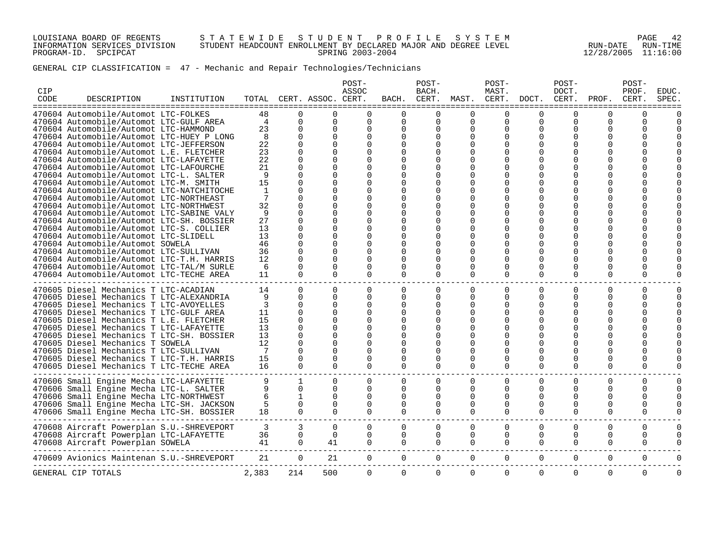LOUISIANA BOARD OF REGENTS S T A T E W I D E S T U D E N T P R O F I L E S Y S T E M PAGE 42 INFORMATION SERVICES DIVISION STUDENT HEADCOUNT ENROLLMENT BY DECLARED MAJOR AND DEGREE LEVEL RUN-DATE RUN-TIME PROGRAM-ID. SPCIPCAT SPRING 2003-2004 12/28/2005 11:16:00

# GENERAL CIP CLASSIFICATION = 47 - Mechanic and Repair Technologies/Technicians

| =====================================<br>=====================================<br>--------------<br>-------<br>-------------<br>470604 Automobile/Automot LTC-FOLKES<br>48<br>$\Omega$<br>$\Omega$<br>$\Omega$<br>$\Omega$<br>∩<br>$\Omega$<br>O<br>$\Omega$<br>470604 Automobile/Automot LTC-GULF AREA<br>$\Omega$<br>4<br>0<br>0<br>$\Omega$<br>$\Omega$<br>$\Omega$<br>$\Omega$<br>0<br>470604 Automobile/Automot LTC-HAMMOND<br>23<br>$\Omega$<br>$\Omega$<br>$\Omega$<br>$\Omega$<br>$\Omega$<br><sup>0</sup><br>$\Omega$<br>$\Omega$<br>470604 Automobile/Automot LTC-HUEY P LONG<br>8<br>U<br>$\Omega$<br>$\Omega$<br>O<br>O<br>$\Omega$<br>O<br>470604 Automobile/Automot LTC-JEFFERSON<br>22<br>$\Omega$<br>$\Omega$<br><sup>0</sup><br>$\Omega$<br><sup>0</sup><br>23<br>470604 Automobile/Automot L.E. FLETCHER<br>$\Omega$<br>$\Omega$<br><sup>0</sup><br>∩<br>∩ | U        | ∩<br>$\Omega$<br>$\Omega$<br>O<br>∩<br>∩ | U<br>O<br>O<br>O |   |
|------------------------------------------------------------------------------------------------------------------------------------------------------------------------------------------------------------------------------------------------------------------------------------------------------------------------------------------------------------------------------------------------------------------------------------------------------------------------------------------------------------------------------------------------------------------------------------------------------------------------------------------------------------------------------------------------------------------------------------------------------------------------------------------------------------------------------------------------------------------------------|----------|------------------------------------------|------------------|---|
|                                                                                                                                                                                                                                                                                                                                                                                                                                                                                                                                                                                                                                                                                                                                                                                                                                                                              |          |                                          |                  |   |
|                                                                                                                                                                                                                                                                                                                                                                                                                                                                                                                                                                                                                                                                                                                                                                                                                                                                              |          |                                          |                  |   |
|                                                                                                                                                                                                                                                                                                                                                                                                                                                                                                                                                                                                                                                                                                                                                                                                                                                                              |          |                                          |                  |   |
|                                                                                                                                                                                                                                                                                                                                                                                                                                                                                                                                                                                                                                                                                                                                                                                                                                                                              |          |                                          |                  |   |
|                                                                                                                                                                                                                                                                                                                                                                                                                                                                                                                                                                                                                                                                                                                                                                                                                                                                              |          |                                          |                  |   |
|                                                                                                                                                                                                                                                                                                                                                                                                                                                                                                                                                                                                                                                                                                                                                                                                                                                                              |          |                                          |                  |   |
| 470604 Automobile/Automot LTC-LAFAYETTE<br>22<br>$\Omega$<br>O<br>O                                                                                                                                                                                                                                                                                                                                                                                                                                                                                                                                                                                                                                                                                                                                                                                                          |          |                                          |                  |   |
| 470604 Automobile/Automot LTC-LAFOURCHE<br>21<br>$\Omega$<br>O<br>0                                                                                                                                                                                                                                                                                                                                                                                                                                                                                                                                                                                                                                                                                                                                                                                                          |          |                                          |                  |   |
| 470604 Automobile/Automot LTC-L. SALTER<br>9<br>$\Omega$<br>O<br>O                                                                                                                                                                                                                                                                                                                                                                                                                                                                                                                                                                                                                                                                                                                                                                                                           |          |                                          |                  |   |
| 470604 Automobile/Automot LTC-M. SMITH<br>15<br>U<br>O<br>O                                                                                                                                                                                                                                                                                                                                                                                                                                                                                                                                                                                                                                                                                                                                                                                                                  |          |                                          |                  |   |
| 470604 Automobile/Automot LTC-NATCHITOCHE<br>1<br>O<br>O<br>$\Omega$<br>O<br>$\Omega$                                                                                                                                                                                                                                                                                                                                                                                                                                                                                                                                                                                                                                                                                                                                                                                        |          |                                          |                  |   |
| 470604 Automobile/Automot LTC-NORTHEAST<br>U<br>∩<br><sup>0</sup><br>O<br>n                                                                                                                                                                                                                                                                                                                                                                                                                                                                                                                                                                                                                                                                                                                                                                                                  |          |                                          |                  |   |
| 470604 Automobile/Automot LTC-NORTHWEST<br>32<br>U<br>O<br>$\Omega$                                                                                                                                                                                                                                                                                                                                                                                                                                                                                                                                                                                                                                                                                                                                                                                                          |          |                                          |                  |   |
| 470604 Automobile/Automot LTC-SABINE VALY<br>9<br>∩<br>U<br>U                                                                                                                                                                                                                                                                                                                                                                                                                                                                                                                                                                                                                                                                                                                                                                                                                |          |                                          |                  |   |
| 27<br>470604 Automobile/Automot LTC-SH. BOSSIER<br>$\Omega$<br>O<br>0<br>O<br><sup>0</sup>                                                                                                                                                                                                                                                                                                                                                                                                                                                                                                                                                                                                                                                                                                                                                                                   |          | O                                        |                  |   |
| 470604 Automobile/Automot LTC-S. COLLIER<br>13<br>$\Omega$<br>O<br><sup>n</sup><br>∩                                                                                                                                                                                                                                                                                                                                                                                                                                                                                                                                                                                                                                                                                                                                                                                         |          |                                          |                  |   |
| 470604 Automobile/Automot LTC-SLIDELL<br>13<br>O<br>O<br>$\Omega$                                                                                                                                                                                                                                                                                                                                                                                                                                                                                                                                                                                                                                                                                                                                                                                                            |          |                                          |                  |   |
| 470604 Automobile/Automot SOWELA<br>46<br>U<br>O<br>$\Omega$<br>O<br><sup>0</sup>                                                                                                                                                                                                                                                                                                                                                                                                                                                                                                                                                                                                                                                                                                                                                                                            |          | O                                        |                  |   |
| 470604 Automobile/Automot LTC-SULLIVAN<br>36<br>O<br>0<br>O<br>O                                                                                                                                                                                                                                                                                                                                                                                                                                                                                                                                                                                                                                                                                                                                                                                                             |          | O                                        |                  |   |
| 470604 Automobile/Automot LTC-T.H. HARRIS<br>12<br>U<br>$\Omega$<br>$\Omega$<br>∩<br>∩                                                                                                                                                                                                                                                                                                                                                                                                                                                                                                                                                                                                                                                                                                                                                                                       |          | ∩                                        | ∩                |   |
| 470604 Automobile/Automot LTC-TAL/M SURLE<br>6<br>O<br>$\Omega$<br>0<br>O<br>O<br>O<br>$\Omega$<br><sup>0</sup>                                                                                                                                                                                                                                                                                                                                                                                                                                                                                                                                                                                                                                                                                                                                                              | U        | O                                        | O                |   |
| 470604 Automobile/Automot LTC-TECHE AREA<br>11<br>$\Omega$<br>$\Omega$<br>$\Omega$<br>$\Omega$<br>$\Omega$<br>$\Omega$<br>$\Omega$<br>$\Omega$                                                                                                                                                                                                                                                                                                                                                                                                                                                                                                                                                                                                                                                                                                                               | $\Omega$ | $\Omega$                                 | O                |   |
| 470605 Diesel Mechanics T LTC-ACADIAN<br>14<br>$\Omega$<br>$\Omega$<br>$\Omega$<br>$\Omega$<br>$\Omega$<br>$\Omega$                                                                                                                                                                                                                                                                                                                                                                                                                                                                                                                                                                                                                                                                                                                                                          | $\Omega$ | $\Omega$                                 | 0                | U |
| 0<br>0<br>470605 Diesel Mechanics T LTC-ALEXANDRIA<br>9<br>$\Omega$<br>$\Omega$<br>0<br>$\Omega$<br><sup>0</sup><br>$\Omega$<br>0                                                                                                                                                                                                                                                                                                                                                                                                                                                                                                                                                                                                                                                                                                                                            |          | 0                                        | 0                |   |
| 470605 Diesel Mechanics T LTC-AVOYELLES<br>3<br>$\Omega$<br>$\Omega$<br>$\Omega$<br>O<br>U<br>0                                                                                                                                                                                                                                                                                                                                                                                                                                                                                                                                                                                                                                                                                                                                                                              |          | ∩                                        | O                |   |
| 470605 Diesel Mechanics T LTC-GULF AREA<br>11<br>$\Omega$<br>$\Omega$<br>$\Omega$<br>$\Omega$<br>$\Omega$                                                                                                                                                                                                                                                                                                                                                                                                                                                                                                                                                                                                                                                                                                                                                                    |          | O                                        | O                |   |
| 470605 Diesel Mechanics T L.E. FLETCHER<br>15<br>U<br>$\Omega$<br><sup>0</sup>                                                                                                                                                                                                                                                                                                                                                                                                                                                                                                                                                                                                                                                                                                                                                                                               |          |                                          |                  |   |
| 470605 Diesel Mechanics T LTC-LAFAYETTE<br>13<br>U<br>U<br><sup>0</sup><br>∩                                                                                                                                                                                                                                                                                                                                                                                                                                                                                                                                                                                                                                                                                                                                                                                                 |          |                                          |                  |   |
| 470605 Diesel Mechanics T LTC-SH. BOSSIER<br>13<br>U<br>O<br>0<br>U<br>∩                                                                                                                                                                                                                                                                                                                                                                                                                                                                                                                                                                                                                                                                                                                                                                                                     |          | O                                        | O                |   |
| 12<br>470605 Diesel Mechanics T SOWELA<br>$\Omega$<br>U<br><sup>0</sup>                                                                                                                                                                                                                                                                                                                                                                                                                                                                                                                                                                                                                                                                                                                                                                                                      |          | ∩                                        | U                |   |
| 470605 Diesel Mechanics T LTC-SULLIVAN<br>7<br>U<br>O<br>$\Omega$<br><sup>0</sup>                                                                                                                                                                                                                                                                                                                                                                                                                                                                                                                                                                                                                                                                                                                                                                                            |          | O                                        | O                |   |
| 470605 Diesel Mechanics T LTC-T.H. HARRIS<br>15<br>U<br>U<br><sup>0</sup><br><sup>0</sup><br>∩<br>$\Omega$<br><sup>0</sup>                                                                                                                                                                                                                                                                                                                                                                                                                                                                                                                                                                                                                                                                                                                                                   |          | O                                        | O                |   |
| 470605 Diesel Mechanics T LTC-TECHE AREA<br>16<br>$\Omega$<br>$\Omega$<br>$\Omega$<br>$\Omega$<br>$\Omega$<br>$\Omega$<br>0<br>0                                                                                                                                                                                                                                                                                                                                                                                                                                                                                                                                                                                                                                                                                                                                             | 0        | 0                                        | 0                |   |
|                                                                                                                                                                                                                                                                                                                                                                                                                                                                                                                                                                                                                                                                                                                                                                                                                                                                              |          |                                          |                  |   |
| 9<br>$\mathbf{1}$<br>$\Omega$<br>470606 Small Engine Mecha LTC-LAFAYETTE<br>$\Omega$<br>$\Omega$<br>$\Omega$<br>$\Omega$<br>$\Omega$<br>$\Omega$                                                                                                                                                                                                                                                                                                                                                                                                                                                                                                                                                                                                                                                                                                                             | $\Omega$ | $\Omega$                                 | 0                | U |
| 9<br>470606 Small Engine Mecha LTC-L. SALTER<br>0<br>$\Omega$<br>0<br>O<br>O<br>0<br>0<br>$\Omega$                                                                                                                                                                                                                                                                                                                                                                                                                                                                                                                                                                                                                                                                                                                                                                           | U        | O                                        | 0                | O |
| 6<br>470606 Small Engine Mecha LTC-NORTHWEST<br>1<br>0<br>0<br>$\Omega$<br>O<br>0<br>$\Omega$<br>0                                                                                                                                                                                                                                                                                                                                                                                                                                                                                                                                                                                                                                                                                                                                                                           | U        | O                                        | O                |   |
| 5<br>470606 Small Engine Mecha LTC-SH. JACKSON<br>0<br>$\Omega$<br>0<br>$\Omega$<br><sup>0</sup><br>0<br>$\Omega$<br>$\Omega$                                                                                                                                                                                                                                                                                                                                                                                                                                                                                                                                                                                                                                                                                                                                                | $\Omega$ | O                                        | O                |   |
| 470606 Small Engine Mecha LTC-SH. BOSSIER<br>18<br>$\Omega$<br>$\Omega$<br>$\Omega$<br>$\Omega$<br>0<br>$\Omega$<br>$\Omega$<br>$\Omega$                                                                                                                                                                                                                                                                                                                                                                                                                                                                                                                                                                                                                                                                                                                                     | $\Omega$ | $\Omega$                                 | O                | U |
|                                                                                                                                                                                                                                                                                                                                                                                                                                                                                                                                                                                                                                                                                                                                                                                                                                                                              |          |                                          |                  |   |
| 470608 Aircraft Powerplan S.U.-SHREVEPORT<br>3<br>$\Omega$<br>$\Omega$<br>3<br>0<br>0<br>$\Omega$<br>0                                                                                                                                                                                                                                                                                                                                                                                                                                                                                                                                                                                                                                                                                                                                                                       | $\Omega$ | O                                        | 0                | 0 |
| 470608 Aircraft Powerplan LTC-LAFAYETTE<br>36<br>$\Omega$<br>$\Omega$<br>$\Omega$<br>$\Omega$<br>0<br>0<br>$\Omega$<br>$\Omega$                                                                                                                                                                                                                                                                                                                                                                                                                                                                                                                                                                                                                                                                                                                                              | $\Omega$ | $\Omega$                                 | $\Omega$         | O |
| 470608 Aircraft Powerplan SOWELA<br>41<br>$\Omega$<br>41<br>$\Omega$<br>$\Omega$<br>$\Omega$<br>$\Omega$<br>$\Omega$<br>$\Omega$                                                                                                                                                                                                                                                                                                                                                                                                                                                                                                                                                                                                                                                                                                                                             | $\Omega$ | $\Omega$                                 | $\Omega$         | U |
| 470609 Avionics Maintenan S.U.-SHREVEPORT<br>21<br>0<br>0<br>0<br>21<br>$\mathbf{0}$<br>$\Omega$<br>$\Omega$<br>0                                                                                                                                                                                                                                                                                                                                                                                                                                                                                                                                                                                                                                                                                                                                                            | 0        | 0                                        | 0                | U |
| 2,383<br>214<br>500<br>0<br>$\Omega$<br>$\Omega$<br>0<br>0<br>0<br>GENERAL CIP TOTALS                                                                                                                                                                                                                                                                                                                                                                                                                                                                                                                                                                                                                                                                                                                                                                                        | 0        | 0                                        | 0                | 0 |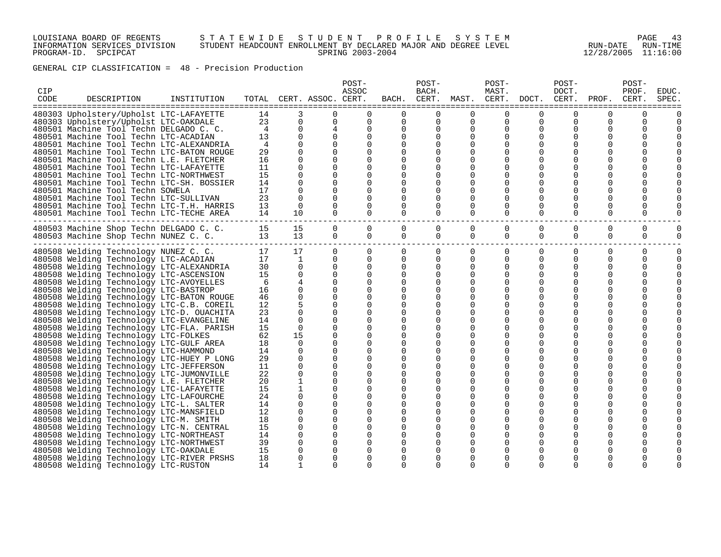## LOUISIANA BOARD OF REGENTS S T A T E W I D E S T U D E N T P R O F I L E S Y S T E M PAGE 43 INFORMATION SERVICES DIVISION STUDENT HEADCOUNT ENROLLMENT BY DECLARED MAJOR AND DEGREE LEVEL RUN-DATE RUN-TIME PROGRAM-ID. SPCIPCAT SPRING 2003-2004 12/28/2005 11:16:00

GENERAL CIP CLASSIFICATION = 48 - Precision Production

| CIP<br>CODE | DESCRIPTION                                                                         | INSTITUTION |                   |                      | TOTAL CERT. ASSOC. CERT. | POST-<br>ASSOC       |          | POST-<br>BACH. | BACH. CERT. MAST. CERT. DOCT. | POST-<br>MAST.           |             | POST-<br>DOCT.<br>CERT. | PROF.    | POST-<br>PROF.<br>CERT. | EDUC.<br>SPEC |
|-------------|-------------------------------------------------------------------------------------|-------------|-------------------|----------------------|--------------------------|----------------------|----------|----------------|-------------------------------|--------------------------|-------------|-------------------------|----------|-------------------------|---------------|
|             | 480303 Upholstery/Upholst LTC-LAFAYETTE                                             |             | 14                | 3                    | $\Omega$                 | $\Omega$             | $\Omega$ | $\Omega$       | $\Omega$                      | $\Omega$                 | $\Omega$    | $\Omega$                | $\Omega$ | $\Omega$                |               |
|             | 480303 Upholstery/Upholst LTC-OAKDALE                                               |             | 23                | $\Omega$             | $\Omega$                 | $\Omega$             | $\Omega$ | $\Omega$       | $\Omega$                      | $\Omega$                 | $\Omega$    | $\Omega$                | $\Omega$ | $\Omega$                |               |
|             | 480501 Machine Tool Techn DELGADO C. C.                                             |             | 4                 | $\Omega$             | 4                        | $\Omega$             | $\Omega$ | 0              | 0                             | $\Omega$                 | $\Omega$    | $\Omega$                | 0        | $\Omega$                |               |
|             | 480501 Machine Tool Techn LTC-ACADIAN                                               |             | 13                | $\Omega$             | $\Omega$                 | $\Omega$             | $\Omega$ | $\Omega$       | 0                             | $\Omega$                 | O           |                         | 0        | $\Omega$                |               |
|             | 480501 Machine Tool Techn LTC-ALEXANDRIA                                            |             | $\overline{4}$    | $\Omega$             |                          | $\Omega$             | $\Omega$ | $\Omega$       | $\Omega$                      | $\Omega$                 | $\Omega$    |                         | O        |                         |               |
|             | 480501 Machine Tool Techn LTC-BATON ROUGE                                           |             | 29                | $\Omega$             | $\Omega$                 | $\Omega$             |          |                |                               | $\Omega$                 |             |                         | O        |                         |               |
|             | 480501 Machine Tool Techn L.E. FLETCHER                                             |             | 16                | $\Omega$             | $\Omega$                 | $\Omega$             |          | $\Omega$       |                               |                          | O           |                         | O        |                         |               |
|             | 480501 Machine Tool Techn LTC-LAFAYETTE                                             |             | 11                | $\Omega$             | $\Omega$                 | $\Omega$             |          |                |                               |                          |             |                         | O        |                         |               |
|             | 480501 Machine Tool Techn LTC-NORTHWEST                                             |             | 15                | $\Omega$             | $\Omega$                 | $\Omega$             |          | $\Omega$       |                               |                          | O           |                         | O        |                         |               |
|             | 480501 Machine Tool Techn LTC-SH. BOSSIER                                           |             | 14                | $\Omega$             | $\Omega$                 | $\Omega$             | 0        | 0              | 0                             | 0                        | 0           |                         | O        |                         |               |
|             | 480501 Machine Tool Techn SOWELA                                                    |             | 17<br>23          | $\Omega$<br>$\Omega$ | $\Omega$                 | 0                    | 0        | $\Omega$       |                               |                          |             |                         | O        |                         |               |
|             | 480501 Machine Tool Techn LTC-SULLIVAN<br>480501 Machine Tool Techn LTC-T.H. HARRIS |             | 13                | $\Omega$             | $\Omega$<br>$\Omega$     | $\Omega$<br>$\Omega$ | 0<br>0   | 0<br>$\Omega$  | O<br>$\Omega$                 | $\Omega$<br><sup>0</sup> | O<br>O      | O<br>U                  | O<br>O   | $\Omega$<br>$\Omega$    |               |
|             | 480501 Machine Tool Techn LTC-TECHE AREA                                            |             | 14                | $10^{-}$             | $\Omega$                 | $\Omega$             | $\Omega$ | $\Omega$       | $\Omega$                      | $\Omega$                 | $\Omega$    | $\Omega$                | $\Omega$ | $\Omega$                |               |
|             |                                                                                     |             |                   |                      |                          |                      |          |                |                               |                          |             |                         |          |                         |               |
|             | 480503 Machine Shop Techn DELGADO C. C.                                             |             | 15                | 15                   | $\Omega$                 | $\Omega$             | $\Omega$ | $\Omega$       | $\Omega$                      | $\Omega$                 | $\Omega$    | $\Omega$                | $\Omega$ | $\mathbf 0$             | $\Omega$      |
|             | 480503 Machine Shop Techn NUNEZ C. C.                                               |             | 13                | 13                   | $\Omega$                 | $\Omega$             | 0        | 0              | 0                             | 0                        | $\mathbf 0$ | 0                       | 0        | 0                       | $\Omega$      |
|             | 480508 Welding Technology NUNEZ C. C.                                               |             | 17                | 17                   | $\overline{0}$           | $\mathbf{0}$         | 0        | $\mathbf 0$    | 0                             | 0                        | 0           | 0                       | 0        | 0                       | $\Omega$      |
|             | 480508 Welding Technology LTC-ACADIAN                                               |             | 17                | $\mathbf{1}$         | $\overline{0}$           | $\Omega$             | $\Omega$ | 0              | 0                             | 0                        | $\Omega$    | $\Omega$                | 0        | $\Omega$                | $\Omega$      |
|             | 480508 Welding Technology LTC-ALEXANDRIA                                            |             | 30                | $\Omega$<br>$\Omega$ | $\overline{0}$           | $\Omega$             | $\Omega$ | 0              | 0                             | 0                        | 0           | O                       | 0        | $\Omega$                |               |
|             | 480508 Welding Technology LTC-ASCENSION                                             |             | 15<br>6           | 4                    | $\Omega$<br>$\Omega$     | $\Omega$<br>$\Omega$ | 0<br>0   | $\Omega$       | 0                             | 0                        | 0<br>0      |                         | 0        | $\Omega$<br>$\Omega$    |               |
|             | 480508 Welding Technology LTC-AVOYELLES<br>480508 Welding Technology LTC-BASTROP    |             | 16                | $\Omega$             |                          | 0                    |          | 0<br>0         | 0                             |                          |             |                         | 0<br>O   |                         |               |
|             | 480508 Welding Technology LTC-BATON ROUGE                                           |             | 46                | $\Omega$             | $\Omega$                 | 0                    | 0        | 0              | 0                             |                          |             |                         | 0        | $\Omega$                |               |
|             | 480508 Welding Technology LTC-C.B. COREIL                                           |             | 12                | .5                   | $\Omega$                 | 0                    |          | 0              |                               |                          |             |                         | 0        |                         |               |
|             | 480508 Welding Technology LTC-D. OUACHITA                                           |             | 23                | $\Omega$             | $\Omega$                 | $\Omega$             | 0        | 0              |                               |                          |             |                         | 0        |                         |               |
|             | 480508 Welding Technology LTC-EVANGELINE                                            |             | 14                | $\Omega$             | $\Omega$                 | 0                    | 0        | $\Omega$       | O                             |                          | O           |                         | O        | $\Omega$                |               |
|             | 480508 Welding Technology LTC-FLA. PARISH                                           |             | 15                | $\Omega$             | $\Omega$                 | $\Omega$             | O        | O              | O                             |                          | O           |                         | O        |                         |               |
|             | 480508 Welding Technology LTC-FOLKES                                                |             | 62                | 15                   | $\Omega$                 | 0                    | 0        | 0              | O                             |                          | O           |                         | 0        |                         |               |
|             | 480508 Welding Technology LTC-GULF AREA                                             |             | 18                | $\Omega$             | $\Omega$                 | 0                    | 0        | 0              | 0                             | 0                        | 0           |                         | 0        |                         |               |
|             | 480508 Welding Technology LTC-HAMMOND                                               |             | 14                | $\Omega$             | $\Omega$                 | 0                    | 0        | 0              | 0                             | $\Omega$                 | O           | O                       | 0        | $\Omega$                |               |
|             | 480508 Welding Technology LTC-HUEY P LONG                                           |             | 29                | $\Omega$             | 0                        | 0                    | 0        | 0              |                               | 0                        | 0           |                         | 0        |                         |               |
|             | 480508 Welding Technology LTC-JEFFERSON                                             |             | 11                | $\Omega$             | 0                        | $\Omega$             | 0        | 0              | O                             | 0                        | O           |                         | 0        |                         |               |
|             | 480508 Welding Technology LTC-JUMONVILLE                                            |             | 22                | $\Omega$             | $\Omega$                 | 0                    |          | 0              | 0                             |                          | O           |                         | 0        |                         |               |
|             | 480508 Welding Technology L.E. FLETCHER                                             |             | 20                |                      | 0                        | 0                    | 0        | 0              | 0                             |                          | 0           |                         | 0        |                         |               |
|             | 480508 Welding Technology LTC-LAFAYETTE                                             |             | 15                | 1                    | $\Omega$                 | $\Omega$             | 0        | $\Omega$       | $\Omega$                      | 0                        | 0           |                         | 0        |                         |               |
|             | 480508 Welding Technology LTC-LAFOURCHE                                             |             | 24                | $\Omega$             | $\Omega$                 | 0                    | 0        | 0              | $\Omega$                      | 0                        | 0           |                         | 0        | 0                       |               |
|             | 480508 Welding Technology LTC-L. SALTER                                             |             | 14                | $\Omega$             | $\Omega$                 | $\Omega$             | 0        | $\Omega$       | 0                             |                          | 0           |                         | 0        | $\Omega$                |               |
|             | 480508 Welding Technology LTC-MANSFIELD                                             |             | $12 \overline{ }$ | $\Omega$             | $\mathbf 0$              | $\Omega$             | 0        | $\Omega$       | 0                             | $\Omega$                 | 0           |                         | 0        |                         |               |
|             | 480508 Welding Technology LTC-M. SMITH                                              |             | 18                | $\Omega$             | $\Omega$                 | $\Omega$             | 0        | 0              |                               |                          |             |                         | O        |                         |               |
|             | 480508 Welding Technology LTC-N. CENTRAL                                            |             | 15                | $\Omega$             | $\Omega$                 | $\Omega$             | $\Omega$ | $\Omega$       |                               |                          |             |                         | 0        |                         |               |
|             | 480508 Welding Technology LTC-NORTHEAST                                             |             | 14                | $\Omega$             | $\Omega$                 | $\Omega$             | 0        | $\Omega$       | $\Omega$                      | <sup>0</sup>             | $\Omega$    |                         | O        |                         |               |
|             | 480508 Welding Technology LTC-NORTHWEST                                             |             | 39                | $\Omega$             | $\Omega$                 | $\Omega$             |          |                |                               |                          | O           |                         |          |                         |               |
|             | 480508 Welding Technology LTC-OAKDALE                                               |             | 15                | $\Omega$             | $\Omega$                 | O                    | O        | O              |                               |                          | 0           |                         | O        |                         |               |
|             | 480508 Welding Technology LTC-RIVER PRSHS                                           |             | 18                |                      | 0                        | $\Omega$             |          | $\Omega$       | $\Omega$                      | $\Omega$                 | 0           |                         | O        |                         |               |
|             | 480508 Welding Technology LTC-RUSTON                                                |             | 14                |                      | $\Omega$                 | $\cap$               | 0        | $\Omega$       | $\Omega$                      | $\Omega$                 | $\Omega$    | $\Omega$                | U        |                         |               |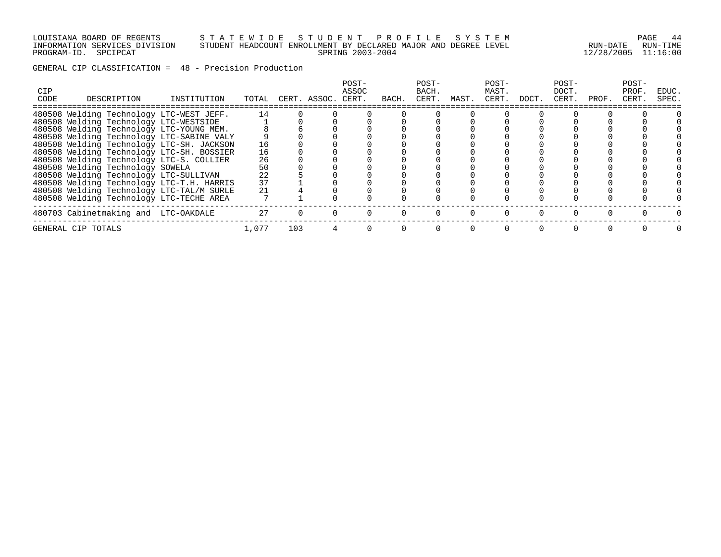### LOUISIANA BOARD OF REGENTS S T A T E W I D E S T U D E N T P R O F I L E S Y S T E M PAGE 44 INFORMATION SERVICES DIVISION STUDENT HEADCOUNT ENROLLMENT BY DECLARED MAJOR AND DEGREE LEVEL RUN-DATE RUN-TIME PROGRAM-ID. SPCIPCAT SPRING 2003-2004 12/28/2005 11:16:00

GENERAL CIP CLASSIFICATION = 48 - Precision Production

| CIP<br>CODE | DESCRIPTION                               | INSTITUTION | TOTAL |     | CERT. ASSOC. CERT. | POST-<br>ASSOC | BACH. | POST-<br>BACH.<br>CERT. | MAST. | POST-<br>MAST.<br>CERT. | DOCT. | POST-<br>DOCT.<br>CERT. | PROF. | POST-<br>PROF.<br>CERT. | EDUC.<br>SPEC. |
|-------------|-------------------------------------------|-------------|-------|-----|--------------------|----------------|-------|-------------------------|-------|-------------------------|-------|-------------------------|-------|-------------------------|----------------|
|             | 480508 Welding Technology LTC-WEST JEFF.  |             | 14    |     |                    |                |       |                         |       |                         |       |                         |       |                         |                |
|             | 480508 Welding Technology LTC-WESTSIDE    |             |       |     |                    |                |       |                         |       |                         |       |                         |       |                         |                |
|             | 480508 Welding Technology LTC-YOUNG MEM.  |             |       |     |                    |                |       |                         |       |                         |       |                         |       |                         |                |
|             | 480508 Welding Technology LTC-SABINE VALY |             |       |     |                    |                |       |                         |       |                         |       |                         |       |                         |                |
|             | 480508 Welding Technology LTC-SH. JACKSON |             | 16    |     |                    |                |       |                         |       |                         |       |                         |       |                         |                |
|             | 480508 Welding Technology LTC-SH. BOSSIER |             | 16    |     |                    |                |       |                         |       |                         |       |                         |       |                         |                |
|             | 480508 Welding Technology LTC-S. COLLIER  |             | 26    |     |                    |                |       |                         |       |                         |       |                         |       |                         |                |
|             | 480508 Welding Technology SOWELA          |             | 50    |     |                    |                |       |                         |       |                         |       |                         |       |                         |                |
|             | 480508 Welding Technology LTC-SULLIVAN    |             | 22    |     |                    |                |       |                         |       |                         |       |                         |       |                         |                |
|             | 480508 Welding Technology LTC-T.H. HARRIS |             | 37    |     |                    |                |       |                         |       |                         |       |                         |       |                         |                |
|             | 480508 Welding Technology LTC-TAL/M SURLE |             | 21    |     |                    |                |       |                         |       |                         |       |                         |       |                         |                |
|             | 480508 Welding Technology LTC-TECHE AREA  |             |       |     |                    |                |       |                         |       |                         |       |                         |       |                         |                |
|             | 480703 Cabinetmaking and LTC-OAKDALE      |             | 27    |     |                    |                |       |                         |       |                         |       |                         |       |                         |                |
|             | GENERAL CIP TOTALS                        |             | 1,077 | 103 |                    |                |       |                         |       |                         |       |                         |       |                         |                |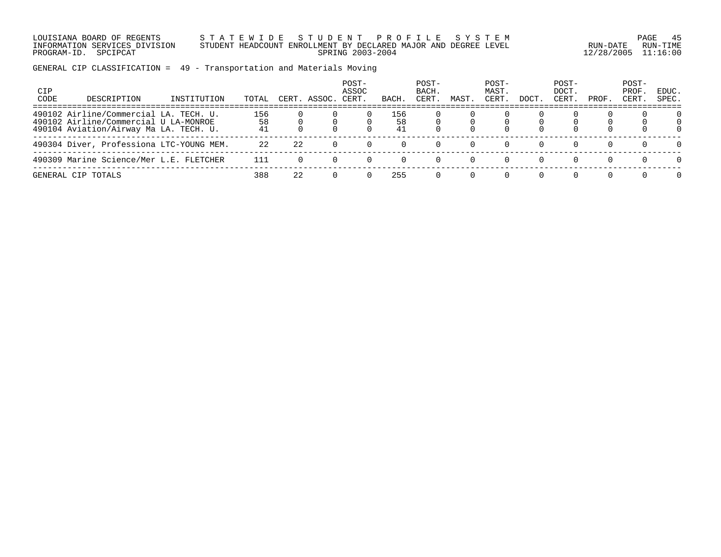LOUISIANA BOARD OF REGENTS S T A T E W I D E S T U D E N T P R O F I L E S Y S T E M PAGE 45 INFORMATION SERVICES DIVISION STUDENT HEADCOUNT ENROLLMENT BY DECLARED MAJOR AND DEGREE LEVEL RUN-DATE RUN-TIME PROGRAM-ID. SPCIPCAT SPRING 2003-2004 12/28/2005 11:16:00

GENERAL CIP CLASSIFICATION = 49 - Transportation and Materials Moving

| CIP<br>CODE | DESCRIPTION                                                                                                               | INSTITUTION | TOTAL           |    | CERT. ASSOC. | POST-<br>ASSOC<br>CERT. | BACH            | POST-<br>BACH.<br>CERT. | MAST     | POST-<br>MAST.<br>CERT | DOCT | POST-<br>DOCT.<br>CERT. | PROF. | POST-<br>PROF.<br>CERT. | EDUC.<br>SPEC. |
|-------------|---------------------------------------------------------------------------------------------------------------------------|-------------|-----------------|----|--------------|-------------------------|-----------------|-------------------------|----------|------------------------|------|-------------------------|-------|-------------------------|----------------|
|             | 490102 Airline/Commercial LA. TECH. U.<br>490102 Airline/Commercial U LA-MONROE<br>490104 Aviation/Airway Ma LA. TECH. U. |             | 156<br>58<br>41 |    |              |                         | 156<br>58<br>41 |                         |          |                        |      |                         |       |                         |                |
|             | 490304 Diver, Professiona LTC-YOUNG MEM.                                                                                  |             | 22              | 22 |              |                         |                 |                         |          |                        |      |                         |       |                         |                |
|             | 490309 Marine Science/Mer L.E. FLETCHER                                                                                   |             | 111             |    |              |                         |                 |                         | $\Omega$ |                        |      |                         |       |                         |                |
|             | GENERAL CIP TOTALS                                                                                                        |             | 388             | 22 |              |                         | 255             |                         |          |                        |      |                         |       |                         |                |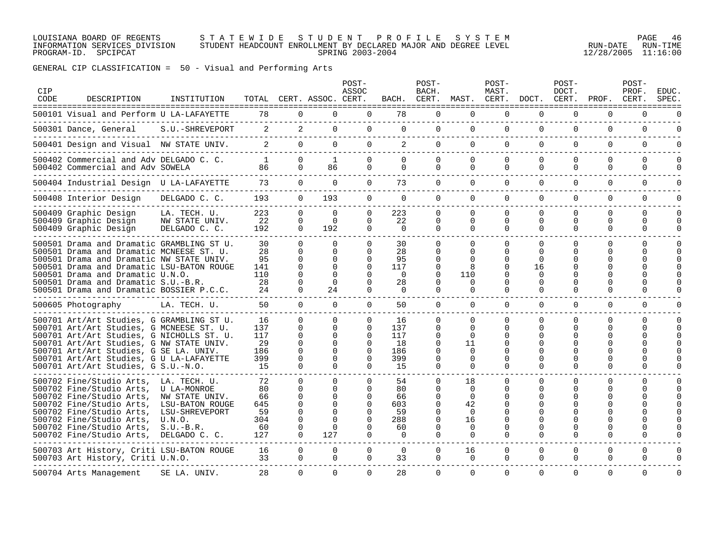#### LOUISIANA BOARD OF REGENTS S T A T E W I D E S T U D E N T P R O F I L E S Y S T E M PAGE 46 INFORMATION SERVICES DIVISION STUDENT HEADCOUNT ENROLLMENT BY DECLARED MAJOR AND DEGREE LEVEL RUN-DATE RUN-TIME PROGRAM-ID. SPCIPCAT SPRING 2003-2004 12/28/2005 11:16:00

GENERAL CIP CLASSIFICATION = 50 - Visual and Performing Arts

| CIP<br>CODE | DESCRIPTION<br>======================================                                                                                                                                                                                                                                                       | INSTITUTION                                                                                                                  |                                                 |                                                                          | TOTAL CERT. ASSOC. CERT.                                                   | POST-<br>ASSOC                                                       | BACH.                                         | POST-<br>BACH.<br>CERT.                                                   | MAST.                                                               | POST-<br>MAST.<br>CERT.                                     | DOCT.                                                         | POST-<br>DOCT.<br>CERT.      | PROF.                                         | POST-<br>PROF.<br>CERT.             | EDUC.<br>SPEC.                       |
|-------------|-------------------------------------------------------------------------------------------------------------------------------------------------------------------------------------------------------------------------------------------------------------------------------------------------------------|------------------------------------------------------------------------------------------------------------------------------|-------------------------------------------------|--------------------------------------------------------------------------|----------------------------------------------------------------------------|----------------------------------------------------------------------|-----------------------------------------------|---------------------------------------------------------------------------|---------------------------------------------------------------------|-------------------------------------------------------------|---------------------------------------------------------------|------------------------------|-----------------------------------------------|-------------------------------------|--------------------------------------|
|             | 500101 Visual and Perform U LA-LAFAYETTE                                                                                                                                                                                                                                                                    |                                                                                                                              | 78                                              | 0                                                                        | $\Omega$                                                                   | 0                                                                    | 78                                            | $\Omega$                                                                  | $\Omega$                                                            | $\Omega$                                                    | $\Omega$                                                      | 0                            | 0                                             | 0                                   |                                      |
|             | 500301 Dance, General                                                                                                                                                                                                                                                                                       | S.U.-SHREVEPORT                                                                                                              | 2                                               | 2                                                                        | $\Omega$                                                                   | 0                                                                    | $\Omega$                                      | 0                                                                         | 0                                                                   | $\Omega$                                                    | 0                                                             | 0                            | $\Omega$                                      | $\Omega$                            | $\cap$                               |
|             | 500401 Design and Visual NW STATE UNIV.                                                                                                                                                                                                                                                                     |                                                                                                                              | 2                                               | $\Omega$                                                                 | $\Omega$                                                                   | 0                                                                    | 2                                             | $\Omega$                                                                  | $\Omega$                                                            | $\Omega$                                                    | $\Omega$                                                      | $\Omega$                     | $\Omega$                                      | $\Omega$                            | <sup>n</sup>                         |
|             | 500402 Commercial and Adv DELGADO C. C.<br>500402 Commercial and Adv SOWELA                                                                                                                                                                                                                                 |                                                                                                                              | <sup>1</sup><br>86                              | $\Omega$<br>$\Omega$                                                     | 1<br>86                                                                    | 0<br>$\Omega$                                                        | $\Omega$<br>$\Omega$                          | $\Omega$<br>$\Omega$                                                      | $\Omega$<br>$\Omega$                                                | $\Omega$<br>$\Omega$                                        | $\Omega$<br>$\Omega$                                          | $\Omega$<br>$\Omega$         | $\Omega$<br>$\Omega$                          | $\mathbf 0$<br>$\mathbf 0$          | $\Omega$<br><sup>n</sup>             |
|             | 500404 Industrial Design U LA-LAFAYETTE                                                                                                                                                                                                                                                                     |                                                                                                                              | 73                                              | $\Omega$                                                                 | $\Omega$                                                                   | $\overline{0}$                                                       | 73                                            | $\mathbf{0}$                                                              | $\Omega$                                                            | $\Omega$                                                    | $\Omega$                                                      | $\Omega$                     | $\Omega$                                      | $\Omega$                            | $\Omega$                             |
|             | 500408 Interior Design                                                                                                                                                                                                                                                                                      | DELGADO C. C.                                                                                                                | 193                                             | $\Omega$                                                                 | 193                                                                        | $\mathbf 0$                                                          | $\Omega$                                      | $\Omega$                                                                  | $\Omega$                                                            | $\Omega$                                                    | 0                                                             | $\Omega$                     | $\Omega$                                      | $\mathbf 0$                         | $\Omega$                             |
|             | 500409 Graphic Design<br>500409 Graphic Design<br>500409 Graphic Design                                                                                                                                                                                                                                     | LA. TECH. U.<br>NW STATE UNIV.<br>DELGADO C. C.                                                                              | 223<br>22<br>192                                | $\Omega$<br>$\Omega$<br>0                                                | $\Omega$<br>$\Omega$<br>192                                                | 0<br>0<br>0                                                          | 223<br>22<br>0                                | $\Omega$<br>$\Omega$<br>0                                                 | $\Omega$<br>$\Omega$<br>$\Omega$                                    | $\Omega$<br>$\Omega$<br>0                                   | $\Omega$<br>$\Omega$<br>0                                     | $\Omega$<br>0<br>0           | $\Omega$<br>$\Omega$<br>0                     | $\Omega$<br>$\Omega$<br>0           | $\Omega$<br>$\Omega$<br><sup>0</sup> |
|             | 500501 Drama and Dramatic GRAMBLING ST U.<br>500501 Drama and Dramatic MCNEESE ST. U.<br>500501 Drama and Dramatic NW STATE UNIV.<br>500501 Drama and Dramatic LSU-BATON ROUGE<br>500501 Drama and Dramatic U.N.O.<br>500501 Drama and Dramatic S.U.-B.R.<br>500501 Drama and Dramatic BOSSIER P.C.C.       |                                                                                                                              | 30<br>28<br>95<br>141<br>110<br>28<br>24        | $\Omega$<br>$\Omega$<br>$\Omega$<br>$\Omega$<br>$\Omega$<br>$\Omega$     | $\Omega$<br>$\Omega$<br>$\Omega$<br>$\Omega$<br>$\Omega$<br>$\Omega$<br>24 | 0<br>$\Omega$<br>0<br>$\Omega$<br>$\Omega$<br>0<br>0                 | 30<br>28<br>95<br>117<br>$\Omega$<br>28<br>0  | $\Omega$<br>$\Omega$<br>$\Omega$<br>$\Omega$<br>$\Omega$<br>$\Omega$<br>0 | $\Omega$<br><sup>0</sup><br>110<br>$\Omega$<br>0                    | $\Omega$<br>$\Omega$<br>∩<br>$\Omega$<br>∩<br>O<br>$\Omega$ | $\Omega$<br>$\Omega$<br>0<br>16<br>$\Omega$<br>0<br>0         | $\Omega$<br>0<br>O<br>O<br>0 | $\Omega$<br>$\Omega$<br>Ω<br>O<br>U<br>O<br>0 | $\Omega$<br>$\Omega$<br>n<br>U<br>0 |                                      |
|             | 500605 Photography                                                                                                                                                                                                                                                                                          | LA. TECH. U.                                                                                                                 | 50                                              | $\Omega$                                                                 | $\Omega$                                                                   | 0                                                                    | 50                                            | $\overline{0}$                                                            | $\Omega$                                                            | $\Omega$                                                    | 0                                                             | $\Omega$                     | $\Omega$                                      | $\mathbf 0$                         |                                      |
|             | 500701 Art/Art Studies, G GRAMBLING ST U.<br>500701 Art/Art Studies, G MCNEESE ST. U.<br>500701 Art/Art Studies, G NICHOLLS ST. U.<br>500701 Art/Art Studies, G NW STATE UNIV.<br>500701 Art/Art Studies, G SE LA. UNIV.<br>500701 Art/Art Studies, G U LA-LAFAYETTE<br>500701 Art/Art Studies, G S.U.-N.O. |                                                                                                                              | 16<br>137<br>117<br>29<br>186<br>399<br>15      | $\Omega$<br>$\Omega$<br>$\Omega$<br><sup>0</sup><br>$\Omega$<br>$\Omega$ | $\Omega$<br>$\Omega$<br><sup>0</sup><br><sup>0</sup><br>$\Omega$           | 0<br>$\Omega$<br>$\Omega$<br>$\Omega$<br>$\Omega$<br>$\Omega$<br>0   | 16<br>137<br>117<br>18<br>186<br>399<br>15    | $\Omega$<br>0<br>$\Omega$<br>0<br>$\Omega$<br>0<br>0                      | $\Omega$<br>$\Omega$<br>$\Omega$<br>11<br>$\Omega$<br>0<br>$\Omega$ | O<br>∩<br>O<br>O<br>0<br>$\Omega$                           | 0<br>$\Omega$<br>$\Omega$<br>$\Omega$<br>$\Omega$<br>$\Omega$ | 0<br>0<br>O<br>O<br>0        | 0<br>U<br>U<br>O<br>O<br>U<br>$\Omega$        | $\Omega$<br>$\Omega$<br>$\Omega$    |                                      |
|             | 500702 Fine/Studio Arts,<br>500702 Fine/Studio Arts,<br>500702 Fine/Studio Arts,<br>500702 Fine/Studio Arts,<br>500702 Fine/Studio Arts,<br>500702 Fine/Studio Arts,<br>500702 Fine/Studio Arts,<br>500702 Fine/Studio Arts,                                                                                | LA. TECH. U.<br>U LA-MONROE<br>NW STATE UNIV.<br>LSU-BATON ROUGE<br>LSU-SHREVEPORT<br>U.N.O.<br>$S.U.-B.R.$<br>DELGADO C. C. | 72<br>80<br>66<br>645<br>59<br>304<br>60<br>127 | $\Omega$<br>$\Omega$<br>$\Omega$<br>$\Omega$<br>$\Omega$<br>$\Omega$     | $\Omega$<br>U<br>$\Omega$<br><sup>n</sup><br>U<br>U<br>127                 | $\Omega$<br>0<br>$\Omega$<br>$\Omega$<br><sup>n</sup><br>0<br>0<br>0 | 54<br>80<br>66<br>603<br>59<br>288<br>60<br>0 | 0<br>$\Omega$<br>0<br>$\Omega$<br>$\Omega$<br>0<br>0<br>0                 | 18<br>$\Omega$<br>$\Omega$<br>42<br>$\Omega$<br>16<br>$\Omega$<br>0 | $\Omega$<br>∩<br>O<br>O<br>∩<br>O<br>O<br>0                 | $\mathbf 0$<br>U<br>O<br>O<br>U<br>O<br>0                     | $\Omega$<br>U<br>U<br>O<br>0 | $\Omega$<br>U<br>O<br>O<br>U<br>0             | $\Omega$<br>∩<br>0                  |                                      |
|             | 500703 Art History, Criti LSU-BATON ROUGE<br>500703 Art History, Criti U.N.O.                                                                                                                                                                                                                               |                                                                                                                              | 16<br>33                                        | $\Omega$<br>$\Omega$                                                     | $\Omega$<br>$\Omega$                                                       | 0<br>$\Omega$                                                        | $\Omega$<br>33                                | $\Omega$<br>$\Omega$                                                      | 16<br>$\Omega$                                                      | $\Omega$<br>$\Omega$                                        | $\Omega$<br>0                                                 | 0<br>$\Omega$                | $\Omega$<br>0                                 | $\Omega$<br>0                       |                                      |
|             | 500704 Arts Management                                                                                                                                                                                                                                                                                      | SE LA. UNIV.                                                                                                                 | 28                                              | $\Omega$                                                                 | $\Omega$                                                                   | 0                                                                    | 28                                            | $\Omega$                                                                  | $\Omega$                                                            | $\Omega$                                                    | $\Omega$                                                      | $\Omega$                     | $\Omega$                                      | $\Omega$                            | $\Omega$                             |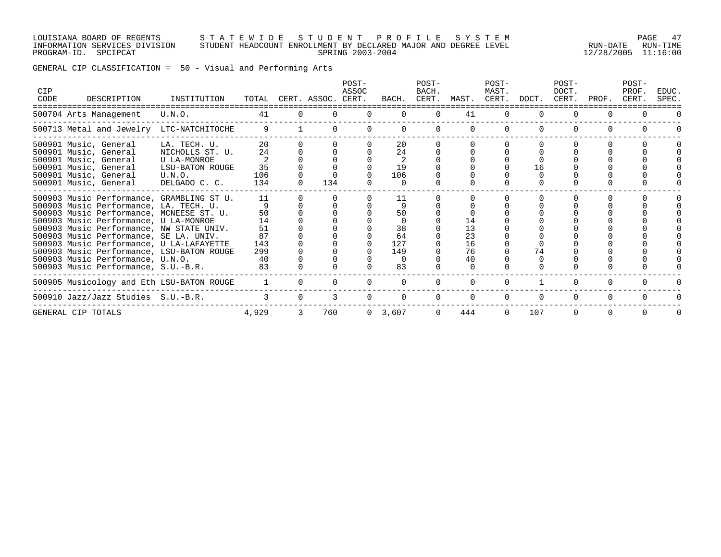### LOUISIANA BOARD OF REGENTS S T A T E W I D E S T U D E N T P R O F I L E S Y S T E M PAGE 47 INFORMATION SERVICES DIVISION STUDENT HEADCOUNT ENROLLMENT BY DECLARED MAJOR AND DEGREE LEVEL RUN-DATE RUN-TIME PROGRAM-ID. SPCIPCAT SPRING 2003-2004 12/28/2005 11:16:00

GENERAL CIP CLASSIFICATION = 50 - Visual and Performing Arts

| CIP<br>CODE | DESCRIPTION                                                                                                                                                                                                                                                                                                                                                                                                                        | INSTITUTION                                                                                  | TOTAL                                                |          | CERT. ASSOC. CERT. | POST-<br>ASSOC | BACH.                                                | POST-<br>BACH.<br>CERT. | MAST.                            | POST-<br>MAST.<br>CERT. | DOCT.    | POST-<br>DOCT.<br>CERT. | PROF.    | POST-<br>PROF.<br>CERT. | EDUC.<br>SPEC. |
|-------------|------------------------------------------------------------------------------------------------------------------------------------------------------------------------------------------------------------------------------------------------------------------------------------------------------------------------------------------------------------------------------------------------------------------------------------|----------------------------------------------------------------------------------------------|------------------------------------------------------|----------|--------------------|----------------|------------------------------------------------------|-------------------------|----------------------------------|-------------------------|----------|-------------------------|----------|-------------------------|----------------|
|             | 500704 Arts Management                                                                                                                                                                                                                                                                                                                                                                                                             | U.N.O.                                                                                       | 41                                                   | $\Omega$ |                    | $\Omega$       | $\Omega$                                             | $\Omega$                | 41                               | $\Omega$                | $\Omega$ | $\Omega$                | $\Omega$ |                         |                |
|             | 500713 Metal and Jewelry LTC-NATCHITOCHE                                                                                                                                                                                                                                                                                                                                                                                           |                                                                                              | 9                                                    |          |                    |                |                                                      |                         |                                  |                         |          | <sup>0</sup>            |          |                         |                |
|             | 500901 Music, General<br>500901 Music, General<br>500901 Music, General<br>500901 Music, General<br>500901 Music, General<br>500901 Music, General                                                                                                                                                                                                                                                                                 | LA. TECH. U.<br>NICHOLLS ST. U.<br>U LA-MONROE<br>LSU-BATON ROUGE<br>U.N.O.<br>DELGADO C. C. | 20<br>24<br>35<br>106<br>134                         |          | 134                |                | 20<br>24<br>19<br>106                                |                         |                                  |                         | 16       |                         |          |                         |                |
|             | 500903 Music Performance, GRAMBLING ST U.<br>500903 Music Performance, LA. TECH. U.<br>500903 Music Performance, MCNEESE ST. U.<br>500903 Music Performance, U LA-MONROE<br>500903 Music Performance, NW STATE UNIV.<br>500903 Music Performance, SE LA. UNIV.<br>500903 Music Performance, U LA-LAFAYETTE<br>500903 Music Performance, LSU-BATON ROUGE<br>500903 Music Performance, U.N.O.<br>500903 Music Performance, S.U.-B.R. |                                                                                              | 11<br>50<br>14<br>51<br>87<br>143<br>299<br>40<br>83 |          |                    |                | 11<br>50<br>38<br>64<br>127<br>149<br>$\Omega$<br>83 |                         | 14<br>13<br>23<br>16<br>76<br>40 |                         | 74       |                         |          |                         |                |
|             | 500905 Musicology and Eth LSU-BATON ROUGE                                                                                                                                                                                                                                                                                                                                                                                          |                                                                                              | $\overline{1}$                                       |          |                    |                |                                                      |                         |                                  |                         |          |                         |          |                         |                |
|             | 500910 Jazz/Jazz Studies S.U.-B.R.                                                                                                                                                                                                                                                                                                                                                                                                 |                                                                                              | $\mathcal{L}$                                        |          |                    | $\Omega$       |                                                      |                         | $\Omega$                         |                         |          | $\Omega$                | $\Omega$ |                         |                |
|             | GENERAL CIP TOTALS                                                                                                                                                                                                                                                                                                                                                                                                                 |                                                                                              | 4,929                                                |          | 760                |                | 0, 3, 607                                            |                         | 444                              | $\Omega$                | 107      |                         |          |                         |                |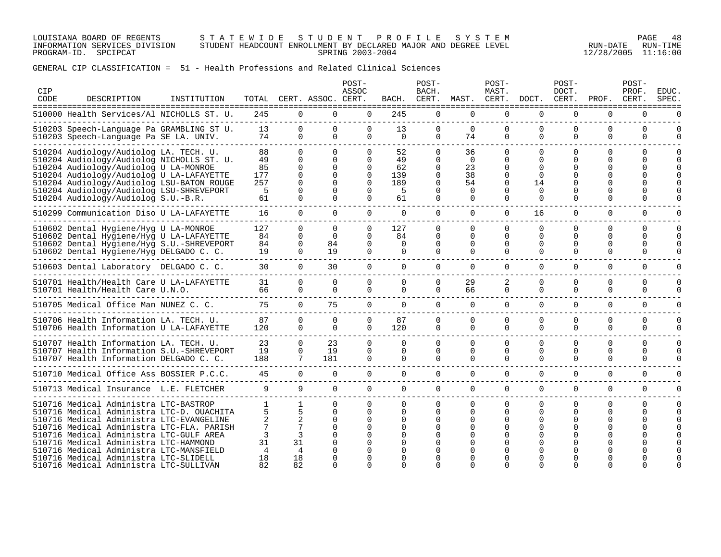LOUISIANA BOARD OF REGENTS S T A T E W I D E S T U D E N T P R O F I L E S Y S T E M PAGE 48 INFORMATION SERVICES DIVISION STUDENT HEADCOUNT ENROLLMENT BY DECLARED MAJOR AND DEGREE LEVEL RUN-DATE RUN-TIME PROGRAM-ID. SPCIPCAT SPRING 2003-2004 12/28/2005 11:16:00

| <b>CIP</b><br>CODE | DESCRIPTION                                                                                                                                                                                                                                                                                              | INSTITUTION |                                         |                                                 | TOTAL CERT. ASSOC. CERT.                                                         | POST-<br>ASSOC                                                                   | BACH.                                   | POST-<br>BACH.<br>CERT.                                  | MAST.                                                    | POST-<br>MAST.                                                                   | CERT. DOCT.                                                  | $POST-$<br>DOCT.<br>CERT.                    | PROF.                                             | POST-<br>PROF.<br>CERT.                          | EDUC.<br>SPEC.   |
|--------------------|----------------------------------------------------------------------------------------------------------------------------------------------------------------------------------------------------------------------------------------------------------------------------------------------------------|-------------|-----------------------------------------|-------------------------------------------------|----------------------------------------------------------------------------------|----------------------------------------------------------------------------------|-----------------------------------------|----------------------------------------------------------|----------------------------------------------------------|----------------------------------------------------------------------------------|--------------------------------------------------------------|----------------------------------------------|---------------------------------------------------|--------------------------------------------------|------------------|
|                    | 510000 Health Services/Al NICHOLLS ST. U.                                                                                                                                                                                                                                                                |             | 245                                     |                                                 | $\Omega$<br>$\Omega$                                                             | $\Omega$                                                                         | 245                                     | $\Omega$                                                 | $\Omega$                                                 | $\Omega$                                                                         | $\Omega$                                                     | $\Omega$                                     | $\Omega$                                          | $\Omega$                                         | U                |
|                    | 510203 Speech-Language Pa GRAMBLING ST U.<br>510203 Speech-Lanquage Pa SE LA. UNIV.                                                                                                                                                                                                                      |             | 13<br>74                                | $\mathbf 0$<br>$\Omega$                         | $\mathbf 0$<br>$\Omega$                                                          | $\Omega$<br>$\Omega$                                                             | 13<br>$\Omega$                          | $\Omega$<br>$\Omega$                                     | $\Omega$<br>74                                           | 0<br>$\Omega$                                                                    | $\mathbf 0$<br>$\Omega$                                      | $\Omega$<br>$\Omega$                         | 0<br>$\Omega$                                     | 0<br>$\Omega$                                    | 0<br>$\Omega$    |
|                    | 510204 Audiology/Audiolog LA. TECH. U.<br>510204 Audiology/Audiolog NICHOLLS ST. U.<br>510204 Audiology/Audiolog U LA-MONROE<br>510204 Audiology/Audiolog U LA-LAFAYETTE<br>510204 Audiology/Audiolog LSU-BATON ROUGE<br>510204 Audiology/Audiolog LSU-SHREVEPORT<br>510204 Audiology/Audiolog S.U.-B.R. |             | 88<br>49<br>85<br>177<br>257<br>5<br>61 | $\Omega$<br>0<br>0<br>$\Omega$<br>0<br>$\Omega$ | $\Omega$<br>$\Omega$<br>$\Omega$<br>$\Omega$<br>$\Omega$<br>$\Omega$<br>$\Omega$ | $\Omega$<br>$\Omega$<br>$\Omega$<br>$\Omega$<br>$\Omega$<br>$\Omega$<br>$\Omega$ | 52<br>49<br>62<br>139<br>189<br>5<br>61 | $\Omega$<br>$\Omega$<br>$\Omega$<br>$\Omega$<br>$\Omega$ | 36<br>$\Omega$<br>23<br>38<br>54<br>$\Omega$<br>$\Omega$ | $\Omega$<br>$\Omega$<br>$\Omega$<br>$\Omega$<br>$\Omega$<br>$\Omega$<br>$\Omega$ | $\Omega$<br>$\Omega$<br>0<br>$\Omega$<br>14<br>$\Omega$<br>0 | $\Omega$<br>$\Omega$<br>∩<br>$\Omega$        | $\Omega$<br>$\Omega$<br>O<br>$\Omega$<br>$\Omega$ | $\Omega$<br><sup>0</sup><br>U<br>U<br>$\Omega$   | O                |
|                    | 510299 Communication Diso U LA-LAFAYETTE                                                                                                                                                                                                                                                                 |             | 16                                      | $\Omega$                                        | $\Omega$                                                                         | $\Omega$                                                                         | $\overline{0}$                          | $\overline{0}$                                           | $\overline{0}$                                           | $\overline{0}$                                                                   | 16                                                           | $\mathbf 0$                                  | 0                                                 | $\mathbf 0$                                      | U                |
|                    | 510602 Dental Hygiene/Hyg U LA-MONROE<br>510602 Dental Hygiene/Hyg U LA-LAFAYETTE<br>510602 Dental Hygiene/Hyg S.U.-SHREVEPORT<br>510602 Dental Hygiene/Hyg DELGADO C. C.                                                                                                                                |             | 127<br>84<br>84<br>19                   | $\Omega$<br>0<br>0<br>$\Omega$                  | $\Omega$<br>$\Omega$<br>84<br>19                                                 | $\Omega$<br>$\Omega$<br>$\Omega$<br>$\Omega$                                     | 127<br>84<br>$\Omega$<br>$\Omega$       | $\Omega$<br>0<br>$\Omega$<br>$\Omega$                    | $\Omega$<br>$\Omega$<br>$\Omega$<br>$\Omega$             | $\Omega$<br>$\Omega$<br>$\Omega$<br>$\Omega$                                     | $\Omega$<br>$\Omega$<br>0<br>$\Omega$                        | $\Omega$<br>$\Omega$<br>$\Omega$<br>$\Omega$ | $\Omega$<br>$\Omega$<br>$\Omega$<br>$\Omega$      | $\Omega$<br>$\Omega$<br><sup>0</sup><br>$\Omega$ | O<br>O<br>U<br>U |
|                    | 510603 Dental Laboratory DELGADO C. C.                                                                                                                                                                                                                                                                   |             | 30                                      | $\Omega$                                        | 30                                                                               | $\Omega$                                                                         | $\Omega$                                | $\Omega$                                                 | $\Omega$                                                 | $\Omega$                                                                         | $\Omega$                                                     | $\Omega$                                     | $\Omega$                                          | $\Omega$                                         | O                |
|                    | 510701 Health/Health Care U LA-LAFAYETTE<br>510701 Health/Health Care U.N.O.                                                                                                                                                                                                                             |             | 31<br>66                                | $\Omega$<br>0                                   | $\mathbf{0}$<br>$\Omega$                                                         | $\Omega$<br>$\Omega$                                                             | $\Omega$<br>$\Omega$                    | $\Omega$<br>$\Omega$                                     | 29<br>66                                                 | 2<br>$\Omega$                                                                    | 0<br>$\Omega$                                                | $\Omega$<br>$\Omega$                         | 0<br>$\Omega$                                     | 0<br>$\Omega$                                    | 0<br>U           |
|                    | 510705 Medical Office Man NUNEZ C. C.                                                                                                                                                                                                                                                                    |             | 75                                      | $\Omega$                                        | 75                                                                               | $\Omega$                                                                         | $\Omega$                                | $\Omega$                                                 | $\Omega$                                                 | $\Omega$                                                                         | $\Omega$                                                     | $\Omega$                                     | $\Omega$                                          | $\Omega$                                         | $\Omega$         |
|                    | 510706 Health Information LA. TECH. U.<br>510706 Health Information U LA-LAFAYETTE                                                                                                                                                                                                                       |             | 87<br>120                               | 0<br>$\Omega$                                   | <sup>n</sup><br>$\Omega$                                                         | $\Omega$<br>$\Omega$                                                             | 87<br>120                               | $\Omega$<br>$\Omega$                                     | $\Omega$<br>$\Omega$                                     | $\Omega$<br>$\Omega$                                                             | $\Omega$<br>$\Omega$                                         | $\Omega$<br>$\Omega$                         | 0<br>$\Omega$                                     | $\Omega$<br>0                                    | O<br>0           |
|                    | 510707 Health Information LA. TECH. U.<br>510707 Health Information S.U.-SHREVEPORT<br>510707 Health Information DELGADO C. C.                                                                                                                                                                           |             | 23<br>19<br>188                         | $\Omega$<br>$\Omega$<br>7                       | 23<br>19<br>181                                                                  | $\Omega$<br>$\Omega$<br>$\Omega$                                                 | $\Omega$<br>$\Omega$<br>$\Omega$        | $\Omega$<br>$\Omega$<br>$\Omega$                         | $\Omega$<br>$\Omega$<br>$\Omega$                         | $\Omega$<br>$\Omega$<br>$\Omega$                                                 | $\Omega$<br>$\Omega$<br>$\Omega$                             | $\Omega$<br>$\Omega$<br>$\Omega$             | $\Omega$<br>$\Omega$<br>$\Omega$                  | $\Omega$<br>$\Omega$<br>$\Omega$                 | O<br>O           |
|                    | 510710 Medical Office Ass BOSSIER P.C.C.                                                                                                                                                                                                                                                                 |             | 45                                      | $\overline{0}$                                  | $\Omega$                                                                         | $\overline{0}$                                                                   | $\Omega$                                | $\overline{0}$                                           | $\Omega$                                                 | $\Omega$                                                                         | $\Omega$                                                     | $\Omega$                                     | $\Omega$                                          | $\Omega$                                         | O                |
|                    | 510713 Medical Insurance L.E. FLETCHER                                                                                                                                                                                                                                                                   |             | 9                                       | 9                                               | $\Omega$                                                                         | $\Omega$                                                                         | $\Omega$                                | $\Omega$                                                 | $\Omega$                                                 | $\Omega$                                                                         | $\Omega$                                                     | $\Omega$                                     | $\Omega$                                          | $\Omega$                                         | 0                |
|                    | 510716 Medical Administra LTC-BASTROP<br>510716 Medical Administra LTC-D. OUACHITA<br>510716 Medical Administra LTC-EVANGELINE<br>510716 Medical Administra LTC-FLA. PARISH<br>510716 Medical Administra LTC-GULF AREA<br>510716 Medical Administra LTC-HAMMOND                                          |             | 5<br>31                                 | 5<br>2<br>7<br>3<br>31                          | $\Omega$<br>$\Omega$<br>$\Omega$<br>$\Omega$<br>$\Omega$                         | $\Omega$<br>$\Omega$                                                             | $\Omega$<br>$\Omega$                    | $\Omega$<br>$\Omega$<br>U                                | $\Omega$<br>$\Omega$                                     | $\Omega$<br>$\Omega$<br>$\Omega$<br><sup>0</sup>                                 | $\Omega$<br>$\Omega$                                         | $\Omega$<br>$\Omega$                         | $\Omega$<br>$\Omega$                              | $\Omega$<br><sup>0</sup>                         | O                |
|                    | 510716 Medical Administra LTC-MANSFIELD<br>510716 Medical Administra LTC-SLIDELL<br>510716 Medical Administra LTC-SULLIVAN                                                                                                                                                                               |             | 4<br>18<br>82                           | 4<br>18<br>82                                   | U                                                                                |                                                                                  |                                         |                                                          |                                                          |                                                                                  |                                                              |                                              |                                                   |                                                  |                  |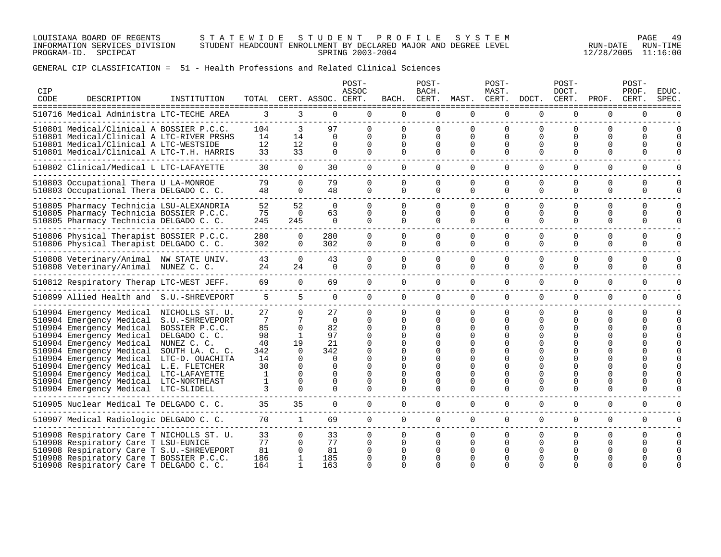LOUISIANA BOARD OF REGENTS S T A T E W I D E S T U D E N T P R O F I L E S Y S T E M PAGE 49 INFORMATION SERVICES DIVISION STUDENT HEADCOUNT ENROLLMENT BY DECLARED MAJOR AND DEGREE LEVEL RUN-DATE RUN-TIME PROGRAM-ID. SPCIPCAT SPRING 2003-2004 12/28/2005 11:16:00

| CIP<br>CODE | DESCRIPTION                                                                                                                                                                                                                                                                                                                                                                                                                                                       | INSTITUTION   |                                                             |                                                                                                         | TOTAL CERT. ASSOC. CERT.                                                                            | POST-<br>ASSOC                               | BACH.                                             | POST-<br>BACH.                      | CERT. MAST. CERT. DOCT. CERT.                               | POST-<br>MAST.                                                |                                | $POST-$<br>DOCT.                          | PROF.                                                 | POST-<br>PROF.<br>CERT.       | EDUC.<br>SPEC             |
|-------------|-------------------------------------------------------------------------------------------------------------------------------------------------------------------------------------------------------------------------------------------------------------------------------------------------------------------------------------------------------------------------------------------------------------------------------------------------------------------|---------------|-------------------------------------------------------------|---------------------------------------------------------------------------------------------------------|-----------------------------------------------------------------------------------------------------|----------------------------------------------|---------------------------------------------------|-------------------------------------|-------------------------------------------------------------|---------------------------------------------------------------|--------------------------------|-------------------------------------------|-------------------------------------------------------|-------------------------------|---------------------------|
|             | 510716 Medical Administra LTC-TECHE AREA                                                                                                                                                                                                                                                                                                                                                                                                                          |               |                                                             | $3 \sim$                                                                                                | $\Omega$<br>$3 \sim$                                                                                | $\Omega$                                     | $\Omega$                                          | $\Omega$                            | $\Omega$                                                    | $\Omega$                                                      | $\Omega$                       | $\Omega$                                  | $\Omega$                                              | $\Omega$                      |                           |
|             | 510801 Medical/Clinical A BOSSIER P.C.C.<br>510801 Medical/Clinical A LTC-RIVER PRSHS<br>510801 Medical/Clinical A LTC-WESTSIDE<br>510801 Medical/Clinical A LTC-T.H. HARRIS                                                                                                                                                                                                                                                                                      |               | 104<br>14<br>12<br>33                                       | 3<br>14<br>12<br>33                                                                                     | 97<br>$\Omega$<br>$\Omega$                                                                          | $\Omega$<br>$\Omega$<br>$\Omega$             | $\Omega$<br>$\Omega$<br>$\Omega$                  | $\Omega$<br>0<br>0                  | $\Omega$<br>$\Omega$<br>$\Omega$<br>$\Omega$                | $\Omega$<br>$\Omega$<br>$\Omega$                              | $\Omega$<br>$\Omega$           | <sup>0</sup><br>$\Omega$<br>0<br>$\Omega$ | $\Omega$<br>$\Omega$<br>U<br>$\Omega$                 | 0<br><sup>n</sup><br>U        | $\Omega$                  |
|             | 510802 Clinical/Medical L LTC-LAFAYETTE                                                                                                                                                                                                                                                                                                                                                                                                                           |               | 30                                                          | $\Omega$                                                                                                | 30                                                                                                  | $\Omega$                                     | $\Omega$                                          | $\Omega$                            | $\Omega$                                                    | $\Omega$                                                      | $\Omega$                       | $\Omega$                                  | $\Omega$                                              | $\mathbf 0$                   | $\Omega$                  |
|             | 510803 Occupational Thera U LA-MONROE<br>510803 Occupational Thera DELGADO C. C.                                                                                                                                                                                                                                                                                                                                                                                  |               | 79<br>48                                                    | $\Omega$<br>$\Omega$                                                                                    | 79<br>48                                                                                            | $\Omega$<br>$\Omega$                         | $\Omega$<br>$\Omega$                              | $\Omega$<br>$\Omega$                | $\Omega$<br>$\Omega$                                        | $\mathbf 0$<br>$\Omega$                                       | $\Omega$<br>$\Omega$           | 0<br>$\Omega$                             | $\Omega$<br>$\Omega$                                  | $\Omega$<br>$\Omega$          | $\Omega$<br>$\Omega$      |
|             | 510805 Pharmacy Technicia LSU-ALEXANDRIA<br>510805 Pharmacy Technicia BOSSIER P.C.C.<br>510805 Pharmacy Technicia DELGADO C. C.                                                                                                                                                                                                                                                                                                                                   |               | 52<br>75<br>245                                             | 52<br>$\Omega$<br>245                                                                                   | $\Omega$<br>63<br>$\Omega$                                                                          | $\cap$<br>$\Omega$<br>$\Omega$               | $\Omega$<br>$\Omega$<br>$\cap$                    | 0<br>$\Omega$<br>$\cap$             | $\Omega$<br>$\Omega$<br>$\Omega$                            | $\Omega$<br>$\Omega$<br>$\Omega$                              | $\cap$<br>$\Omega$<br>$\Omega$ | $\Omega$<br>$\Omega$<br>$\cap$            | $\Omega$<br>$\Omega$<br>$\Omega$                      | <sup>n</sup><br>0<br>$\Omega$ | $\Omega$<br>$\Omega$<br>U |
|             | 510806 Physical Therapist BOSSIER P.C.C.<br>510806 Physical Therapist DELGADO C. C.                                                                                                                                                                                                                                                                                                                                                                               |               | 280<br>302                                                  | $\Omega$<br>$\Omega$                                                                                    | 280<br>302                                                                                          | $\Omega$<br>$\Omega$                         | $\Omega$<br>$\Omega$                              | $\Omega$<br>$\Omega$                | $\Omega$<br>$\Omega$                                        | $\Omega$<br>$\Omega$                                          | $\Omega$<br>$\Omega$           | $\Omega$<br>$\Omega$                      | $\Omega$<br>$\Omega$                                  | $\Omega$<br>0                 | $\Omega$<br>0             |
|             | 510808 Veterinary/Animal NW STATE UNIV.<br>510808 Veterinary/Animal NUNEZ C. C.                                                                                                                                                                                                                                                                                                                                                                                   |               | 43<br>24                                                    | $\Omega$<br>24                                                                                          | 43<br>$\Omega$                                                                                      | $\Omega$<br>$\Omega$                         | $\Omega$<br>$\Omega$                              | $\Omega$<br>$\Omega$                | $\Omega$<br>$\Omega$                                        | $\Omega$<br>$\Omega$                                          | $\Omega$<br>$\Omega$           | $\Omega$<br>$\Omega$                      | $\Omega$<br>$\Omega$                                  | $\Omega$<br>$\Omega$          |                           |
|             | 510812 Respiratory Therap LTC-WEST JEFF.                                                                                                                                                                                                                                                                                                                                                                                                                          |               | 69                                                          | $\Omega$                                                                                                | 69                                                                                                  | $\Omega$                                     | $\Omega$                                          | $\Omega$                            | $\Omega$                                                    | $\Omega$                                                      | $\Omega$                       | $\Omega$                                  | $\Omega$                                              | $\Omega$                      |                           |
|             | 510899 Allied Health and S.U.-SHREVEPORT                                                                                                                                                                                                                                                                                                                                                                                                                          |               | 5 <sup>1</sup>                                              | $5^{\circ}$                                                                                             | $\Omega$                                                                                            | $\overline{0}$                               | $\overline{0}$                                    | $\overline{0}$                      | $\overline{0}$                                              | $\overline{0}$                                                | $\mathbf 0$                    | 0                                         | $\mathbf 0$                                           | $\mathbf 0$                   |                           |
|             | 510904 Emergency Medical NICHOLLS ST. U.<br>510904 Emergency Medical S.U.-SHREVEPORT<br>510904 Emergency Medical BOSSIER P.C.C.<br>510904 Emergency Medical<br>510904 Emergency Medical NUNEZ C. C.<br>510904 Emergency Medical SOUTH LA. C. C.<br>510904 Emergency Medical LTC-D. OUACHITA<br>510904 Emergency Medical L.E. FLETCHER<br>510904 Emergency Medical LTC-LAFAYETTE<br>510904 Emergency Medical LTC-NORTHEAST<br>510904 Emergency Medical LTC-SLIDELL | DELGADO C. C. | 27<br>7<br>85<br>98<br>40<br>342<br>14<br>30<br>1<br>1<br>3 | $\Omega$<br>$\Omega$<br>1<br>19<br>$\Omega$<br>$\Omega$<br>$\Omega$<br>$\Omega$<br>$\Omega$<br>$\Omega$ | 27<br>$\Omega$<br>82<br>97<br>21<br>342<br>$\Omega$<br>$\Omega$<br>$\Omega$<br>$\Omega$<br>$\Omega$ | $\Omega$<br>$\Omega$<br>$\Omega$<br>$\Omega$ | $\Omega$<br>$\Omega$<br>$\Omega$<br>O<br>$\Omega$ | $\Omega$<br>$\Omega$<br>0<br>O<br>0 | $\Omega$<br>$\Omega$<br>$\Omega$<br>0<br>0<br>0<br>$\Omega$ | $\Omega$<br>$\Omega$<br>$\Omega$<br>$\Omega$<br>0<br>$\Omega$ | $\Omega$<br>$\Omega$           | $\Omega$<br>$\Omega$<br>O<br>$\Omega$     | $\Omega$<br>$\Omega$<br><sup>0</sup><br>0<br>$\Omega$ | 0<br>0<br>$\Omega$            |                           |
|             | 510905 Nuclear Medical Te DELGADO C. C.                                                                                                                                                                                                                                                                                                                                                                                                                           |               | 35                                                          | 35                                                                                                      | $\Omega$                                                                                            | $\Omega$                                     | $\Omega$                                          | $\Omega$                            | $\Omega$                                                    | $\Omega$                                                      | $\Omega$                       | $\Omega$                                  | 0                                                     | $\Omega$                      | U                         |
|             | 510907 Medical Radiologic DELGADO C. C.                                                                                                                                                                                                                                                                                                                                                                                                                           |               | 70                                                          | $\overline{1}$                                                                                          | 69                                                                                                  | $\Omega$                                     | $\Omega$                                          | $\Omega$                            | $\Omega$                                                    | $\Omega$                                                      | $\Omega$                       | $\Omega$                                  | $\Omega$                                              | $\Omega$                      | $\Omega$                  |
|             | 510908 Respiratory Care T NICHOLLS ST. U.<br>510908 Respiratory Care T LSU-EUNICE<br>510908 Respiratory Care T S.U.-SHREVEPORT<br>510908 Respiratory Care T BOSSIER P.C.C.<br>510908 Respiratory Care T DELGADO C. C.                                                                                                                                                                                                                                             |               | 33<br>77<br>81<br>186<br>164                                | $\mathbf{0}$<br>$\Omega$<br>0                                                                           | 33<br>77<br>81<br>185<br>163                                                                        | $\Omega$<br>$\Omega$<br>0                    | $\Omega$<br>$\Omega$<br>0<br>U                    | $\Omega$<br>0                       | $\Omega$<br>$\Omega$<br>0<br>∩<br>∩                         | $\mathbf{0}$<br>$\Omega$<br>0                                 | $\Omega$                       | $\Omega$<br>0                             | $\Omega$<br>0                                         | $\Omega$<br>U                 | $\Omega$                  |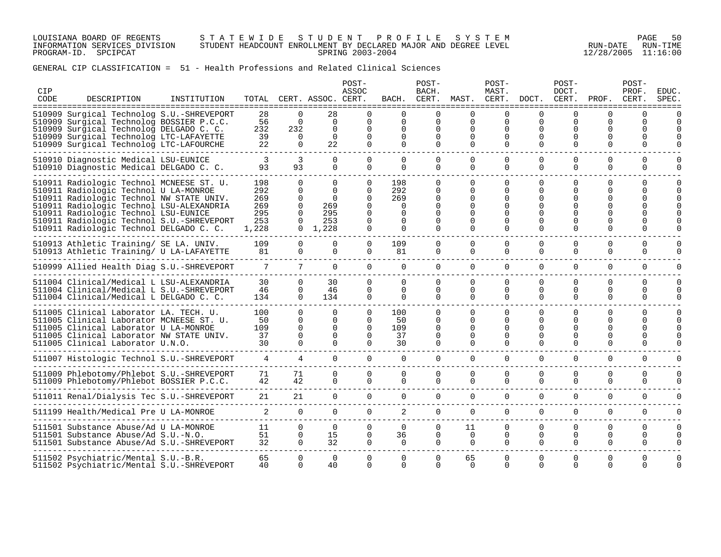LOUISIANA BOARD OF REGENTS S T A T E W I D E S T U D E N T P R O F I L E S Y S T E M PAGE 50 INFORMATION SERVICES DIVISION STUDENT HEADCOUNT ENROLLMENT BY DECLARED MAJOR AND DEGREE LEVEL RUN-DATE RUN-TIME PROGRAM-ID. SPCIPCAT SPRING 2003-2004 12/28/2005 11:16:00

| CIP<br>CODE | DESCRIPTION                                                                                                                                                                                                                                                                                               | INSTITUTION |                                                 |                                                                      | TOTAL CERT. ASSOC. CERT.                                                 | POST-<br>ASSOC                                                                   | BACH.                                                    | POST-<br>BACH.<br>CERT.                           | MAST. CERT.                                              | POST-<br>MAST.                                           | DOCT. CERT.                                              | $POST-$<br>DOCT.                      | PROF.                                      | POST-<br>PROF.<br>CERT.          | <b>EDUC</b><br>SPEC  |
|-------------|-----------------------------------------------------------------------------------------------------------------------------------------------------------------------------------------------------------------------------------------------------------------------------------------------------------|-------------|-------------------------------------------------|----------------------------------------------------------------------|--------------------------------------------------------------------------|----------------------------------------------------------------------------------|----------------------------------------------------------|---------------------------------------------------|----------------------------------------------------------|----------------------------------------------------------|----------------------------------------------------------|---------------------------------------|--------------------------------------------|----------------------------------|----------------------|
|             | 510909 Surgical Technolog S.U.-SHREVEPORT<br>510909 Surgical Technolog BOSSIER P.C.C.<br>510909 Surgical Technolog DELGADO C. C.<br>510909 Surgical Technolog LTC-LAFAYETTE<br>510909 Surgical Technolog LTC-LAFOURCHE                                                                                    |             | 28<br>56<br>232<br>39<br>22                     | $\Omega$<br>$\Omega$<br>232<br>$\Omega$<br>$\Omega$                  | 28<br>$\Omega$<br>$\Omega$<br>$\Omega$<br>22                             | $\Omega$<br>$\Omega$<br>$\Omega$<br>$\Omega$<br>$\Omega$                         | $\Omega$<br>$\Omega$<br>$\Omega$<br>$\Omega$<br>$\Omega$ | $\Omega$<br>$\Omega$<br>$\Omega$<br>0<br>$\Omega$ | $\Omega$<br>$\Omega$<br>$\Omega$<br>$\Omega$<br>$\Omega$ | $\Omega$<br>$\Omega$<br>$\Omega$<br>0<br>$\Omega$        | $\Omega$<br>$\Omega$<br>O<br>$\Omega$                    | $\Omega$<br>$\Omega$<br>O<br>$\Omega$ | U<br>$\Omega$<br>$\Omega$<br>$\Omega$      | $\Omega$<br>$\Omega$<br>U<br>O   | $\Omega$<br>U        |
|             | 510910 Diagnostic Medical LSU-EUNICE<br>510910 Diagnostic Medical DELGADO C. C.                                                                                                                                                                                                                           |             | 93                                              | 3<br>93                                                              | $\Omega$<br>$\Omega$                                                     | $\Omega$<br>$\Omega$                                                             | $\Omega$<br>$\Omega$                                     | $\Omega$<br>$\Omega$                              | $\Omega$<br>$\Omega$                                     | $\Omega$<br>$\Omega$                                     | $\Omega$<br>$\Omega$                                     | $\Omega$<br>$\Omega$                  | $\Omega$<br>$\Omega$                       | $\Omega$<br>$\Omega$             | 0<br>$\Omega$        |
|             | 510911 Radiologic Technol MCNEESE ST. U.<br>510911 Radiologic Technol U LA-MONROE<br>510911 Radiologic Technol NW STATE UNIV.<br>510911 Radiologic Technol LSU-ALEXANDRIA<br>510911 Radiologic Technol LSU-EUNICE<br>510911 Radiologic Technol S.U.-SHREVEPORT<br>510911 Radiologic Technol DELGADO C. C. |             | 198<br>292<br>269<br>269<br>295<br>253<br>1,228 | $\Omega$<br>$\Omega$<br>$\Omega$<br>$\Omega$<br>$\Omega$<br>$\Omega$ | $\Omega$<br>$\Omega$<br>$\Omega$<br>269<br>295<br>253<br>$0 \quad 1,228$ | $\Omega$<br>$\Omega$<br>$\Omega$<br>$\Omega$<br>$\Omega$<br>$\Omega$<br>$\Omega$ | 198<br>292<br>269<br>$\Omega$<br>0                       | $\Omega$<br>0<br>0<br>0<br>O<br>0<br>$\Omega$     | $\Omega$<br>$\Omega$<br>0<br>$\Omega$<br>$\Omega$        | $\Omega$<br>$\Omega$<br>0<br>0<br>$\Omega$               | $\Omega$<br>$\Omega$<br>$\Omega$<br>$\Omega$             | $\Omega$<br>0<br>0<br>$\Omega$        | $\Omega$<br>$\Omega$<br>0<br>O<br>$\Omega$ | $\Omega$<br>U                    | $\Omega$             |
|             | 510913 Athletic Training/ SE LA. UNIV.<br>510913 Athletic Training/ U LA-LAFAYETTE                                                                                                                                                                                                                        |             | 109<br>81                                       | $\mathbf 0$<br>$\mathbf 0$                                           | $\mathbf 0$<br>$\Omega$                                                  | $\overline{0}$<br>$\Omega$                                                       | 109<br>81                                                | 0<br>0                                            | 0<br>0                                                   | 0<br>$\Omega$                                            | 0<br>$\Omega$                                            | $\Omega$<br>$\Omega$                  | $\mathbf 0$<br>$\Omega$                    | 0<br>$\Omega$                    | 0<br>$\Omega$        |
|             | ---------------------------<br>510999 Allied Health Diag S.U.-SHREVEPORT                                                                                                                                                                                                                                  |             | $7\overline{ }$                                 | $7\phantom{0}$                                                       | $\Omega$                                                                 | $\Omega$                                                                         | $\Omega$                                                 | $\Omega$                                          | $\Omega$                                                 | $\Omega$                                                 | $\Omega$                                                 | $\Omega$                              | $\Omega$                                   | $\Omega$                         | $\Omega$             |
|             | 511004 Clinical/Medical L LSU-ALEXANDRIA<br>511004 Clinical/Medical L S.U.-SHREVEPORT<br>511004 Clinical/Medical L DELGADO C. C.                                                                                                                                                                          |             | 30<br>46<br>134                                 | $\Omega$<br>$\Omega$<br>$\overline{0}$                               | 30<br>46<br>134                                                          | $\Omega$<br>$\Omega$<br>$\overline{0}$                                           | $\Omega$<br>$\Omega$<br>0                                | $\Omega$<br>$\Omega$<br>0                         | $\Omega$<br>$\Omega$<br>$\mathbf 0$                      | $\Omega$<br>$\Omega$<br>$\overline{0}$                   | $\Omega$<br>$\Omega$<br>$\mathbf 0$                      | $\Omega$<br>$\Omega$<br>0             | 0<br>$\Omega$<br>0                         | $\Omega$<br>$\Omega$<br>0        | $\Omega$             |
|             | 511005 Clinical Laborator LA. TECH. U.<br>511005 Clinical Laborator MCNEESE ST. U.<br>511005 Clinical Laborator U LA-MONROE<br>511005 Clinical Laborator NW STATE UNIV.<br>511005 Clinical Laborator U.N.O.                                                                                               |             | 100<br>50<br>109<br>37<br>30                    | $\Omega$<br>$\Omega$<br>$\Omega$<br>$\Omega$<br>$\Omega$             | $\Omega$<br>$\Omega$<br>$\Omega$<br>$\Omega$<br>$\Omega$                 | $\Omega$<br>$\Omega$<br>$\Omega$<br>$\Omega$<br>$\Omega$                         | 100<br>50<br>109<br>37<br>30                             | $\Omega$<br>0<br>$\Omega$<br>$\Omega$<br>$\Omega$ | $\Omega$<br>$\Omega$<br>$\Omega$<br>$\Omega$<br>$\Omega$ | $\Omega$<br>$\Omega$<br>$\Omega$<br>$\Omega$<br>$\Omega$ | $\Omega$<br>$\Omega$<br>$\Omega$<br>$\Omega$<br>$\Omega$ | $\Omega$<br>∩<br>$\Omega$<br>$\Omega$ | $\Omega$<br>O<br>O<br>$\Omega$<br>$\Omega$ | $\Omega$<br>$\Omega$<br>O<br>U   | $\Omega$             |
|             | 511007 Histologic Technol S.U.-SHREVEPORT                                                                                                                                                                                                                                                                 |             | $\overline{4}$                                  | $4\overline{ }$                                                      | $\overline{0}$                                                           | $\overline{0}$                                                                   | $\overline{0}$                                           | $\mathbf{0}$                                      | $\overline{0}$                                           | $\overline{0}$                                           | $\Omega$                                                 | $\Omega$                              | $\Omega$                                   | 0                                | 0                    |
|             | 511009 Phlebotomy/Phlebot S.U.-SHREVEPORT<br>511009 Phlebotomy/Phlebot BOSSIER P.C.C.                                                                                                                                                                                                                     |             | 71<br>42                                        | 71<br>42                                                             | $\overline{0}$<br>0                                                      | $\Omega$<br>$\mathbf 0$                                                          | $\Omega$<br>$\Omega$                                     | $\Omega$<br>$\Omega$                              | 0                                                        | $\Omega$<br>$\mathbf 0$                                  | $\Omega$<br>$\mathbf 0$                                  | $\Omega$<br>$\mathbf 0$               | $\Omega$<br>0                              | $\Omega$<br>0                    | O<br>U               |
|             | 511011 Renal/Dialysis Tec S.U.-SHREVEPORT                                                                                                                                                                                                                                                                 |             | 21<br>----------------------                    | 21                                                                   | $\overline{0}$                                                           | $\overline{0}$                                                                   | $\mathbf{0}$                                             | $\overline{0}$                                    | $\overline{0}$                                           | $\overline{0}$                                           | $\mathbf 0$                                              | $\mathbf 0$                           | $\mathbf 0$                                | $\mathbf 0$                      |                      |
|             | 511199 Health/Medical Pre U LA-MONROE                                                                                                                                                                                                                                                                     |             |                                                 | $\Omega$                                                             | $\Omega$                                                                 | $\overline{0}$                                                                   | 2                                                        | $\overline{0}$                                    | 0                                                        | $\overline{0}$                                           | $\mathbf 0$                                              | $\Omega$                              | $\mathbf 0$                                | 0                                | $\Omega$             |
|             | 511501 Substance Abuse/Ad U LA-MONROE<br>511501 Substance Abuse/Ad S.U.-N.O.<br>511501 Substance Abuse/Ad S.U.-SHREVEPORT                                                                                                                                                                                 |             | 11<br>51<br>32                                  | $\Omega$<br>$\Omega$<br>$\overline{0}$                               | $\Omega$<br>15<br>32                                                     | $\Omega$<br>$\mathbf 0$<br>$\mathbf 0$                                           | $\Omega$<br>36<br>$\Omega$                               | $\Omega$<br>0<br>0                                | 11<br>$\Omega$<br>$\overline{0}$                         | $\Omega$<br>$\mathbf 0$<br>$\Omega$                      | $\Omega$<br>$\Omega$<br>$\Omega$                         | $\Omega$<br>$\Omega$<br>$\Omega$      | $\Omega$<br>$\mathbf 0$<br>0               | $\Omega$<br>$\Omega$<br>$\Omega$ | $\Omega$<br>$\Omega$ |
|             | 511502 Psychiatric/Mental S.U.-B.R.<br>511502 Psychiatric/Mental S.U.-SHREVEPORT                                                                                                                                                                                                                          |             | 65<br>40                                        | $\Omega$<br>$\Omega$                                                 | $\Omega$<br>40                                                           | $\Omega$<br>$\Omega$                                                             | $\Omega$<br>$\Omega$                                     | $\Omega$<br><sup>n</sup>                          | 65<br>$\Omega$                                           | $\Omega$<br>$\Omega$                                     | $\Omega$<br>$\Omega$                                     | $\Omega$<br>$\Omega$                  | $\Omega$<br>$\Omega$                       | $\Omega$<br>$\Omega$             |                      |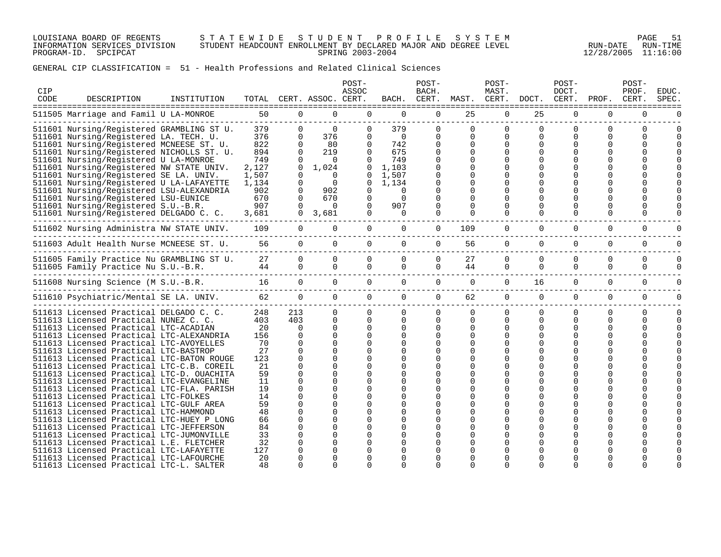LOUISIANA BOARD OF REGENTS S T A T E W I D E S T U D E N T P R O F I L E S Y S T E M PAGE 51 INFORMATION SERVICES DIVISION STUDENT HEADCOUNT ENROLLMENT BY DECLARED MAJOR AND DEGREE LEVEL RUN-DATE RUN-TIME PROGRAM-ID. SPCIPCAT SPRING 2003-2004 12/28/2005 11:16:00

| CIP<br>CODE | DESCRIPTION                                                                                                                                                                                                                                                                                                                                                                                                                                                                                                                                                                  | INSTITUTION | TOTAL                                                                                               |                                                                                                             | CERT. ASSOC. CERT.                                                                                                                                       | POST-<br>ASSOC                                                                                                                             | BACH.                                                                                             | POST-<br>BACH.<br>CERT.                                                             | MAST.                                        | POST-<br>MAST.<br>CERT.                                                             | DOCT.                                              | POST-<br>DOCT.<br>CERT. | PROF.                     | POST-<br>PROF.<br>CERT.            | EDUC.<br><b>SPEC</b> |
|-------------|------------------------------------------------------------------------------------------------------------------------------------------------------------------------------------------------------------------------------------------------------------------------------------------------------------------------------------------------------------------------------------------------------------------------------------------------------------------------------------------------------------------------------------------------------------------------------|-------------|-----------------------------------------------------------------------------------------------------|-------------------------------------------------------------------------------------------------------------|----------------------------------------------------------------------------------------------------------------------------------------------------------|--------------------------------------------------------------------------------------------------------------------------------------------|---------------------------------------------------------------------------------------------------|-------------------------------------------------------------------------------------|----------------------------------------------|-------------------------------------------------------------------------------------|----------------------------------------------------|-------------------------|---------------------------|------------------------------------|----------------------|
|             | 511505 Marriage and Famil U LA-MONROE                                                                                                                                                                                                                                                                                                                                                                                                                                                                                                                                        |             | 50                                                                                                  | $\mathbf 0$                                                                                                 | $\mathbf 0$                                                                                                                                              | $\Omega$                                                                                                                                   | $\mathbf 0$                                                                                       | $\mathbf 0$                                                                         | 25                                           | $\mathbf 0$                                                                         | 25                                                 | 0                       | $\Omega$                  | 0                                  |                      |
|             | 511601 Nursing/Registered GRAMBLING ST U.<br>511601 Nursing/Registered LA. TECH. U.<br>511601 Nursing/Registered MCNEESE ST. U.<br>511601 Nursing/Registered NICHOLLS ST. U.<br>511601 Nursing/Registered U LA-MONROE<br>511601 Nursing/Registered NW STATE UNIV.<br>511601 Nursing/Registered SE LA. UNIV.<br>511601 Nursing/Registered U LA-LAFAYETTE<br>511601 Nursing/Registered LSU-ALEXANDRIA                                                                                                                                                                          |             | ------------------------------<br>379<br>376<br>822<br>894<br>749<br>2,127<br>1,507<br>1,134<br>902 | $\overline{0}$<br>$\Omega$<br>$\Omega$<br>$\Omega$<br>$\Omega$<br>$\Omega$<br>$\Omega$<br>$\Omega$<br>0     | $\Omega$<br>376<br>80<br>219<br>$\Omega$<br>1,024<br>$\Omega$<br>$\Omega$<br>902                                                                         | $\mathbf 0$<br>$\Omega$<br>$\Omega$<br>$\Omega$<br>$\Omega$<br>$\overline{0}$<br>$\mathbf{0}$<br>$\mathbf{0}$<br>$\Omega$                  | 379<br>$\overline{0}$<br>742<br>675<br>749<br>1,103<br>1,507<br>1,134<br>$\Omega$                 | $\mathbf 0$<br>$\Omega$<br>$\Omega$<br>$\Omega$<br>$\Omega$<br>$\Omega$<br>$\Omega$ | $\Omega$<br>$\Omega$<br>$\Omega$<br>$\Omega$ | $\mathbf 0$<br>$\Omega$<br>$\Omega$<br>$\Omega$<br>$\Omega$<br>$\Omega$<br>$\Omega$ | $\mathbf 0$<br>0<br>$\mathbf 0$<br>$\Omega$        | 0<br>$\Omega$           | 0<br>$\Omega$<br>$\Omega$ | 0<br>$\Omega$<br><sup>0</sup>      |                      |
|             | 511601 Nursing/Registered LSU-EUNICE<br>511601 Nursing/Registered S.U.-B.R.                                                                                                                                                                                                                                                                                                                                                                                                                                                                                                  |             | 670<br>907                                                                                          | $\Omega$<br>$\Omega$                                                                                        | 670<br>$\Omega$                                                                                                                                          | 0<br>$\Omega$                                                                                                                              | $\Omega$<br>907                                                                                   | $\Omega$                                                                            |                                              | $\Omega$<br>$\Omega$                                                                | 0                                                  |                         | <sup>0</sup>              |                                    |                      |
|             | 511601 Nursing/Registered DELGADO C. C.                                                                                                                                                                                                                                                                                                                                                                                                                                                                                                                                      |             | 3,681                                                                                               | $\overline{0}$                                                                                              | 3,681                                                                                                                                                    | $\Omega$                                                                                                                                   | $\Omega$                                                                                          | $\Omega$                                                                            |                                              |                                                                                     |                                                    |                         | $\Omega$                  | <sup>0</sup>                       |                      |
|             | 511602 Nursing Administra NW STATE UNIV.                                                                                                                                                                                                                                                                                                                                                                                                                                                                                                                                     |             | 109                                                                                                 | $\overline{0}$                                                                                              | $\overline{0}$                                                                                                                                           | $\overline{0}$                                                                                                                             | $\overline{0}$                                                                                    | $\overline{0}$                                                                      | 109                                          | $\mathbf{0}$                                                                        | $\overline{0}$                                     | $\Omega$                | $\Omega$                  | 0                                  |                      |
|             | 511603 Adult Health Nurse MCNEESE ST. U.                                                                                                                                                                                                                                                                                                                                                                                                                                                                                                                                     |             | 56                                                                                                  | $\Omega$                                                                                                    | $\Omega$                                                                                                                                                 | $\Omega$                                                                                                                                   | $\Omega$                                                                                          | $\Omega$                                                                            | 56                                           | 0                                                                                   | $\mathbf 0$                                        | $\Omega$                | $\Omega$                  | 0                                  | 0                    |
|             | 511605 Family Practice Nu GRAMBLING ST U.<br>511605 Family Practice Nu S.U.-B.R.                                                                                                                                                                                                                                                                                                                                                                                                                                                                                             |             | 27<br>44                                                                                            | $\Omega$<br>$\Omega$                                                                                        | $\Omega$<br>$\Omega$                                                                                                                                     | $\Omega$<br>$\Omega$                                                                                                                       | $\Omega$<br>$\Omega$                                                                              | $\Omega$<br>$\Omega$                                                                | 27<br>44                                     | $\Omega$<br>$\Omega$                                                                | $\Omega$<br>$\Omega$                               | $\Omega$<br>$\Omega$    | $\Omega$<br>$\Omega$      | $\Omega$<br>$\Omega$               | O<br>O               |
|             | 511608 Nursing Science (M S.U.-B.R.                                                                                                                                                                                                                                                                                                                                                                                                                                                                                                                                          |             |                                                                                                     | $\overline{0}$                                                                                              | $\overline{0}$                                                                                                                                           | $\Omega$                                                                                                                                   | $\Omega$                                                                                          | $\overline{0}$                                                                      | $\overline{0}$                               | $\Omega$                                                                            | 16                                                 | $\Omega$                | $\Omega$                  | $\mathbf 0$                        | 0                    |
|             | 511610 Psychiatric/Mental SE LA. UNIV. 62                                                                                                                                                                                                                                                                                                                                                                                                                                                                                                                                    |             |                                                                                                     | $\overline{0}$                                                                                              | $\overline{0}$                                                                                                                                           | $\Omega$                                                                                                                                   | $\overline{0}$                                                                                    | $\overline{0}$                                                                      | 62                                           | $\overline{0}$                                                                      | $\overline{0}$                                     | $\mathbf 0$             | $\mathbf 0$               | $\mathbf 0$                        | 0                    |
|             | 511613 Licensed Practical DELGADO C. C.<br>511613 Licensed Practical NUNEZ C. C.<br>511613 Licensed Practical LTC-ACADIAN<br>511613 Licensed Practical LTC-ALEXANDRIA<br>511613 Licensed Practical LTC-AVOYELLES<br>511613 Licensed Practical LTC-BASTROP<br>511613 Licensed Practical LTC-BATON ROUGE<br>511613 Licensed Practical LTC-C.B. COREIL<br>511613 Licensed Practical LTC-D. OUACHITA<br>511613 Licensed Practical LTC-EVANGELINE<br>511613 Licensed Practical LTC-FLA. PARISH<br>511613 Licensed Practical LTC-FOLKES<br>511613 Licensed Practical LTC-GULF AREA |             | 248<br>403<br>20<br>156<br>70<br>27<br>123<br>21<br>59<br>11<br>19<br>14<br>59                      | 213<br>403<br>$\Omega$<br>$\Omega$<br>$\Omega$<br>$\Omega$<br>$\Omega$<br>0<br>0<br>0<br>0<br>0<br>$\Omega$ | $\Omega$<br>$\Omega$<br>$\Omega$<br>$\Omega$<br>$\Omega$<br>$\Omega$<br>$\Omega$<br>$\Omega$<br>$\Omega$<br>$\Omega$<br>$\Omega$<br>$\Omega$<br>$\Omega$ | $\Omega$<br>$\Omega$<br>$\Omega$<br>$\Omega$<br>$\Omega$<br>$\cap$<br>$\Omega$<br>$\Omega$<br>$\Omega$<br>$\Omega$<br>$\Omega$<br>$\Omega$ | $\Omega$<br>$\Omega$<br>$\Omega$<br>$\Omega$<br>$\Omega$<br>0<br>$\Omega$<br>$\Omega$<br>$\Omega$ | $\Omega$<br>$\Omega$<br>$\Omega$<br>$\Omega$<br>O                                   | $\Omega$<br>$\Omega$<br>$\Omega$<br>$\Omega$ | $\mathbf 0$<br>$\Omega$<br>0<br>$\Omega$<br>∩<br>$\Omega$                           | $\mathbf{0}$<br>0<br>0<br>$\Omega$<br><sup>0</sup> | 0<br>$\Omega$           | 0<br>$\Omega$             | 0<br>$\Omega$<br><sup>0</sup><br>U | 0<br>0               |
|             | 511613 Licensed Practical LTC-HAMMOND<br>511613 Licensed Practical LTC-HUEY P LONG<br>511613 Licensed Practical LTC-JEFFERSON<br>511613 Licensed Practical LTC-JUMONVILLE<br>511613 Licensed Practical L.E. FLETCHER<br>511613 Licensed Practical LTC-LAFAYETTE<br>511613 Licensed Practical LTC-LAFOURCHE<br>511613 Licensed Practical LTC-L. SALTER                                                                                                                                                                                                                        |             | 48<br>66<br>84<br>33<br>32<br>127<br>20<br>48                                                       | $\Omega$<br>$\Omega$<br>$\Omega$<br>0<br>$\Omega$<br>O<br>$\Omega$                                          | $\Omega$<br>$\Omega$<br>$\Omega$<br>$\Omega$<br>∩<br>∩<br>O<br>U                                                                                         | <sup>n</sup>                                                                                                                               |                                                                                                   | U                                                                                   |                                              | $\Omega$<br>$\Omega$<br>$\Omega$<br>$\cap$                                          | 0<br><sup>0</sup><br>∩                             |                         | $\cap$                    |                                    |                      |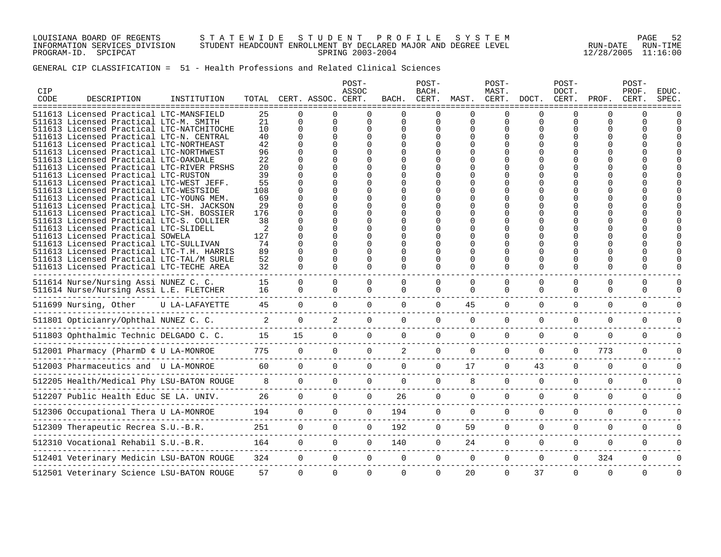LOUISIANA BOARD OF REGENTS S T A T E W I D E S T U D E N T P R O F I L E S Y S T E M PAGE 52 INFORMATION SERVICES DIVISION STUDENT HEADCOUNT ENROLLMENT BY DECLARED MAJOR AND DEGREE LEVEL RUN-DATE RUN-TIME PROGRAM-ID. SPCIPCAT SPRING 2003-2004 12/28/2005 11:16:00

| CIP<br>CODE | DESCRIPTION                                                                        | INSTITUTION                   |                                     |                        | TOTAL CERT. ASSOC. CERT. | POST-<br>ASSOC                   |                     | POST-<br>BACH.<br>BACH. CERT. | MAST. CERT.                         | POST-<br>MAST. | DOCT.                | POST-<br>DOCT.<br>CERT. | PROF.        | POST-<br>PROF.<br>CERT. | <b>EDUC</b><br>SPEC |
|-------------|------------------------------------------------------------------------------------|-------------------------------|-------------------------------------|------------------------|--------------------------|----------------------------------|---------------------|-------------------------------|-------------------------------------|----------------|----------------------|-------------------------|--------------|-------------------------|---------------------|
|             | =================<br>511613 Licensed Practical LTC-MANSFIELD                       | ==============<br>:========== | 25                                  |                        |                          |                                  |                     |                               | =============                       |                |                      |                         | U            | U                       |                     |
|             | 511613 Licensed Practical LTC-M. SMITH                                             |                               | 21                                  | $\Omega$               | $\Omega$                 | $\Omega$                         | $\Omega$            | 0                             | $\mathbf 0$                         | $\Omega$       | $\Omega$             | $\Omega$                | <sup>0</sup> | O                       |                     |
|             | 511613 Licensed Practical LTC-NATCHITOCHE                                          |                               | 10                                  | $\Omega$               | $\Omega$                 |                                  | $\Omega$            |                               | 0                                   |                | $\Omega$             | U                       |              |                         |                     |
|             | 511613 Licensed Practical LTC-N. CENTRAL                                           |                               | 40                                  | $\Omega$               | $\Omega$                 | $\Omega$                         |                     |                               |                                     |                |                      |                         |              |                         |                     |
|             | 511613 Licensed Practical LTC-NORTHEAST<br>511613 Licensed Practical LTC-NORTHWEST |                               | 42<br>96                            | $\Omega$<br>$\Omega$   |                          |                                  |                     |                               |                                     |                |                      |                         |              |                         |                     |
|             | 511613 Licensed Practical LTC-OAKDALE                                              |                               | 22                                  |                        |                          |                                  |                     |                               |                                     |                |                      |                         |              |                         |                     |
|             | 511613 Licensed Practical LTC-RIVER PRSHS                                          |                               | 20                                  |                        |                          |                                  |                     |                               |                                     |                |                      |                         |              |                         |                     |
|             | 511613 Licensed Practical LTC-RUSTON                                               |                               | 39                                  |                        |                          |                                  |                     |                               |                                     |                |                      |                         |              |                         |                     |
|             | 511613 Licensed Practical LTC-WEST JEFF.                                           |                               | 55                                  |                        |                          |                                  |                     |                               |                                     |                |                      |                         |              |                         |                     |
|             | 511613 Licensed Practical LTC-WESTSIDE                                             |                               | 108                                 |                        |                          |                                  |                     |                               |                                     |                |                      |                         |              |                         |                     |
|             | 511613 Licensed Practical LTC-YOUNG MEM.                                           |                               | 69                                  |                        |                          |                                  |                     |                               |                                     |                |                      |                         |              |                         |                     |
|             | 511613 Licensed Practical LTC-SH. JACKSON                                          |                               | 29                                  |                        |                          |                                  |                     |                               |                                     |                |                      |                         |              |                         |                     |
|             | 511613 Licensed Practical LTC-SH. BOSSIER                                          |                               | 176                                 |                        |                          |                                  |                     |                               |                                     |                |                      |                         |              |                         |                     |
|             | 511613 Licensed Practical LTC-S. COLLIER                                           |                               | 38                                  |                        |                          |                                  |                     |                               |                                     |                |                      |                         |              |                         |                     |
|             | 511613 Licensed Practical LTC-SLIDELL                                              |                               | 2                                   |                        |                          |                                  |                     |                               |                                     |                |                      |                         |              |                         |                     |
|             | 511613 Licensed Practical SOWELA                                                   |                               | 127                                 |                        |                          |                                  |                     |                               |                                     |                |                      |                         |              |                         |                     |
|             | 511613 Licensed Practical LTC-SULLIVAN                                             |                               | 74                                  |                        |                          |                                  |                     |                               |                                     |                |                      |                         |              |                         |                     |
|             | 511613 Licensed Practical LTC-T.H. HARRIS                                          |                               | 89                                  |                        |                          |                                  |                     |                               |                                     |                |                      |                         |              |                         |                     |
|             | 511613 Licensed Practical LTC-TAL/M SURLE                                          |                               | 52                                  | $\Omega$               |                          | $\Omega$                         | $\Omega$            |                               |                                     |                |                      |                         | <sup>0</sup> |                         |                     |
|             | 511613 Licensed Practical LTC-TECHE AREA                                           |                               | 32                                  | $\cap$                 | $\cap$                   | $\cap$                           | $\cap$              | $\cap$                        | $\Omega$                            | $\Omega$       | $\cap$               | $\Omega$                | $\Omega$     |                         |                     |
|             | 511614 Nurse/Nursing Assi NUNEZ C. C.                                              |                               | 15                                  | $\Omega$               | $\Omega$                 | $\Omega$                         | $\Omega$            | $\Omega$                      | $\Omega$                            | $\Omega$       | $\Omega$             | $\Omega$                | $\Omega$     | $\Omega$                |                     |
|             | 511614 Nurse/Nursing Assi L.E. FLETCHER                                            |                               | 16                                  | $\overline{0}$         | $\overline{0}$           | $\Omega$                         | $\Omega$            | $\mathbf 0$                   | $\Omega$                            | $\Omega$       | $\Omega$             | $\Omega$                | $\Omega$     | $\Omega$                |                     |
|             |                                                                                    |                               |                                     |                        |                          |                                  |                     |                               |                                     |                |                      |                         |              |                         |                     |
|             | 511699 Nursing, Other U LA-LAFAYETTE                                               |                               | 45                                  | $\Omega$               | $\Omega$                 | $\Omega$                         | $\Omega$            | $\Omega$                      | 45                                  |                | $\Omega$             | $\Omega$                | $\Omega$     | $\Omega$                |                     |
|             |                                                                                    |                               |                                     |                        |                          |                                  |                     |                               |                                     |                |                      |                         |              |                         |                     |
|             | 511801 Opticianry/Ophthal NUNEZ C. C.                                              |                               | 2                                   | $\overline{0}$         | $\overline{a}$           | $\Omega$                         | $\Omega$            | $\Omega$                      | $\Omega$                            | $\Omega$       | $\Omega$             | $\Omega$                | $\Omega$     | $\Omega$                |                     |
|             |                                                                                    |                               |                                     |                        |                          | $\Omega$                         | $\Omega$            | $\Omega$                      | $\Omega$                            | $\Omega$       | $\Omega$             | $\Omega$                | $\Omega$     | $\Omega$                |                     |
|             |                                                                                    |                               |                                     |                        |                          |                                  |                     |                               |                                     |                |                      |                         |              |                         |                     |
|             | 512001 Pharmacy (PharmD ¢ U LA-MONROE                                              |                               | E 775 0<br>------------------------ |                        |                          | $\Omega$                         | 0<br>$\overline{2}$ |                               | $0 \qquad \qquad$<br>$\overline{0}$ | $\Omega$       | $\Omega$             | $\Omega$                | 773          | $\Omega$                |                     |
|             |                                                                                    |                               |                                     |                        |                          |                                  |                     |                               |                                     |                |                      |                         |              |                         |                     |
|             | 512003 Pharmaceutics and U LA-MONROE                                               |                               |                                     | 60 0<br>$\overline{0}$ | $\overline{0}$           | $\overline{0}$                   | $\overline{0}$      | $\overline{0}$                | 17                                  | $\mathbf 0$    | 43                   | $\mathbf 0$             | $\mathbf 0$  | $\mathbf 0$             |                     |
|             | 512205 Health/Medical Phy LSU-BATON ROUGE                                          |                               | $8\qquad 0$                         |                        |                          | $0 \qquad \qquad$                | 0                   | $\Omega$                      | $\Omega$<br>8                       |                | $\Omega$<br>$\Omega$ | $\Omega$                | $\Omega$     | $\Omega$                |                     |
|             |                                                                                    |                               |                                     |                        |                          |                                  |                     |                               |                                     |                |                      |                         |              |                         |                     |
|             | 512207 Public Health Educ SE LA. UNIV.                                             |                               |                                     | 26<br>$\overline{0}$   | $\Omega$                 | $\overline{0}$                   | 26                  |                               | 0<br>$\overline{0}$                 | $\Omega$       | $\Omega$             | $\Omega$                | $\Omega$     | $\Omega$                |                     |
|             |                                                                                    |                               |                                     |                        |                          |                                  |                     |                               |                                     |                |                      |                         |              |                         |                     |
|             | 512306 Occupational Thera U LA-MONROE                                              |                               | 194                                 | $\overline{0}$         | $\overline{0}$           | $\overline{0}$                   | 194                 | $\overline{0}$                | $\overline{0}$                      | $\Omega$       | $\Omega$             | $\Omega$                | $\Omega$     | $\Omega$                |                     |
|             |                                                                                    |                               |                                     | $251$ 0                | $\overline{0}$           | $\overline{0}$                   | 192                 | $\overline{0}$                | 59                                  | $\Omega$       | $\Omega$             | $\Omega$                | $\Omega$     | $\Omega$                | $\Omega$            |
|             |                                                                                    |                               |                                     |                        |                          |                                  |                     |                               |                                     |                |                      |                         |              |                         |                     |
|             | 512310 Vocational Rehabil S.U.-B.R.                                                |                               |                                     | $164$ 0                | $\Omega$                 | $\Omega$                         | 140                 | $\Omega$                      | 24                                  | $\Omega$       | $\Omega$             | $\Omega$                | $\Omega$     | $\Omega$                | $\Omega$            |
|             |                                                                                    |                               |                                     |                        |                          |                                  | $\overline{0}$      | $\overline{0}$                |                                     |                |                      |                         | 324          |                         | $\Omega$            |
|             | 512401 Veterinary Medicin LSU-BATON ROUGE                                          |                               |                                     | 324                    | $\overline{0}$           | $\overline{0}$<br>$\overline{0}$ |                     |                               | $\overline{0}$                      | $\overline{0}$ | $\overline{0}$       | $\mathbf{0}$            |              | 0                       |                     |
|             | 512501 Veterinary Science LSU-BATON ROUGE                                          |                               | 57                                  | $\Omega$               | $\Omega$                 | $\Omega$                         | $\Omega$            | $\Omega$                      | 20                                  | $\Omega$       | 37                   | $\Omega$                | $\Omega$     | $\Omega$                | $\Omega$            |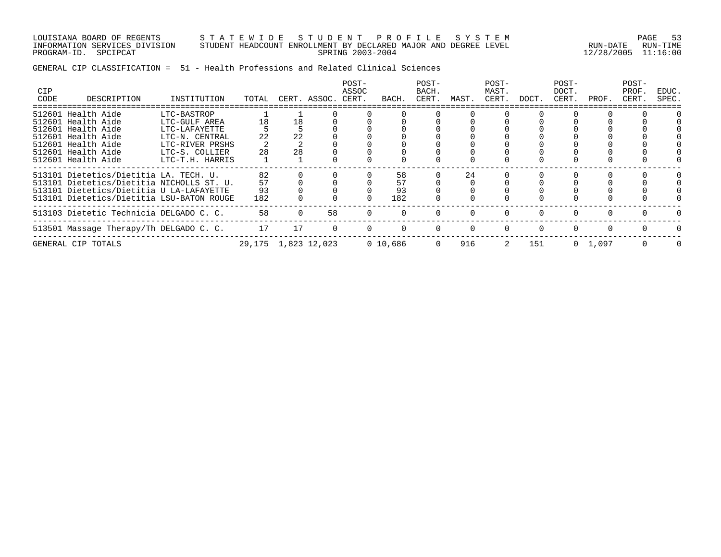LOUISIANA BOARD OF REGENTS S T A T E W I D E S T U D E N T P R O F I L E S Y S T E M PAGE 53 INFORMATION SERVICES DIVISION STUDENT HEADCOUNT ENROLLMENT BY DECLARED MAJOR AND DEGREE LEVEL RUN-DATE RUN-TIME PROGRAM-ID. SPCIPCAT SPRING 2003-2004 12/28/2005 11:16:00

| <b>CIP</b><br>CODE | DESCRIPTION                                                                                                                                                                  | INSTITUTION                                                                                                             | TOTAL                 |                | CERT. ASSOC. | POST-<br>ASSOC<br>CERT. | BACH.                 | POST-<br>BACH.<br>CERT. | MAST. | POST-<br>MAST.<br>CERT. | DOCT.    | POST-<br>DOCT.<br>CERT. | PROF.           | POST-<br>PROF.<br>CERT. | EDUC.<br>SPEC. |
|--------------------|------------------------------------------------------------------------------------------------------------------------------------------------------------------------------|-------------------------------------------------------------------------------------------------------------------------|-----------------------|----------------|--------------|-------------------------|-----------------------|-------------------------|-------|-------------------------|----------|-------------------------|-----------------|-------------------------|----------------|
|                    | 512601 Health Aide<br>512601 Health Aide<br>512601 Health Aide<br>512601 Health Aide<br>512601 Health Aide<br>512601 Health Aide<br>512601 Health Aide                       | LTC-BASTROP<br>LTC-GULF AREA<br>LTC-LAFAYETTE<br>LTC-N. CENTRAL<br>LTC-RIVER PRSHS<br>LTC-S. COLLIER<br>LTC-T.H. HARRIS | 18<br>22<br>28        | 18<br>22<br>28 |              |                         |                       |                         |       |                         |          |                         |                 |                         |                |
|                    | 513101 Dietetics/Dietitia LA. TECH. U.<br>513101 Dietetics/Dietitia NICHOLLS ST. U.<br>513101 Dietetics/Dietitia U LA-LAFAYETTE<br>513101 Dietetics/Dietitia LSU-BATON ROUGE |                                                                                                                         | 82<br>57<br>93<br>182 |                |              |                         | 58<br>57<br>93<br>182 |                         | 24    |                         |          |                         |                 |                         |                |
|                    | 513103 Dietetic Technicia DELGADO C. C.                                                                                                                                      |                                                                                                                         | 58                    |                | 58           |                         |                       |                         |       |                         |          |                         |                 |                         |                |
|                    | 513501 Massage Therapy/Th DELGADO C. C.                                                                                                                                      |                                                                                                                         | 17                    | 17             |              | $\Omega$                |                       | $\Omega$                |       | $\Omega$                | $\Omega$ | $\Omega$                |                 |                         |                |
|                    | GENERAL CIP TOTALS                                                                                                                                                           |                                                                                                                         | 29,175 1,823 12,023   |                |              |                         | 0 10,686              | $\mathbf{0}$            | 916   | 2                       | 151      |                         | $0 \quad 1,097$ | $\Omega$                | <sup>0</sup>   |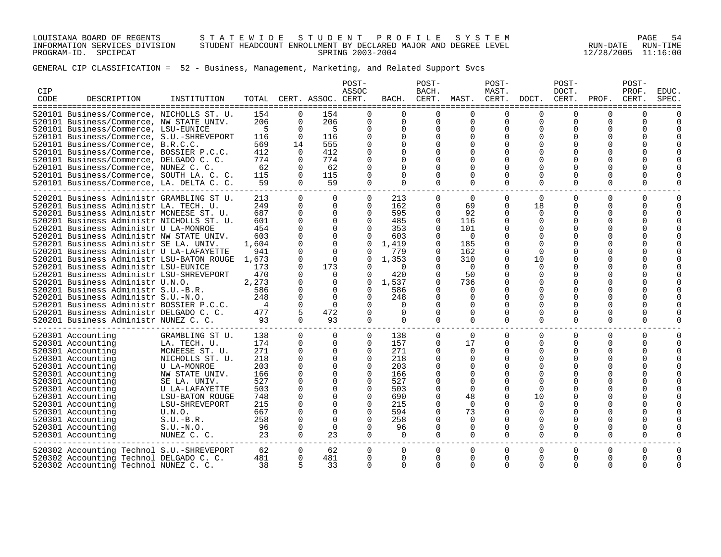LOUISIANA BOARD OF REGENTS S T A T E W I D E S T U D E N T P R O F I L E S Y S T E M PAGE 54 INFORMATION SERVICES DIVISION STUDENT HEADCOUNT ENROLLMENT BY DECLARED MAJOR AND DEGREE LEVEL RUN-DATE RUN-TIME PROGRAM-ID. SPCIPCAT SPRING 2003-2004 12/28/2005 11:16:00

| <b>CIP</b><br>CODE | DESCRIPTION                                                                                                                                                                                                                                                                                                                                                                                                                                                                                                                                                                                                                                                                                                                                | INSTITUTION                                                                                                                                                                                                                                | TOTAL                                                                                                                  |                                                                                                                                                                                                        | CERT. ASSOC. CERT.                                                                                                                                                                   | POST-<br>ASSOC                                                                                                                                                                             | BACH.                                                                                                                                         | POST-<br>BACH.<br>CERT.                                                                                                                                                                  | MAST.                                                                                                                        | POST-<br>MAST.<br>CERT.                                                                                                                                                 | DOCT.                                                                                                                                                                          | POST-<br>DOCT.<br>CERT.                                                                             | PROF.                                                                    | POST-<br>PROF<br>CERT.                | <b>EDUC</b><br><b>SPEC</b> |
|--------------------|--------------------------------------------------------------------------------------------------------------------------------------------------------------------------------------------------------------------------------------------------------------------------------------------------------------------------------------------------------------------------------------------------------------------------------------------------------------------------------------------------------------------------------------------------------------------------------------------------------------------------------------------------------------------------------------------------------------------------------------------|--------------------------------------------------------------------------------------------------------------------------------------------------------------------------------------------------------------------------------------------|------------------------------------------------------------------------------------------------------------------------|--------------------------------------------------------------------------------------------------------------------------------------------------------------------------------------------------------|--------------------------------------------------------------------------------------------------------------------------------------------------------------------------------------|--------------------------------------------------------------------------------------------------------------------------------------------------------------------------------------------|-----------------------------------------------------------------------------------------------------------------------------------------------|------------------------------------------------------------------------------------------------------------------------------------------------------------------------------------------|------------------------------------------------------------------------------------------------------------------------------|-------------------------------------------------------------------------------------------------------------------------------------------------------------------------|--------------------------------------------------------------------------------------------------------------------------------------------------------------------------------|-----------------------------------------------------------------------------------------------------|--------------------------------------------------------------------------|---------------------------------------|----------------------------|
|                    | 520101 Business/Commerce, NICHOLLS ST. U.<br>520101 Business/Commerce, NW STATE UNIV.<br>520101 Business/Commerce, LSU-EUNICE<br>520101 Business/Commerce, S.U.-SHREVEPORT<br>520101 Business/Commerce, B.R.C.C.<br>520101 Business/Commerce, BOSSIER P.C.C.<br>520101 Business/Commerce, DELGADO C. C.<br>520101 Business/Commerce, NUNEZ C. C.<br>520101 Business/Commerce, SOUTH LA. C. C.<br>520101 Business/Commerce, LA. DELTA C. C.                                                                                                                                                                                                                                                                                                 |                                                                                                                                                                                                                                            | 154<br>206<br>-5<br>116<br>569<br>412<br>774<br>62<br>115<br>59                                                        | $\Omega$<br>$\Omega$<br>$\Omega$<br>$\Omega$<br>14<br>$\Omega$<br>$\Omega$<br>$\Omega$<br>$\Omega$<br>$\Omega$                                                                                         | 154<br>206<br>-5<br>116<br>555<br>412<br>774<br>62<br>115<br>59                                                                                                                      | $\Omega$<br>$\Omega$<br>$\Omega$<br>$\Omega$<br>$\Omega$<br>$\Omega$<br>$\Omega$<br>$\Omega$<br>$\Omega$<br>$\Omega$                                                                       | $\Omega$<br>$\Omega$<br>$\Omega$<br>0<br>$\Omega$<br>$\Omega$<br>$\Omega$<br>$\Omega$<br>$\Omega$<br>$\Omega$                                 | $\Omega$<br>$\Omega$<br>$\Omega$<br>$\Omega$<br>$\Omega$<br>$\Omega$<br>$\Omega$<br>$\Omega$<br>$\Omega$<br>$\Omega$                                                                     | $\Omega$<br>$\Omega$<br>$\Omega$<br>$\Omega$<br>$\Omega$<br>$\Omega$<br>$\Omega$<br>$\Omega$<br>$\Omega$<br>$\Omega$         | $\Omega$<br>$\Omega$<br>$\Omega$<br>$\Omega$<br>O<br>$\Omega$<br>$\Omega$<br>$\Omega$                                                                                   | $\Omega$<br>$\Omega$<br>$\Omega$<br>$\Omega$<br>$\Omega$<br>$\Omega$<br>$\Omega$<br>$\Omega$<br>$\Omega$<br>$\Omega$                                                           | $\Omega$<br>$\Omega$<br>0<br>$\Omega$<br>0<br>0<br>0<br>0<br>$\Omega$                               | 0<br>$\Omega$<br>$\Omega$<br>O<br>O<br>O<br>O<br>O<br>$\Omega$           | ∩<br>$\Omega$<br>$\Omega$             |                            |
|                    | 520201 Business Administr GRAMBLING ST U.<br>520201 Business Administr LA. TECH. U.<br>520201 Business Administr MCNEESE ST. U.<br>520201 Business Administr NICHOLLS ST. U.<br>520201 Business Administr U LA-MONROE<br>520201 Business Administr NW STATE UNIV.<br>520201 Business Administr SE LA. UNIV.<br>520201 Business Administr U LA-LAFAYETTE<br>520201 Business Administr LSU-BATON ROUGE<br>520201 Business Administr LSU-EUNICE<br>520201 Business Administr LSU-SHREVEPORT<br>520201 Business Administr U.N.O.<br>520201 Business Administr S.U.-B.R.<br>520201 Business Administr S.U.-N.O.<br>520201 Business Administr BOSSIER P.C.C.<br>520201 Business Administr DELGADO C. C.<br>520201 Business Administr NUNEZ C. C. |                                                                                                                                                                                                                                            | 213<br>249<br>687<br>601<br>454<br>603<br>1,604<br>941<br>1,673<br>173<br>470<br>2,273<br>586<br>248<br>4<br>477<br>93 | $\Omega$<br>$\Omega$<br>$\Omega$<br>$\Omega$<br>$\Omega$<br>$\Omega$<br>$\mathbf 0$<br>0<br>$\mathbf 0$<br>$\mathbf 0$<br>$\Omega$<br>$\mathbf 0$<br>$\Omega$<br>$\Omega$<br>$\Omega$<br>5<br>$\Omega$ | $\Omega$<br>$\Omega$<br>$\Omega$<br>$\Omega$<br>$\Omega$<br>$\Omega$<br>$\mathbf 0$<br>$\Omega$<br>$\Omega$<br>173<br>$\Omega$<br>0<br>$\Omega$<br>$\Omega$<br>$\Omega$<br>472<br>93 | $\Omega$<br>$\Omega$<br>$\Omega$<br>$\Omega$<br>$\Omega$<br>$\Omega$<br>$\Omega$<br>$\Omega$<br>$\Omega$<br>$\Omega$<br>$\Omega$<br>0<br>$\Omega$<br>$\Omega$<br>$\Omega$<br>0<br>$\Omega$ | 213<br>162<br>595<br>485<br>353<br>603<br>1,419<br>779<br>1,353<br>$\Omega$<br>420<br>1,537<br>586<br>248<br>$\Omega$<br>$\Omega$<br>$\Omega$ | $\Omega$<br>0<br>$\Omega$<br>$\Omega$<br>$\Omega$<br>$\Omega$<br>$\mathbf 0$<br>0<br>$\mathbf 0$<br>$\Omega$<br>$\mathbf 0$<br>0<br>$\Omega$<br>0<br>$\Omega$<br>$\mathbf 0$<br>$\Omega$ | $\Omega$<br>69<br>92<br>116<br>101<br>$\Omega$<br>185<br>162<br>310<br>0<br>50<br>736<br>0<br>0<br>$\Omega$<br>0<br>$\Omega$ | $\Omega$<br>$\Omega$<br>$\Omega$<br>$\Omega$<br>0<br>$\Omega$<br>$\mathbf 0$<br>0<br>$\mathbf 0$<br>$\mathbf 0$<br>0<br>$\Omega$<br>$\Omega$<br>$\mathbf 0$<br>$\Omega$ | $\Omega$<br>18<br>$\Omega$<br>$\Omega$<br>0<br>$\Omega$<br>0<br>$\Omega$<br>10<br>$\Omega$<br>$\Omega$<br>$\Omega$<br>$\Omega$<br>$\Omega$<br>$\Omega$<br>$\Omega$<br>$\Omega$ | $\Omega$<br>0<br>0<br>0<br>$\Omega$<br>$\Omega$<br>0<br>O<br>0<br>0<br>0<br>0<br>0<br>0<br>$\Omega$ | $\Omega$<br>$\Omega$<br>O<br>U<br>O<br>U<br>O<br>O<br>U<br>0<br>$\Omega$ | $\Omega$<br>$\Omega$<br>$\Omega$      |                            |
|                    | 520301 Accounting<br>520301 Accounting<br>520301 Accounting<br>520301 Accounting<br>520301 Accounting<br>520301 Accounting<br>520301 Accounting<br>520301 Accounting<br>520301 Accounting<br>520301 Accounting<br>520301 Accounting<br>520301 Accounting<br>520301 Accounting<br>520301 Accounting                                                                                                                                                                                                                                                                                                                                                                                                                                         | GRAMBLING ST U.<br>LA. TECH. U.<br>MCNEESE ST. U.<br>NICHOLLS ST. U.<br><b>U LA-MONROE</b><br>NW STATE UNIV.<br>SE LA. UNIV.<br>U LA-LAFAYETTE<br>LSU-BATON ROUGE<br>LSU-SHREVEPORT<br>U.N.O.<br>$S.U.-B.R.$<br>$S.U.-N.O.$<br>NUNEZ C. C. | 138<br>174<br>271<br>218<br>203<br>166<br>527<br>503<br>748<br>215<br>667<br>258<br>96<br>23                           | $\Omega$<br>$\mathbf 0$<br>$\mathbf 0$<br>$\mathbf 0$<br>0<br>$\Omega$<br>$\Omega$<br>$\Omega$<br>$\Omega$<br>$\Omega$<br>$\Omega$<br>$\Omega$<br>$\mathbf 0$<br>$\Omega$                              | $\Omega$<br>$\mathbf 0$<br>$\Omega$<br>$\mathbf 0$<br>$\mathbf 0$<br>$\Omega$<br>$\Omega$<br>$\Omega$<br>$\mathbf 0$<br>$\Omega$<br>$\Omega$<br>$\Omega$<br>$\Omega$<br>23           | $\mathbf 0$<br>$\Omega$<br>$\Omega$<br>$\Omega$<br>0<br>$\Omega$<br>$\Omega$<br>$\Omega$<br>0<br>$\Omega$<br>$\Omega$<br>$\Omega$<br>$\Omega$<br>$\Omega$                                  | 138<br>157<br>271<br>218<br>203<br>166<br>527<br>503<br>690<br>215<br>594<br>258<br>96<br>$\Omega$                                            | $\overline{0}$<br>$\mathbf 0$<br>$\Omega$<br>$\Omega$<br>0<br>$\Omega$<br>0<br>$\mathbf 0$<br>$\mathbf 0$<br>$\Omega$<br>$\Omega$<br>$\Omega$<br>$\mathbf 0$<br>$\Omega$                 | $\Omega$<br>17<br>0<br>0<br>0<br>$\Omega$<br>$\Omega$<br>$\Omega$<br>48<br>$\Omega$<br>73<br>$\Omega$<br>0<br>$\Omega$       | $\Omega$<br>$\Omega$<br>$\Omega$<br>$\Omega$<br>O<br>O<br>0<br>$\Omega$<br>$\Omega$<br>$\Omega$                                                                         | $\Omega$<br>0<br>0<br>0<br>$\Omega$<br>$\Omega$<br>$\Omega$<br>$\Omega$<br>10<br>$\Omega$<br>$\Omega$<br>$\Omega$<br>$\mathbf 0$<br>$\Omega$                                   | $\Omega$<br>0<br>0<br>0<br>O<br>0<br>0<br>0<br>$\Omega$<br>0<br>$\Omega$                            | $\Omega$<br>0<br>$\Omega$<br>O<br>O<br>U<br>0<br>0<br>$\Omega$           | $\Omega$<br>$\Omega$<br>∩<br>$\Omega$ | ∩                          |
|                    | 520302 Accounting Technol S.U.-SHREVEPORT<br>520302 Accounting Technol DELGADO C. C.<br>520302 Accounting Technol NUNEZ C. C.                                                                                                                                                                                                                                                                                                                                                                                                                                                                                                                                                                                                              |                                                                                                                                                                                                                                            | 62<br>481<br>38                                                                                                        | $\mathbf{0}$<br>$\Omega$<br>5                                                                                                                                                                          | 62<br>481<br>33                                                                                                                                                                      | 0<br>$\Omega$<br>$\Omega$                                                                                                                                                                  | 0<br>$\Omega$<br>$\Omega$                                                                                                                     | 0<br>$\Omega$<br>$\Omega$                                                                                                                                                                | 0<br>0<br>$\Omega$                                                                                                           | 0<br>$\Omega$<br>$\Omega$                                                                                                                                               | 0<br>$\Omega$<br>$\Omega$                                                                                                                                                      | 0<br>0<br>0                                                                                         | 0<br>0<br>$\Omega$                                                       | 0<br>$\Omega$<br>$\Omega$             | ∩                          |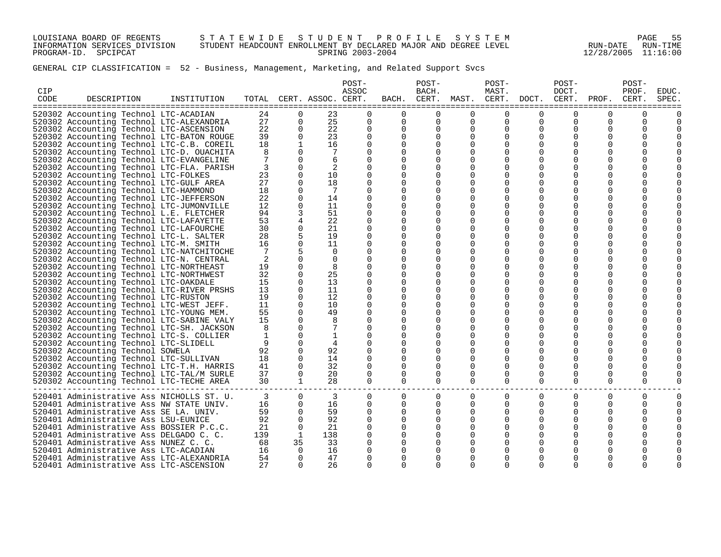LOUISIANA BOARD OF REGENTS S T A T E W I D E S T U D E N T P R O F I L E S Y S T E M PAGE 55 INFORMATION SERVICES DIVISION STUDENT HEADCOUNT ENROLLMENT BY DECLARED MAJOR AND DEGREE LEVEL RUN-DATE RUN-TIME PROGRAM-ID. SPCIPCAT SPRING 2003-2004 12/28/2005 11:16:00

| <b>CIP</b><br>CODE | DESCRIPTION                               | INSTITUTION | TOTAL           |              | CERT. ASSOC. CERT. | POST-<br>ASSOC | BACH.                                     | POST-<br>BACH.<br>CERT. | MAST. CERT.    | POST-<br>MAST.           | DOCT.        | POST-<br>DOCT.<br>CERT. | PROF.       | POST-<br>PROF.<br>CERT. | EDUC.<br>SPEC. |
|--------------------|-------------------------------------------|-------------|-----------------|--------------|--------------------|----------------|-------------------------------------------|-------------------------|----------------|--------------------------|--------------|-------------------------|-------------|-------------------------|----------------|
|                    | 520302 Accounting Technol LTC-ACADIAN     |             | 24              | $\Omega$     | 23                 | $\Omega$       | -----------------------------<br>$\Omega$ | $\Omega$                | $\Omega$       | ------------<br>$\Omega$ | $\Omega$     | $\Omega$                | 0           | $\Omega$                |                |
|                    | 520302 Accounting Technol LTC-ALEXANDRIA  |             | 27              | $\Omega$     | 25                 | $\Omega$       | $\Omega$                                  | $\Omega$                | $\Omega$       | 0                        | $\Omega$     | $\Omega$                | 0           | $\Omega$                |                |
|                    | 520302 Accounting Technol LTC-ASCENSION   |             | 22              | $\Omega$     | 22                 | $\Omega$       | $\Omega$                                  | $\Omega$                | $\Omega$       | $\Omega$                 | $\Omega$     | $\Omega$                | U           |                         |                |
|                    | 520302 Accounting Technol LTC-BATON ROUGE |             | 39              | $\Omega$     | 23                 | $\Omega$       | <sup>0</sup>                              | <sup>0</sup>            | $\Omega$       | $\Omega$                 |              | <sup>0</sup>            |             |                         |                |
|                    | 520302 Accounting Technol LTC-C.B. COREIL |             | 18              | $\mathbf{1}$ | 16                 | $\Omega$       | $\Omega$                                  | $\Omega$                | $\Omega$       | $\Omega$                 | $\Omega$     | <sup>0</sup>            |             |                         |                |
|                    | 520302 Accounting Technol LTC-D. OUACHITA |             | 8               | $\Omega$     | 7                  | $\Omega$       | 0                                         | 0                       | $\Omega$       | $\Omega$                 | $\Omega$     | <sup>0</sup>            | U           |                         |                |
|                    | 520302 Accounting Technol LTC-EVANGELINE  |             | $7\phantom{.0}$ | $\Omega$     | 6                  | $\Omega$       | $\Omega$                                  | 0                       | 0              | $\Omega$                 | <sup>0</sup> | <sup>0</sup>            |             |                         |                |
|                    | 520302 Accounting Technol LTC-FLA. PARISH |             | 3               | $\Omega$     | 2                  |                |                                           | 0                       | 0              | $\Omega$                 | $\Omega$     | <sup>0</sup>            | Ω           |                         |                |
|                    | 520302 Accounting Technol LTC-FOLKES      |             | 23              | $\Omega$     | 10                 | $\Omega$       | 0                                         | 0                       | $\Omega$       | 0                        | <sup>0</sup> | <sup>0</sup>            | Ω           |                         |                |
|                    | 520302 Accounting Technol LTC-GULF AREA   |             | 27              | $\Omega$     | 18                 | $\Omega$       |                                           | 0                       | 0              | $\Omega$                 | $\Omega$     | 0                       | O           |                         |                |
|                    | 520302 Accounting Technol LTC-HAMMOND     |             | 18              | $\Omega$     | 7                  | $\Omega$       | 0                                         | 0                       | 0              | $\Omega$                 | $\Omega$     | <sup>0</sup>            | N           |                         |                |
|                    | 520302 Accounting Technol LTC-JEFFERSON   |             | 22              | $\Omega$     | 14                 | $\Omega$       | 0                                         | U                       | 0              | 0                        |              |                         |             |                         |                |
|                    | 520302 Accounting Technol LTC-JUMONVILLE  |             | 12              | $\Omega$     | 11                 | ∩              | <sup>0</sup>                              | 0                       | 0              | $\Omega$                 | <sup>0</sup> | <sup>0</sup>            |             |                         |                |
|                    | 520302 Accounting Technol L.E. FLETCHER   |             | 94              | 3            | 51                 | $\Omega$       | 0                                         | <sup>0</sup>            | 0              | 0                        | $\Omega$     | 0                       | Ω           |                         |                |
|                    | 520302 Accounting Technol LTC-LAFAYETTE   |             | 53              | 4            | 22                 | $\Omega$       | 0                                         | 0                       | 0              | $\Omega$                 | <sup>0</sup> | <sup>0</sup>            | Ω           |                         |                |
|                    | 520302 Accounting Technol LTC-LAFOURCHE   |             | 30              | $\Omega$     | 21                 | $\Omega$       | 0                                         | 0                       | 0              | $\Omega$                 |              | <sup>0</sup>            | O           |                         |                |
|                    | 520302 Accounting Technol LTC-L. SALTER   |             | 28              | 5            | 19                 | $\Omega$       | 0                                         | U                       | 0              | <sup>0</sup>             |              | <sup>0</sup>            |             |                         |                |
|                    | 520302 Accounting Technol LTC-M. SMITH    |             | 16              | $\Omega$     | 11                 | $\Omega$       | $\Omega$                                  | 0                       | O              | <sup>0</sup>             | <sup>0</sup> | <sup>0</sup>            |             |                         |                |
|                    | 520302 Accounting Technol LTC-NATCHITOCHE |             | 7               |              | $\Omega$           | $\Omega$       |                                           | U                       | O              | $\Omega$                 |              |                         |             |                         |                |
|                    | 520302 Accounting Technol LTC-N. CENTRAL  |             | 2               | $\Omega$     | $\Omega$           | ∩              | <sup>0</sup>                              | 0                       | O              | $\Omega$                 | <sup>0</sup> | <sup>0</sup>            | Ω           |                         |                |
|                    | 520302 Accounting Technol LTC-NORTHEAST   |             | 19              | $\Omega$     | 8                  | $\Omega$       |                                           | U                       | 0              | $\Omega$                 | $\Omega$     | <sup>0</sup>            | Ω           |                         |                |
|                    | 520302 Accounting Technol LTC-NORTHWEST   |             | 32              | $\Omega$     | 25                 | $\Omega$       | 0                                         | 0                       | 0              | 0                        | <sup>0</sup> | 0                       | Ω           |                         |                |
|                    | 520302 Accounting Technol LTC-OAKDALE     |             | 15              | 0            | 13                 | $\Omega$       |                                           | 0                       | 0              | $\Omega$                 | $\Omega$     | 0                       | 0           |                         |                |
|                    | 520302 Accounting Technol LTC-RIVER PRSHS |             | 13              | $\Omega$     | 11                 | $\Omega$       | 0                                         | $\Omega$                | $\Omega$       | 0                        | $\Omega$     | <sup>0</sup>            |             |                         |                |
|                    | 520302 Accounting Technol LTC-RUSTON      |             | 19              | $\Omega$     | 12                 | $\Omega$       | 0                                         | U                       | 0              | 0                        | <sup>0</sup> | <sup>0</sup>            |             |                         |                |
|                    | 520302 Accounting Technol LTC-WEST JEFF.  |             | 11              | $\Omega$     | 10                 | O              | O                                         | 0                       | 0              | $\Omega$                 | $\Omega$     | <sup>0</sup>            |             |                         |                |
|                    | 520302 Accounting Technol LTC-YOUNG MEM.  |             | 55              | $\Omega$     | 49                 | $\Omega$       | 0                                         | <sup>0</sup>            | 0              | 0                        | $\Omega$     | 0                       |             |                         |                |
|                    | 520302 Accounting Technol LTC-SABINE VALY |             | 15              | $\Omega$     | 8                  |                | 0                                         | 0                       | 0              | $\Omega$                 | <sup>0</sup> | <sup>0</sup>            | N           |                         |                |
|                    | 520302 Accounting Technol LTC-SH. JACKSON |             | 8               | $\Omega$     |                    |                |                                           | $\Omega$                | 0              | 0                        | $\Omega$     | 0                       | N           |                         |                |
|                    | 520302 Accounting Technol LTC-S. COLLIER  |             | $\mathbf{1}$    | $\Omega$     |                    |                | 0                                         | 0                       | 0              | $\Omega$                 |              | <sup>0</sup>            | N           |                         |                |
|                    | 520302 Accounting Technol LTC-SLIDELL     |             | 9               | $\Omega$     | 4                  | $\Omega$       | 0                                         | $\Omega$                | $\Omega$       | $\Omega$                 | $\Omega$     | <sup>0</sup>            |             |                         |                |
|                    | 520302 Accounting Technol SOWELA          |             | 92              | $\Omega$     | 92                 | $\Omega$       |                                           | $\Omega$                | $\Omega$       | $\Omega$                 | $\Omega$     | <sup>0</sup>            |             |                         |                |
|                    | 520302 Accounting Technol LTC-SULLIVAN    |             | 18              | $\Omega$     | 14                 | $\Omega$       | $\Omega$                                  | $\Omega$                | $\Omega$       | $\Omega$                 | $\Omega$     | <sup>0</sup>            | O           |                         |                |
|                    | 520302 Accounting Technol LTC-T.H. HARRIS |             | 41              | $\Omega$     | 32                 | $\Omega$       | $\Omega$                                  | $\Omega$                | $\Omega$       | $\Omega$                 | $\Omega$     | $\Omega$                | O           | 0                       |                |
|                    | 520302 Accounting Technol LTC-TAL/M SURLE |             | 37              | $\Omega$     | 20                 | $\Omega$       | $\Omega$                                  | $\Omega$                | 0              | 0                        | 0            | 0                       | 0           | 0                       |                |
|                    | 520302 Accounting Technol LTC-TECHE AREA  |             | 30              | $\mathbf{1}$ | 28                 | $\Omega$       | $\Omega$                                  | $\Omega$                | $\Omega$       | $\Omega$                 | $\Omega$     | $\Omega$                | 0           | $\Omega$                |                |
|                    | 520401 Administrative Ass NICHOLLS ST. U. |             | 3               | $\Omega$     | 3                  | $\Omega$       | 0                                         | $\mathbf 0$             | $\overline{0}$ | 0                        | 0            | $\mathbf 0$             | $\mathbf 0$ | 0                       | $\Omega$       |
|                    | 520401 Administrative Ass NW STATE UNIV.  |             | 16              | $\Omega$     | 16                 | $\Omega$       | $\Omega$                                  | $\Omega$                | 0              | 0                        | 0            | 0                       | 0           | $\Omega$                |                |
|                    | 520401 Administrative Ass SE LA. UNIV.    |             | 59              | $\mathbf 0$  | 59                 | $\mathbf 0$    | $\Omega$                                  | $\Omega$                | 0              | 0                        | 0            | 0                       | 0           | 0                       |                |
|                    | 520401 Administrative Ass LSU-EUNICE      |             | 92              | $\Omega$     | 92                 | $\Omega$       | $\Omega$                                  | $\Omega$                | $\Omega$       | 0                        | $\Omega$     | 0                       | O           | O                       |                |
|                    | 520401 Administrative Ass BOSSIER P.C.C.  |             | 21              | $\mathbf 0$  | 21                 | $\Omega$       | $\Omega$                                  | $\Omega$                | 0              | 0                        | $\Omega$     | 0                       | 0           |                         |                |
|                    | 520401 Administrative Ass DELGADO C. C.   |             | 139             | 1            | 138                |                | 0                                         | U                       | 0              |                          |              |                         |             |                         |                |
|                    | 520401 Administrative Ass NUNEZ C. C.     |             | 68              | 35           | 33                 |                |                                           |                         | O              | <sup>0</sup>             |              |                         |             |                         |                |
|                    | 520401 Administrative Ass LTC-ACADIAN     |             | 16              | $\Omega$     | 16                 |                |                                           |                         |                |                          |              |                         |             |                         |                |
|                    | 520401 Administrative Ass LTC-ALEXANDRIA  |             | 54              | $\Omega$     | 47                 |                |                                           |                         | O              | $\Omega$                 | $\Omega$     | <sup>0</sup>            |             |                         |                |
|                    | 520401 Administrative Ass LTC-ASCENSION   |             | 27              | $\Omega$     | 26                 |                |                                           |                         | ∩              | $\cap$                   | $\Omega$     | U                       |             |                         |                |
|                    |                                           |             |                 |              |                    |                |                                           |                         |                |                          |              |                         |             |                         |                |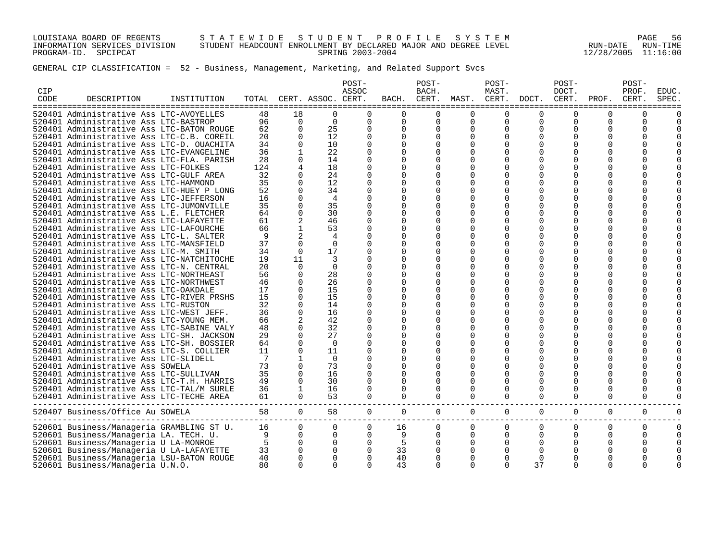LOUISIANA BOARD OF REGENTS S T A T E W I D E S T U D E N T P R O F I L E S Y S T E M PAGE 56 INFORMATION SERVICES DIVISION STUDENT HEADCOUNT ENROLLMENT BY DECLARED MAJOR AND DEGREE LEVEL RUN-DATE RUN-TIME PROGRAM-ID. SPCIPCAT SPRING 2003-2004 12/28/2005 11:16:00

| CIP<br>CODE | DESCRIPTION                                                                       | INSTITUTION |         |               | TOTAL CERT. ASSOC. CERT. | POST-<br>ASSOC | BACH.    | POST-<br>BACH.<br>CERT. | MAST.         | POST-<br>MAST.<br>CERT. | DOCT.        | POST-<br>DOCT.<br>CERT.      | PROF.    | POST-<br>PROF.<br>CERT. | EDUC.<br><b>SPEC</b> |
|-------------|-----------------------------------------------------------------------------------|-------------|---------|---------------|--------------------------|----------------|----------|-------------------------|---------------|-------------------------|--------------|------------------------------|----------|-------------------------|----------------------|
|             | 520401 Administrative Ass LTC-AVOYELLES                                           |             | 48      | 18            | $\Omega$                 | $\Omega$       | $\Omega$ | U                       | $\Omega$      | ∩                       | $\Omega$     | $\Omega$                     | 0        | $\Omega$                |                      |
|             | 520401 Administrative Ass LTC-BASTROP                                             |             | 96      | $\Omega$      | $\Omega$                 | $\Omega$       | $\Omega$ | $\Omega$                | $\Omega$      | $\Omega$                | $\Omega$     | $\Omega$                     | $\Omega$ | $\Omega$                |                      |
|             | 520401 Administrative Ass LTC-BATON ROUGE                                         |             | 62      | $\Omega$      | 25                       | $\Omega$       | $\Omega$ | $\Omega$                | $\Omega$      | $\Omega$                | $\Omega$     | $\Omega$                     | 0        | 0                       |                      |
|             | 520401 Administrative Ass LTC-C.B. COREIL                                         |             | 20      | $\Omega$      | 12                       | $\Omega$       | $\Omega$ | 0                       | $\Omega$      | 0                       | O            |                              | O        | 0                       |                      |
|             | 520401 Administrative Ass LTC-D. OUACHITA                                         |             | 34      | $\Omega$      | 10                       | $\Omega$       | $\Omega$ | 0                       | $\Omega$      | $\Omega$                | $\Omega$     | <sup>0</sup>                 | $\Omega$ |                         |                      |
|             | 520401 Administrative Ass LTC-EVANGELINE                                          |             | 36      |               | 22                       |                | 0        | 0                       | $\Omega$      |                         | O            | <sup>0</sup>                 | O        |                         |                      |
|             | 520401 Administrative Ass LTC-FLA. PARISH                                         |             | 28      | $\Omega$      | 14                       |                | U        | 0                       | $\Omega$      |                         | $\Omega$     |                              |          |                         |                      |
|             | 520401 Administrative Ass LTC-FOLKES                                              |             | 124     | 4             | 18                       |                | U        | U                       | $\Omega$      | $\Omega$                | O            |                              |          | U                       |                      |
|             | 520401 Administrative Ass LTC-GULF AREA                                           |             | 32      | $\Omega$      | 24                       |                | U        |                         | $\Omega$      | $\Omega$                | O            |                              |          |                         |                      |
|             | 520401 Administrative Ass LTC-HAMMOND                                             |             | 35      | $\Omega$      | 12                       |                | U        | U                       | O             | O                       | O            | <sup>0</sup>                 | O        |                         |                      |
|             | 520401 Administrative Ass LTC-HUEY P LONG                                         |             | 52      | $\Omega$      | 34                       |                | U        | 0                       | $\Omega$      | O                       | ∩            | U                            | O        |                         |                      |
|             | 520401 Administrative Ass LTC-JEFFERSON                                           |             | 16      | $\Omega$      | 4                        |                | $\Omega$ | O                       | $\Omega$      | 0                       | O            | <sup>0</sup>                 | O        |                         |                      |
|             | 520401 Administrative Ass LTC-JUMONVILLE                                          |             | 35      | $\Omega$      | 35                       | $\Omega$       | 0        | 0                       | $\Omega$      | ∩                       | ∩            | U                            | U        |                         |                      |
|             | 520401 Administrative Ass L.E. FLETCHER                                           |             | 64      | $\Omega$      | 30                       | ∩              | O        | $\Omega$                | $\Omega$      | $\Omega$                | $\Omega$     | <sup>0</sup>                 | O        |                         |                      |
|             | 520401 Administrative Ass LTC-LAFAYETTE                                           |             | 61      | 2             | 46                       | ∩              | 0        | 0                       | O             | O                       | ∩            | U                            | U        |                         |                      |
|             | 520401 Administrative Ass LTC-LAFOURCHE                                           |             | 66      | $\mathbf{1}$  | 53                       | ∩              | O        | 0                       | $\Omega$      | $\Omega$                | O            | <sup>0</sup>                 | O        |                         |                      |
|             | 520401 Administrative Ass LTC-L. SALTER                                           |             | 9       | 2             | 4                        |                | U        | 0                       | O             | O                       | O            | <sup>0</sup>                 | O        |                         |                      |
|             | 520401 Administrative Ass LTC-MANSFIELD                                           |             | 37      | $\Omega$      | $\Omega$                 |                | O        | 0                       | $\Omega$      | $\Omega$                | $\Omega$     | <sup>0</sup>                 | O        |                         |                      |
|             | 520401 Administrative Ass LTC-M. SMITH                                            |             | 34      | $\Omega$      | 17                       | O              |          | 0                       | O             | O                       | O            | <sup>0</sup>                 | O        |                         |                      |
|             | 520401 Administrative Ass LTC-NATCHITOCHE                                         |             | 19      | 11            | 3                        |                | U        |                         | $\Omega$      | $\Omega$                | O            | <sup>0</sup>                 | O        |                         |                      |
|             | 520401 Administrative Ass LTC-N. CENTRAL                                          |             | 20      | $\Omega$      | $\Omega$                 | ∩              | O        |                         | O             | O                       | O            | <sup>0</sup>                 | O        |                         |                      |
|             | 520401 Administrative Ass LTC-NORTHEAST                                           |             | 56      | $\Omega$      | 28                       | ∩              | O        | 0                       | $\Omega$      | $\Omega$                | O            | <sup>0</sup>                 |          |                         |                      |
|             | 520401 Administrative Ass LTC-NORTHWEST                                           |             | 46      | $\Omega$      | 26                       |                | O        | O                       | O             | O                       | O            | <sup>0</sup>                 | O        | O                       |                      |
|             | 520401 Administrative Ass LTC-OAKDALE                                             |             | 17      | $\Omega$      | 15                       |                | U        | 0                       | $\Omega$      | O                       | O            | <sup>0</sup>                 | O        |                         |                      |
|             | 520401 Administrative Ass LTC-RIVER PRSHS                                         |             | 15      | $\Omega$      | 15                       |                | O        | 0                       | $\Omega$      | 0                       | O            | <sup>0</sup>                 | O        |                         |                      |
|             | 520401 Administrative Ass LTC-RUSTON                                              |             | 32      | $\Omega$      | 14                       |                | 0        | 0                       | $\Omega$      | O                       | ∩            | U                            | U        |                         |                      |
|             | 520401 Administrative Ass LTC-WEST JEFF.                                          |             | 36      | $\Omega$      | 16                       |                | $\Omega$ | $\Omega$                | $\Omega$      | $\Omega$                |              | <sup>0</sup>                 | O        |                         |                      |
|             | 520401 Administrative Ass LTC-YOUNG MEM.                                          |             | 66      | 2             | 42                       | ∩              | O        | 0                       | $\Omega$      | O                       | ∩            | U                            | U        |                         |                      |
|             | 520401 Administrative Ass LTC-SABINE VALY                                         |             | 48      | 0             | 32                       |                | O        | $\Omega$                | $\Omega$      | $\Omega$                | ∩            | U                            |          |                         |                      |
|             | 520401 Administrative Ass LTC-SH. JACKSON                                         |             | 29      | $\Omega$      | 27                       | O              | O        | 0                       | $\Omega$      | $\Omega$                | O            | <sup>0</sup>                 | O        |                         |                      |
|             | 520401 Administrative Ass LTC-SH. BOSSIER                                         |             | 64      | $\Omega$      | $\Omega$                 |                | $\Omega$ | 0                       | $\Omega$      | $\Omega$                | $\Omega$     | <sup>0</sup>                 | O        |                         |                      |
|             | 520401 Administrative Ass LTC-S. COLLIER<br>520401 Administrative Ass LTC-SLIDELL |             | 11<br>7 | $\Omega$<br>1 | 11<br>$\Omega$           |                | U        | 0<br>0                  | O<br>$\Omega$ | O<br>0                  | O<br>O       | <sup>0</sup><br><sup>0</sup> | O<br>O   |                         |                      |
|             | 520401 Administrative Ass SOWELA                                                  |             | 73      | $\Omega$      | 73                       |                | U        |                         | $\Omega$      | O                       | O            | <sup>0</sup>                 | O        |                         |                      |
|             | 520401 Administrative Ass LTC-SULLIVAN                                            |             | 35      | $\Omega$      | 16                       | $\Omega$       | $\Omega$ |                         | $\Omega$      | $\Omega$                | <sup>0</sup> | <sup>0</sup>                 | O        |                         |                      |
|             | 520401 Administrative Ass LTC-T.H. HARRIS                                         |             | 49      | $\Omega$      | 30                       |                | O        | 0                       | 0             | $\Omega$                | $\Omega$     | <sup>0</sup>                 | 0        | O                       |                      |
|             | 520401 Administrative Ass LTC-TAL/M SURLE                                         |             | 36      | 1             | 16                       |                | $\Omega$ | $\Omega$                | $\Omega$      | $\Omega$                | $\Omega$     | <sup>0</sup>                 | $\Omega$ | O                       |                      |
|             | 520401 Administrative Ass LTC-TECHE AREA                                          |             | 61      | $\Omega$      | 53                       | $\Omega$       | $\Omega$ | $\Omega$                | $\Omega$      | $\Omega$                | $\Omega$     | 0                            | 0        | $\Omega$                |                      |
|             |                                                                                   |             |         |               |                          |                |          |                         |               |                         |              |                              |          |                         |                      |
|             | 520407 Business/Office Au SOWELA                                                  |             | 58      | $\mathbf 0$   | 58                       | 0              | 0        | 0                       | $\mathsf{O}$  | 0                       | 0            | 0                            | 0        | 0                       | $\Omega$             |
|             | 520601 Business/Manageria GRAMBLING ST U.                                         |             | 16      | $\Omega$      | $\Omega$                 | $\Omega$       | 16       | 0                       | 0             | 0                       | 0            | $\Omega$                     | 0        | 0                       | $\Omega$             |
|             | 520601 Business/Manageria LA. TECH. U.                                            |             | 9       | $\Omega$      | $\mathbf 0$              | 0              | 9        | $\Omega$                | $\mathbf 0$   | 0                       | 0            | 0                            | 0        | $\Omega$                | $\Omega$             |
|             | 520601 Business/Manageria U LA-MONROE                                             |             | 5       | $\Omega$      | $\mathbf 0$              | $\mathbf 0$    | 5        |                         | 0             | 0                       | $\Omega$     |                              |          |                         |                      |
|             | 520601 Business/Manageria U LA-LAFAYETTE                                          |             | 33      | 0             | $\mathbf 0$              | $\Omega$       | 33       | 0                       | 0             | 0                       | $\Omega$     | 0                            |          |                         |                      |
|             | 520601 Business/Manageria LSU-BATON ROUGE                                         |             | 40      | $\Omega$      | $\mathbf 0$              |                | 40       | $\Omega$                | $\Omega$      | $\Omega$                | 0            | $\Omega$                     |          |                         |                      |
|             | 520601 Business/Manageria U.N.O.                                                  |             | 80      | $\Omega$      | $\Omega$                 | $\cap$         | 43       | $\Omega$                | $\Omega$      | $\Omega$                | 37           | $\Omega$                     | O        |                         |                      |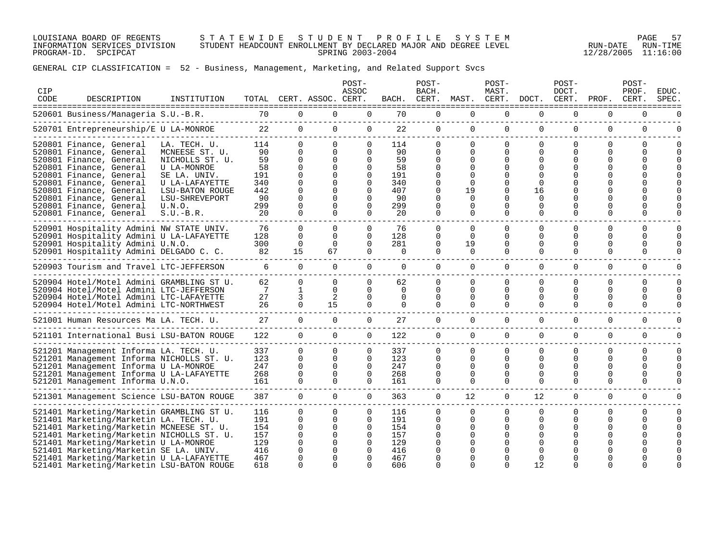LOUISIANA BOARD OF REGENTS S T A T E W I D E S T U D E N T P R O F I L E S Y S T E M PAGE 57 INFORMATION SERVICES DIVISION STUDENT HEADCOUNT ENROLLMENT BY DECLARED MAJOR AND DEGREE LEVEL RUN-DATE RUN-TIME PROGRAM-ID. SPCIPCAT SPRING 2003-2004 12/28/2005 11:16:00

| CIP<br>CODE | DESCRIPTION                                                                                                                                                                                                                                                                                                                                              | INSTITUTION                                                                                  |                                                      |                                                                               | TOTAL CERT. ASSOC. CERT.                                                                       | POST-<br>ASSOC                                                                    | BACH.                                                | POST-<br>BACH.<br>CERT.                           | MAST.                                                    | POST-<br>MAST.<br>CERT.                                         | DOCT.                                                       | $POST-$<br>DOCT.<br>CERT.                                        | PROF.                          | POST-<br>PROF.<br>CERT.                           | EDUC.<br><b>SPEC</b> |
|-------------|----------------------------------------------------------------------------------------------------------------------------------------------------------------------------------------------------------------------------------------------------------------------------------------------------------------------------------------------------------|----------------------------------------------------------------------------------------------|------------------------------------------------------|-------------------------------------------------------------------------------|------------------------------------------------------------------------------------------------|-----------------------------------------------------------------------------------|------------------------------------------------------|---------------------------------------------------|----------------------------------------------------------|-----------------------------------------------------------------|-------------------------------------------------------------|------------------------------------------------------------------|--------------------------------|---------------------------------------------------|----------------------|
|             | 520601 Business/Manageria S.U.-B.R.                                                                                                                                                                                                                                                                                                                      | ----------------------                                                                       | 70                                                   | 0                                                                             | 0                                                                                              | $\mathbf 0$                                                                       | 70                                                   | $\mathbf{0}$                                      | $\mathbf{0}$                                             | $\mathbf 0$                                                     | $\Omega$                                                    | $\Omega$                                                         | 0                              | 0                                                 |                      |
|             | 520701 Entrepreneurship/E U LA-MONROE                                                                                                                                                                                                                                                                                                                    |                                                                                              | 22                                                   | $\mathbf 0$                                                                   | $\mathbf{0}$                                                                                   | 0                                                                                 | 22                                                   | 0                                                 | $\mathbf 0$                                              | 0                                                               | $\mathbf 0$                                                 | $\mathbf 0$                                                      | 0                              | 0                                                 | $\Omega$             |
|             | 520801 Finance, General<br>520801 Finance, General<br>520801 Finance, General<br>520801 Finance, General                                                                                                                                                                                                                                                 | LA. TECH. U.<br>MCNEESE ST. U.<br>NICHOLLS ST. U.<br>U LA-MONROE                             | 114<br>90<br>59<br>58                                | $\Omega$<br>0<br>0<br>$\Omega$                                                | $\Omega$<br>$\Omega$<br>$\mathbf 0$<br>$\Omega$                                                | $\Omega$<br>$\Omega$<br>$\Omega$<br>$\Omega$                                      | 114<br>90<br>59<br>58                                | $\Omega$<br>0<br>0<br>$\Omega$                    | $\Omega$<br>0<br>0<br>0                                  | $\mathbf 0$<br>0<br>0<br>0                                      | $\Omega$<br>0<br>$\Omega$<br>$\Omega$                       | $\Omega$<br>0<br>0                                               | $\Omega$<br>0<br>0             | 0<br>0<br>0                                       |                      |
|             | 520801 Finance, General<br>520801 Finance, General<br>520801 Finance, General<br>520801 Finance, General<br>520801 Finance, General<br>520801 Finance, General                                                                                                                                                                                           | SE LA. UNIV.<br>U LA-LAFAYETTE<br>LSU-BATON ROUGE<br>LSU-SHREVEPORT<br>U.N.O.<br>$S.U.-B.R.$ | 191<br>340<br>442<br>90<br>299<br>20                 | $\Omega$<br>$\Omega$<br>$\Omega$<br>$\Omega$<br>$\Omega$<br>$\Omega$          | $\Omega$<br>$\Omega$<br>$\Omega$<br>$\Omega$<br>$\Omega$<br>$\Omega$                           | $\Omega$<br>$\Omega$<br>$\Omega$<br>$\Omega$<br>$\Omega$<br>$\Omega$              | 191<br>340<br>407<br>90<br>299<br>20                 | $\Omega$<br>$\Omega$<br>0<br>$\Omega$<br>$\Omega$ | $\Omega$<br>$\Omega$<br>19<br>0<br>$\Omega$<br>$\Omega$  | 0<br>0<br>0<br>$\Omega$<br>$\Omega$                             | $\Omega$<br>16<br>$\Omega$<br>$\Omega$<br>$\Omega$          | <sup>0</sup><br>$\Omega$                                         | 0                              | $\Omega$                                          |                      |
|             | 520901 Hospitality Admini NW STATE UNIV.<br>520901 Hospitality Admini U LA-LAFAYETTE<br>520901 Hospitality Admini U.N.O.<br>520901 Hospitality Admini DELGADO C. C.                                                                                                                                                                                      |                                                                                              | 76<br>128<br>300<br>82                               | $\Omega$<br>$\Omega$<br>0<br>15                                               | $\Omega$<br>$\Omega$<br>0<br>67                                                                | $\Omega$<br>$\Omega$<br>$\Omega$<br>$\Omega$                                      | 76<br>128<br>281<br>0                                | $\Omega$<br>0<br>0<br>$\Omega$                    | $\Omega$<br>$\Omega$<br>19<br>0                          | $\Omega$<br>$\Omega$<br>0<br>$\Omega$                           | $\Omega$<br>$\Omega$<br>$\Omega$<br>$\Omega$                | $\Omega$<br>$\Omega$<br>0<br>0                                   | $\Omega$<br>0<br>0<br>0        | $\Omega$<br>$\Omega$<br>$\Omega$<br>0             |                      |
|             | 520903 Tourism and Travel LTC-JEFFERSON                                                                                                                                                                                                                                                                                                                  |                                                                                              | 6                                                    | $\Omega$                                                                      | $\Omega$                                                                                       | $\Omega$                                                                          | $\Omega$                                             | $\Omega$                                          | $\mathbf{0}$                                             | $\overline{0}$                                                  | $\Omega$                                                    | $\Omega$                                                         | $\Omega$                       | 0                                                 |                      |
|             | 520904 Hotel/Motel Admini GRAMBLING ST U.<br>520904 Hotel/Motel Admini LTC-JEFFERSON<br>520904 Hotel/Motel Admini LTC-LAFAYETTE<br>520904 Hotel/Motel Admini LTC-NORTHWEST                                                                                                                                                                               |                                                                                              | 62<br>7<br>27<br>26                                  | $\Omega$<br>1<br>3<br>$\Omega$                                                | $\Omega$<br>$\Omega$<br>2<br>15                                                                | $\Omega$<br>$\Omega$<br>$\Omega$<br>$\Omega$                                      | 62<br>$\Omega$<br>$\Omega$<br>$\Omega$               | $\Omega$<br>$\Omega$<br>0<br>$\Omega$             | $\Omega$<br>$\Omega$<br>0<br>$\Omega$                    | 0<br>$\Omega$<br>0<br>$\Omega$                                  | $\Omega$<br>$\Omega$<br>$\Omega$<br>$\Omega$                | $\Omega$<br>$\Omega$<br>0<br>0                                   | $\Omega$<br>0<br>0<br>$\Omega$ | 0<br>$\Omega$<br>0<br>$\Omega$                    | $\cap$<br>$\Omega$   |
|             | 521001 Human Resources Ma LA. TECH. U.                                                                                                                                                                                                                                                                                                                   |                                                                                              | 27                                                   | $\Omega$                                                                      | $\Omega$                                                                                       | $\Omega$                                                                          | 27                                                   | $\Omega$                                          | $\Omega$                                                 | $\Omega$                                                        | $\Omega$                                                    | 0                                                                | $\Omega$                       | $\Omega$                                          |                      |
|             | 521101 International Busi LSU-BATON ROUGE                                                                                                                                                                                                                                                                                                                |                                                                                              | 122                                                  | $\Omega$                                                                      | $\Omega$                                                                                       | $\Omega$                                                                          | 122                                                  | $\Omega$                                          | $\Omega$                                                 | $\Omega$                                                        | $\Omega$                                                    | $\Omega$                                                         | $\Omega$                       | $\Omega$                                          | <sup>n</sup>         |
|             | 521201 Management Informa LA. TECH. U.<br>521201 Management Informa NICHOLLS ST. U.<br>521201 Management Informa U LA-MONROE<br>521201 Management Informa U LA-LAFAYETTE<br>521201 Management Informa U.N.O.                                                                                                                                             |                                                                                              | 337<br>123<br>247<br>268<br>161                      | $\Omega$<br>$\Omega$<br>$\Omega$<br>$\Omega$<br>0                             | $\Omega$<br>$\Omega$<br>$\Omega$<br>$\Omega$<br>$\Omega$                                       | $\Omega$<br>$\Omega$<br>$\Omega$<br>$\Omega$<br>$\Omega$                          | 337<br>123<br>247<br>268<br>161                      | $\Omega$<br>$\Omega$<br>0<br>$\Omega$<br>0        | $\Omega$<br>$\Omega$<br>$\Omega$<br>$\Omega$<br>$\Omega$ | 0<br>$\Omega$<br>$\Omega$<br>$\Omega$<br>$\Omega$               | $\Omega$<br>$\Omega$<br>$\Omega$<br>$\Omega$<br>$\Omega$    | $\Omega$<br>$\Omega$<br>$\Omega$<br><sup>0</sup><br>$\Omega$     | $\Omega$<br>0<br>0<br>0<br>0   | $\Omega$<br>$\Omega$<br>$\Omega$<br>0<br>$\Omega$ | $\Omega$<br>$\Omega$ |
|             | 521301 Management Science LSU-BATON ROUGE                                                                                                                                                                                                                                                                                                                |                                                                                              | 387                                                  | $\overline{0}$                                                                | $\overline{0}$                                                                                 | $\mathbf 0$                                                                       | 363                                                  | $\overline{0}$                                    | 12                                                       | $\overline{0}$                                                  | $12 \overline{ }$                                           | $\mathbf 0$                                                      | $\mathbf 0$                    | $\mathbf 0$                                       |                      |
|             | 521401 Marketing/Marketin GRAMBLING ST U.<br>521401 Marketing/Marketin LA. TECH. U.<br>521401 Marketing/Marketin MCNEESE ST. U.<br>521401 Marketing/Marketin NICHOLLS ST. U.<br>521401 Marketing/Marketin U LA-MONROE<br>521401 Marketing/Marketin SE LA. UNIV.<br>521401 Marketing/Marketin U LA-LAFAYETTE<br>521401 Marketing/Marketin LSU-BATON ROUGE |                                                                                              | 116<br>191<br>154<br>157<br>129<br>416<br>467<br>618 | $\Omega$<br>0<br>$\mathbf 0$<br>0<br>$\mathbf 0$<br>0<br>$\Omega$<br>$\Omega$ | $\Omega$<br>$\Omega$<br>$\mathbf 0$<br>$\mathbf 0$<br>$\mathbf 0$<br>0<br>$\Omega$<br>$\Omega$ | $\Omega$<br>$\Omega$<br>0<br>$\mathbf 0$<br>$\Omega$<br>0<br>$\Omega$<br>$\Omega$ | 116<br>191<br>154<br>157<br>129<br>416<br>467<br>606 | $\Omega$<br>$\Omega$<br>0<br>0<br>0<br>$\Omega$   | $\Omega$<br>0<br>0<br>0<br>O<br>∩                        | $\Omega$<br>0<br>0<br>0<br><sup>0</sup><br>$\Omega$<br>$\Omega$ | $\Omega$<br>0<br>$\Omega$<br><sup>0</sup><br>$\Omega$<br>12 | $\Omega$<br>$\Omega$<br><sup>0</sup><br><sup>0</sup><br>$\Omega$ | $\Omega$<br>0<br>N<br>N        | $\Omega$<br>$\Omega$                              | <sup>n</sup>         |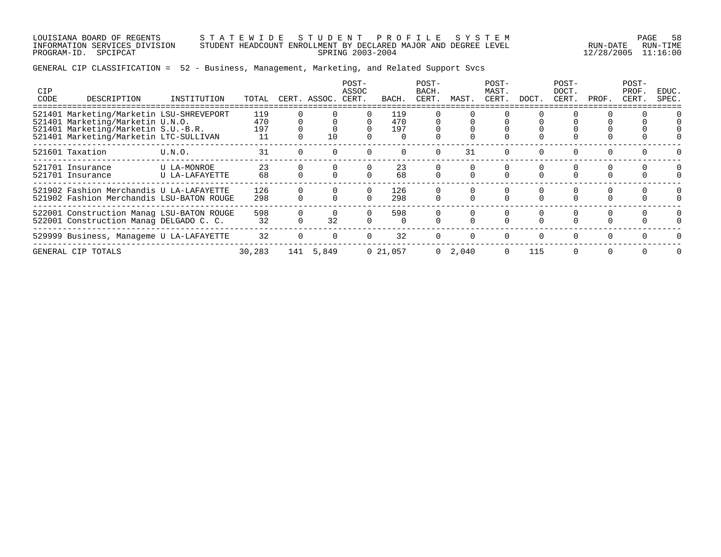LOUISIANA BOARD OF REGENTS S T A T E W I D E S T U D E N T P R O F I L E S Y S T E M PAGE 58 INFORMATION SERVICES DIVISION STUDENT HEADCOUNT ENROLLMENT BY DECLARED MAJOR AND DEGREE LEVEL RUN-DATE RUN-TIME PROGRAM-ID. SPCIPCAT SPRING 2003-2004 12/28/2005 11:16:00

| <b>CIP</b><br>CODE | DESCRIPTION                                                                                                                                                   | INSTITUTION                   | TOTAL                   | CERT. ASSOC. | POST-<br>ASSOC<br>CERT. | BACH.             | POST-<br>BACH.<br>CERT. | MAST.           | POST-<br>MAST.<br>CERT. | DOCT.    | POST-<br>DOCT.<br>CERT. | PROF.    | POST-<br>PROF<br>CERT. | EDUC.<br>SPEC. |
|--------------------|---------------------------------------------------------------------------------------------------------------------------------------------------------------|-------------------------------|-------------------------|--------------|-------------------------|-------------------|-------------------------|-----------------|-------------------------|----------|-------------------------|----------|------------------------|----------------|
|                    | 521401 Marketing/Marketin LSU-SHREVEPORT<br>521401 Marketing/Marketin U.N.O.<br>521401 Marketing/Marketin S.U.-B.R.<br>521401 Marketing/Marketin LTC-SULLIVAN |                               | 119<br>470<br>197<br>11 | 10           |                         | 119<br>470<br>197 |                         |                 |                         |          |                         |          |                        |                |
|                    | 521601 Taxation                                                                                                                                               | U.N.O.                        | 31                      |              |                         |                   | $\Omega$                | 31              | $\Omega$                | $\Omega$ | $\Omega$                | $\Omega$ | $\Omega$               |                |
|                    | 521701 Insurance<br>521701 Insurance                                                                                                                          | U LA-MONROE<br>U LA-LAFAYETTE | 23<br>68                |              |                         | 23<br>68          |                         |                 |                         |          |                         |          | $\Omega$               |                |
|                    | 521902 Fashion Merchandis U LA-LAFAYETTE<br>521902 Fashion Merchandis LSU-BATON ROUGE                                                                         |                               | 126<br>298              |              | $\Omega$                | 126<br>298        |                         |                 |                         |          |                         |          | $\Omega$               |                |
|                    | 522001 Construction Manag LSU-BATON ROUGE<br>522001 Construction Manag DELGADO C. C.                                                                          |                               | 598<br>32               | 32           |                         | 598               |                         |                 |                         | 0        |                         |          | 0                      |                |
|                    | 529999 Business, Manageme U LA-LAFAYETTE                                                                                                                      |                               | 32                      |              | $\Omega$                | 32                | $\Omega$                | $\Omega$        | $\Omega$                | $\Omega$ | $\Omega$                |          | $\Omega$               |                |
|                    | GENERAL CIP TOTALS                                                                                                                                            |                               | 30,283                  | 141 5,849    |                         | 021,057           |                         | $0 \quad 2,040$ | $\Omega$                | 115      |                         |          |                        |                |